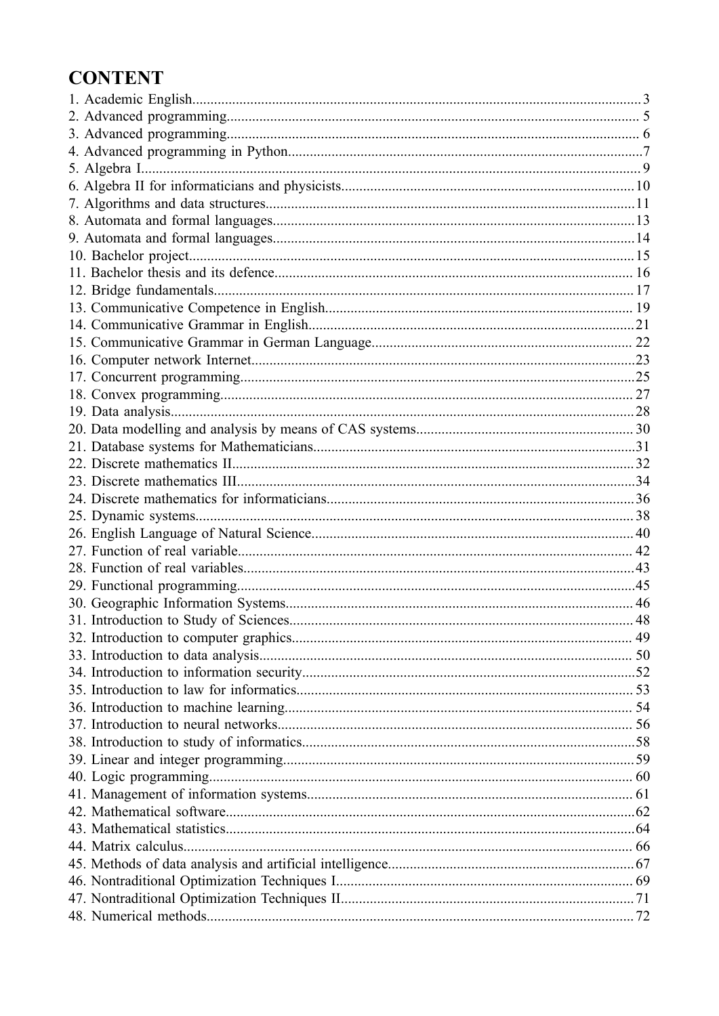# **CONTENT**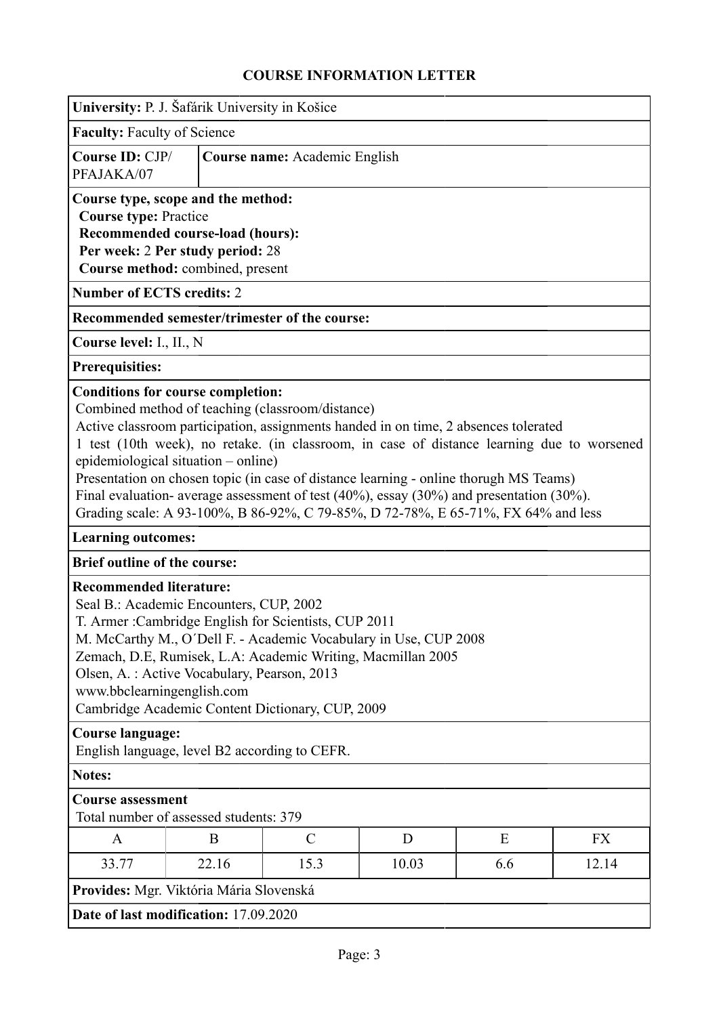<span id="page-2-0"></span>

| University: P. J. Šafárik University in Košice                                                                                                                                 |                                             |                                                                                                                                                                                                                                                                                                                                                                                                                                                                                                                           |       |     |           |
|--------------------------------------------------------------------------------------------------------------------------------------------------------------------------------|---------------------------------------------|---------------------------------------------------------------------------------------------------------------------------------------------------------------------------------------------------------------------------------------------------------------------------------------------------------------------------------------------------------------------------------------------------------------------------------------------------------------------------------------------------------------------------|-------|-----|-----------|
| <b>Faculty: Faculty of Science</b>                                                                                                                                             |                                             |                                                                                                                                                                                                                                                                                                                                                                                                                                                                                                                           |       |     |           |
| Course ID: CJP/<br>PFAJAKA/07                                                                                                                                                  |                                             | Course name: Academic English                                                                                                                                                                                                                                                                                                                                                                                                                                                                                             |       |     |           |
| Course type, scope and the method:<br><b>Course type: Practice</b><br>Recommended course-load (hours):<br>Per week: 2 Per study period: 28<br>Course method: combined, present |                                             |                                                                                                                                                                                                                                                                                                                                                                                                                                                                                                                           |       |     |           |
| <b>Number of ECTS credits: 2</b>                                                                                                                                               |                                             |                                                                                                                                                                                                                                                                                                                                                                                                                                                                                                                           |       |     |           |
|                                                                                                                                                                                |                                             | Recommended semester/trimester of the course:                                                                                                                                                                                                                                                                                                                                                                                                                                                                             |       |     |           |
| Course level: I., II., N                                                                                                                                                       |                                             |                                                                                                                                                                                                                                                                                                                                                                                                                                                                                                                           |       |     |           |
| <b>Prerequisities:</b>                                                                                                                                                         |                                             |                                                                                                                                                                                                                                                                                                                                                                                                                                                                                                                           |       |     |           |
|                                                                                                                                                                                | epidemiological situation – online)         | Combined method of teaching (classroom/distance)<br>Active classroom participation, assignments handed in on time, 2 absences tolerated<br>1 test (10th week), no retake. (in classroom, in case of distance learning due to worsened<br>Presentation on chosen topic (in case of distance learning - online thorugh MS Teams)<br>Final evaluation- average assessment of test $(40\%)$ , essay $(30\%)$ and presentation $(30\%)$ .<br>Grading scale: A 93-100%, B 86-92%, C 79-85%, D 72-78%, E 65-71%, FX 64% and less |       |     |           |
| <b>Learning outcomes:</b>                                                                                                                                                      |                                             |                                                                                                                                                                                                                                                                                                                                                                                                                                                                                                                           |       |     |           |
| <b>Brief outline of the course:</b>                                                                                                                                            |                                             |                                                                                                                                                                                                                                                                                                                                                                                                                                                                                                                           |       |     |           |
| <b>Recommended literature:</b><br>Seal B.: Academic Encounters, CUP, 2002<br>www.bbclearningenglish.com                                                                        | Olsen, A.: Active Vocabulary, Pearson, 2013 | T. Armer: Cambridge English for Scientists, CUP 2011<br>M. McCarthy M., O'Dell F. - Academic Vocabulary in Use, CUP 2008<br>Zemach, D.E, Rumisek, L.A: Academic Writing, Macmillan 2005<br>Cambridge Academic Content Dictionary, CUP, 2009                                                                                                                                                                                                                                                                               |       |     |           |
| <b>Course language:</b><br>English language, level B2 according to CEFR.                                                                                                       |                                             |                                                                                                                                                                                                                                                                                                                                                                                                                                                                                                                           |       |     |           |
| <b>Notes:</b>                                                                                                                                                                  |                                             |                                                                                                                                                                                                                                                                                                                                                                                                                                                                                                                           |       |     |           |
| <b>Course assessment</b>                                                                                                                                                       | Total number of assessed students: 379      |                                                                                                                                                                                                                                                                                                                                                                                                                                                                                                                           |       |     |           |
| $\mathbf{A}$                                                                                                                                                                   | B                                           | $\mathcal{C}$                                                                                                                                                                                                                                                                                                                                                                                                                                                                                                             | D     | E   | <b>FX</b> |
| 33.77                                                                                                                                                                          | 22.16                                       | 15.3                                                                                                                                                                                                                                                                                                                                                                                                                                                                                                                      | 10.03 | 6.6 | 12.14     |
| Provides: Mgr. Viktória Mária Slovenská                                                                                                                                        |                                             |                                                                                                                                                                                                                                                                                                                                                                                                                                                                                                                           |       |     |           |
| Date of last modification: 17.09.2020                                                                                                                                          |                                             |                                                                                                                                                                                                                                                                                                                                                                                                                                                                                                                           |       |     |           |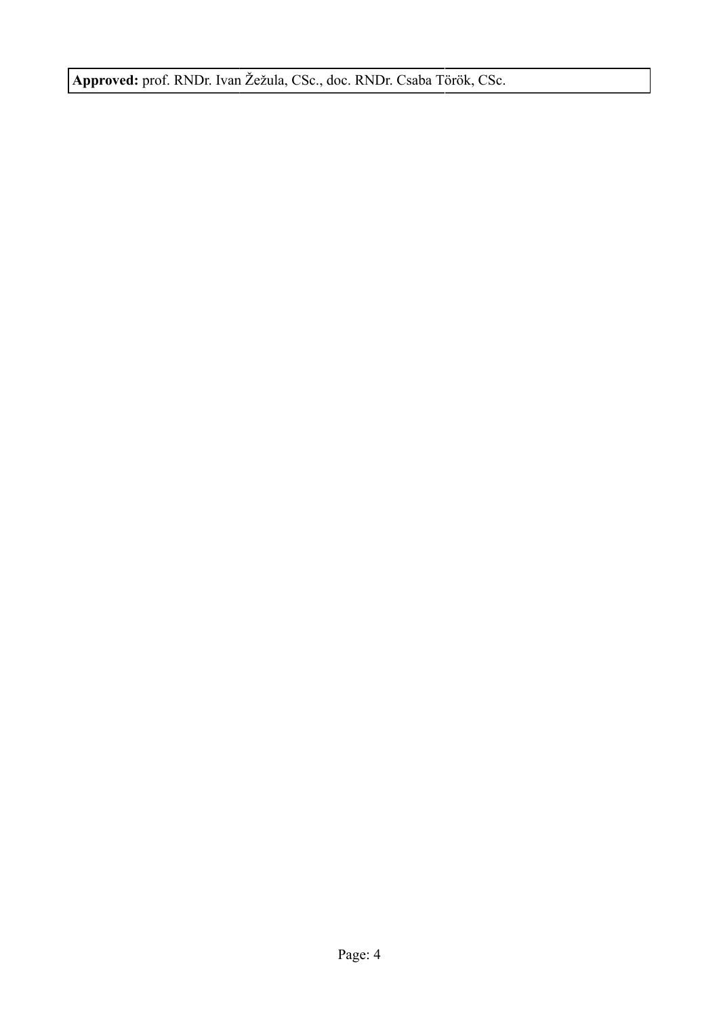**Approved:** prof. RNDr. Ivan Žežula, CSc., doc. RNDr. Csaba Török, CSc.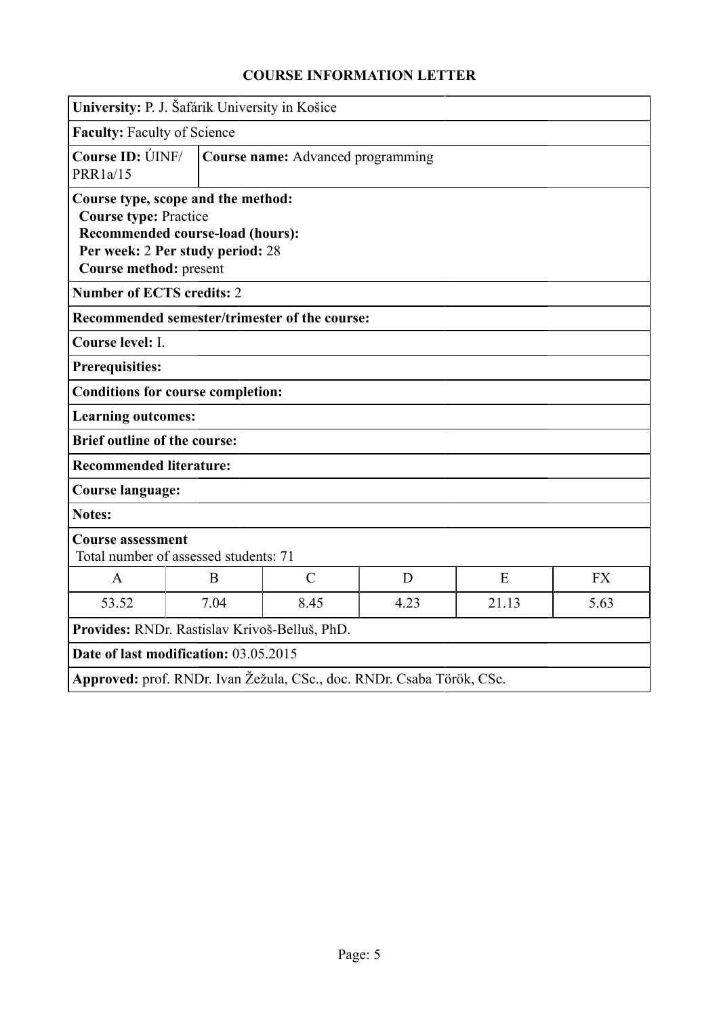<span id="page-4-0"></span>

|                                                        | University: P. J. Šafárik University in Košice                                                             |                                                                       |      |       |           |
|--------------------------------------------------------|------------------------------------------------------------------------------------------------------------|-----------------------------------------------------------------------|------|-------|-----------|
| <b>Faculty: Faculty of Science</b>                     |                                                                                                            |                                                                       |      |       |           |
| Course ID: ÚINF/<br>PRR1a/15                           |                                                                                                            | Course name: Advanced programming                                     |      |       |           |
| <b>Course type: Practice</b><br>Course method: present | Course type, scope and the method:<br>Recommended course-load (hours):<br>Per week: 2 Per study period: 28 |                                                                       |      |       |           |
| <b>Number of ECTS credits: 2</b>                       |                                                                                                            |                                                                       |      |       |           |
|                                                        |                                                                                                            | Recommended semester/trimester of the course:                         |      |       |           |
| Course level: I.                                       |                                                                                                            |                                                                       |      |       |           |
| <b>Prerequisities:</b>                                 |                                                                                                            |                                                                       |      |       |           |
|                                                        | <b>Conditions for course completion:</b>                                                                   |                                                                       |      |       |           |
| <b>Learning outcomes:</b>                              |                                                                                                            |                                                                       |      |       |           |
| <b>Brief outline of the course:</b>                    |                                                                                                            |                                                                       |      |       |           |
| <b>Recommended literature:</b>                         |                                                                                                            |                                                                       |      |       |           |
| <b>Course language:</b>                                |                                                                                                            |                                                                       |      |       |           |
| <b>Notes:</b>                                          |                                                                                                            |                                                                       |      |       |           |
| <b>Course assessment</b>                               | Total number of assessed students: 71                                                                      |                                                                       |      |       |           |
| $\mathbf{A}$                                           | B                                                                                                          | $\mathcal{C}$                                                         | D    | E     | <b>FX</b> |
| 53.52                                                  | 7.04                                                                                                       | 8.45                                                                  | 4.23 | 21.13 | 5.63      |
|                                                        | Provides: RNDr. Rastislav Krivoš-Belluš, PhD.                                                              |                                                                       |      |       |           |
|                                                        | Date of last modification: 03.05.2015                                                                      |                                                                       |      |       |           |
|                                                        |                                                                                                            | Approved: prof. RNDr. Ivan Žežula, CSc., doc. RNDr. Csaba Török, CSc. |      |       |           |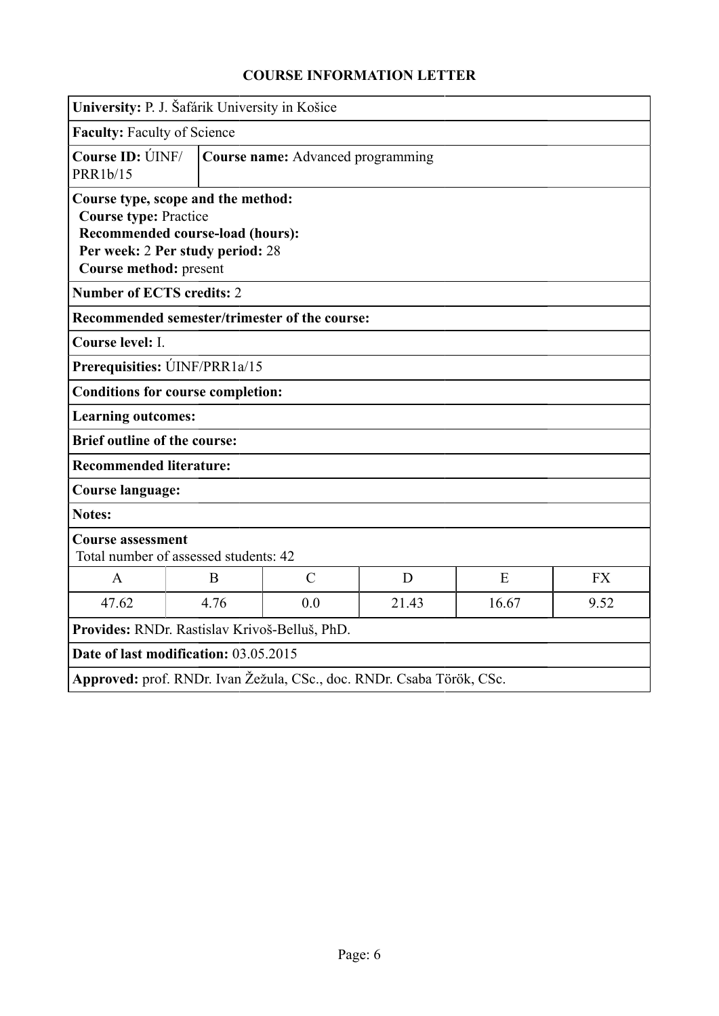<span id="page-5-0"></span>

|                                                        | University: P. J. Šafárik University in Košice                                                             |                                                                       |       |       |           |
|--------------------------------------------------------|------------------------------------------------------------------------------------------------------------|-----------------------------------------------------------------------|-------|-------|-----------|
|                                                        |                                                                                                            |                                                                       |       |       |           |
| <b>Faculty: Faculty of Science</b>                     |                                                                                                            |                                                                       |       |       |           |
| Course ID: UNF/<br>PRR1b/15                            |                                                                                                            | Course name: Advanced programming                                     |       |       |           |
| <b>Course type: Practice</b><br>Course method: present | Course type, scope and the method:<br>Recommended course-load (hours):<br>Per week: 2 Per study period: 28 |                                                                       |       |       |           |
| <b>Number of ECTS credits: 2</b>                       |                                                                                                            |                                                                       |       |       |           |
|                                                        |                                                                                                            | Recommended semester/trimester of the course:                         |       |       |           |
| Course level: I.                                       |                                                                                                            |                                                                       |       |       |           |
|                                                        | Prerequisities: UNF/PRR1a/15                                                                               |                                                                       |       |       |           |
|                                                        | <b>Conditions for course completion:</b>                                                                   |                                                                       |       |       |           |
| <b>Learning outcomes:</b>                              |                                                                                                            |                                                                       |       |       |           |
| <b>Brief outline of the course:</b>                    |                                                                                                            |                                                                       |       |       |           |
| <b>Recommended literature:</b>                         |                                                                                                            |                                                                       |       |       |           |
| <b>Course language:</b>                                |                                                                                                            |                                                                       |       |       |           |
| <b>Notes:</b>                                          |                                                                                                            |                                                                       |       |       |           |
| <b>Course assessment</b>                               | Total number of assessed students: 42                                                                      |                                                                       |       |       |           |
| $\mathsf{A}$                                           | B                                                                                                          | $\mathcal{C}$                                                         | D     | E     | <b>FX</b> |
| 47.62                                                  | 4.76                                                                                                       | 0.0                                                                   | 21.43 | 16.67 | 9.52      |
|                                                        | Provides: RNDr. Rastislav Krivoš-Belluš, PhD.                                                              |                                                                       |       |       |           |
|                                                        | Date of last modification: 03.05.2015                                                                      |                                                                       |       |       |           |
|                                                        |                                                                                                            | Approved: prof. RNDr. Ivan Žežula, CSc., doc. RNDr. Csaba Török, CSc. |       |       |           |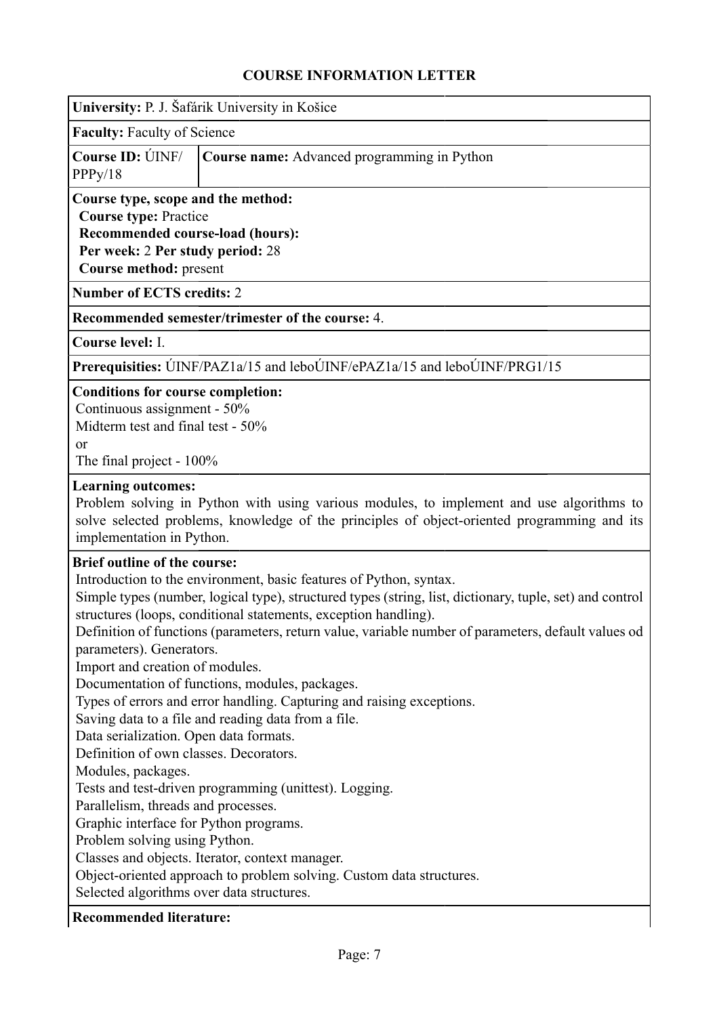<span id="page-6-0"></span>

| University: P. J. Šafárik University in Košice |  |  |  |
|------------------------------------------------|--|--|--|
|                                                |  |  |  |

**Faculty:** Faculty of Science

|         | <b>Course ID:</b> UNF/ <b>Course name:</b> Advanced programming in Python |
|---------|---------------------------------------------------------------------------|
| PPPy/18 |                                                                           |

#### **Course type, scope and the method: Course type:** Practice **Recommended course-load (hours):**

**Per week:** 2 **Per study period:** 28

**Course method:** present

**Number of ECTS credits:** 2

### **Recommended semester/trimester of the course:** 4.

**Course level:** I.

**Prerequisities:** ÚINF/PAZ1a/15 and leboÚINF/ePAZ1a/15 and leboÚINF/PRG1/15

#### **Conditions for course completion:**

Continuous assignment - 50% Midterm test and final test - 50% or

The final project - 100%

#### **Learning outcomes:**

Problem solving in Python with using various modules, to implement and use algorithms to solve selected problems, knowledge of the principles of object-oriented programming and its implementation in Python.

### **Brief outline of the course:**

Introduction to the environment, basic features of Python, syntax.

Simple types (number, logical type), structured types (string, list, dictionary, tuple, set) and control structures (loops, conditional statements, exception handling).

Definition of functions (parameters, return value, variable number of parameters, default values od parameters). Generators.

Import and creation of modules.

Documentation of functions, modules, packages.

Types of errors and error handling. Capturing and raising exceptions.

Saving data to a file and reading data from a file.

Data serialization. Open data formats.

Definition of own classes. Decorators.

Modules, packages.

Tests and test-driven programming (unittest). Logging.

Parallelism, threads and processes.

Graphic interface for Python programs.

Problem solving using Python.

Classes and objects. Iterator, context manager.

Object-oriented approach to problem solving. Custom data structures.

Selected algorithms over data structures.

### **Recommended literature:**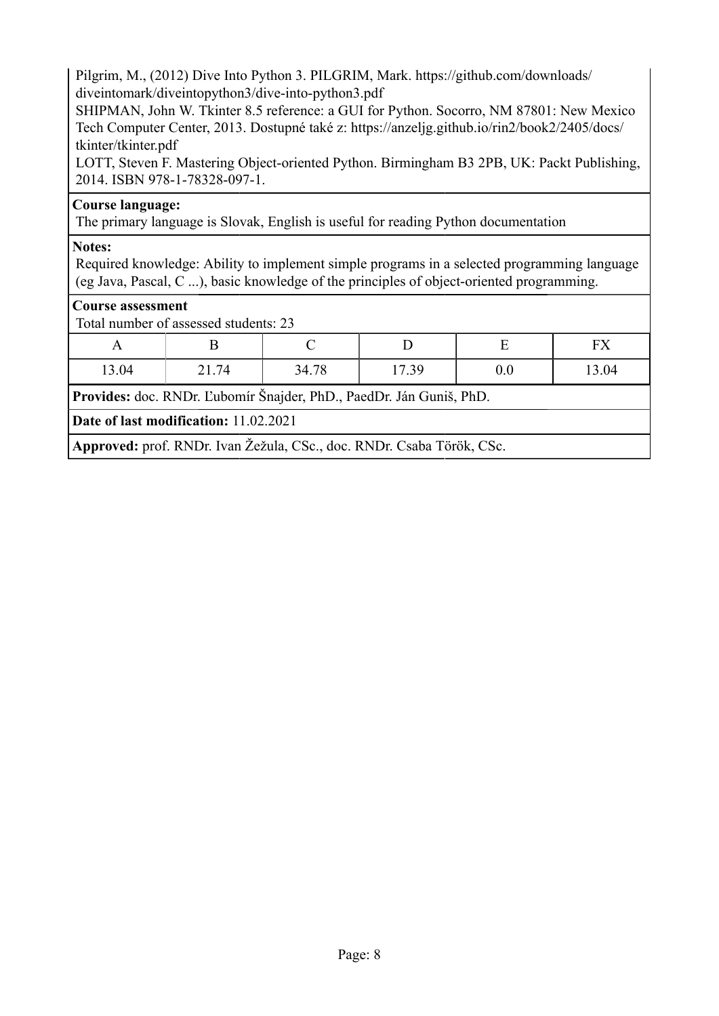Pilgrim, M., (2012) Dive Into Python 3. PILGRIM, Mark. https://github.com/downloads/ diveintomark/diveintopython3/dive-into-python3.pdf

SHIPMAN, John W. Tkinter 8.5 reference: a GUI for Python. Socorro, NM 87801: New Mexico Tech Computer Center, 2013. Dostupné také z: https://anzeljg.github.io/rin2/book2/2405/docs/ tkinter/tkinter.pdf

LOTT, Steven F. Mastering Object-oriented Python. Birmingham B3 2PB, UK: Packt Publishing, 2014. ISBN 978-1-78328-097-1.

### **Course language:**

The primary language is Slovak, English is useful for reading Python documentation

### **Notes:**

Required knowledge: Ability to implement simple programs in a selected programming language (eg Java, Pascal, C ...), basic knowledge of the principles of object-oriented programming.

### **Course assessment**

Total number of assessed students: 23

| $\mathbf{r}$ | ⊥     |       |       |     | <b>EXZ</b><br>-⊢<br>T V |
|--------------|-------|-------|-------|-----|-------------------------|
| 13.04        | 21.74 | 34.78 | 17.39 | 0.0 | 13.04                   |

**Provides:** doc. RNDr. Ľubomír Šnajder, PhD., PaedDr. Ján Guniš, PhD.

**Date of last modification:** 11.02.2021

**Approved:** prof. RNDr. Ivan Žežula, CSc., doc. RNDr. Csaba Török, CSc.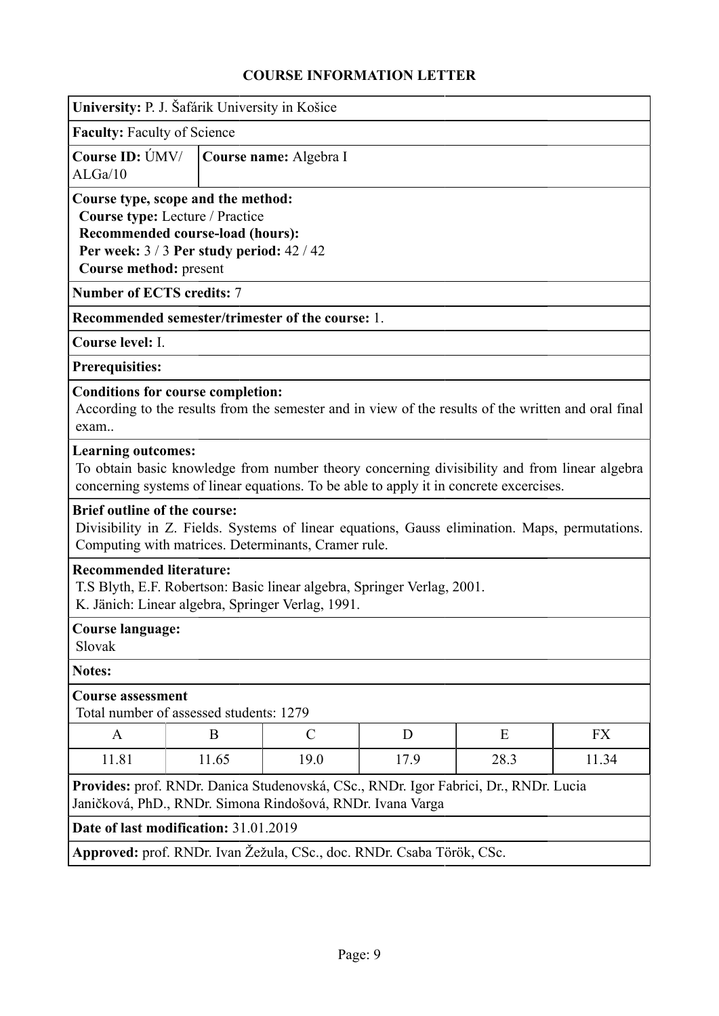<span id="page-8-0"></span>

| University: P. J. Šafárik University in Košice                      |                                                                                                              |                                                                                                                                                                                        |      |      |           |
|---------------------------------------------------------------------|--------------------------------------------------------------------------------------------------------------|----------------------------------------------------------------------------------------------------------------------------------------------------------------------------------------|------|------|-----------|
| <b>Faculty: Faculty of Science</b>                                  |                                                                                                              |                                                                                                                                                                                        |      |      |           |
| Course ID: ÚMV/<br>ALGa/10                                          |                                                                                                              | Course name: Algebra I                                                                                                                                                                 |      |      |           |
| Course type, scope and the method:<br><b>Course method: present</b> | Course type: Lecture / Practice<br>Recommended course-load (hours):<br>Per week: 3/3 Per study period: 42/42 |                                                                                                                                                                                        |      |      |           |
| <b>Number of ECTS credits: 7</b>                                    |                                                                                                              |                                                                                                                                                                                        |      |      |           |
|                                                                     |                                                                                                              | Recommended semester/trimester of the course: 1.                                                                                                                                       |      |      |           |
| Course level: I.                                                    |                                                                                                              |                                                                                                                                                                                        |      |      |           |
| <b>Prerequisities:</b>                                              |                                                                                                              |                                                                                                                                                                                        |      |      |           |
| <b>Conditions for course completion:</b><br>exam                    |                                                                                                              | According to the results from the semester and in view of the results of the written and oral final                                                                                    |      |      |           |
| <b>Learning outcomes:</b>                                           |                                                                                                              | To obtain basic knowledge from number theory concerning divisibility and from linear algebra<br>concerning systems of linear equations. To be able to apply it in concrete excercises. |      |      |           |
| <b>Brief outline of the course:</b>                                 |                                                                                                              | Divisibility in Z. Fields. Systems of linear equations, Gauss elimination. Maps, permutations.<br>Computing with matrices. Determinants, Cramer rule.                                  |      |      |           |
| <b>Recommended literature:</b>                                      |                                                                                                              | T.S Blyth, E.F. Robertson: Basic linear algebra, Springer Verlag, 2001.<br>K. Jänich: Linear algebra, Springer Verlag, 1991.                                                           |      |      |           |
| <b>Course language:</b><br>Slovak                                   |                                                                                                              |                                                                                                                                                                                        |      |      |           |
| <b>Notes:</b>                                                       |                                                                                                              |                                                                                                                                                                                        |      |      |           |
| <b>Course assessment</b>                                            | Total number of assessed students: 1279                                                                      |                                                                                                                                                                                        |      |      |           |
| A                                                                   | B                                                                                                            | $\mathcal{C}$                                                                                                                                                                          | D    | Ε    | <b>FX</b> |
| 11.81                                                               | 11.65                                                                                                        | 19.0                                                                                                                                                                                   | 17.9 | 28.3 | 11.34     |
|                                                                     |                                                                                                              | Provides: prof. RNDr. Danica Studenovská, CSc., RNDr. Igor Fabrici, Dr., RNDr. Lucia<br>Janičková, PhD., RNDr. Simona Rindošová, RNDr. Ivana Varga                                     |      |      |           |
| Date of last modification: 31.01.2019                               |                                                                                                              |                                                                                                                                                                                        |      |      |           |
|                                                                     |                                                                                                              | Approved: prof. RNDr. Ivan Žežula, CSc., doc. RNDr. Csaba Török, CSc.                                                                                                                  |      |      |           |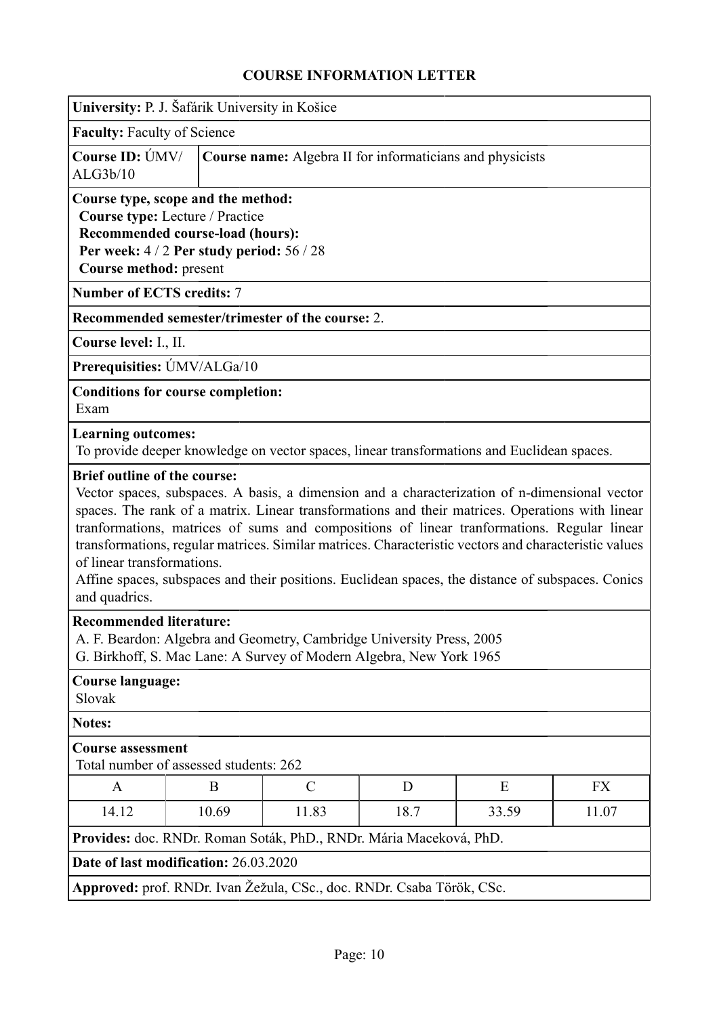<span id="page-9-0"></span>

|                                                                                    | University: P. J. Šafárik University in Košice                                                                                                     |               |      |                                                                                                                                                                                                                                                                                                                                                                                                                                                                                                              |           |
|------------------------------------------------------------------------------------|----------------------------------------------------------------------------------------------------------------------------------------------------|---------------|------|--------------------------------------------------------------------------------------------------------------------------------------------------------------------------------------------------------------------------------------------------------------------------------------------------------------------------------------------------------------------------------------------------------------------------------------------------------------------------------------------------------------|-----------|
| <b>Faculty: Faculty of Science</b>                                                 |                                                                                                                                                    |               |      |                                                                                                                                                                                                                                                                                                                                                                                                                                                                                                              |           |
| Course ID: ÚMV/<br>ALG3b/10                                                        |                                                                                                                                                    |               |      | Course name: Algebra II for informaticians and physicists                                                                                                                                                                                                                                                                                                                                                                                                                                                    |           |
| Course method: present                                                             | Course type, scope and the method:<br>Course type: Lecture / Practice<br>Recommended course-load (hours):<br>Per week: 4/2 Per study period: 56/28 |               |      |                                                                                                                                                                                                                                                                                                                                                                                                                                                                                                              |           |
| <b>Number of ECTS credits: 7</b>                                                   |                                                                                                                                                    |               |      |                                                                                                                                                                                                                                                                                                                                                                                                                                                                                                              |           |
|                                                                                    | Recommended semester/trimester of the course: 2.                                                                                                   |               |      |                                                                                                                                                                                                                                                                                                                                                                                                                                                                                                              |           |
| Course level: I., II.                                                              |                                                                                                                                                    |               |      |                                                                                                                                                                                                                                                                                                                                                                                                                                                                                                              |           |
| Prerequisities: ÚMV/ALGa/10                                                        |                                                                                                                                                    |               |      |                                                                                                                                                                                                                                                                                                                                                                                                                                                                                                              |           |
| Exam                                                                               | <b>Conditions for course completion:</b>                                                                                                           |               |      |                                                                                                                                                                                                                                                                                                                                                                                                                                                                                                              |           |
| <b>Learning outcomes:</b>                                                          |                                                                                                                                                    |               |      | To provide deeper knowledge on vector spaces, linear transformations and Euclidean spaces.                                                                                                                                                                                                                                                                                                                                                                                                                   |           |
| <b>Brief outline of the course:</b><br>of linear transformations.<br>and quadrics. |                                                                                                                                                    |               |      | Vector spaces, subspaces. A basis, a dimension and a characterization of n-dimensional vector<br>spaces. The rank of a matrix. Linear transformations and their matrices. Operations with linear<br>tranformations, matrices of sums and compositions of linear tranformations. Regular linear<br>transformations, regular matrices. Similar matrices. Characteristic vectors and characteristic values<br>Affine spaces, subspaces and their positions. Euclidean spaces, the distance of subspaces. Conics |           |
| <b>Recommended literature:</b>                                                     | A. F. Beardon: Algebra and Geometry, Cambridge University Press, 2005<br>G. Birkhoff, S. Mac Lane: A Survey of Modern Algebra, New York 1965       |               |      |                                                                                                                                                                                                                                                                                                                                                                                                                                                                                                              |           |
| <b>Course language:</b><br>Slovak                                                  |                                                                                                                                                    |               |      |                                                                                                                                                                                                                                                                                                                                                                                                                                                                                                              |           |
| <b>Notes:</b>                                                                      |                                                                                                                                                    |               |      |                                                                                                                                                                                                                                                                                                                                                                                                                                                                                                              |           |
| <b>Course assessment</b>                                                           | Total number of assessed students: 262                                                                                                             |               |      |                                                                                                                                                                                                                                                                                                                                                                                                                                                                                                              |           |
| A                                                                                  | B                                                                                                                                                  | $\mathcal{C}$ | D    | Ε                                                                                                                                                                                                                                                                                                                                                                                                                                                                                                            | <b>FX</b> |
| 14.12                                                                              | 10.69                                                                                                                                              | 11.83         | 18.7 | 33.59                                                                                                                                                                                                                                                                                                                                                                                                                                                                                                        | 11.07     |
|                                                                                    | Provides: doc. RNDr. Roman Soták, PhD., RNDr. Mária Maceková, PhD.                                                                                 |               |      |                                                                                                                                                                                                                                                                                                                                                                                                                                                                                                              |           |
|                                                                                    | Date of last modification: 26.03.2020                                                                                                              |               |      |                                                                                                                                                                                                                                                                                                                                                                                                                                                                                                              |           |
|                                                                                    | Approved: prof. RNDr. Ivan Žežula, CSc., doc. RNDr. Csaba Török, CSc.                                                                              |               |      |                                                                                                                                                                                                                                                                                                                                                                                                                                                                                                              |           |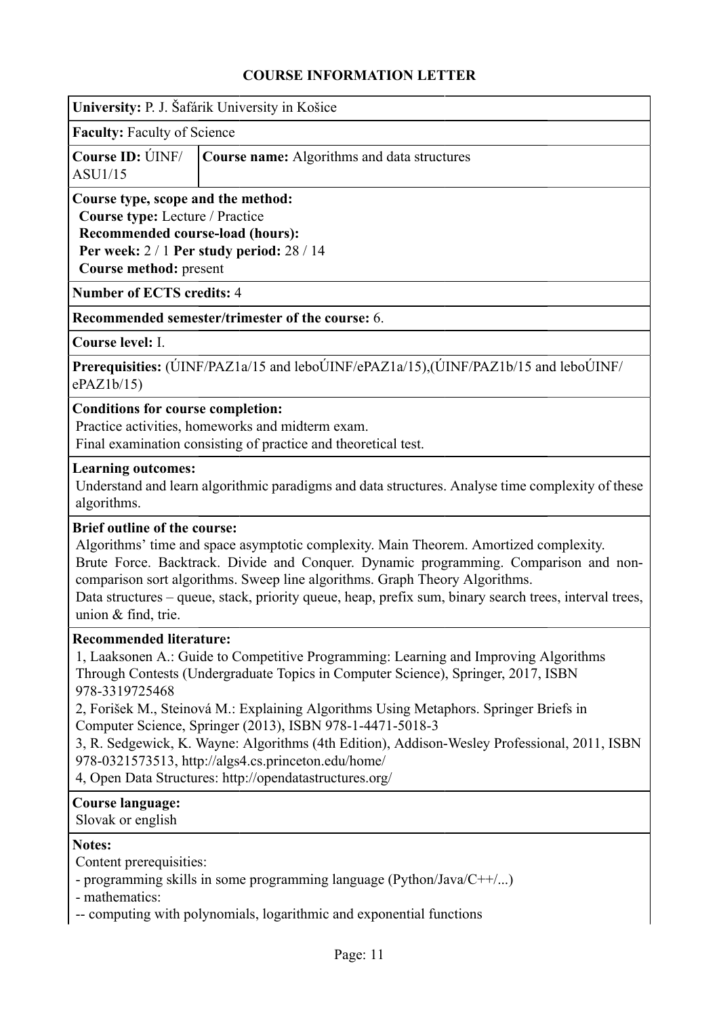<span id="page-10-0"></span>

| University: P. J. Šafárik University in Košice |  |  |  |  |  |
|------------------------------------------------|--|--|--|--|--|
|------------------------------------------------|--|--|--|--|--|

**Faculty:** Faculty of Science

|         | <b>Course ID:</b> UNF/ <b>Course name:</b> Algorithms and data structures |
|---------|---------------------------------------------------------------------------|
| ASU1/15 |                                                                           |

# **Course type, scope and the method:**

**Course type:** Lecture / Practice

**Recommended course-load (hours): Per week:** 2 / 1 **Per study period:** 28 / 14 **Course method:** present

**Number of ECTS credits:** 4

**Recommended semester/trimester of the course:** 6.

**Course level:** I.

**Prerequisities:** (ÚINF/PAZ1a/15 and leboÚINF/ePAZ1a/15),(ÚINF/PAZ1b/15 and leboÚINF/ ePAZ1b/15)

#### **Conditions for course completion:**

Practice activities, homeworks and midterm exam.

Final examination consisting of practice and theoretical test.

#### **Learning outcomes:**

Understand and learn algorithmic paradigms and data structures. Analyse time complexity of these algorithms.

### **Brief outline of the course:**

Algorithms' time and space asymptotic complexity. Main Theorem. Amortized complexity. Brute Force. Backtrack. Divide and Conquer. Dynamic programming. Comparison and noncomparison sort algorithms. Sweep line algorithms. Graph Theory Algorithms.

Data structures – queue, stack, priority queue, heap, prefix sum, binary search trees, interval trees, union & find, trie.

#### **Recommended literature:**

1, Laaksonen A.: Guide to Competitive Programming: Learning and Improving Algorithms Through Contests (Undergraduate Topics in Computer Science), Springer, 2017, ISBN 978-3319725468

2, Forišek M., Steinová M.: Explaining Algorithms Using Metaphors. Springer Briefs in Computer Science, Springer (2013), ISBN 978-1-4471-5018-3

3, R. Sedgewick, K. Wayne: Algorithms (4th Edition), Addison-Wesley Professional, 2011, ISBN 978-0321573513, http://algs4.cs.princeton.edu/home/

4, Open Data Structures: http://opendatastructures.org/

### **Course language:**

Slovak or english

### **Notes:**

Content prerequisities:

- programming skills in some programming language (Python/Java/C++/...)

- mathematics:

-- computing with polynomials, logarithmic and exponential functions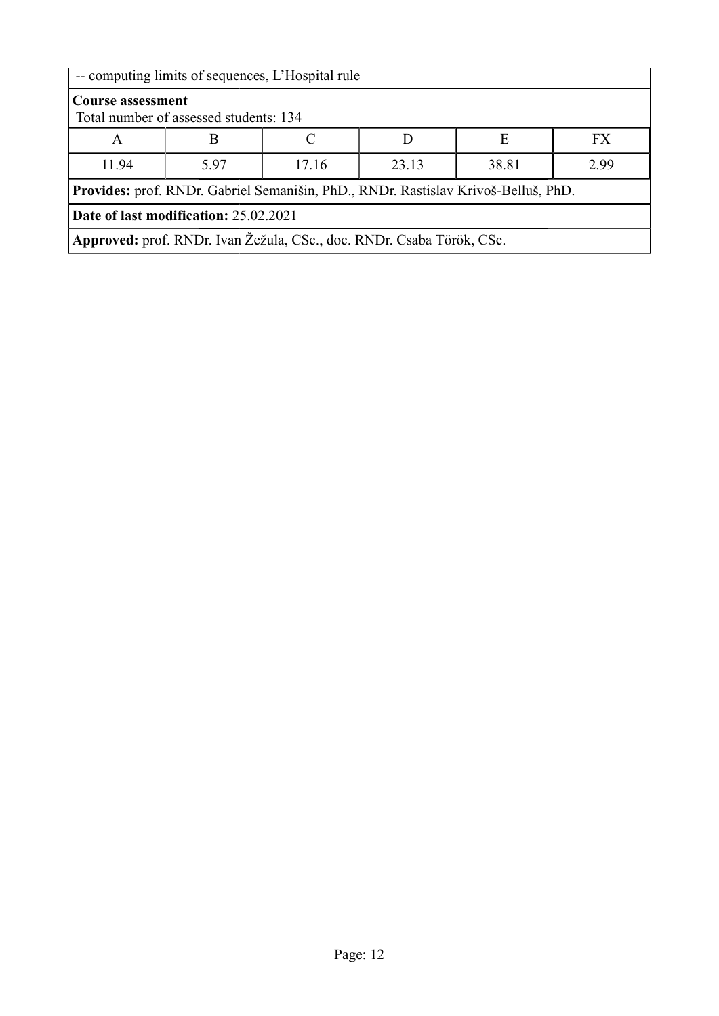| -- computing limits of sequences, L'Hospital rule                                  |                                        |       |       |       |      |
|------------------------------------------------------------------------------------|----------------------------------------|-------|-------|-------|------|
| <b>Course assessment</b>                                                           | Total number of assessed students: 134 |       |       |       |      |
| A                                                                                  |                                        |       |       | Е     | FX.  |
| 11.94                                                                              | 5.97                                   | 17.16 | 23.13 | 38.81 | 2.99 |
| Provides: prof. RNDr. Gabriel Semanišin, PhD., RNDr. Rastislav Krivoš-Belluš, PhD. |                                        |       |       |       |      |
| Date of last modification: 25.02.2021                                              |                                        |       |       |       |      |
| Approved: prof. RNDr. Ivan Žežula, CSc., doc. RNDr. Csaba Török, CSc.              |                                        |       |       |       |      |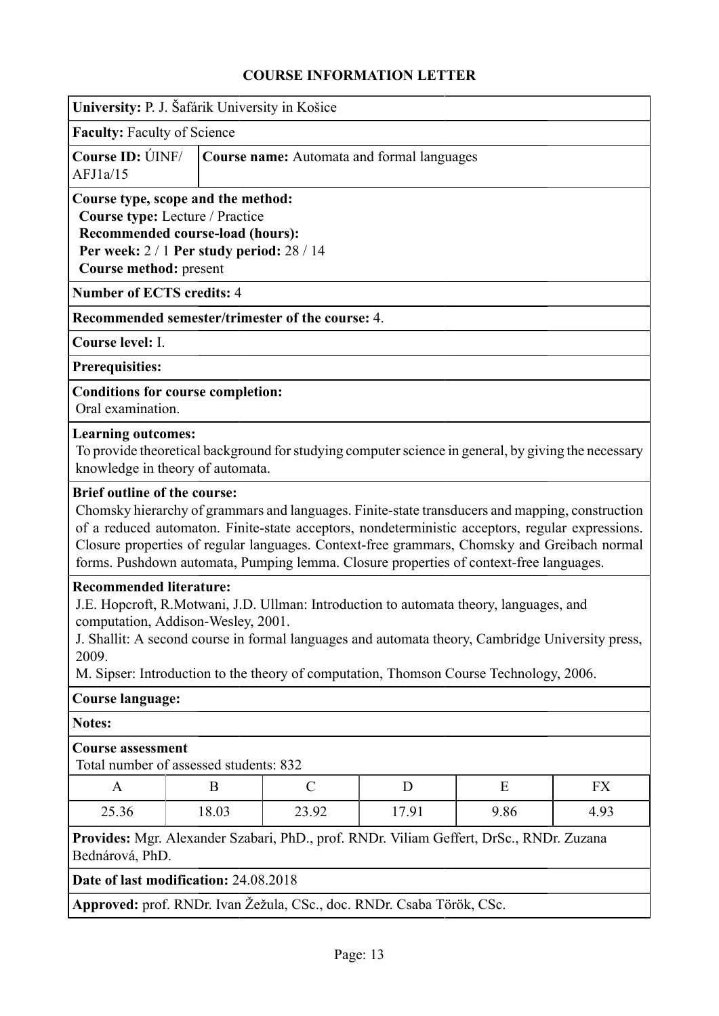<span id="page-12-0"></span>

| University: P. J. Šafárik University in Košice                                                                                                                                                                                                                                                                                                                                                                                      |                                            |               |       |      |      |
|-------------------------------------------------------------------------------------------------------------------------------------------------------------------------------------------------------------------------------------------------------------------------------------------------------------------------------------------------------------------------------------------------------------------------------------|--------------------------------------------|---------------|-------|------|------|
| <b>Faculty: Faculty of Science</b>                                                                                                                                                                                                                                                                                                                                                                                                  |                                            |               |       |      |      |
| Course ID: UNF/<br>AFJ1a/15                                                                                                                                                                                                                                                                                                                                                                                                         | Course name: Automata and formal languages |               |       |      |      |
| Course type, scope and the method:<br>Course type: Lecture / Practice<br>Recommended course-load (hours):<br>Per week: $2/1$ Per study period: $28/14$<br>Course method: present                                                                                                                                                                                                                                                    |                                            |               |       |      |      |
| <b>Number of ECTS credits: 4</b>                                                                                                                                                                                                                                                                                                                                                                                                    |                                            |               |       |      |      |
| Recommended semester/trimester of the course: 4.                                                                                                                                                                                                                                                                                                                                                                                    |                                            |               |       |      |      |
| Course level: I.                                                                                                                                                                                                                                                                                                                                                                                                                    |                                            |               |       |      |      |
| Prerequisities:                                                                                                                                                                                                                                                                                                                                                                                                                     |                                            |               |       |      |      |
| <b>Conditions for course completion:</b><br>Oral examination.                                                                                                                                                                                                                                                                                                                                                                       |                                            |               |       |      |      |
| <b>Learning outcomes:</b><br>To provide theoretical background for studying computer science in general, by giving the necessary<br>knowledge in theory of automata.                                                                                                                                                                                                                                                                |                                            |               |       |      |      |
| <b>Brief outline of the course:</b><br>Chomsky hierarchy of grammars and languages. Finite-state transducers and mapping, construction<br>of a reduced automaton. Finite-state acceptors, nondeterministic acceptors, regular expressions.<br>Closure properties of regular languages. Context-free grammars, Chomsky and Greibach normal<br>forms. Pushdown automata, Pumping lemma. Closure properties of context-free languages. |                                            |               |       |      |      |
| <b>Recommended literature:</b><br>J.E. Hopcroft, R.Motwani, J.D. Ullman: Introduction to automata theory, languages, and<br>computation, Addison-Wesley, 2001.<br>J. Shallit: A second course in formal languages and automata theory, Cambridge University press,<br>2009.<br>M. Sipser: Introduction to the theory of computation, Thomson Course Technology, 2006.                                                               |                                            |               |       |      |      |
| <b>Course language:</b>                                                                                                                                                                                                                                                                                                                                                                                                             |                                            |               |       |      |      |
| Notes:                                                                                                                                                                                                                                                                                                                                                                                                                              |                                            |               |       |      |      |
| <b>Course assessment</b><br>Total number of assessed students: 832                                                                                                                                                                                                                                                                                                                                                                  |                                            |               |       |      |      |
| A                                                                                                                                                                                                                                                                                                                                                                                                                                   | B                                          | $\mathcal{C}$ | D     | E    | FX   |
| 25.36                                                                                                                                                                                                                                                                                                                                                                                                                               | 18.03                                      | 23.92         | 17.91 | 9.86 | 4.93 |
| Provides: Mgr. Alexander Szabari, PhD., prof. RNDr. Viliam Geffert, DrSc., RNDr. Zuzana<br>Bednárová, PhD.<br>Date of last modification: 24.08.2018                                                                                                                                                                                                                                                                                 |                                            |               |       |      |      |

**Approved:** prof. RNDr. Ivan Žežula, CSc., doc. RNDr. Csaba Török, CSc.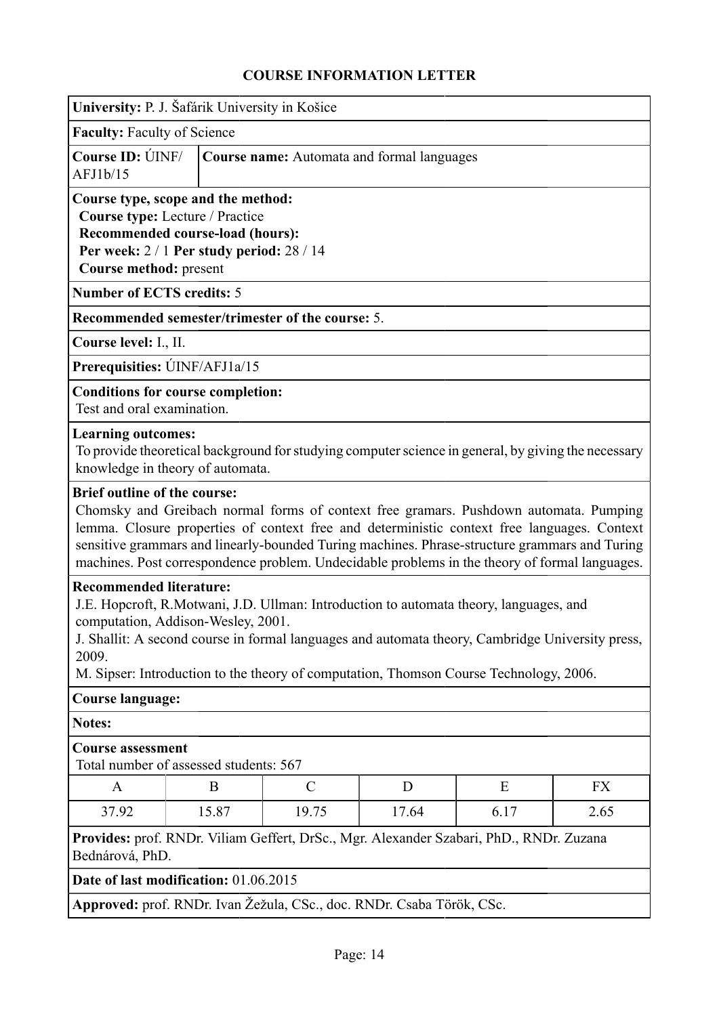<span id="page-13-0"></span>

| University: P. J. Šafárik University in Košice                                                                                                                               |                                            |                                                                                                                                                                                                                                                                                                                                                                                         |       |      |      |
|------------------------------------------------------------------------------------------------------------------------------------------------------------------------------|--------------------------------------------|-----------------------------------------------------------------------------------------------------------------------------------------------------------------------------------------------------------------------------------------------------------------------------------------------------------------------------------------------------------------------------------------|-------|------|------|
| <b>Faculty: Faculty of Science</b>                                                                                                                                           |                                            |                                                                                                                                                                                                                                                                                                                                                                                         |       |      |      |
| Course ID: UNF/<br>AFJ1b/15                                                                                                                                                  | Course name: Automata and formal languages |                                                                                                                                                                                                                                                                                                                                                                                         |       |      |      |
| Course type, scope and the method:<br>Course type: Lecture / Practice<br>Recommended course-load (hours):<br>Per week: 2/1 Per study period: 28/14<br>Course method: present |                                            |                                                                                                                                                                                                                                                                                                                                                                                         |       |      |      |
| <b>Number of ECTS credits: 5</b>                                                                                                                                             |                                            |                                                                                                                                                                                                                                                                                                                                                                                         |       |      |      |
| Recommended semester/trimester of the course: 5.                                                                                                                             |                                            |                                                                                                                                                                                                                                                                                                                                                                                         |       |      |      |
| Course level: I., II.                                                                                                                                                        |                                            |                                                                                                                                                                                                                                                                                                                                                                                         |       |      |      |
| Prerequisities: ÚINF/AFJ1a/15                                                                                                                                                |                                            |                                                                                                                                                                                                                                                                                                                                                                                         |       |      |      |
| <b>Conditions for course completion:</b><br>Test and oral examination.                                                                                                       |                                            |                                                                                                                                                                                                                                                                                                                                                                                         |       |      |      |
| <b>Learning outcomes:</b><br>knowledge in theory of automata.                                                                                                                |                                            | To provide theoretical background for studying computer science in general, by giving the necessary                                                                                                                                                                                                                                                                                     |       |      |      |
| <b>Brief outline of the course:</b>                                                                                                                                          |                                            | Chomsky and Greibach normal forms of context free gramars. Pushdown automata. Pumping<br>lemma. Closure properties of context free and deterministic context free languages. Context<br>sensitive grammars and linearly-bounded Turing machines. Phrase-structure grammars and Turing<br>machines. Post correspondence problem. Undecidable problems in the theory of formal languages. |       |      |      |
| <b>Recommended literature:</b><br>computation, Addison-Wesley, 2001.<br>2009.                                                                                                |                                            | J.E. Hopcroft, R.Motwani, J.D. Ullman: Introduction to automata theory, languages, and<br>J. Shallit: A second course in formal languages and automata theory, Cambridge University press,<br>M. Sipser: Introduction to the theory of computation, Thomson Course Technology, 2006.                                                                                                    |       |      |      |
| <b>Course language:</b>                                                                                                                                                      |                                            |                                                                                                                                                                                                                                                                                                                                                                                         |       |      |      |
| Notes:                                                                                                                                                                       |                                            |                                                                                                                                                                                                                                                                                                                                                                                         |       |      |      |
| <b>Course assessment</b><br>Total number of assessed students: 567                                                                                                           |                                            |                                                                                                                                                                                                                                                                                                                                                                                         |       |      |      |
| $\mathbf{A}$                                                                                                                                                                 | B                                          | $\mathcal{C}$                                                                                                                                                                                                                                                                                                                                                                           | D     | E    | FX   |
| 37.92                                                                                                                                                                        | 15.87                                      | 19.75                                                                                                                                                                                                                                                                                                                                                                                   | 17.64 | 6.17 | 2.65 |
| Provides: prof. RNDr. Viliam Geffert, DrSc., Mgr. Alexander Szabari, PhD., RNDr. Zuzana<br>Bednárová, PhD.                                                                   |                                            |                                                                                                                                                                                                                                                                                                                                                                                         |       |      |      |
| Date of last modification: 01.06.2015                                                                                                                                        |                                            |                                                                                                                                                                                                                                                                                                                                                                                         |       |      |      |
| Approved: prof. RNDr. Ivan Žežula, CSc., doc. RNDr. Csaba Török, CSc.                                                                                                        |                                            |                                                                                                                                                                                                                                                                                                                                                                                         |       |      |      |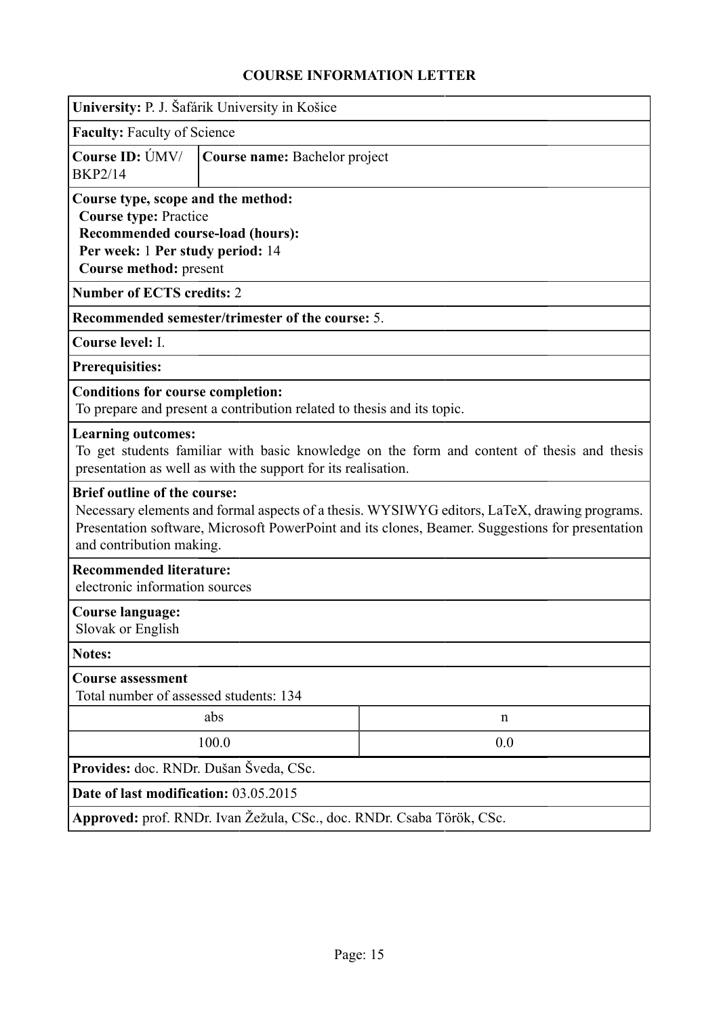<span id="page-14-0"></span>

|                                                                                                                                                                                                                                                                     | University: P. J. Šafárik University in Košice                                                                                                              |             |  |  |  |
|---------------------------------------------------------------------------------------------------------------------------------------------------------------------------------------------------------------------------------------------------------------------|-------------------------------------------------------------------------------------------------------------------------------------------------------------|-------------|--|--|--|
| <b>Faculty: Faculty of Science</b>                                                                                                                                                                                                                                  |                                                                                                                                                             |             |  |  |  |
| Course ID: ÚMV/<br><b>BKP2/14</b>                                                                                                                                                                                                                                   | Course name: Bachelor project                                                                                                                               |             |  |  |  |
| Course type, scope and the method:<br><b>Course type: Practice</b><br>Recommended course-load (hours):<br>Per week: 1 Per study period: 14<br>Course method: present                                                                                                |                                                                                                                                                             |             |  |  |  |
| <b>Number of ECTS credits: 2</b>                                                                                                                                                                                                                                    |                                                                                                                                                             |             |  |  |  |
|                                                                                                                                                                                                                                                                     | <b>Recommended semester/trimester of the course: 5.</b>                                                                                                     |             |  |  |  |
| Course level: I.                                                                                                                                                                                                                                                    |                                                                                                                                                             |             |  |  |  |
| <b>Prerequisities:</b>                                                                                                                                                                                                                                              |                                                                                                                                                             |             |  |  |  |
| <b>Conditions for course completion:</b>                                                                                                                                                                                                                            | To prepare and present a contribution related to thesis and its topic.                                                                                      |             |  |  |  |
| <b>Learning outcomes:</b>                                                                                                                                                                                                                                           | To get students familiar with basic knowledge on the form and content of thesis and thesis<br>presentation as well as with the support for its realisation. |             |  |  |  |
| <b>Brief outline of the course:</b><br>Necessary elements and formal aspects of a thesis. WYSIWYG editors, LaTeX, drawing programs.<br>Presentation software, Microsoft PowerPoint and its clones, Beamer. Suggestions for presentation<br>and contribution making. |                                                                                                                                                             |             |  |  |  |
| <b>Recommended literature:</b><br>electronic information sources                                                                                                                                                                                                    |                                                                                                                                                             |             |  |  |  |
| Course language:<br>Slovak or English                                                                                                                                                                                                                               |                                                                                                                                                             |             |  |  |  |
| <b>Notes:</b>                                                                                                                                                                                                                                                       |                                                                                                                                                             |             |  |  |  |
| <b>Course assessment</b><br>Total number of assessed students: 134                                                                                                                                                                                                  |                                                                                                                                                             |             |  |  |  |
|                                                                                                                                                                                                                                                                     | abs                                                                                                                                                         | $\mathbf n$ |  |  |  |
|                                                                                                                                                                                                                                                                     | 100.0                                                                                                                                                       | 0.0         |  |  |  |
|                                                                                                                                                                                                                                                                     | Provides: doc. RNDr. Dušan Šveda, CSc.                                                                                                                      |             |  |  |  |
|                                                                                                                                                                                                                                                                     | Date of last modification: 03.05.2015                                                                                                                       |             |  |  |  |
|                                                                                                                                                                                                                                                                     | Approved: prof. RNDr. Ivan Žežula, CSc., doc. RNDr. Csaba Török, CSc.                                                                                       |             |  |  |  |
|                                                                                                                                                                                                                                                                     |                                                                                                                                                             |             |  |  |  |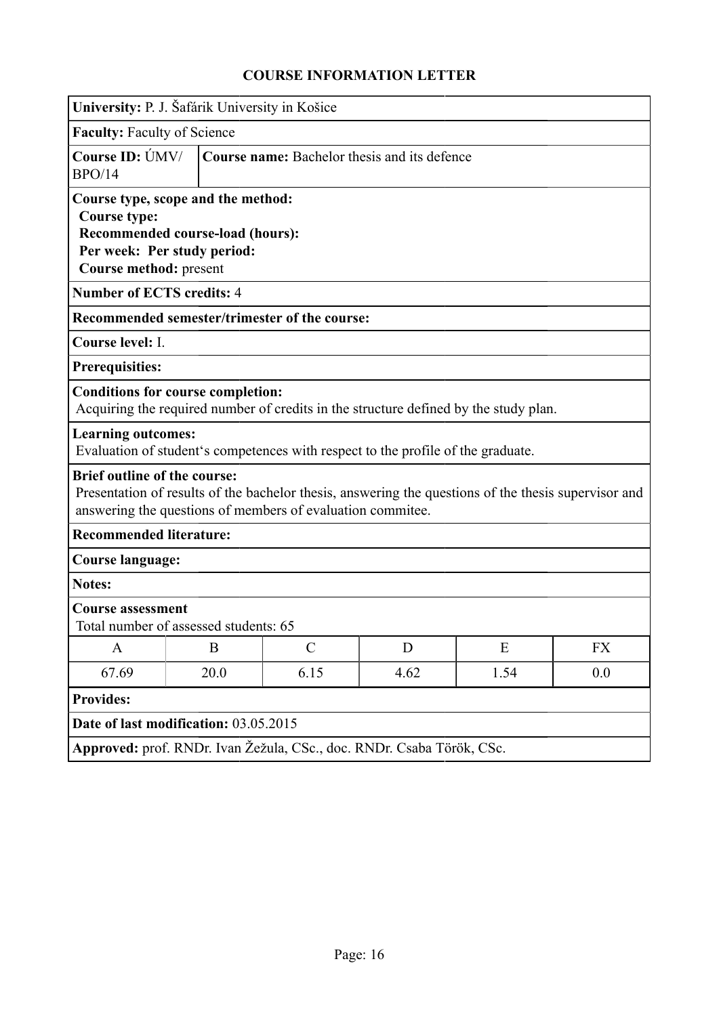<span id="page-15-0"></span>

| University: P. J. Šafárik University in Košice                                                                |                                                                 |                                                                                                                                                                    |      |      |           |
|---------------------------------------------------------------------------------------------------------------|-----------------------------------------------------------------|--------------------------------------------------------------------------------------------------------------------------------------------------------------------|------|------|-----------|
| <b>Faculty: Faculty of Science</b>                                                                            |                                                                 |                                                                                                                                                                    |      |      |           |
| Course ID: ÚMV/<br>BPO/14                                                                                     |                                                                 | Course name: Bachelor thesis and its defence                                                                                                                       |      |      |           |
| Course type, scope and the method:<br><b>Course type:</b><br>Course method: present                           | Recommended course-load (hours):<br>Per week: Per study period: |                                                                                                                                                                    |      |      |           |
| <b>Number of ECTS credits: 4</b>                                                                              |                                                                 |                                                                                                                                                                    |      |      |           |
|                                                                                                               |                                                                 | Recommended semester/trimester of the course:                                                                                                                      |      |      |           |
| Course level: I.                                                                                              |                                                                 |                                                                                                                                                                    |      |      |           |
| <b>Prerequisities:</b>                                                                                        |                                                                 |                                                                                                                                                                    |      |      |           |
| <b>Conditions for course completion:</b>                                                                      |                                                                 | Acquiring the required number of credits in the structure defined by the study plan.                                                                               |      |      |           |
| <b>Learning outcomes:</b><br>Evaluation of student's competences with respect to the profile of the graduate. |                                                                 |                                                                                                                                                                    |      |      |           |
| <b>Brief outline of the course:</b>                                                                           |                                                                 | Presentation of results of the bachelor thesis, answering the questions of the thesis supervisor and<br>answering the questions of members of evaluation commitee. |      |      |           |
| <b>Recommended literature:</b>                                                                                |                                                                 |                                                                                                                                                                    |      |      |           |
| <b>Course language:</b>                                                                                       |                                                                 |                                                                                                                                                                    |      |      |           |
| <b>Notes:</b>                                                                                                 |                                                                 |                                                                                                                                                                    |      |      |           |
| <b>Course assessment</b><br>Total number of assessed students: 65                                             |                                                                 |                                                                                                                                                                    |      |      |           |
| $\mathbf{A}$                                                                                                  | $\bf{B}$                                                        | $\mathcal{C}$                                                                                                                                                      | D    | E    | <b>FX</b> |
| 67.69                                                                                                         | 20.0                                                            | 6.15                                                                                                                                                               | 4.62 | 1.54 | 0.0       |
| <b>Provides:</b>                                                                                              |                                                                 |                                                                                                                                                                    |      |      |           |
| Date of last modification: 03.05.2015                                                                         |                                                                 |                                                                                                                                                                    |      |      |           |
|                                                                                                               |                                                                 | Approved: prof. RNDr. Ivan Žežula, CSc., doc. RNDr. Csaba Török, CSc.                                                                                              |      |      |           |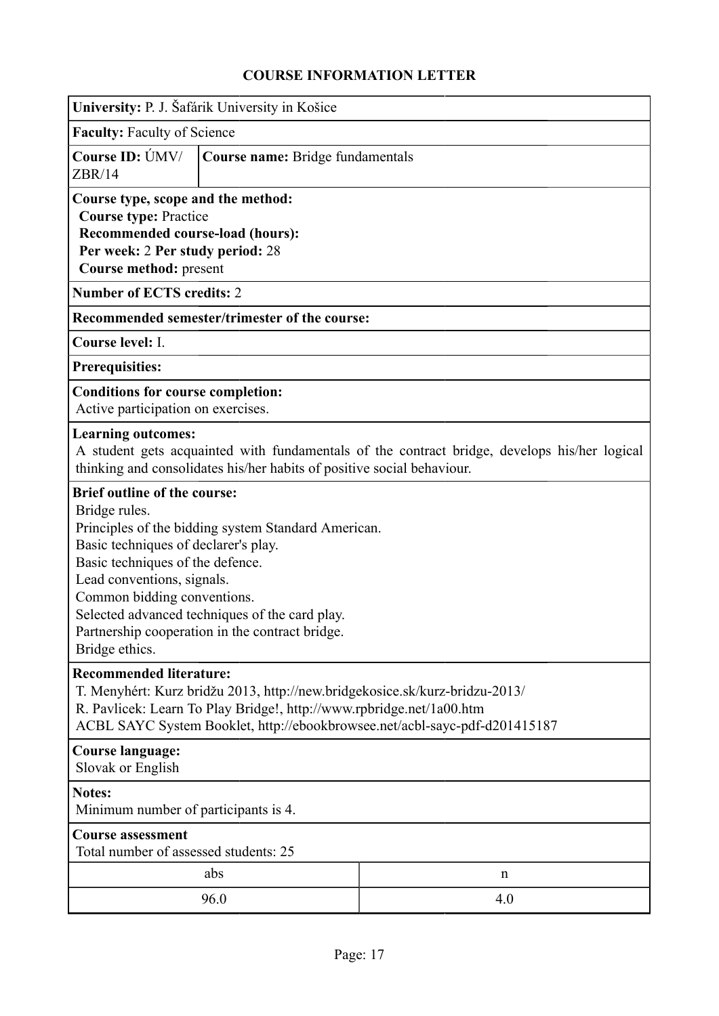<span id="page-16-0"></span>

|                                                                                                                                                                                                                                                                                                                                                                             | University: P. J. Šafárik University in Košice |     |  |  |  |
|-----------------------------------------------------------------------------------------------------------------------------------------------------------------------------------------------------------------------------------------------------------------------------------------------------------------------------------------------------------------------------|------------------------------------------------|-----|--|--|--|
| <b>Faculty: Faculty of Science</b>                                                                                                                                                                                                                                                                                                                                          |                                                |     |  |  |  |
| Course ID: ÚMV/<br>ZBR/14                                                                                                                                                                                                                                                                                                                                                   | Course name: Bridge fundamentals               |     |  |  |  |
| Course type, scope and the method:<br><b>Course type: Practice</b><br>Recommended course-load (hours):<br>Per week: 2 Per study period: 28<br>Course method: present                                                                                                                                                                                                        |                                                |     |  |  |  |
| <b>Number of ECTS credits: 2</b>                                                                                                                                                                                                                                                                                                                                            |                                                |     |  |  |  |
|                                                                                                                                                                                                                                                                                                                                                                             | Recommended semester/trimester of the course:  |     |  |  |  |
| Course level: I.                                                                                                                                                                                                                                                                                                                                                            |                                                |     |  |  |  |
| <b>Prerequisities:</b>                                                                                                                                                                                                                                                                                                                                                      |                                                |     |  |  |  |
| <b>Conditions for course completion:</b><br>Active participation on exercises.                                                                                                                                                                                                                                                                                              |                                                |     |  |  |  |
| <b>Learning outcomes:</b><br>A student gets acquainted with fundamentals of the contract bridge, develops his/her logical<br>thinking and consolidates his/her habits of positive social behaviour.                                                                                                                                                                         |                                                |     |  |  |  |
| <b>Brief outline of the course:</b><br>Bridge rules.<br>Principles of the bidding system Standard American.<br>Basic techniques of declarer's play.<br>Basic techniques of the defence.<br>Lead conventions, signals.<br>Common bidding conventions.<br>Selected advanced techniques of the card play.<br>Partnership cooperation in the contract bridge.<br>Bridge ethics. |                                                |     |  |  |  |
| <b>Recommended literature:</b><br>T. Menyhért: Kurz bridžu 2013, http://new.bridgekosice.sk/kurz-bridzu-2013/<br>R. Pavlicek: Learn To Play Bridge!, http://www.rpbridge.net/1a00.htm<br>ACBL SAYC System Booklet, http://ebookbrowsee.net/acbl-sayc-pdf-d201415187                                                                                                         |                                                |     |  |  |  |
| <b>Course language:</b><br>Slovak or English                                                                                                                                                                                                                                                                                                                                |                                                |     |  |  |  |
| <b>Notes:</b><br>Minimum number of participants is 4.                                                                                                                                                                                                                                                                                                                       |                                                |     |  |  |  |
| <b>Course assessment</b><br>Total number of assessed students: 25                                                                                                                                                                                                                                                                                                           |                                                |     |  |  |  |
|                                                                                                                                                                                                                                                                                                                                                                             | abs                                            | n   |  |  |  |
|                                                                                                                                                                                                                                                                                                                                                                             | 96.0                                           | 4.0 |  |  |  |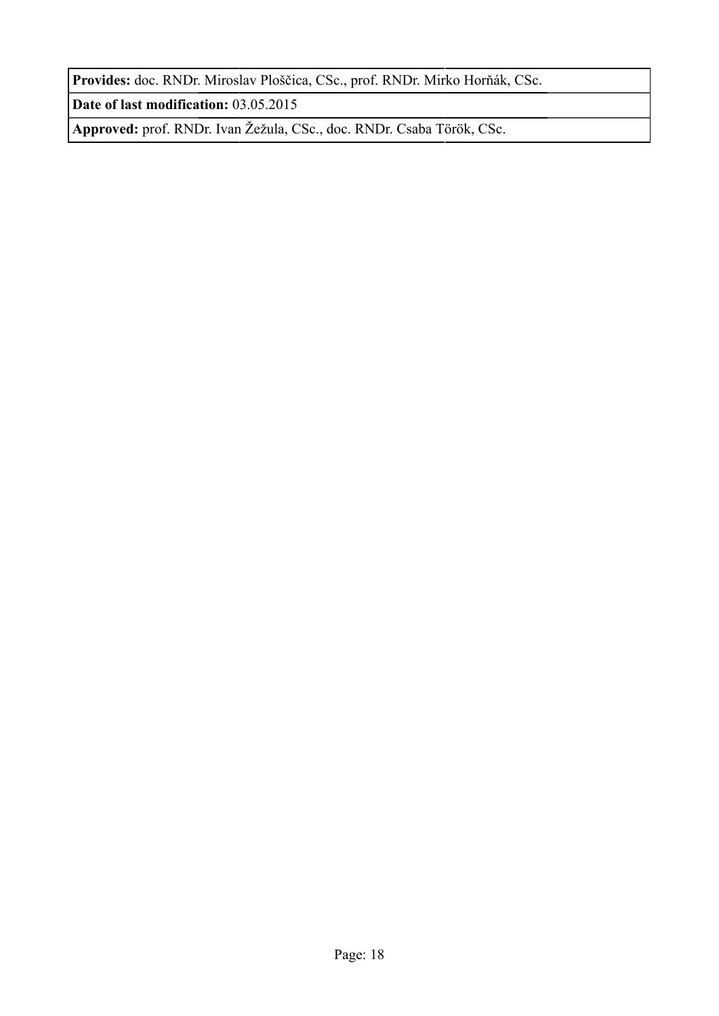**Provides:** doc. RNDr. Miroslav Ploščica, CSc., prof. RNDr. Mirko Horňák, CSc.

**Date of last modification:** 03.05.2015

**Approved:** prof. RNDr. Ivan Žežula, CSc., doc. RNDr. Csaba Török, CSc.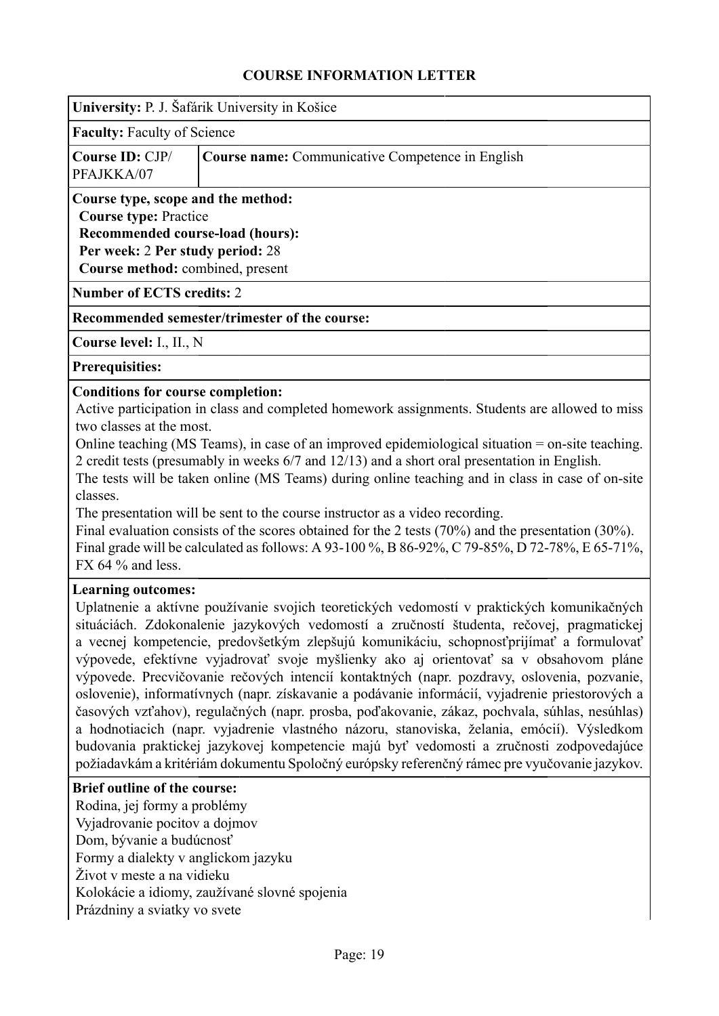<span id="page-18-0"></span>

| University: P. J. Šafárik University in Košice                                                                                                                                        |  |  |  |  |  |
|---------------------------------------------------------------------------------------------------------------------------------------------------------------------------------------|--|--|--|--|--|
| <b>Faculty: Faculty of Science</b>                                                                                                                                                    |  |  |  |  |  |
| Course ID: CJP/<br><b>Course name:</b> Communicative Competence in English<br>PFAJKKA/07                                                                                              |  |  |  |  |  |
| Course type, scope and the method:<br><b>Course type: Practice</b><br><b>Recommended course-load (hours):</b><br>Per week: 2 Per study period: 28<br>Course method: combined, present |  |  |  |  |  |
| <b>Number of ECTS credits: 2</b>                                                                                                                                                      |  |  |  |  |  |
| Recommended semester/trimester of the course:                                                                                                                                         |  |  |  |  |  |
| Course level: I., II., N                                                                                                                                                              |  |  |  |  |  |

### **Prerequisities:**

### **Conditions for course completion:**

Active participation in class and completed homework assignments. Students are allowed to miss two classes at the most.

Online teaching (MS Teams), in case of an improved epidemiological situation = on-site teaching. 2 credit tests (presumably in weeks 6/7 and 12/13) and a short oral presentation in English.

The tests will be taken online (MS Teams) during online teaching and in class in case of on-site classes.

The presentation will be sent to the course instructor as a video recording.

Final evaluation consists of the scores obtained for the 2 tests (70%) and the presentation (30%). Final grade will be calculated as follows: A 93-100 %, B 86-92%, C 79-85%, D 72-78%, E 65-71%, FX 64 $%$  and less.

### **Learning outcomes:**

Uplatnenie a aktívne používanie svojich teoretických vedomostí v praktických komunikačných situáciách. Zdokonalenie jazykových vedomostí a zručností študenta, rečovej, pragmatickej a vecnej kompetencie, predovšetkým zlepšujú komunikáciu, schopnosťprijímať a formulovať výpovede, efektívne vyjadrovať svoje myšlienky ako aj orientovať sa v obsahovom pláne výpovede. Precvičovanie rečových intencií kontaktných (napr. pozdravy, oslovenia, pozvanie, oslovenie), informatívnych (napr. získavanie a podávanie informácií, vyjadrenie priestorových a časových vzťahov), regulačných (napr. prosba, poďakovanie, zákaz, pochvala, súhlas, nesúhlas) a hodnotiacich (napr. vyjadrenie vlastného názoru, stanoviska, želania, emócií). Výsledkom budovania praktickej jazykovej kompetencie majú byť vedomosti a zručnosti zodpovedajúce požiadavkám a kritériám dokumentu Spoločný európsky referenčný rámec pre vyučovanie jazykov.

#### **Brief outline of the course:**

Rodina, jej formy a problémy Vyjadrovanie pocitov a dojmov Dom, bývanie a budúcnosť Formy a dialekty v anglickom jazyku Život v meste a na vidieku Kolokácie a idiomy, zaužívané slovné spojenia Prázdniny a sviatky vo svete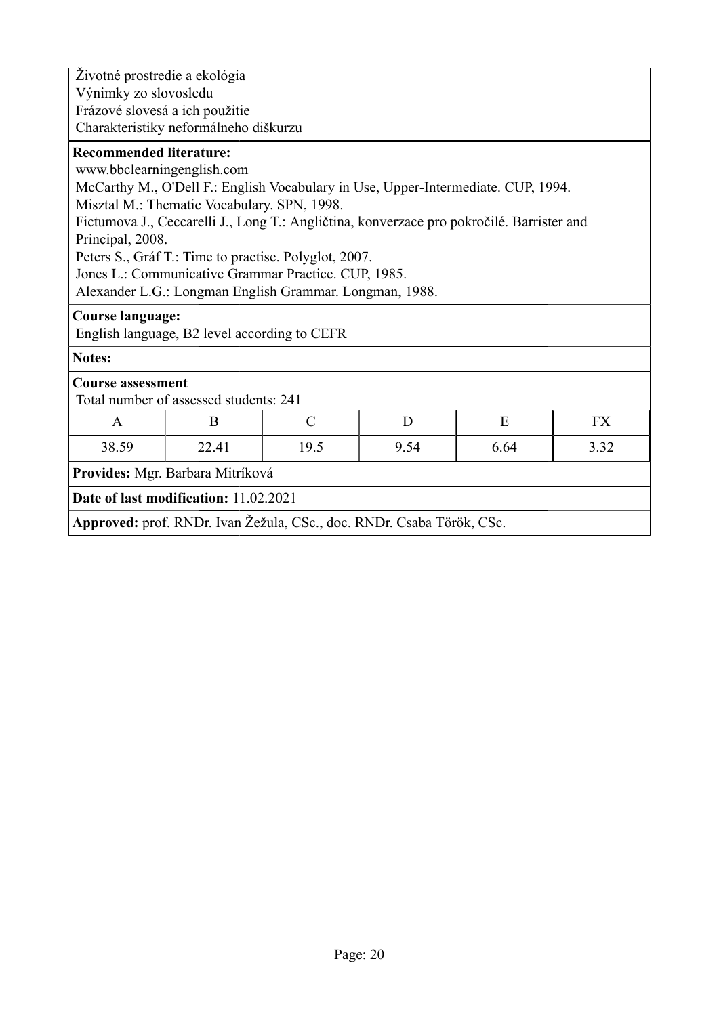| Životné prostredie a ekológia                                         |                                                                                           |               |   |   |           |  |
|-----------------------------------------------------------------------|-------------------------------------------------------------------------------------------|---------------|---|---|-----------|--|
| Výnimky zo slovosledu                                                 |                                                                                           |               |   |   |           |  |
| Frázové slovesá a ich použitie                                        |                                                                                           |               |   |   |           |  |
|                                                                       | Charakteristiky neformálneho diškurzu                                                     |               |   |   |           |  |
| <b>Recommended literature:</b>                                        |                                                                                           |               |   |   |           |  |
| www.bbclearningenglish.com                                            |                                                                                           |               |   |   |           |  |
|                                                                       | McCarthy M., O'Dell F.: English Vocabulary in Use, Upper-Intermediate. CUP, 1994.         |               |   |   |           |  |
|                                                                       | Misztal M.: Thematic Vocabulary. SPN, 1998.                                               |               |   |   |           |  |
|                                                                       | Fictumova J., Ceccarelli J., Long T.: Angličtina, konverzace pro pokročilé. Barrister and |               |   |   |           |  |
| Principal, 2008.                                                      |                                                                                           |               |   |   |           |  |
|                                                                       | Peters S., Gráf T.: Time to practise. Polyglot, 2007.                                     |               |   |   |           |  |
|                                                                       | Jones L.: Communicative Grammar Practice. CUP, 1985.                                      |               |   |   |           |  |
|                                                                       | Alexander L.G.: Longman English Grammar. Longman, 1988.                                   |               |   |   |           |  |
| <b>Course language:</b>                                               |                                                                                           |               |   |   |           |  |
| English language, B2 level according to CEFR                          |                                                                                           |               |   |   |           |  |
| <b>Notes:</b>                                                         |                                                                                           |               |   |   |           |  |
| <b>Course assessment</b>                                              |                                                                                           |               |   |   |           |  |
|                                                                       | Total number of assessed students: 241                                                    |               |   |   |           |  |
| A                                                                     | B                                                                                         | $\mathcal{C}$ | D | E | <b>FX</b> |  |
| 38.59                                                                 | 22.41<br>19.5<br>9.54<br>6.64<br>3.32                                                     |               |   |   |           |  |
| Provides: Mgr. Barbara Mitríková                                      |                                                                                           |               |   |   |           |  |
|                                                                       | Date of last modification: 11.02.2021                                                     |               |   |   |           |  |
| Approved: prof. RNDr. Ivan Žežula, CSc., doc. RNDr. Csaba Török, CSc. |                                                                                           |               |   |   |           |  |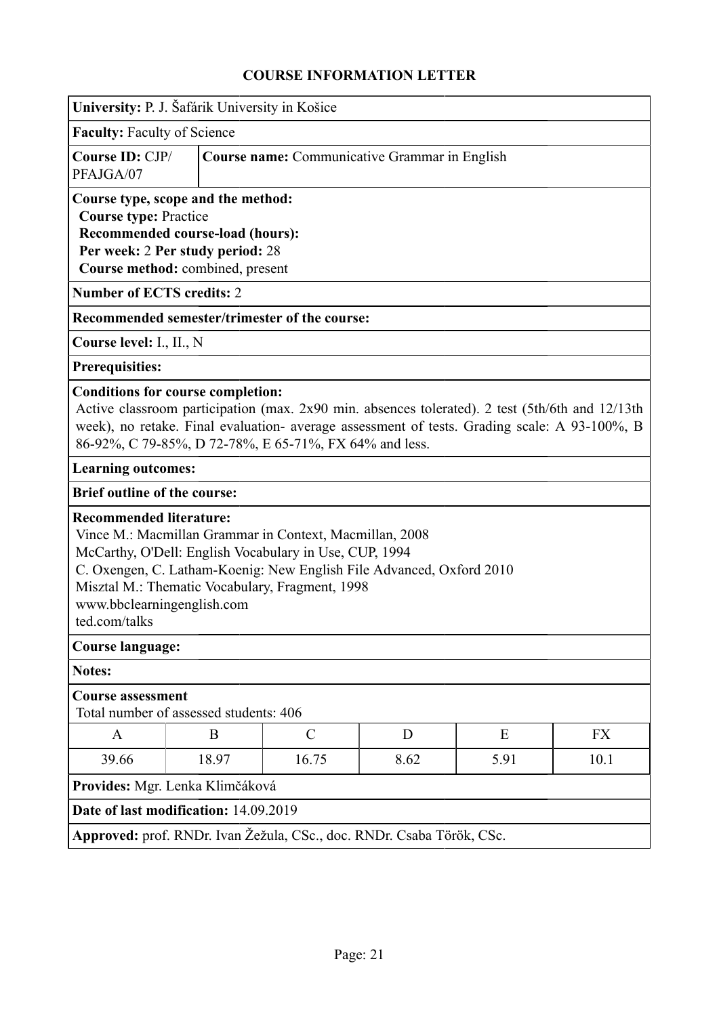<span id="page-20-0"></span>

| University: P. J. Šafárik University in Košice                                                                                                                                                                                                                                                                                |  |  |  |  |  |
|-------------------------------------------------------------------------------------------------------------------------------------------------------------------------------------------------------------------------------------------------------------------------------------------------------------------------------|--|--|--|--|--|
| <b>Faculty: Faculty of Science</b>                                                                                                                                                                                                                                                                                            |  |  |  |  |  |
| Course ID: CJP/<br><b>Course name:</b> Communicative Grammar in English<br>PFAJGA/07                                                                                                                                                                                                                                          |  |  |  |  |  |
| Course type, scope and the method:<br><b>Course type: Practice</b><br>Recommended course-load (hours):<br>Per week: 2 Per study period: 28<br>Course method: combined, present                                                                                                                                                |  |  |  |  |  |
| <b>Number of ECTS credits: 2</b>                                                                                                                                                                                                                                                                                              |  |  |  |  |  |
| Recommended semester/trimester of the course:                                                                                                                                                                                                                                                                                 |  |  |  |  |  |
| Course level: I., II., N                                                                                                                                                                                                                                                                                                      |  |  |  |  |  |
| <b>Prerequisities:</b>                                                                                                                                                                                                                                                                                                        |  |  |  |  |  |
| <b>Conditions for course completion:</b><br>Active classroom participation (max. 2x90 min. absences tolerated). 2 test (5th/6th and 12/13th<br>week), no retake. Final evaluation- average assessment of tests. Grading scale: A 93-100%, B<br>86-92%, C 79-85%, D 72-78%, E 65-71%, FX 64% and less.                         |  |  |  |  |  |
| <b>Learning outcomes:</b>                                                                                                                                                                                                                                                                                                     |  |  |  |  |  |
| <b>Brief outline of the course:</b>                                                                                                                                                                                                                                                                                           |  |  |  |  |  |
| <b>Recommended literature:</b><br>Vince M.: Macmillan Grammar in Context, Macmillan, 2008<br>McCarthy, O'Dell: English Vocabulary in Use, CUP, 1994<br>C. Oxengen, C. Latham-Koenig: New English File Advanced, Oxford 2010<br>Misztal M.: Thematic Vocabulary, Fragment, 1998<br>www.bbclearningenglish.com<br>ted.com/talks |  |  |  |  |  |
| <b>Course language:</b>                                                                                                                                                                                                                                                                                                       |  |  |  |  |  |
| <b>Notes:</b>                                                                                                                                                                                                                                                                                                                 |  |  |  |  |  |
| <b>Course assessment</b><br>Total number of assessed students: 406                                                                                                                                                                                                                                                            |  |  |  |  |  |
| $\mathcal{C}$<br>E<br>B<br>D<br><b>FX</b><br>A                                                                                                                                                                                                                                                                                |  |  |  |  |  |
| 16.75<br>39.66<br>18.97<br>8.62<br>5.91<br>10.1                                                                                                                                                                                                                                                                               |  |  |  |  |  |
| Provides: Mgr. Lenka Klimčáková                                                                                                                                                                                                                                                                                               |  |  |  |  |  |
| Date of last modification: 14.09.2019                                                                                                                                                                                                                                                                                         |  |  |  |  |  |
| Approved: prof. RNDr. Ivan Žežula, CSc., doc. RNDr. Csaba Török, CSc.                                                                                                                                                                                                                                                         |  |  |  |  |  |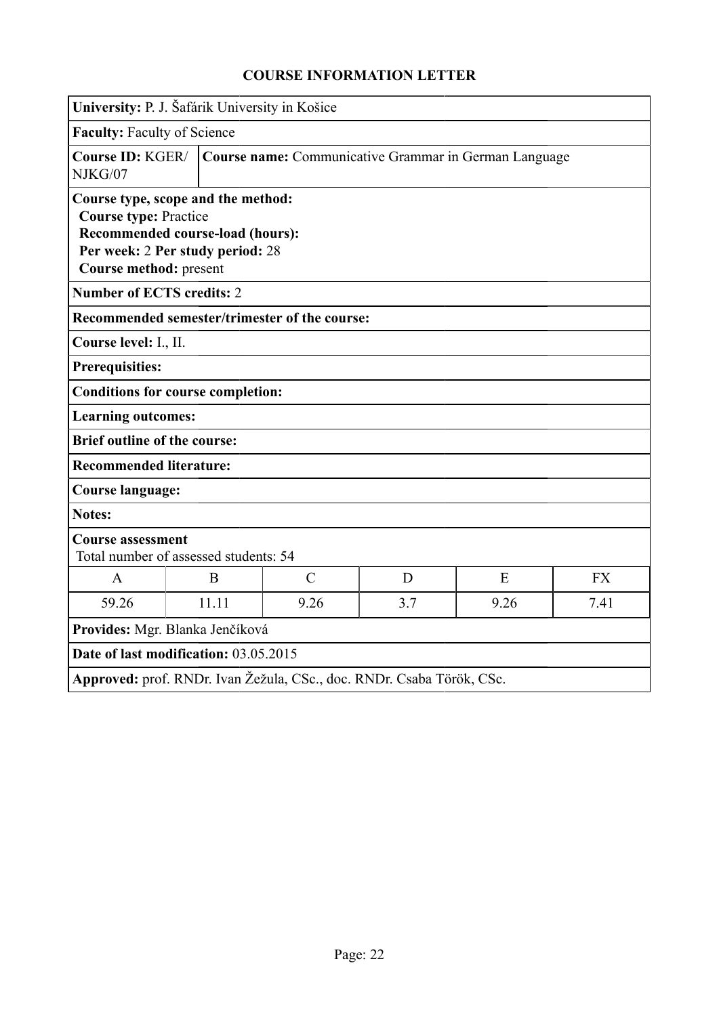<span id="page-21-0"></span>

| University: P. J. Šafárik University in Košice                                                                                                                       |                                                       |               |     |      |           |
|----------------------------------------------------------------------------------------------------------------------------------------------------------------------|-------------------------------------------------------|---------------|-----|------|-----------|
| <b>Faculty: Faculty of Science</b>                                                                                                                                   |                                                       |               |     |      |           |
| Course ID: KGER/<br>NJKG/07                                                                                                                                          | Course name: Communicative Grammar in German Language |               |     |      |           |
| Course type, scope and the method:<br><b>Course type: Practice</b><br>Recommended course-load (hours):<br>Per week: 2 Per study period: 28<br>Course method: present |                                                       |               |     |      |           |
| <b>Number of ECTS credits: 2</b>                                                                                                                                     |                                                       |               |     |      |           |
| Recommended semester/trimester of the course:                                                                                                                        |                                                       |               |     |      |           |
| Course level: I., II.                                                                                                                                                |                                                       |               |     |      |           |
| <b>Prerequisities:</b>                                                                                                                                               |                                                       |               |     |      |           |
| <b>Conditions for course completion:</b>                                                                                                                             |                                                       |               |     |      |           |
|                                                                                                                                                                      | <b>Learning outcomes:</b>                             |               |     |      |           |
|                                                                                                                                                                      | <b>Brief outline of the course:</b>                   |               |     |      |           |
| <b>Recommended literature:</b>                                                                                                                                       |                                                       |               |     |      |           |
| <b>Course language:</b>                                                                                                                                              |                                                       |               |     |      |           |
| <b>Notes:</b>                                                                                                                                                        |                                                       |               |     |      |           |
| <b>Course assessment</b><br>Total number of assessed students: 54                                                                                                    |                                                       |               |     |      |           |
| A                                                                                                                                                                    | B                                                     | $\mathcal{C}$ | D   | E    | <b>FX</b> |
| 59.26                                                                                                                                                                | 11.11                                                 | 9.26          | 3.7 | 9.26 | 7.41      |
| Provides: Mgr. Blanka Jenčíková                                                                                                                                      |                                                       |               |     |      |           |
|                                                                                                                                                                      | Date of last modification: 03.05.2015                 |               |     |      |           |
| Approved: prof. RNDr. Ivan Žežula, CSc., doc. RNDr. Csaba Török, CSc.                                                                                                |                                                       |               |     |      |           |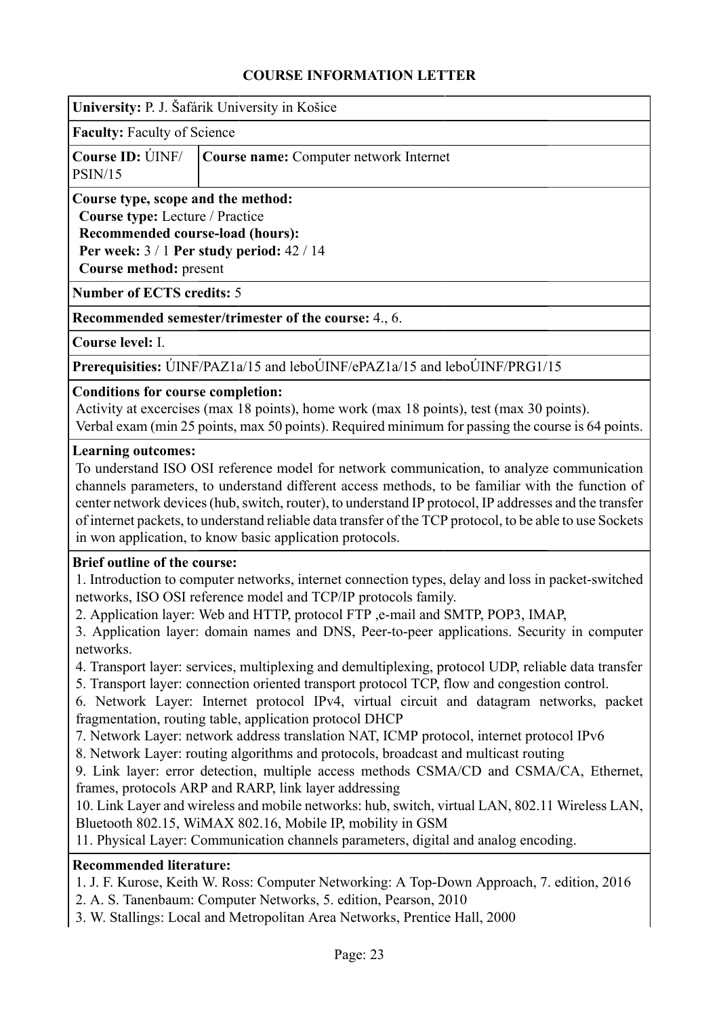<span id="page-22-0"></span>

| University: P. J. Šafárik University in Košice |
|------------------------------------------------|
|------------------------------------------------|

**Faculty:** Faculty of Science

|         | <b>Course ID:</b> UNF/ <b>Course name:</b> Computer network Internet |
|---------|----------------------------------------------------------------------|
| PSIN/15 |                                                                      |

# **Course type, scope and the method:**

**Course type:** Lecture / Practice

**Recommended course-load (hours): Per week:** 3 / 1 **Per study period:** 42 / 14 **Course method:** present

**Number of ECTS credits:** 5

**Recommended semester/trimester of the course:** 4., 6.

**Course level:** I.

**Prerequisities:** ÚINF/PAZ1a/15 and leboÚINF/ePAZ1a/15 and leboÚINF/PRG1/15

### **Conditions for course completion:**

Activity at excercises (max 18 points), home work (max 18 points), test (max 30 points). Verbal exam (min 25 points, max 50 points). Required minimum for passing the course is 64 points.

### **Learning outcomes:**

To understand ISO OSI reference model for network communication, to analyze communication channels parameters, to understand different access methods, to be familiar with the function of center network devices (hub, switch, router), to understand IP protocol, IP addresses and the transfer of internet packets, to understand reliable data transfer of the TCP protocol, to be able to use Sockets in won application, to know basic application protocols.

### **Brief outline of the course:**

1. Introduction to computer networks, internet connection types, delay and loss in packet-switched networks, ISO OSI reference model and TCP/IP protocols family.

2. Application layer: Web and HTTP, protocol FTP ,e-mail and SMTP, POP3, IMAP,

3. Application layer: domain names and DNS, Peer-to-peer applications. Security in computer networks.

4. Transport layer: services, multiplexing and demultiplexing, protocol UDP, reliable data transfer

5. Transport layer: connection oriented transport protocol TCP, flow and congestion control.

6. Network Layer: Internet protocol IPv4, virtual circuit and datagram networks, packet fragmentation, routing table, application protocol DHCP

7. Network Layer: network address translation NAT, ICMP protocol, internet protocol IPv6

8. Network Layer: routing algorithms and protocols, broadcast and multicast routing

9. Link layer: error detection, multiple access methods CSMA/CD and CSMA/CA, Ethernet, frames, protocols ARP and RARP, link layer addressing

10. Link Layer and wireless and mobile networks: hub, switch, virtual LAN, 802.11 Wireless LAN, Bluetooth 802.15, WiMAX 802.16, Mobile IP, mobility in GSM

11. Physical Layer: Communication channels parameters, digital and analog encoding.

### **Recommended literature:**

- 1. J. F. Kurose, Keith W. Ross: Computer Networking: A Top-Down Approach, 7. edition, 2016
- 2. A. S. Tanenbaum: Computer Networks, 5. edition, Pearson, 2010
- 3. W. Stallings: Local and Metropolitan Area Networks, Prentice Hall, 2000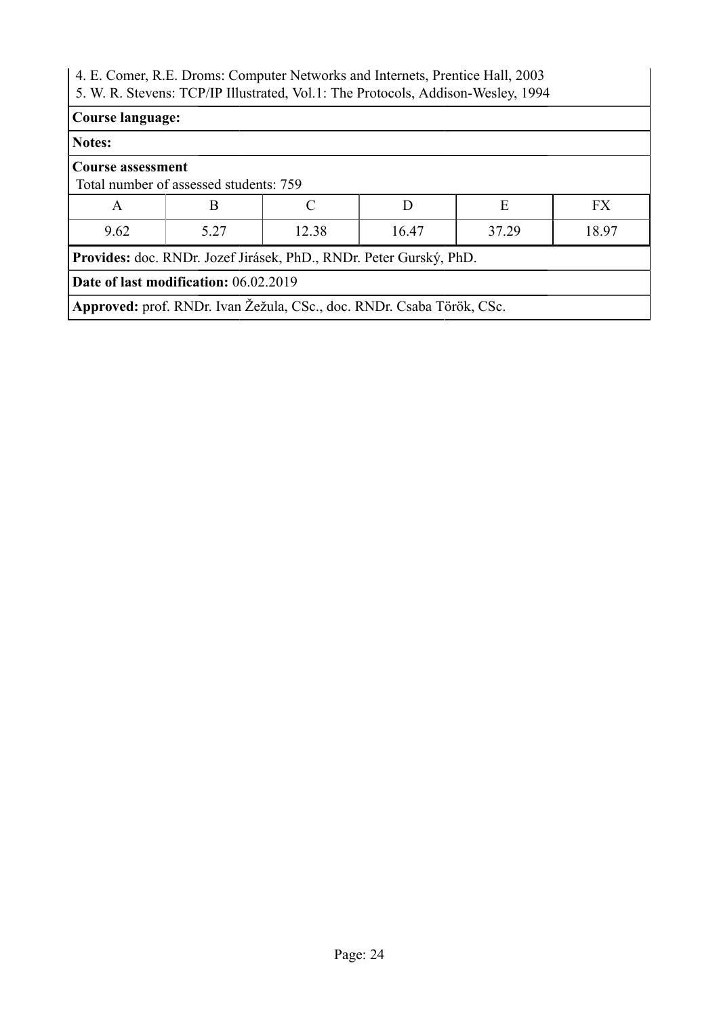| 4. E. Comer, R.E. Droms: Computer Networks and Internets, Prentice Hall, 2003<br>5. W. R. Stevens: TCP/IP Illustrated, Vol.1: The Protocols, Addison-Wesley, 1994 |                                                                       |  |   |   |           |  |  |
|-------------------------------------------------------------------------------------------------------------------------------------------------------------------|-----------------------------------------------------------------------|--|---|---|-----------|--|--|
|                                                                                                                                                                   | <b>Course language:</b>                                               |  |   |   |           |  |  |
| Notes:                                                                                                                                                            |                                                                       |  |   |   |           |  |  |
| <b>Course assessment</b>                                                                                                                                          | Total number of assessed students: 759                                |  |   |   |           |  |  |
| A                                                                                                                                                                 | B                                                                     |  | D | E | <b>FX</b> |  |  |
| 9.62                                                                                                                                                              | 5.27<br>37.29<br>18.97<br>12.38<br>16.47                              |  |   |   |           |  |  |
| Provides: doc. RNDr. Jozef Jirásek, PhD., RNDr. Peter Gurský, PhD.                                                                                                |                                                                       |  |   |   |           |  |  |
|                                                                                                                                                                   | Date of last modification: 06.02.2019                                 |  |   |   |           |  |  |
|                                                                                                                                                                   | Approved: prof. RNDr. Ivan Žežula, CSc., doc. RNDr. Csaba Török, CSc. |  |   |   |           |  |  |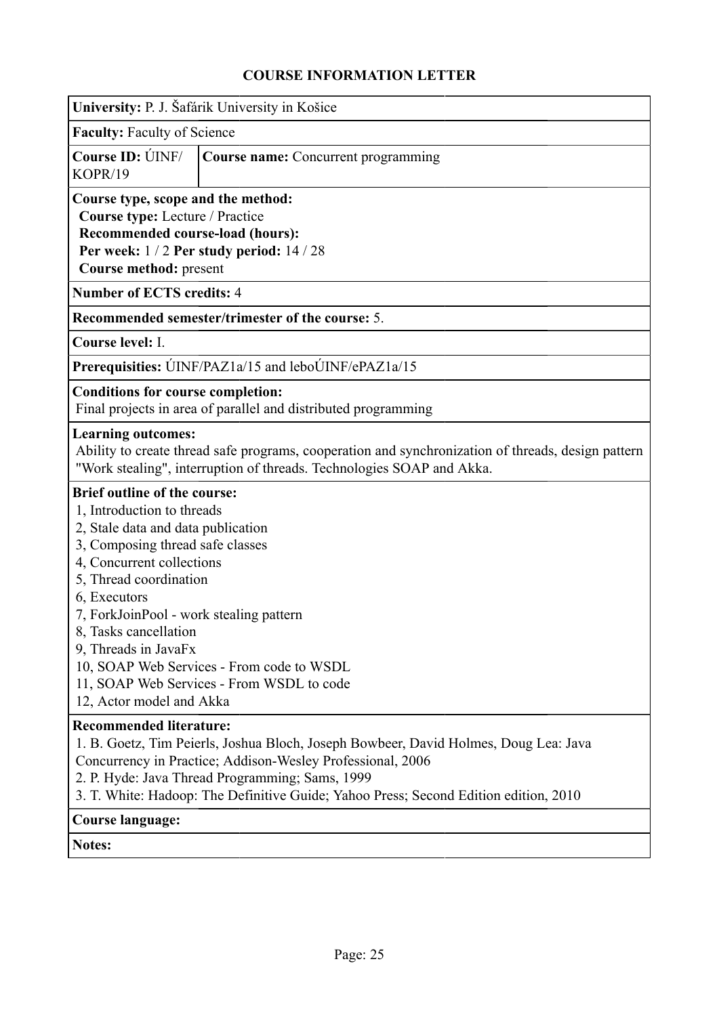<span id="page-24-0"></span>

|                                                                                                                                                                                                                                                                                                                                            | University: P. J. Šafárik University in Košice                                                                                                                                                                                                                                                |
|--------------------------------------------------------------------------------------------------------------------------------------------------------------------------------------------------------------------------------------------------------------------------------------------------------------------------------------------|-----------------------------------------------------------------------------------------------------------------------------------------------------------------------------------------------------------------------------------------------------------------------------------------------|
| <b>Faculty: Faculty of Science</b>                                                                                                                                                                                                                                                                                                         |                                                                                                                                                                                                                                                                                               |
| Course ID: UNF/<br>KOPR/19                                                                                                                                                                                                                                                                                                                 | <b>Course name:</b> Concurrent programming                                                                                                                                                                                                                                                    |
| Course type, scope and the method:<br>Course type: Lecture / Practice<br>Recommended course-load (hours):<br>Course method: present                                                                                                                                                                                                        | Per week: 1/2 Per study period: 14/28                                                                                                                                                                                                                                                         |
| <b>Number of ECTS credits: 4</b>                                                                                                                                                                                                                                                                                                           |                                                                                                                                                                                                                                                                                               |
|                                                                                                                                                                                                                                                                                                                                            | Recommended semester/trimester of the course: 5.                                                                                                                                                                                                                                              |
| Course level: I.                                                                                                                                                                                                                                                                                                                           |                                                                                                                                                                                                                                                                                               |
|                                                                                                                                                                                                                                                                                                                                            | Prerequisities: UINF/PAZ1a/15 and leboUINF/ePAZ1a/15                                                                                                                                                                                                                                          |
| <b>Conditions for course completion:</b>                                                                                                                                                                                                                                                                                                   | Final projects in area of parallel and distributed programming                                                                                                                                                                                                                                |
| <b>Learning outcomes:</b>                                                                                                                                                                                                                                                                                                                  | Ability to create thread safe programs, cooperation and synchronization of threads, design pattern<br>"Work stealing", interruption of threads. Technologies SOAP and Akka.                                                                                                                   |
| <b>Brief outline of the course:</b><br>1, Introduction to threads<br>2, Stale data and data publication<br>3, Composing thread safe classes<br>4, Concurrent collections<br>5, Thread coordination<br>6, Executors<br>7, ForkJoinPool - work stealing pattern<br>8, Tasks cancellation<br>9, Threads in JavaFx<br>12, Actor model and Akka | 10, SOAP Web Services - From code to WSDL<br>11, SOAP Web Services - From WSDL to code                                                                                                                                                                                                        |
| <b>Recommended literature:</b>                                                                                                                                                                                                                                                                                                             | 1. B. Goetz, Tim Peierls, Joshua Bloch, Joseph Bowbeer, David Holmes, Doug Lea: Java<br>Concurrency in Practice; Addison-Wesley Professional, 2006<br>2. P. Hyde: Java Thread Programming; Sams, 1999<br>3. T. White: Hadoop: The Definitive Guide; Yahoo Press; Second Edition edition, 2010 |
| <b>Course language:</b>                                                                                                                                                                                                                                                                                                                    |                                                                                                                                                                                                                                                                                               |

**Notes:**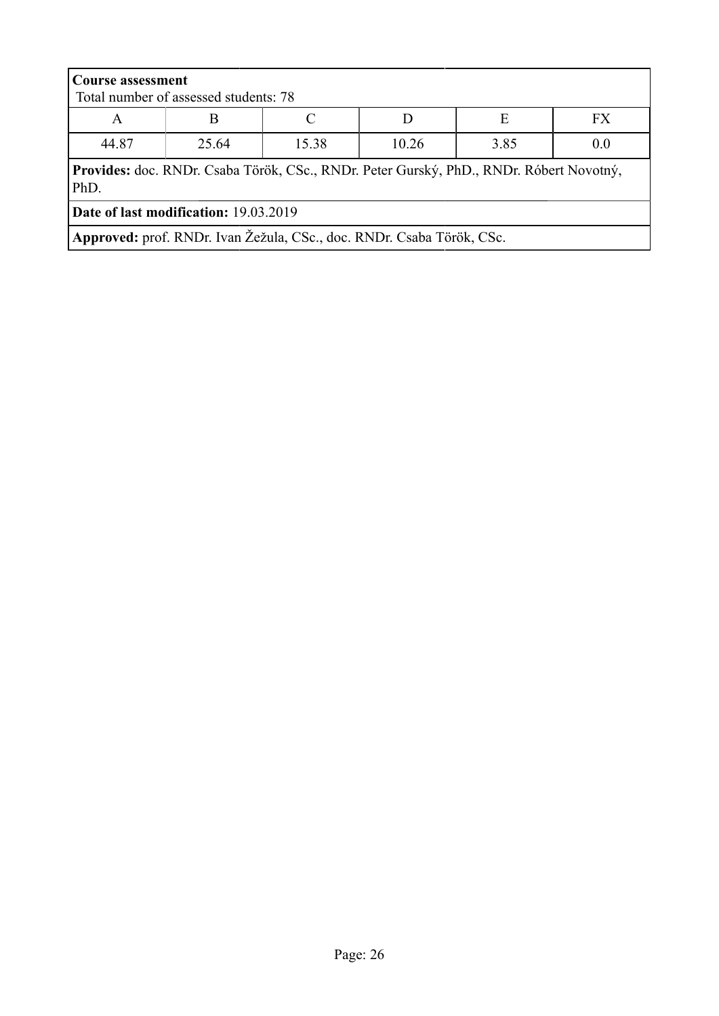| <b>Course assessment</b><br>Total number of assessed students: 78                               |                                                                       |       |       |      |     |  |  |
|-------------------------------------------------------------------------------------------------|-----------------------------------------------------------------------|-------|-------|------|-----|--|--|
| E<br>FX.<br>A                                                                                   |                                                                       |       |       |      |     |  |  |
| 44.87                                                                                           | 25.64                                                                 | 15.38 | 10.26 | 3.85 | 0.0 |  |  |
| Provides: doc. RNDr. Csaba Török, CSc., RNDr. Peter Gurský, PhD., RNDr. Róbert Novotný,<br>PhD. |                                                                       |       |       |      |     |  |  |
| <b>Date of last modification: 19.03.2019</b>                                                    |                                                                       |       |       |      |     |  |  |
|                                                                                                 | Approved: prof. RNDr. Ivan Žežula, CSc., doc. RNDr. Csaba Török, CSc. |       |       |      |     |  |  |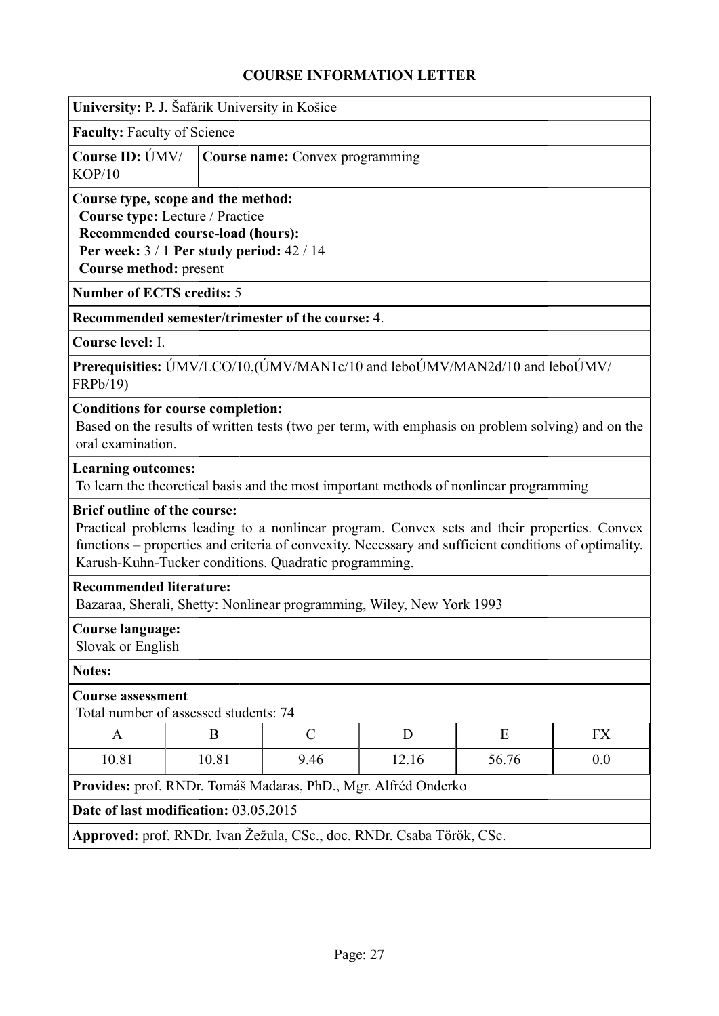<span id="page-26-0"></span>

|                                                                                                                                                                                                                                                                                                     | University: P. J. Šafárik University in Košice                                                          |  |  |  |  |  |  |  |
|-----------------------------------------------------------------------------------------------------------------------------------------------------------------------------------------------------------------------------------------------------------------------------------------------------|---------------------------------------------------------------------------------------------------------|--|--|--|--|--|--|--|
| <b>Faculty: Faculty of Science</b>                                                                                                                                                                                                                                                                  |                                                                                                         |  |  |  |  |  |  |  |
| Course ID: ÚMV/<br>KOP/10                                                                                                                                                                                                                                                                           | Course name: Convex programming                                                                         |  |  |  |  |  |  |  |
| Course type, scope and the method:<br>Course type: Lecture / Practice<br>Recommended course-load (hours):<br>Per week: $3/1$ Per study period: $42/14$<br>Course method: present                                                                                                                    |                                                                                                         |  |  |  |  |  |  |  |
| <b>Number of ECTS credits: 5</b>                                                                                                                                                                                                                                                                    |                                                                                                         |  |  |  |  |  |  |  |
| Recommended semester/trimester of the course: 4.                                                                                                                                                                                                                                                    |                                                                                                         |  |  |  |  |  |  |  |
| Course level: I.                                                                                                                                                                                                                                                                                    |                                                                                                         |  |  |  |  |  |  |  |
| Prerequisities: ÚMV/LCO/10, (ÚMV/MAN1c/10 and leboÚMV/MAN2d/10 and leboÚMV/<br>FRPb/19)                                                                                                                                                                                                             |                                                                                                         |  |  |  |  |  |  |  |
| <b>Conditions for course completion:</b><br>Based on the results of written tests (two per term, with emphasis on problem solving) and on the<br>oral examination.                                                                                                                                  |                                                                                                         |  |  |  |  |  |  |  |
| <b>Learning outcomes:</b><br>To learn the theoretical basis and the most important methods of nonlinear programming                                                                                                                                                                                 |                                                                                                         |  |  |  |  |  |  |  |
| <b>Brief outline of the course:</b><br>Practical problems leading to a nonlinear program. Convex sets and their properties. Convex<br>functions – properties and criteria of convexity. Necessary and sufficient conditions of optimality.<br>Karush-Kuhn-Tucker conditions. Quadratic programming. |                                                                                                         |  |  |  |  |  |  |  |
|                                                                                                                                                                                                                                                                                                     | <b>Recommended literature:</b><br>Bazaraa, Sherali, Shetty: Nonlinear programming, Wiley, New York 1993 |  |  |  |  |  |  |  |
| <b>Course language:</b><br>Slovak or English                                                                                                                                                                                                                                                        |                                                                                                         |  |  |  |  |  |  |  |
| <b>Notes:</b>                                                                                                                                                                                                                                                                                       |                                                                                                         |  |  |  |  |  |  |  |
| <b>Course assessment</b><br>Total number of assessed students: 74                                                                                                                                                                                                                                   |                                                                                                         |  |  |  |  |  |  |  |
| A                                                                                                                                                                                                                                                                                                   | $\mathcal{C}$<br>D<br>E<br>FX<br>B                                                                      |  |  |  |  |  |  |  |
| 0.0<br>10.81<br>10.81<br>9.46<br>12.16<br>56.76                                                                                                                                                                                                                                                     |                                                                                                         |  |  |  |  |  |  |  |
| Provides: prof. RNDr. Tomáš Madaras, PhD., Mgr. Alfréd Onderko                                                                                                                                                                                                                                      |                                                                                                         |  |  |  |  |  |  |  |
| Date of last modification: 03.05.2015                                                                                                                                                                                                                                                               |                                                                                                         |  |  |  |  |  |  |  |
| Approved: prof. RNDr. Ivan Žežula, CSc., doc. RNDr. Csaba Török, CSc.                                                                                                                                                                                                                               |                                                                                                         |  |  |  |  |  |  |  |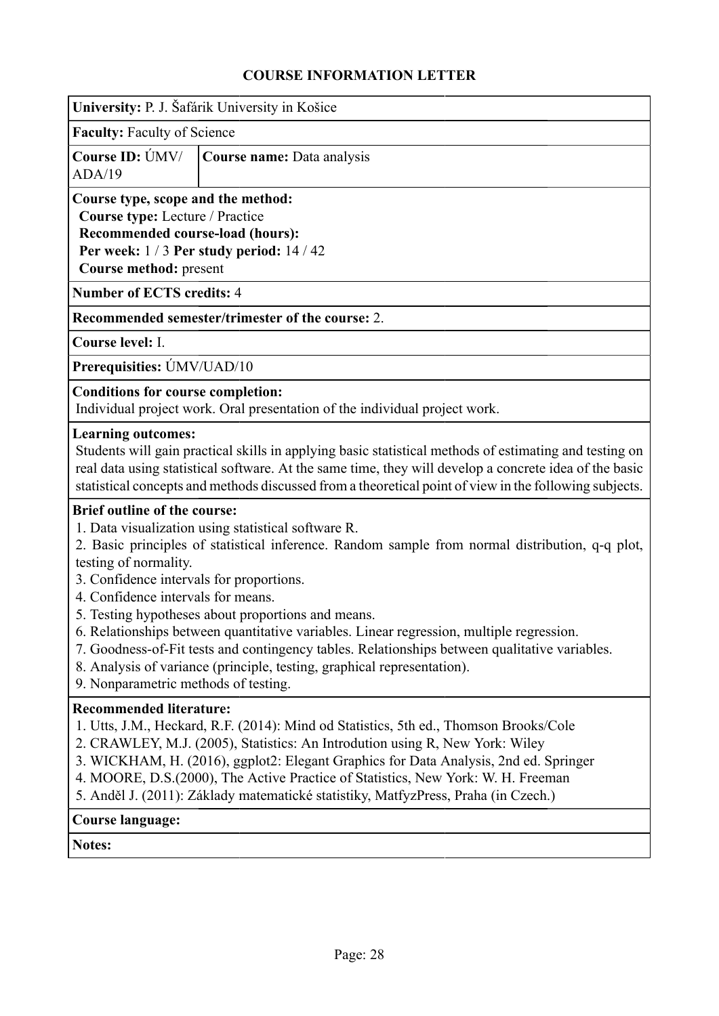<span id="page-27-0"></span>

|                                                                                                                                                                                        | University: P. J. Šafárik University in Košice                                                                                                                                                                                                                                                                                                                                                                                                                                       |
|----------------------------------------------------------------------------------------------------------------------------------------------------------------------------------------|--------------------------------------------------------------------------------------------------------------------------------------------------------------------------------------------------------------------------------------------------------------------------------------------------------------------------------------------------------------------------------------------------------------------------------------------------------------------------------------|
| <b>Faculty: Faculty of Science</b>                                                                                                                                                     |                                                                                                                                                                                                                                                                                                                                                                                                                                                                                      |
| Course ID: ÚMV/<br>ADA/19                                                                                                                                                              | Course name: Data analysis                                                                                                                                                                                                                                                                                                                                                                                                                                                           |
| Course type, scope and the method:<br>Course type: Lecture / Practice<br>Recommended course-load (hours):<br>Course method: present                                                    | Per week: $1/3$ Per study period: $14/42$                                                                                                                                                                                                                                                                                                                                                                                                                                            |
| <b>Number of ECTS credits: 4</b>                                                                                                                                                       |                                                                                                                                                                                                                                                                                                                                                                                                                                                                                      |
|                                                                                                                                                                                        | Recommended semester/trimester of the course: 2.                                                                                                                                                                                                                                                                                                                                                                                                                                     |
| Course level: I.                                                                                                                                                                       |                                                                                                                                                                                                                                                                                                                                                                                                                                                                                      |
| Prerequisities: UMV/UAD/10                                                                                                                                                             |                                                                                                                                                                                                                                                                                                                                                                                                                                                                                      |
| <b>Conditions for course completion:</b>                                                                                                                                               | Individual project work. Oral presentation of the individual project work.                                                                                                                                                                                                                                                                                                                                                                                                           |
| <b>Learning outcomes:</b>                                                                                                                                                              | Students will gain practical skills in applying basic statistical methods of estimating and testing on<br>real data using statistical software. At the same time, they will develop a concrete idea of the basic<br>statistical concepts and methods discussed from a theoretical point of view in the following subjects.                                                                                                                                                           |
| <b>Brief outline of the course:</b><br>testing of normality.<br>3. Confidence intervals for proportions.<br>4. Confidence intervals for means.<br>9. Nonparametric methods of testing. | 1. Data visualization using statistical software R.<br>2. Basic principles of statistical inference. Random sample from normal distribution, q-q plot,<br>5. Testing hypotheses about proportions and means.<br>6. Relationships between quantitative variables. Linear regression, multiple regression.<br>7. Goodness-of-Fit tests and contingency tables. Relationships between qualitative variables.<br>8. Analysis of variance (principle, testing, graphical representation). |
| <b>Recommended literature:</b>                                                                                                                                                         | 1. Utts, J.M., Heckard, R.F. (2014): Mind od Statistics, 5th ed., Thomson Brooks/Cole<br>2. CRAWLEY, M.J. (2005), Statistics: An Introdution using R, New York: Wiley<br>3. WICKHAM, H. (2016), ggplot2: Elegant Graphics for Data Analysis, 2nd ed. Springer<br>4. MOORE, D.S. (2000), The Active Practice of Statistics, New York: W. H. Freeman<br>5. Anděl J. (2011): Základy matematické statistiky, MatfyzPress, Praha (in Czech.)                                             |
| <b>Course language:</b>                                                                                                                                                                |                                                                                                                                                                                                                                                                                                                                                                                                                                                                                      |
| Notes:                                                                                                                                                                                 |                                                                                                                                                                                                                                                                                                                                                                                                                                                                                      |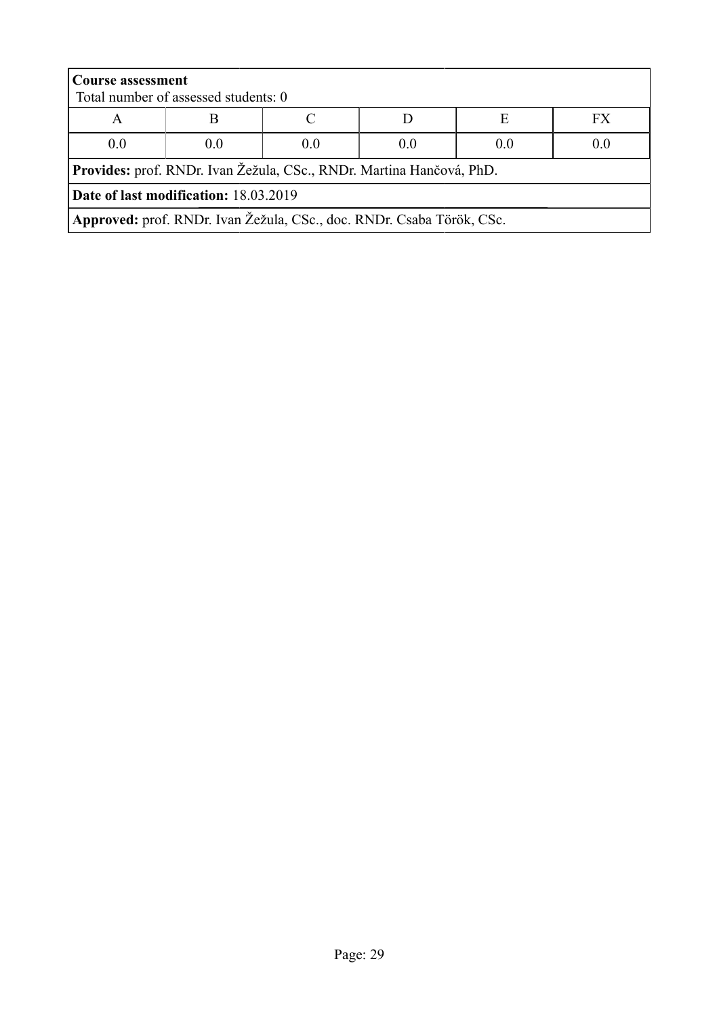| <b>Course assessment</b><br>Total number of assessed students: 0     |                                                                       |  |  |  |  |  |  |
|----------------------------------------------------------------------|-----------------------------------------------------------------------|--|--|--|--|--|--|
|                                                                      |                                                                       |  |  |  |  |  |  |
| А                                                                    | FX<br>Е                                                               |  |  |  |  |  |  |
| 0.0                                                                  | 0.0<br>0 <sub>0</sub><br>0.0<br>(0)<br>0.0                            |  |  |  |  |  |  |
| Provides: prof. RNDr. Ivan Žežula, CSc., RNDr. Martina Hančová, PhD. |                                                                       |  |  |  |  |  |  |
| Date of last modification: 18.03.2019                                |                                                                       |  |  |  |  |  |  |
|                                                                      | Approved: prof. RNDr. Ivan Žežula, CSc., doc. RNDr. Csaba Török, CSc. |  |  |  |  |  |  |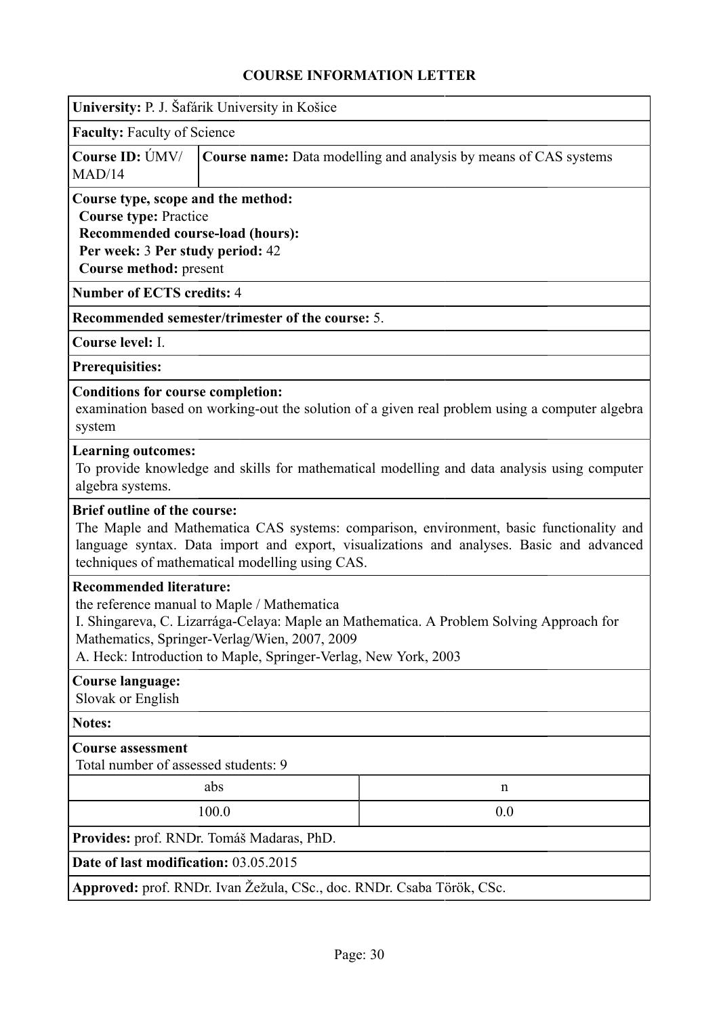<span id="page-29-0"></span>

| University: P. J. Šafárik University in Košice                                                                                                                                                                                                                                                |                                                                  |                                                                                                                                                                                     |  |  |  |  |  |
|-----------------------------------------------------------------------------------------------------------------------------------------------------------------------------------------------------------------------------------------------------------------------------------------------|------------------------------------------------------------------|-------------------------------------------------------------------------------------------------------------------------------------------------------------------------------------|--|--|--|--|--|
| <b>Faculty: Faculty of Science</b>                                                                                                                                                                                                                                                            |                                                                  |                                                                                                                                                                                     |  |  |  |  |  |
| Course ID: ÚMV/<br>MAD/14                                                                                                                                                                                                                                                                     | Course name: Data modelling and analysis by means of CAS systems |                                                                                                                                                                                     |  |  |  |  |  |
| Course type, scope and the method:<br><b>Course type: Practice</b><br>Recommended course-load (hours):<br>Per week: 3 Per study period: 42<br>Course method: present                                                                                                                          |                                                                  |                                                                                                                                                                                     |  |  |  |  |  |
| <b>Number of ECTS credits: 4</b>                                                                                                                                                                                                                                                              |                                                                  |                                                                                                                                                                                     |  |  |  |  |  |
|                                                                                                                                                                                                                                                                                               | <b>Recommended semester/trimester of the course: 5.</b>          |                                                                                                                                                                                     |  |  |  |  |  |
| Course level: I.                                                                                                                                                                                                                                                                              |                                                                  |                                                                                                                                                                                     |  |  |  |  |  |
| <b>Prerequisities:</b>                                                                                                                                                                                                                                                                        |                                                                  |                                                                                                                                                                                     |  |  |  |  |  |
| <b>Conditions for course completion:</b><br>system                                                                                                                                                                                                                                            |                                                                  | examination based on working-out the solution of a given real problem using a computer algebra                                                                                      |  |  |  |  |  |
| <b>Learning outcomes:</b><br>algebra systems.                                                                                                                                                                                                                                                 |                                                                  | To provide knowledge and skills for mathematical modelling and data analysis using computer                                                                                         |  |  |  |  |  |
| <b>Brief outline of the course:</b>                                                                                                                                                                                                                                                           | techniques of mathematical modelling using CAS.                  | The Maple and Mathematica CAS systems: comparison, environment, basic functionality and<br>language syntax. Data import and export, visualizations and analyses. Basic and advanced |  |  |  |  |  |
| <b>Recommended literature:</b><br>the reference manual to Maple / Mathematica<br>I. Shingareva, C. Lizarrága-Celaya: Maple an Mathematica. A Problem Solving Approach for<br>Mathematics, Springer-Verlag/Wien, 2007, 2009<br>A. Heck: Introduction to Maple, Springer-Verlag, New York, 2003 |                                                                  |                                                                                                                                                                                     |  |  |  |  |  |
| <b>Course language:</b><br>Slovak or English                                                                                                                                                                                                                                                  |                                                                  |                                                                                                                                                                                     |  |  |  |  |  |
| <b>Notes:</b>                                                                                                                                                                                                                                                                                 |                                                                  |                                                                                                                                                                                     |  |  |  |  |  |
| <b>Course assessment</b><br>Total number of assessed students: 9                                                                                                                                                                                                                              |                                                                  |                                                                                                                                                                                     |  |  |  |  |  |
| abs<br>$\mathbf n$                                                                                                                                                                                                                                                                            |                                                                  |                                                                                                                                                                                     |  |  |  |  |  |
| 100.0<br>0.0                                                                                                                                                                                                                                                                                  |                                                                  |                                                                                                                                                                                     |  |  |  |  |  |
| Provides: prof. RNDr. Tomáš Madaras, PhD.                                                                                                                                                                                                                                                     |                                                                  |                                                                                                                                                                                     |  |  |  |  |  |
| Date of last modification: 03.05.2015                                                                                                                                                                                                                                                         |                                                                  |                                                                                                                                                                                     |  |  |  |  |  |
| Approved: prof. RNDr. Ivan Žežula, CSc., doc. RNDr. Csaba Török, CSc.                                                                                                                                                                                                                         |                                                                  |                                                                                                                                                                                     |  |  |  |  |  |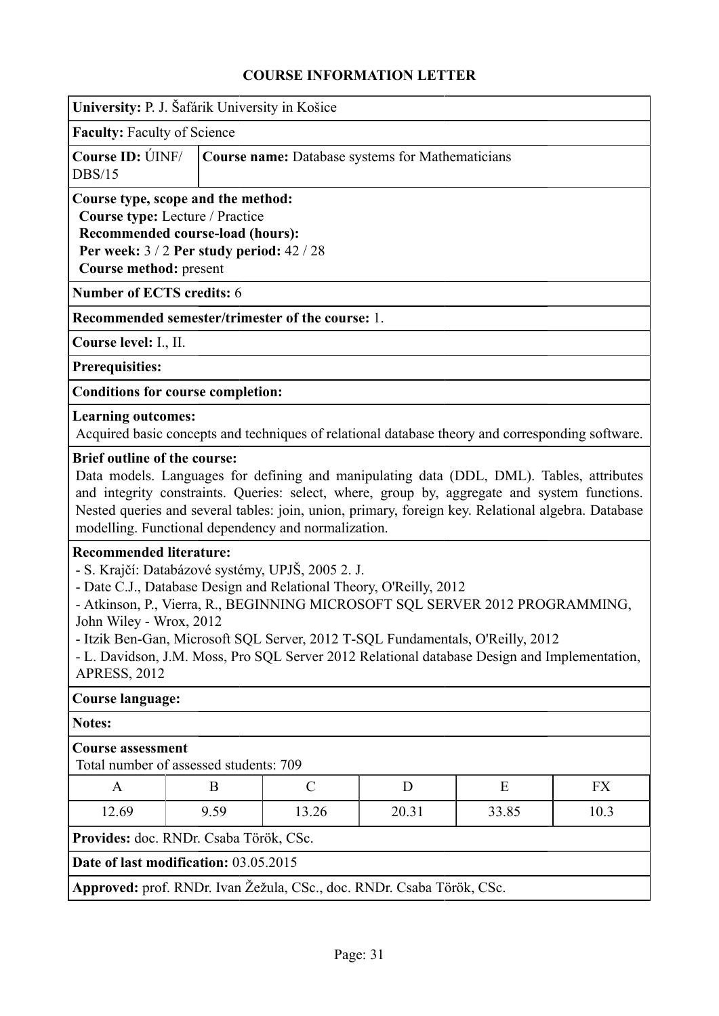<span id="page-30-0"></span>

| University: P. J. Šafárik University in Košice                                                                                                                                                                                                                                                                                                                                                                                                                                                                                                                                                                                                                                                                                                                                                                                                         |                                                                                                                                                                                  |                                                                       |   |                                                                                                  |    |  |  |  |
|--------------------------------------------------------------------------------------------------------------------------------------------------------------------------------------------------------------------------------------------------------------------------------------------------------------------------------------------------------------------------------------------------------------------------------------------------------------------------------------------------------------------------------------------------------------------------------------------------------------------------------------------------------------------------------------------------------------------------------------------------------------------------------------------------------------------------------------------------------|----------------------------------------------------------------------------------------------------------------------------------------------------------------------------------|-----------------------------------------------------------------------|---|--------------------------------------------------------------------------------------------------|----|--|--|--|
| <b>Faculty: Faculty of Science</b>                                                                                                                                                                                                                                                                                                                                                                                                                                                                                                                                                                                                                                                                                                                                                                                                                     |                                                                                                                                                                                  |                                                                       |   |                                                                                                  |    |  |  |  |
| <b>DBS/15</b>                                                                                                                                                                                                                                                                                                                                                                                                                                                                                                                                                                                                                                                                                                                                                                                                                                          | Course ID: UNF/<br><b>Course name:</b> Database systems for Mathematicians                                                                                                       |                                                                       |   |                                                                                                  |    |  |  |  |
|                                                                                                                                                                                                                                                                                                                                                                                                                                                                                                                                                                                                                                                                                                                                                                                                                                                        | Course type, scope and the method:<br>Course type: Lecture / Practice<br>Recommended course-load (hours):<br>Per week: 3 / 2 Per study period: 42 / 28<br>Course method: present |                                                                       |   |                                                                                                  |    |  |  |  |
| <b>Number of ECTS credits: 6</b>                                                                                                                                                                                                                                                                                                                                                                                                                                                                                                                                                                                                                                                                                                                                                                                                                       |                                                                                                                                                                                  |                                                                       |   |                                                                                                  |    |  |  |  |
|                                                                                                                                                                                                                                                                                                                                                                                                                                                                                                                                                                                                                                                                                                                                                                                                                                                        |                                                                                                                                                                                  | Recommended semester/trimester of the course: 1.                      |   |                                                                                                  |    |  |  |  |
| Course level: I., II.                                                                                                                                                                                                                                                                                                                                                                                                                                                                                                                                                                                                                                                                                                                                                                                                                                  |                                                                                                                                                                                  |                                                                       |   |                                                                                                  |    |  |  |  |
| <b>Prerequisities:</b>                                                                                                                                                                                                                                                                                                                                                                                                                                                                                                                                                                                                                                                                                                                                                                                                                                 |                                                                                                                                                                                  |                                                                       |   |                                                                                                  |    |  |  |  |
| <b>Conditions for course completion:</b>                                                                                                                                                                                                                                                                                                                                                                                                                                                                                                                                                                                                                                                                                                                                                                                                               |                                                                                                                                                                                  |                                                                       |   |                                                                                                  |    |  |  |  |
| <b>Learning outcomes:</b>                                                                                                                                                                                                                                                                                                                                                                                                                                                                                                                                                                                                                                                                                                                                                                                                                              |                                                                                                                                                                                  |                                                                       |   | Acquired basic concepts and techniques of relational database theory and corresponding software. |    |  |  |  |
| <b>Brief outline of the course:</b><br>Data models. Languages for defining and manipulating data (DDL, DML). Tables, attributes<br>and integrity constraints. Queries: select, where, group by, aggregate and system functions.<br>Nested queries and several tables: join, union, primary, foreign key. Relational algebra. Database<br>modelling. Functional dependency and normalization.<br><b>Recommended literature:</b><br>- S. Krajčí: Databázové systémy, UPJŠ, 2005 2. J.<br>- Date C.J., Database Design and Relational Theory, O'Reilly, 2012<br>- Atkinson, P., Vierra, R., BEGINNING MICROSOFT SQL SERVER 2012 PROGRAMMING,<br>John Wiley - Wrox, 2012<br>- Itzik Ben-Gan, Microsoft SQL Server, 2012 T-SQL Fundamentals, O'Reilly, 2012<br>- L. Davidson, J.M. Moss, Pro SQL Server 2012 Relational database Design and Implementation, |                                                                                                                                                                                  |                                                                       |   |                                                                                                  |    |  |  |  |
| <b>APRESS, 2012</b>                                                                                                                                                                                                                                                                                                                                                                                                                                                                                                                                                                                                                                                                                                                                                                                                                                    |                                                                                                                                                                                  |                                                                       |   |                                                                                                  |    |  |  |  |
| <b>Course language:</b>                                                                                                                                                                                                                                                                                                                                                                                                                                                                                                                                                                                                                                                                                                                                                                                                                                |                                                                                                                                                                                  |                                                                       |   |                                                                                                  |    |  |  |  |
| <b>Notes:</b>                                                                                                                                                                                                                                                                                                                                                                                                                                                                                                                                                                                                                                                                                                                                                                                                                                          |                                                                                                                                                                                  |                                                                       |   |                                                                                                  |    |  |  |  |
| <b>Course assessment</b><br>Total number of assessed students: 709                                                                                                                                                                                                                                                                                                                                                                                                                                                                                                                                                                                                                                                                                                                                                                                     |                                                                                                                                                                                  |                                                                       |   |                                                                                                  |    |  |  |  |
| A                                                                                                                                                                                                                                                                                                                                                                                                                                                                                                                                                                                                                                                                                                                                                                                                                                                      | B                                                                                                                                                                                | $\mathcal{C}$                                                         | D | E                                                                                                | FX |  |  |  |
| 12.69<br>9.59<br>10.3<br>13.26<br>20.31<br>33.85                                                                                                                                                                                                                                                                                                                                                                                                                                                                                                                                                                                                                                                                                                                                                                                                       |                                                                                                                                                                                  |                                                                       |   |                                                                                                  |    |  |  |  |
| Provides: doc. RNDr. Csaba Török, CSc.                                                                                                                                                                                                                                                                                                                                                                                                                                                                                                                                                                                                                                                                                                                                                                                                                 |                                                                                                                                                                                  |                                                                       |   |                                                                                                  |    |  |  |  |
| Date of last modification: 03.05.2015                                                                                                                                                                                                                                                                                                                                                                                                                                                                                                                                                                                                                                                                                                                                                                                                                  |                                                                                                                                                                                  |                                                                       |   |                                                                                                  |    |  |  |  |
|                                                                                                                                                                                                                                                                                                                                                                                                                                                                                                                                                                                                                                                                                                                                                                                                                                                        |                                                                                                                                                                                  | Approved: prof. RNDr. Ivan Žežula, CSc., doc. RNDr. Csaba Török, CSc. |   |                                                                                                  |    |  |  |  |
|                                                                                                                                                                                                                                                                                                                                                                                                                                                                                                                                                                                                                                                                                                                                                                                                                                                        |                                                                                                                                                                                  |                                                                       |   |                                                                                                  |    |  |  |  |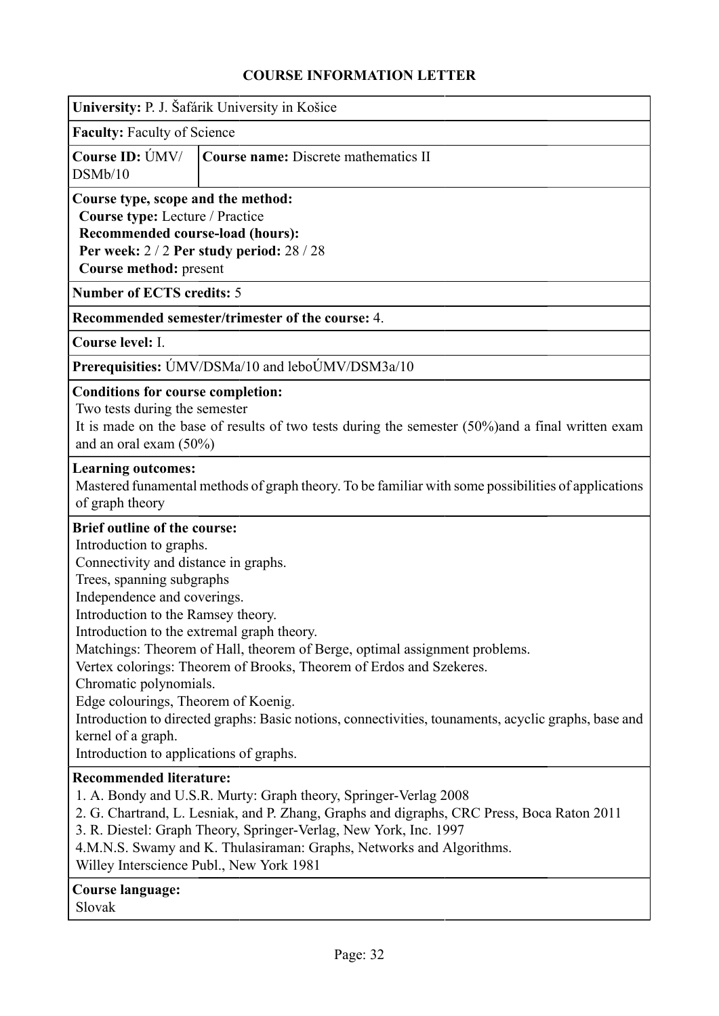<span id="page-31-0"></span>

|                                                                                                                                                                                                                                                                                                                                            | University: P. J. Šafárik University in Košice                                                                                                                                                                                                                                                                                                          |  |  |  |  |  |  |
|--------------------------------------------------------------------------------------------------------------------------------------------------------------------------------------------------------------------------------------------------------------------------------------------------------------------------------------------|---------------------------------------------------------------------------------------------------------------------------------------------------------------------------------------------------------------------------------------------------------------------------------------------------------------------------------------------------------|--|--|--|--|--|--|
| Faculty: Faculty of Science                                                                                                                                                                                                                                                                                                                |                                                                                                                                                                                                                                                                                                                                                         |  |  |  |  |  |  |
| Course ID: ÚMV/<br>DSMb/10                                                                                                                                                                                                                                                                                                                 | <b>Course name: Discrete mathematics II</b>                                                                                                                                                                                                                                                                                                             |  |  |  |  |  |  |
| Course type, scope and the method:<br>Course type: Lecture / Practice<br>Recommended course-load (hours):<br>Course method: present                                                                                                                                                                                                        | Per week: 2/2 Per study period: 28/28                                                                                                                                                                                                                                                                                                                   |  |  |  |  |  |  |
| <b>Number of ECTS credits: 5</b>                                                                                                                                                                                                                                                                                                           |                                                                                                                                                                                                                                                                                                                                                         |  |  |  |  |  |  |
|                                                                                                                                                                                                                                                                                                                                            | Recommended semester/trimester of the course: 4.                                                                                                                                                                                                                                                                                                        |  |  |  |  |  |  |
| Course level: I.                                                                                                                                                                                                                                                                                                                           |                                                                                                                                                                                                                                                                                                                                                         |  |  |  |  |  |  |
|                                                                                                                                                                                                                                                                                                                                            | Prerequisities: UMV/DSMa/10 and leboUMV/DSM3a/10                                                                                                                                                                                                                                                                                                        |  |  |  |  |  |  |
| <b>Conditions for course completion:</b><br>Two tests during the semester<br>and an oral exam $(50\%)$                                                                                                                                                                                                                                     | It is made on the base of results of two tests during the semester $(50\%)$ and a final written exam                                                                                                                                                                                                                                                    |  |  |  |  |  |  |
| <b>Learning outcomes:</b><br>of graph theory                                                                                                                                                                                                                                                                                               | Mastered funamental methods of graph theory. To be familiar with some possibilities of applications                                                                                                                                                                                                                                                     |  |  |  |  |  |  |
| <b>Brief outline of the course:</b><br>Introduction to graphs.<br>Connectivity and distance in graphs.<br>Trees, spanning subgraphs<br>Independence and coverings.<br>Introduction to the Ramsey theory.<br>Chromatic polynomials.<br>Edge colourings, Theorem of Koenig.<br>kernel of a graph.<br>Introduction to applications of graphs. | Introduction to the extremal graph theory.<br>Matchings: Theorem of Hall, theorem of Berge, optimal assignment problems.<br>Vertex colorings: Theorem of Brooks, Theorem of Erdos and Szekeres.<br>Introduction to directed graphs: Basic notions, connectivities, tounaments, acyclic graphs, base and                                                 |  |  |  |  |  |  |
| <b>Recommended literature:</b><br><b>Course language:</b>                                                                                                                                                                                                                                                                                  | 1. A. Bondy and U.S.R. Murty: Graph theory, Springer-Verlag 2008<br>2. G. Chartrand, L. Lesniak, and P. Zhang, Graphs and digraphs, CRC Press, Boca Raton 2011<br>3. R. Diestel: Graph Theory, Springer-Verlag, New York, Inc. 1997<br>4.M.N.S. Swamy and K. Thulasiraman: Graphs, Networks and Algorithms.<br>Willey Interscience Publ., New York 1981 |  |  |  |  |  |  |
| Slovak                                                                                                                                                                                                                                                                                                                                     |                                                                                                                                                                                                                                                                                                                                                         |  |  |  |  |  |  |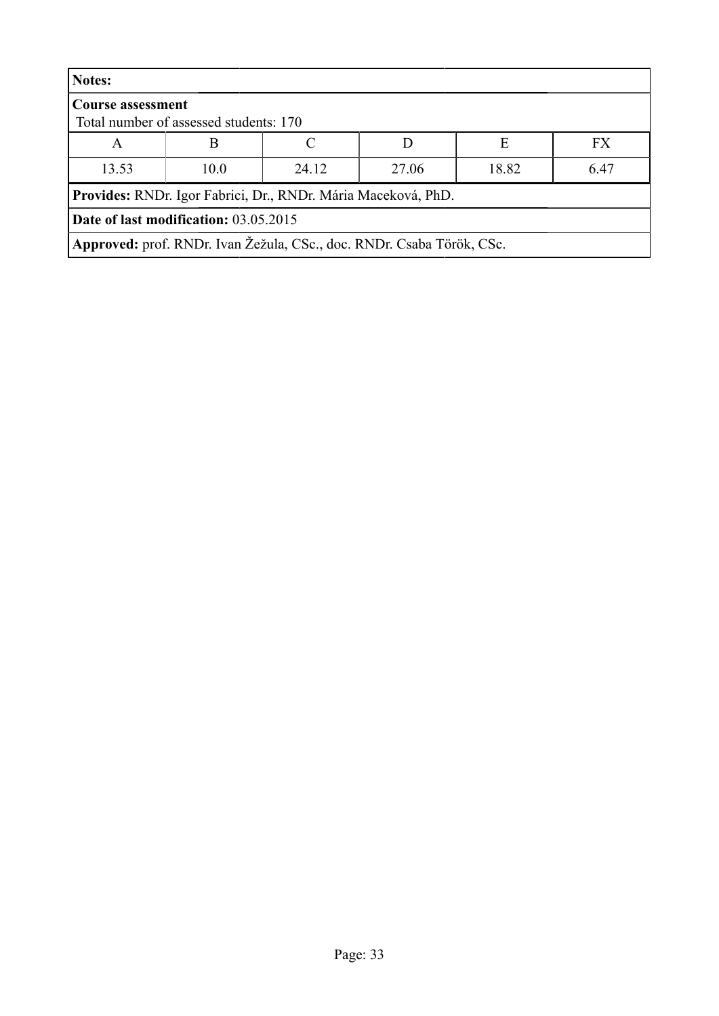| Notes:                                                             |                                                                       |  |  |   |           |  |  |
|--------------------------------------------------------------------|-----------------------------------------------------------------------|--|--|---|-----------|--|--|
| <b>Course assessment</b><br>Total number of assessed students: 170 |                                                                       |  |  |   |           |  |  |
| Α                                                                  | B                                                                     |  |  | E | <b>FX</b> |  |  |
| 13.53                                                              | 24.12<br>18.82<br>6.47<br>10.0<br>27.06                               |  |  |   |           |  |  |
|                                                                    | Provides: RNDr. Igor Fabrici, Dr., RNDr. Mária Maceková, PhD.         |  |  |   |           |  |  |
| <b>Date of last modification: 03.05.2015</b>                       |                                                                       |  |  |   |           |  |  |
|                                                                    | Approved: prof. RNDr. Ivan Žežula, CSc., doc. RNDr. Csaba Török, CSc. |  |  |   |           |  |  |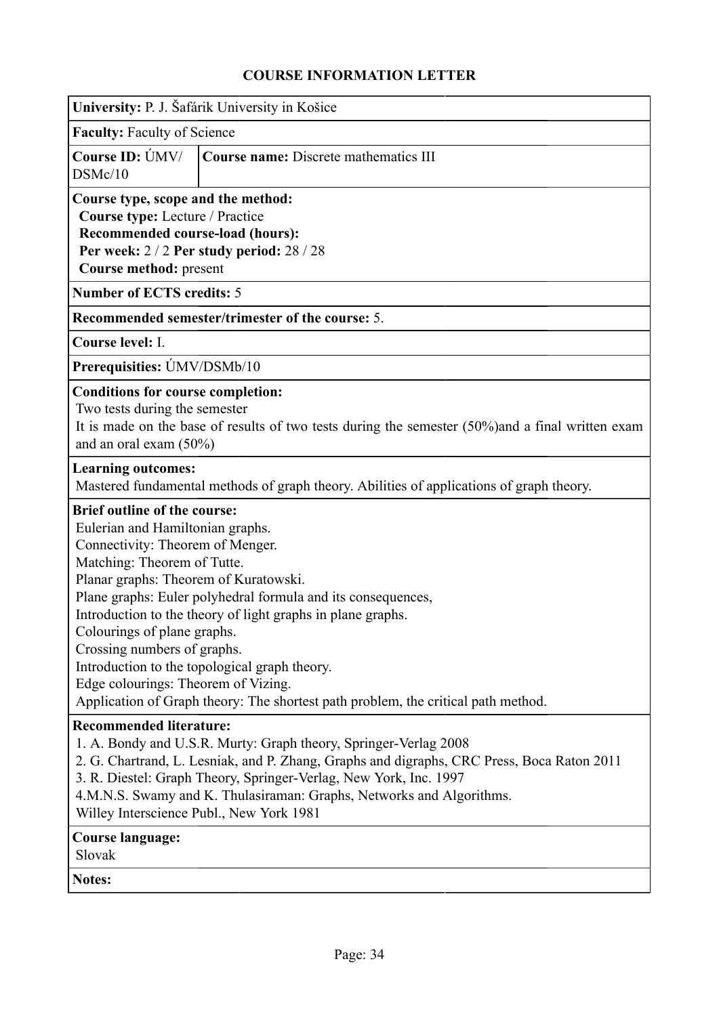<span id="page-33-0"></span>

|                                                                                                                                                                                                                                                                                          | University: P. J. Šafárik University in Košice                                                                                                                                                                                                                                                              |  |  |  |  |  |  |  |
|------------------------------------------------------------------------------------------------------------------------------------------------------------------------------------------------------------------------------------------------------------------------------------------|-------------------------------------------------------------------------------------------------------------------------------------------------------------------------------------------------------------------------------------------------------------------------------------------------------------|--|--|--|--|--|--|--|
| <b>Faculty: Faculty of Science</b>                                                                                                                                                                                                                                                       |                                                                                                                                                                                                                                                                                                             |  |  |  |  |  |  |  |
| Course ID: ÚMV/<br>DSMc/10                                                                                                                                                                                                                                                               | <b>Course name: Discrete mathematics III</b>                                                                                                                                                                                                                                                                |  |  |  |  |  |  |  |
|                                                                                                                                                                                                                                                                                          | Course type, scope and the method:<br>Course type: Lecture / Practice<br>Recommended course-load (hours):<br>Per week: 2/2 Per study period: 28/28<br>Course method: present                                                                                                                                |  |  |  |  |  |  |  |
| <b>Number of ECTS credits: 5</b>                                                                                                                                                                                                                                                         |                                                                                                                                                                                                                                                                                                             |  |  |  |  |  |  |  |
|                                                                                                                                                                                                                                                                                          | Recommended semester/trimester of the course: 5.                                                                                                                                                                                                                                                            |  |  |  |  |  |  |  |
| Course level: I.                                                                                                                                                                                                                                                                         |                                                                                                                                                                                                                                                                                                             |  |  |  |  |  |  |  |
| Prerequisities: UMV/DSMb/10                                                                                                                                                                                                                                                              |                                                                                                                                                                                                                                                                                                             |  |  |  |  |  |  |  |
| <b>Conditions for course completion:</b><br>Two tests during the semester<br>and an oral exam $(50\%)$                                                                                                                                                                                   | It is made on the base of results of two tests during the semester $(50\%)$ and a final written exam                                                                                                                                                                                                        |  |  |  |  |  |  |  |
| <b>Learning outcomes:</b>                                                                                                                                                                                                                                                                | Mastered fundamental methods of graph theory. Abilities of applications of graph theory.                                                                                                                                                                                                                    |  |  |  |  |  |  |  |
| <b>Brief outline of the course:</b><br>Eulerian and Hamiltonian graphs.<br>Connectivity: Theorem of Menger.<br>Matching: Theorem of Tutte.<br>Planar graphs: Theorem of Kuratowski.<br>Colourings of plane graphs.<br>Crossing numbers of graphs.<br>Edge colourings: Theorem of Vizing. | Plane graphs: Euler polyhedral formula and its consequences,<br>Introduction to the theory of light graphs in plane graphs.<br>Introduction to the topological graph theory.<br>Application of Graph theory: The shortest path problem, the critical path method.                                           |  |  |  |  |  |  |  |
| <b>Recommended literature:</b><br>Willey Interscience Publ., New York 1981                                                                                                                                                                                                               | 1. A. Bondy and U.S.R. Murty: Graph theory, Springer-Verlag 2008<br>2. G. Chartrand, L. Lesniak, and P. Zhang, Graphs and digraphs, CRC Press, Boca Raton 2011<br>3. R. Diestel: Graph Theory, Springer-Verlag, New York, Inc. 1997<br>4.M.N.S. Swamy and K. Thulasiraman: Graphs, Networks and Algorithms. |  |  |  |  |  |  |  |
| <b>Course language:</b><br>Slovak                                                                                                                                                                                                                                                        |                                                                                                                                                                                                                                                                                                             |  |  |  |  |  |  |  |
| <b>Notes:</b>                                                                                                                                                                                                                                                                            |                                                                                                                                                                                                                                                                                                             |  |  |  |  |  |  |  |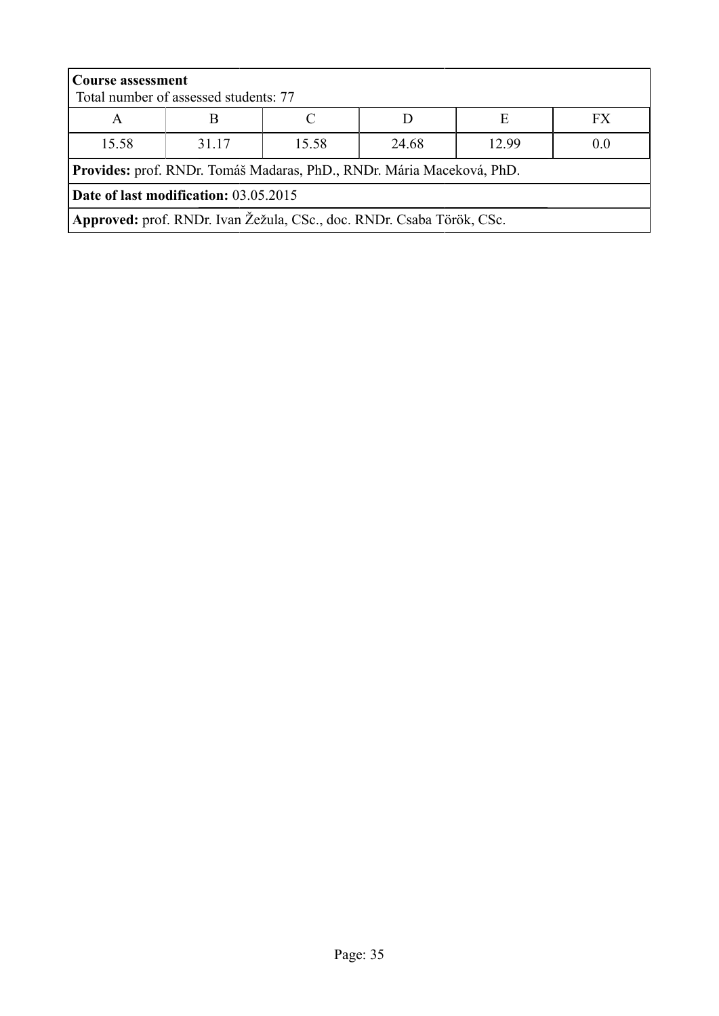| <b>Course assessment</b><br>Total number of assessed students: 77 |                                                                       |  |  |  |  |  |  |
|-------------------------------------------------------------------|-----------------------------------------------------------------------|--|--|--|--|--|--|
| E<br>FX.<br>A                                                     |                                                                       |  |  |  |  |  |  |
| 15.58                                                             | 12.99<br>31.17<br>15.58<br>24.68<br>0.0                               |  |  |  |  |  |  |
|                                                                   | Provides: prof. RNDr. Tomáš Madaras, PhD., RNDr. Mária Maceková, PhD. |  |  |  |  |  |  |
| Date of last modification: 03.05.2015                             |                                                                       |  |  |  |  |  |  |
|                                                                   | Approved: prof. RNDr. Ivan Žežula, CSc., doc. RNDr. Csaba Török, CSc. |  |  |  |  |  |  |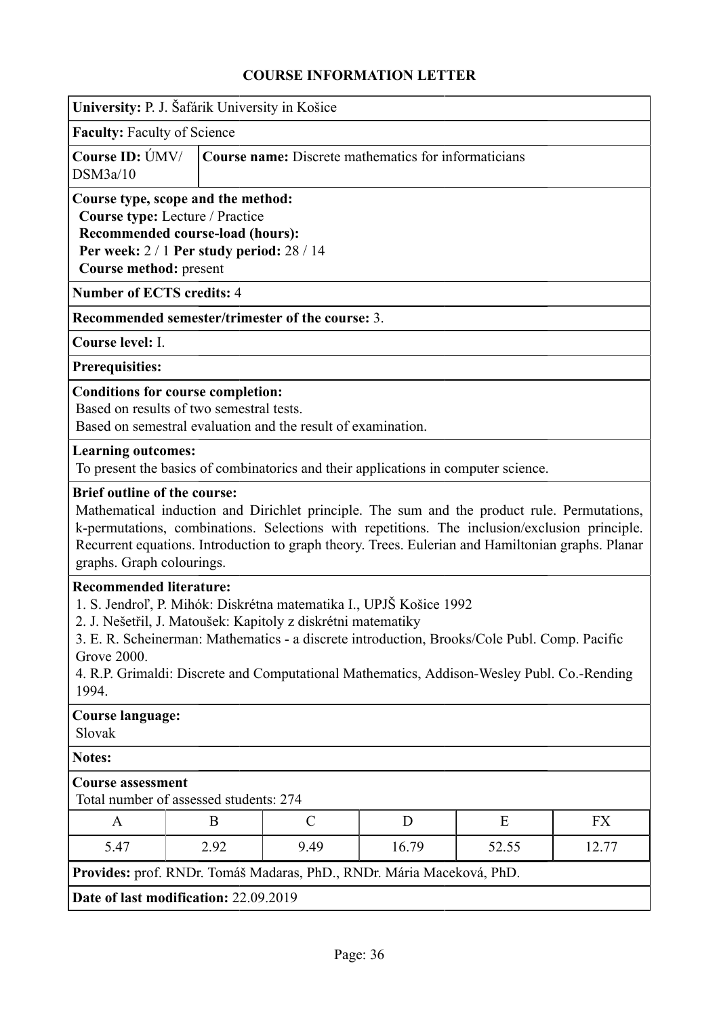<span id="page-35-0"></span>

| University: P. J. Šafárik University in Košice                                                                                                                                                                                                                                                                                                                                                    |                                                             |  |               |       |       |       |  |
|---------------------------------------------------------------------------------------------------------------------------------------------------------------------------------------------------------------------------------------------------------------------------------------------------------------------------------------------------------------------------------------------------|-------------------------------------------------------------|--|---------------|-------|-------|-------|--|
| <b>Faculty: Faculty of Science</b>                                                                                                                                                                                                                                                                                                                                                                |                                                             |  |               |       |       |       |  |
| Course ID: UMV/<br>DSM3a/10                                                                                                                                                                                                                                                                                                                                                                       | <b>Course name:</b> Discrete mathematics for informaticians |  |               |       |       |       |  |
| Course type, scope and the method:<br>Course type: Lecture / Practice<br>Recommended course-load (hours):<br>Per week: $2/1$ Per study period: $28/14$<br>Course method: present                                                                                                                                                                                                                  |                                                             |  |               |       |       |       |  |
| <b>Number of ECTS credits: 4</b>                                                                                                                                                                                                                                                                                                                                                                  |                                                             |  |               |       |       |       |  |
| Recommended semester/trimester of the course: 3.                                                                                                                                                                                                                                                                                                                                                  |                                                             |  |               |       |       |       |  |
| Course level: I.                                                                                                                                                                                                                                                                                                                                                                                  |                                                             |  |               |       |       |       |  |
| <b>Prerequisities:</b>                                                                                                                                                                                                                                                                                                                                                                            |                                                             |  |               |       |       |       |  |
| <b>Conditions for course completion:</b><br>Based on results of two semestral tests.<br>Based on semestral evaluation and the result of examination.                                                                                                                                                                                                                                              |                                                             |  |               |       |       |       |  |
| <b>Learning outcomes:</b><br>To present the basics of combinatorics and their applications in computer science.                                                                                                                                                                                                                                                                                   |                                                             |  |               |       |       |       |  |
| <b>Brief outline of the course:</b><br>Mathematical induction and Dirichlet principle. The sum and the product rule. Permutations,<br>k-permutations, combinations. Selections with repetitions. The inclusion/exclusion principle.<br>Recurrent equations. Introduction to graph theory. Trees. Eulerian and Hamiltonian graphs. Planar<br>graphs. Graph colourings.                             |                                                             |  |               |       |       |       |  |
| <b>Recommended literature:</b><br>1. S. Jendroľ, P. Mihók: Diskrétna matematika I., UPJŠ Košice 1992<br>2. J. Nešetřil, J. Matoušek: Kapitoly z diskrétni matematiky<br>3. E. R. Scheinerman: Mathematics - a discrete introduction, Brooks/Cole Publ. Comp. Pacific<br><b>Grove 2000.</b><br>4. R.P. Grimaldi: Discrete and Computational Mathematics, Addison-Wesley Publ. Co.-Rending<br>1994. |                                                             |  |               |       |       |       |  |
| <b>Course language:</b><br>Slovak                                                                                                                                                                                                                                                                                                                                                                 |                                                             |  |               |       |       |       |  |
| <b>Notes:</b>                                                                                                                                                                                                                                                                                                                                                                                     |                                                             |  |               |       |       |       |  |
| <b>Course assessment</b><br>Total number of assessed students: 274                                                                                                                                                                                                                                                                                                                                |                                                             |  |               |       |       |       |  |
| A                                                                                                                                                                                                                                                                                                                                                                                                 | B                                                           |  | $\mathcal{C}$ | D     | E     | FX    |  |
| 5.47                                                                                                                                                                                                                                                                                                                                                                                              | 2.92                                                        |  | 9.49          | 16.79 | 52.55 | 12.77 |  |
| Provides: prof. RNDr. Tomáš Madaras, PhD., RNDr. Mária Maceková, PhD.                                                                                                                                                                                                                                                                                                                             |                                                             |  |               |       |       |       |  |
|                                                                                                                                                                                                                                                                                                                                                                                                   | Date of last modification: 22.09.2019                       |  |               |       |       |       |  |
|                                                                                                                                                                                                                                                                                                                                                                                                   |                                                             |  |               |       |       |       |  |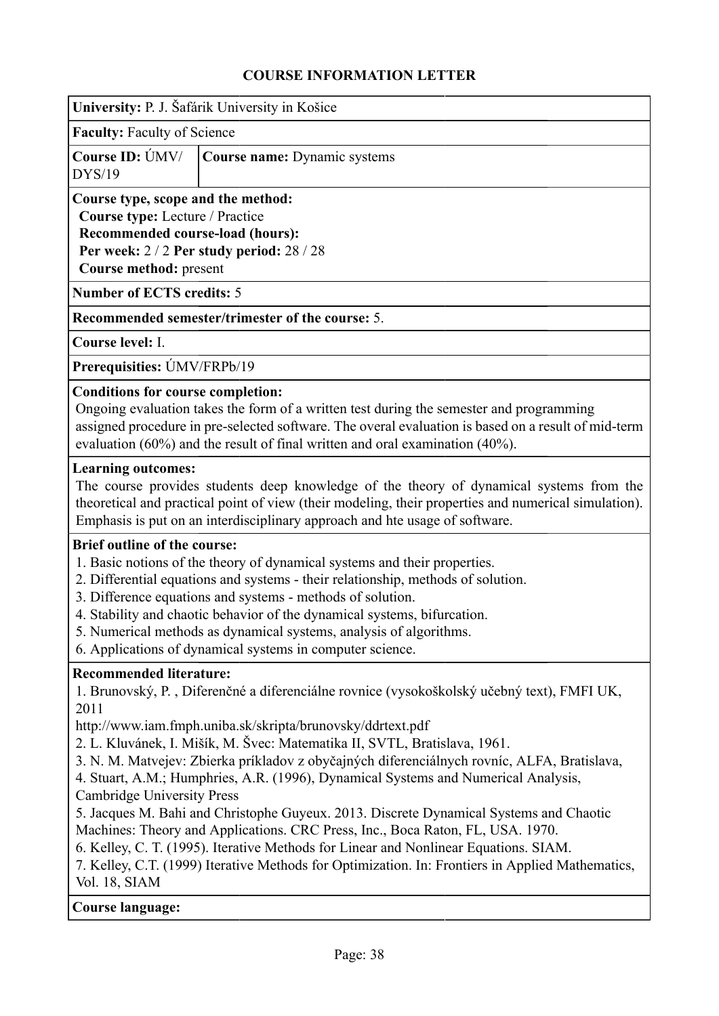|                                                                                                                                            | University: P. J. Šafárik University in Košice                                                                                                                                                                                                                                                                                                                                                                                                                                                                                                                                                                                                                                                                                                                                                     |
|--------------------------------------------------------------------------------------------------------------------------------------------|----------------------------------------------------------------------------------------------------------------------------------------------------------------------------------------------------------------------------------------------------------------------------------------------------------------------------------------------------------------------------------------------------------------------------------------------------------------------------------------------------------------------------------------------------------------------------------------------------------------------------------------------------------------------------------------------------------------------------------------------------------------------------------------------------|
| <b>Faculty: Faculty of Science</b>                                                                                                         |                                                                                                                                                                                                                                                                                                                                                                                                                                                                                                                                                                                                                                                                                                                                                                                                    |
| Course ID: ÚMV/<br>DYS/19                                                                                                                  | Course name: Dynamic systems                                                                                                                                                                                                                                                                                                                                                                                                                                                                                                                                                                                                                                                                                                                                                                       |
| Course type, scope and the method:<br>Course type: Lecture / Practice<br>Recommended course-load (hours):<br><b>Course method: present</b> | Per week: 2/2 Per study period: 28/28                                                                                                                                                                                                                                                                                                                                                                                                                                                                                                                                                                                                                                                                                                                                                              |
| <b>Number of ECTS credits: 5</b>                                                                                                           |                                                                                                                                                                                                                                                                                                                                                                                                                                                                                                                                                                                                                                                                                                                                                                                                    |
|                                                                                                                                            | Recommended semester/trimester of the course: 5.                                                                                                                                                                                                                                                                                                                                                                                                                                                                                                                                                                                                                                                                                                                                                   |
| Course level: I.                                                                                                                           |                                                                                                                                                                                                                                                                                                                                                                                                                                                                                                                                                                                                                                                                                                                                                                                                    |
| Prerequisities: ÚMV/FRPb/19                                                                                                                |                                                                                                                                                                                                                                                                                                                                                                                                                                                                                                                                                                                                                                                                                                                                                                                                    |
| <b>Conditions for course completion:</b>                                                                                                   | Ongoing evaluation takes the form of a written test during the semester and programming<br>assigned procedure in pre-selected software. The overal evaluation is based on a result of mid-term<br>evaluation $(60\%)$ and the result of final written and oral examination $(40\%)$ .                                                                                                                                                                                                                                                                                                                                                                                                                                                                                                              |
| <b>Learning outcomes:</b>                                                                                                                  | The course provides students deep knowledge of the theory of dynamical systems from the<br>theoretical and practical point of view (their modeling, their properties and numerical simulation).<br>Emphasis is put on an interdisciplinary approach and hte usage of software.                                                                                                                                                                                                                                                                                                                                                                                                                                                                                                                     |
| <b>Brief outline of the course:</b>                                                                                                        | 1. Basic notions of the theory of dynamical systems and their properties.<br>2. Differential equations and systems - their relationship, methods of solution.<br>3. Difference equations and systems - methods of solution.<br>4. Stability and chaotic behavior of the dynamical systems, bifurcation.<br>5. Numerical methods as dynamical systems, analysis of algorithms.<br>6. Applications of dynamical systems in computer science.                                                                                                                                                                                                                                                                                                                                                         |
| <b>Recommended literature:</b><br>2011<br><b>Cambridge University Press</b><br>Vol. 18, SIAM                                               | 1. Brunovský, P., Diferenčné a diferenciálne rovnice (vysokoškolský učebný text), FMFI UK,<br>http://www.iam.fmph.uniba.sk/skripta/brunovsky/ddrtext.pdf<br>2. L. Kluvánek, I. Mišík, M. Švec: Matematika II, SVTL, Bratislava, 1961.<br>3. N. M. Matvejev: Zbierka príkladov z obyčajných diferenciálnych rovníc, ALFA, Bratislava,<br>4. Stuart, A.M.; Humphries, A.R. (1996), Dynamical Systems and Numerical Analysis,<br>5. Jacques M. Bahi and Christophe Guyeux. 2013. Discrete Dynamical Systems and Chaotic<br>Machines: Theory and Applications. CRC Press, Inc., Boca Raton, FL, USA. 1970.<br>6. Kelley, C. T. (1995). Iterative Methods for Linear and Nonlinear Equations. SIAM.<br>7. Kelley, C.T. (1999) Iterative Methods for Optimization. In: Frontiers in Applied Mathematics, |
| <b>Course language:</b>                                                                                                                    |                                                                                                                                                                                                                                                                                                                                                                                                                                                                                                                                                                                                                                                                                                                                                                                                    |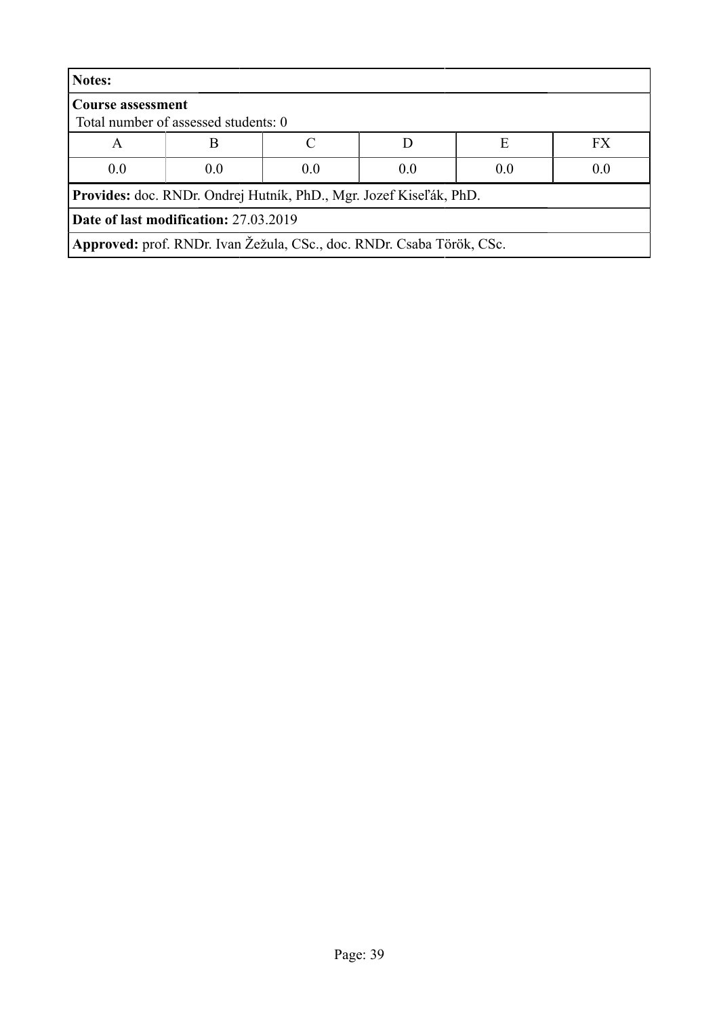| <b>Notes:</b>                                |                                                                           |     |     |     |           |  |
|----------------------------------------------|---------------------------------------------------------------------------|-----|-----|-----|-----------|--|
| <b>Course assessment</b>                     | Total number of assessed students: 0                                      |     |     |     |           |  |
| A                                            | B                                                                         |     |     | Е   | <b>FX</b> |  |
| 0.0                                          | 0.0                                                                       | 0.0 | 0.0 | 0.0 | 0.0       |  |
|                                              | <b>Provides:</b> doc. RNDr. Ondrej Hutník, PhD., Mgr. Jozef Kiseľák, PhD. |     |     |     |           |  |
| <b>Date of last modification: 27.03.2019</b> |                                                                           |     |     |     |           |  |
|                                              | Approved: prof. RNDr. Ivan Žežula, CSc., doc. RNDr. Csaba Török, CSc.     |     |     |     |           |  |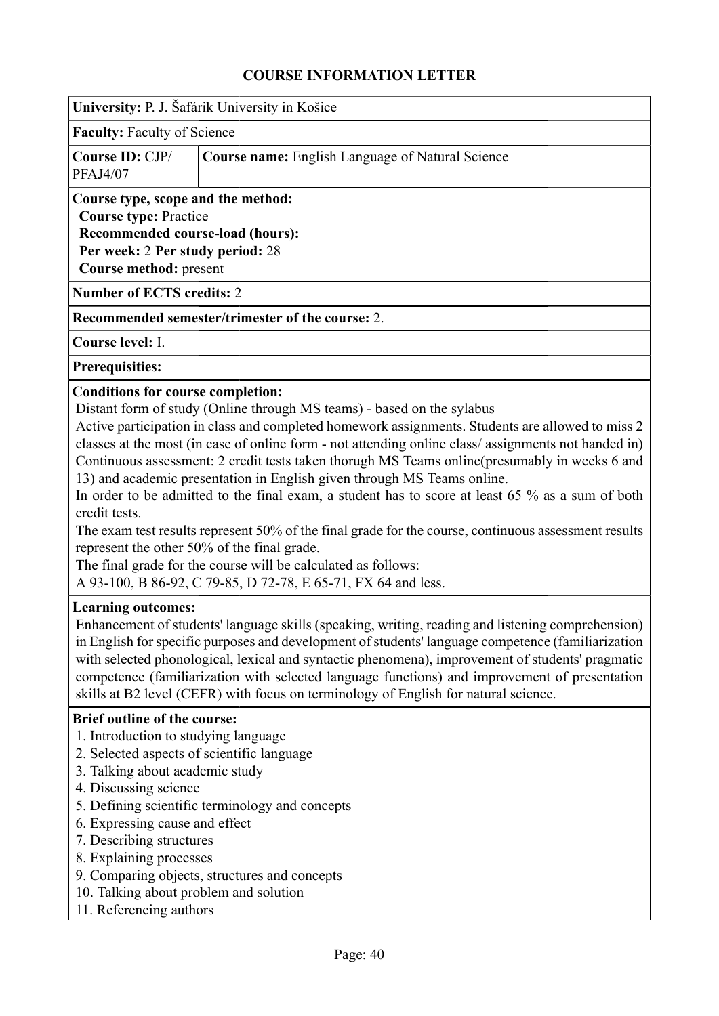|                                                                                                                                                                                                                                                                | COUNSE INFONMATION LETTEN                                                                                                                                                                                                                                                                                                                                                                                                                                                                                                                                                                                                                                                                                                                                                                                                                                   |
|----------------------------------------------------------------------------------------------------------------------------------------------------------------------------------------------------------------------------------------------------------------|-------------------------------------------------------------------------------------------------------------------------------------------------------------------------------------------------------------------------------------------------------------------------------------------------------------------------------------------------------------------------------------------------------------------------------------------------------------------------------------------------------------------------------------------------------------------------------------------------------------------------------------------------------------------------------------------------------------------------------------------------------------------------------------------------------------------------------------------------------------|
|                                                                                                                                                                                                                                                                | University: P. J. Šafárik University in Košice                                                                                                                                                                                                                                                                                                                                                                                                                                                                                                                                                                                                                                                                                                                                                                                                              |
| <b>Faculty: Faculty of Science</b>                                                                                                                                                                                                                             |                                                                                                                                                                                                                                                                                                                                                                                                                                                                                                                                                                                                                                                                                                                                                                                                                                                             |
| Course ID: CJP/<br><b>PFAJ4/07</b>                                                                                                                                                                                                                             | <b>Course name:</b> English Language of Natural Science                                                                                                                                                                                                                                                                                                                                                                                                                                                                                                                                                                                                                                                                                                                                                                                                     |
| Course type, scope and the method:<br><b>Course type: Practice</b><br>Recommended course-load (hours):<br>Per week: 2 Per study period: 28<br>Course method: present                                                                                           |                                                                                                                                                                                                                                                                                                                                                                                                                                                                                                                                                                                                                                                                                                                                                                                                                                                             |
| <b>Number of ECTS credits: 2</b>                                                                                                                                                                                                                               |                                                                                                                                                                                                                                                                                                                                                                                                                                                                                                                                                                                                                                                                                                                                                                                                                                                             |
|                                                                                                                                                                                                                                                                | Recommended semester/trimester of the course: 2.                                                                                                                                                                                                                                                                                                                                                                                                                                                                                                                                                                                                                                                                                                                                                                                                            |
| Course level: I.                                                                                                                                                                                                                                               |                                                                                                                                                                                                                                                                                                                                                                                                                                                                                                                                                                                                                                                                                                                                                                                                                                                             |
| <b>Prerequisities:</b>                                                                                                                                                                                                                                         |                                                                                                                                                                                                                                                                                                                                                                                                                                                                                                                                                                                                                                                                                                                                                                                                                                                             |
| <b>Conditions for course completion:</b><br>credit tests.                                                                                                                                                                                                      | Distant form of study (Online through MS teams) - based on the sylabus<br>Active participation in class and completed homework assignments. Students are allowed to miss 2<br>classes at the most (in case of online form - not attending online class/assignments not handed in)<br>Continuous assessment: 2 credit tests taken thorugh MS Teams online (presumably in weeks 6 and<br>13) and academic presentation in English given through MS Teams online.<br>In order to be admitted to the final exam, a student has to score at least 65 % as a sum of both<br>The exam test results represent 50% of the final grade for the course, continuous assessment results<br>represent the other 50% of the final grade.<br>The final grade for the course will be calculated as follows:<br>A 93-100, B 86-92, C 79-85, D 72-78, E 65-71, FX 64 and less. |
| <b>Learning outcomes:</b><br><b>Brief outline of the course:</b>                                                                                                                                                                                               | Enhancement of students' language skills (speaking, writing, reading and listening comprehension)<br>in English for specific purposes and development of students' language competence (familiarization<br>with selected phonological, lexical and syntactic phenomena), improvement of students' pragmatic<br>competence (familiarization with selected language functions) and improvement of presentation<br>skills at B2 level (CEFR) with focus on terminology of English for natural science.                                                                                                                                                                                                                                                                                                                                                         |
| 1. Introduction to studying language<br>3. Talking about academic study<br>4. Discussing science<br>6. Expressing cause and effect<br>7. Describing structures<br>8. Explaining processes<br>10. Talking about problem and solution<br>11. Referencing authors | 2. Selected aspects of scientific language<br>5. Defining scientific terminology and concepts<br>9. Comparing objects, structures and concepts                                                                                                                                                                                                                                                                                                                                                                                                                                                                                                                                                                                                                                                                                                              |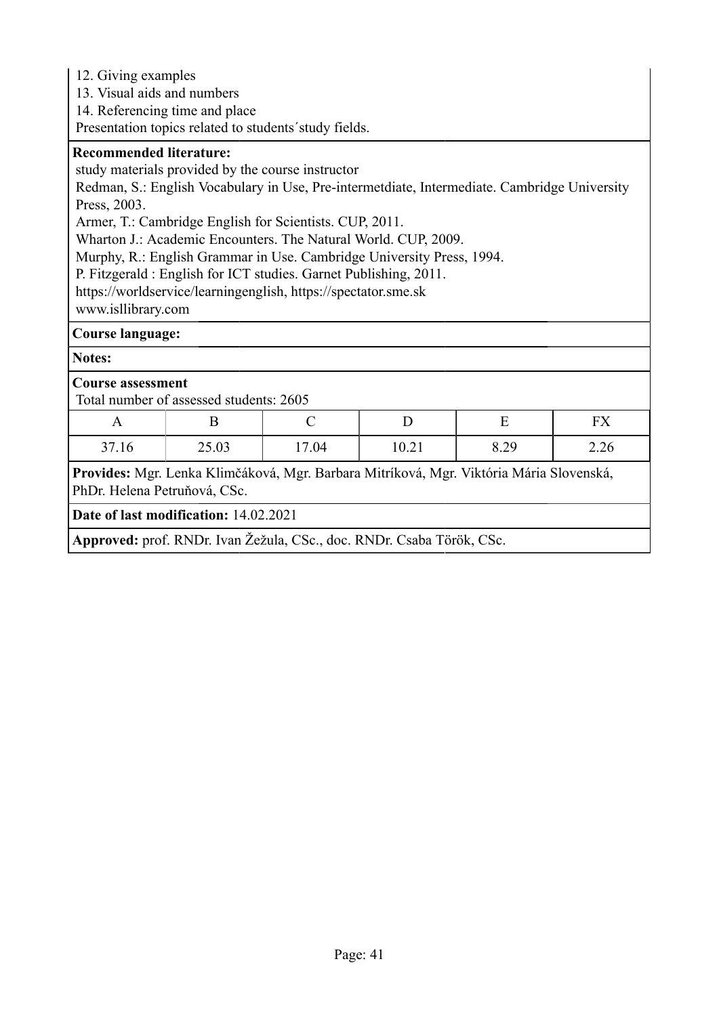12. Giving examples

13. Visual aids and numbers

14. Referencing time and place

Presentation topics related to students´study fields.

### **Recommended literature:**

study materials provided by the course instructor

Redman, S.: English Vocabulary in Use, Pre-intermetdiate, Intermediate. Cambridge University Press, 2003.

Armer, T.: Cambridge English for Scientists. CUP, 2011.

Wharton J.: Academic Encounters. The Natural World. CUP, 2009.

Murphy, R.: English Grammar in Use. Cambridge University Press, 1994.

P. Fitzgerald : English for ICT studies. Garnet Publishing, 2011.

https://worldservice/learningenglish, https://spectator.sme.sk

www.isllibrary.com

### **Course language:**

**Notes:**

### **Course assessment**

Total number of assessed students: 2605

| $\mathbf{r}$ | ∸     |       |       |      | <b>TIXT</b><br>* * * |
|--------------|-------|-------|-------|------|----------------------|
| 37.16        | 25.03 | 17.04 | 10.21 | 8.29 | 2.26                 |

**Provides:** Mgr. Lenka Klimčáková, Mgr. Barbara Mitríková, Mgr. Viktória Mária Slovenská, PhDr. Helena Petruňová, CSc.

**Date of last modification:** 14.02.2021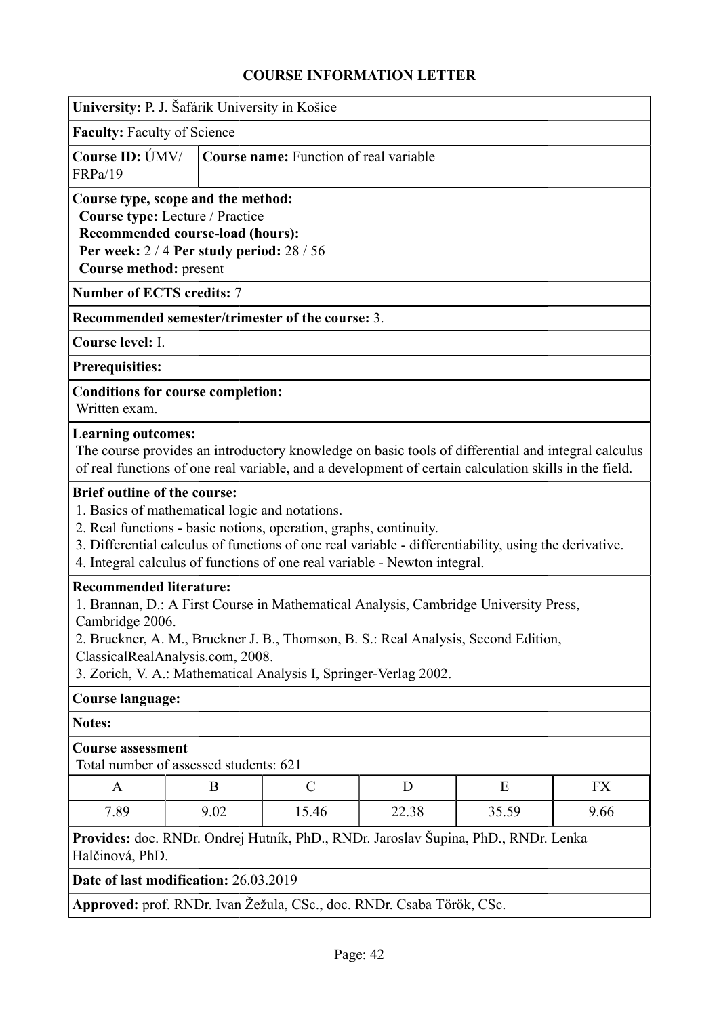|                                                                                                              | University: P. J. Šafárik University in Košice                                                                                                                                                                                                                                                                                          |                                                                                                                                                                                                                                                         |   |   |    |  |  |
|--------------------------------------------------------------------------------------------------------------|-----------------------------------------------------------------------------------------------------------------------------------------------------------------------------------------------------------------------------------------------------------------------------------------------------------------------------------------|---------------------------------------------------------------------------------------------------------------------------------------------------------------------------------------------------------------------------------------------------------|---|---|----|--|--|
| <b>Faculty: Faculty of Science</b>                                                                           |                                                                                                                                                                                                                                                                                                                                         |                                                                                                                                                                                                                                                         |   |   |    |  |  |
| Course ID: ÚMV/<br>FRPa/19                                                                                   | <b>Course name:</b> Function of real variable                                                                                                                                                                                                                                                                                           |                                                                                                                                                                                                                                                         |   |   |    |  |  |
|                                                                                                              | Course type, scope and the method:<br>Course type: Lecture / Practice<br>Recommended course-load (hours):<br>Per week: 2/4 Per study period: 28/56<br>Course method: present                                                                                                                                                            |                                                                                                                                                                                                                                                         |   |   |    |  |  |
| <b>Number of ECTS credits: 7</b>                                                                             |                                                                                                                                                                                                                                                                                                                                         |                                                                                                                                                                                                                                                         |   |   |    |  |  |
|                                                                                                              |                                                                                                                                                                                                                                                                                                                                         | Recommended semester/trimester of the course: 3.                                                                                                                                                                                                        |   |   |    |  |  |
| Course level: I.                                                                                             |                                                                                                                                                                                                                                                                                                                                         |                                                                                                                                                                                                                                                         |   |   |    |  |  |
| <b>Prerequisities:</b>                                                                                       |                                                                                                                                                                                                                                                                                                                                         |                                                                                                                                                                                                                                                         |   |   |    |  |  |
| <b>Conditions for course completion:</b><br>Written exam.                                                    |                                                                                                                                                                                                                                                                                                                                         |                                                                                                                                                                                                                                                         |   |   |    |  |  |
| <b>Learning outcomes:</b>                                                                                    |                                                                                                                                                                                                                                                                                                                                         | The course provides an introductory knowledge on basic tools of differential and integral calculus<br>of real functions of one real variable, and a development of certain calculation skills in the field.                                             |   |   |    |  |  |
| <b>Brief outline of the course:</b><br>1. Basics of mathematical logic and notations.                        |                                                                                                                                                                                                                                                                                                                                         | 2. Real functions - basic notions, operation, graphs, continuity.<br>3. Differential calculus of functions of one real variable - differentiability, using the derivative.<br>4. Integral calculus of functions of one real variable - Newton integral. |   |   |    |  |  |
|                                                                                                              | <b>Recommended literature:</b><br>1. Brannan, D.: A First Course in Mathematical Analysis, Cambridge University Press,<br>Cambridge 2006.<br>2. Bruckner, A. M., Bruckner J. B., Thomson, B. S.: Real Analysis, Second Edition,<br>ClassicalRealAnalysis.com, 2008.<br>3. Zorich, V. A.: Mathematical Analysis I, Springer-Verlag 2002. |                                                                                                                                                                                                                                                         |   |   |    |  |  |
| <b>Course language:</b>                                                                                      |                                                                                                                                                                                                                                                                                                                                         |                                                                                                                                                                                                                                                         |   |   |    |  |  |
| <b>Notes:</b>                                                                                                |                                                                                                                                                                                                                                                                                                                                         |                                                                                                                                                                                                                                                         |   |   |    |  |  |
| <b>Course assessment</b><br>Total number of assessed students: 621                                           |                                                                                                                                                                                                                                                                                                                                         |                                                                                                                                                                                                                                                         |   |   |    |  |  |
| A                                                                                                            | B                                                                                                                                                                                                                                                                                                                                       | $\mathcal{C}$                                                                                                                                                                                                                                           | D | E | FX |  |  |
| 7.89                                                                                                         | 9.02<br>15.46<br>22.38<br>35.59<br>9.66                                                                                                                                                                                                                                                                                                 |                                                                                                                                                                                                                                                         |   |   |    |  |  |
| <b>Provides:</b> doc. RNDr. Ondrej Hutník, PhD., RNDr. Jaroslav Šupina, PhD., RNDr. Lenka<br>Halčinová, PhD. |                                                                                                                                                                                                                                                                                                                                         |                                                                                                                                                                                                                                                         |   |   |    |  |  |
| Date of last modification: 26.03.2019                                                                        |                                                                                                                                                                                                                                                                                                                                         |                                                                                                                                                                                                                                                         |   |   |    |  |  |
|                                                                                                              |                                                                                                                                                                                                                                                                                                                                         | Approved: prof. RNDr. Ivan Žežula, CSc., doc. RNDr. Csaba Török, CSc.                                                                                                                                                                                   |   |   |    |  |  |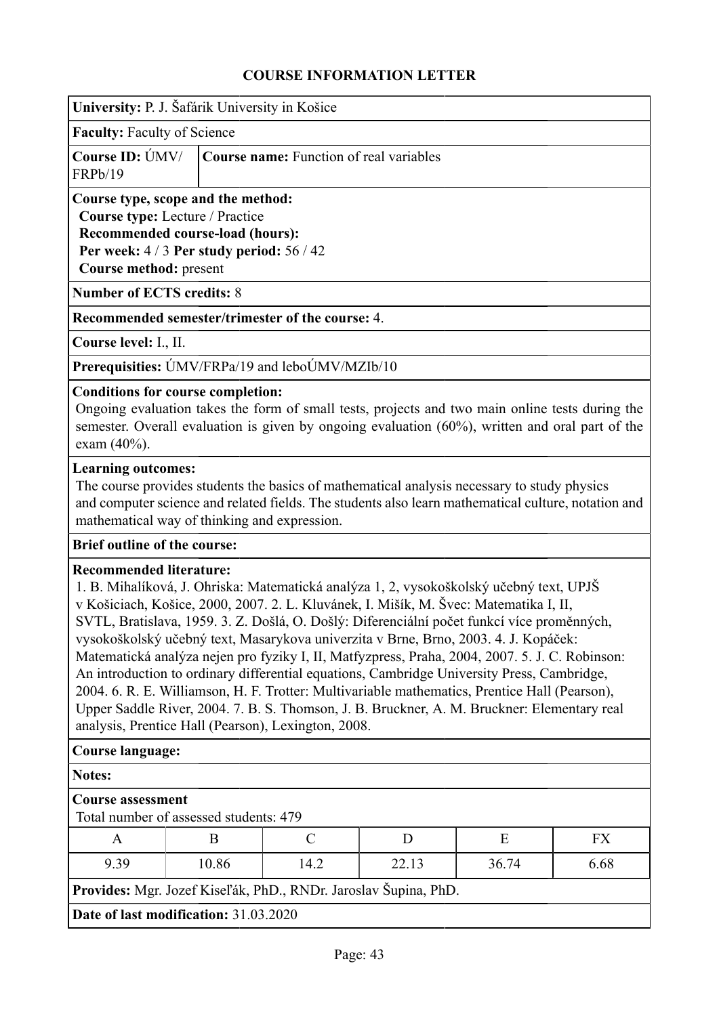| University: P. J. Šafárik University in Košice |  |  |  |  |
|------------------------------------------------|--|--|--|--|
|                                                |  |  |  |  |

**Faculty:** Faculty of Science

|         | <b>Course ID:</b> UMV/ <b>Course name:</b> Function of real variables |
|---------|-----------------------------------------------------------------------|
| FRPb/19 |                                                                       |

## **Course type, scope and the method:**

**Course type:** Lecture / Practice

**Recommended course-load (hours): Per week:** 4 / 3 **Per study period:** 56 / 42 **Course method:** present

**Number of ECTS credits:** 8

**Recommended semester/trimester of the course:** 4.

**Course level:** I., II.

**Prerequisities:** ÚMV/FRPa/19 and leboÚMV/MZIb/10

### **Conditions for course completion:**

Ongoing evaluation takes the form of small tests, projects and two main online tests during the semester. Overall evaluation is given by ongoing evaluation (60%), written and oral part of the exam (40%).

### **Learning outcomes:**

The course provides students the basics of mathematical analysis necessary to study physics and computer science and related fields. The students also learn mathematical culture, notation and mathematical way of thinking and expression.

## **Brief outline of the course:**

## **Recommended literature:**

1. B. Mihalíková, J. Ohriska: Matematická analýza 1, 2, vysokoškolský učebný text, UPJŠ v Košiciach, Košice, 2000, 2007. 2. L. Kluvánek, I. Mišík, M. Švec: Matematika I, II, SVTL, Bratislava, 1959. 3. Z. Došlá, O. Došlý: Diferenciální počet funkcí více proměnných, vysokoškolský učebný text, Masarykova univerzita v Brne, Brno, 2003. 4. J. Kopáček: Matematická analýza nejen pro fyziky I, II, Matfyzpress, Praha, 2004, 2007. 5. J. C. Robinson: An introduction to ordinary differential equations, Cambridge University Press, Cambridge, 2004. 6. R. E. Williamson, H. F. Trotter: Multivariable mathematics, Prentice Hall (Pearson), Upper Saddle River, 2004. 7. B. S. Thomson, J. B. Bruckner, A. M. Bruckner: Elementary real analysis, Prentice Hall (Pearson), Lexington, 2008.

### **Course language:**

**Notes:**

### **Course assessment**

Total number of assessed students: 479

|                                                                 |       |      |       |       | FX   |  |  |
|-----------------------------------------------------------------|-------|------|-------|-------|------|--|--|
| 9.39                                                            | 10.86 | 14.2 | 22.13 | 36.74 | 6.68 |  |  |
| Provides: Mgr. Jozef Kiseľák, PhD., RNDr. Jaroslav Šupina, PhD. |       |      |       |       |      |  |  |
| Date of last modification: 31.03.2020                           |       |      |       |       |      |  |  |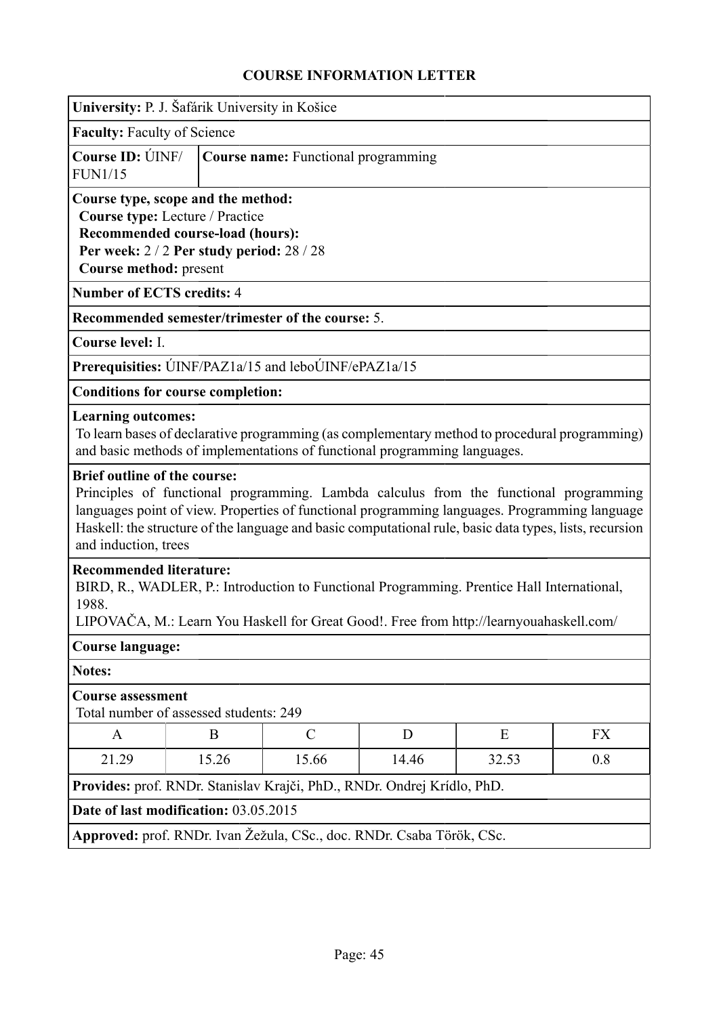| University: P. J. Šafárik University in Košice                                                                                                                                                                                   |                                         |                                                                           |   |                                                                                                                                                                                                                                                                                                   |           |  |  |
|----------------------------------------------------------------------------------------------------------------------------------------------------------------------------------------------------------------------------------|-----------------------------------------|---------------------------------------------------------------------------|---|---------------------------------------------------------------------------------------------------------------------------------------------------------------------------------------------------------------------------------------------------------------------------------------------------|-----------|--|--|
|                                                                                                                                                                                                                                  | <b>Faculty: Faculty of Science</b>      |                                                                           |   |                                                                                                                                                                                                                                                                                                   |           |  |  |
| Course ID: UNF/<br><b>FUN1/15</b>                                                                                                                                                                                                |                                         | <b>Course name:</b> Functional programming                                |   |                                                                                                                                                                                                                                                                                                   |           |  |  |
| Course type, scope and the method:<br>Course type: Lecture / Practice<br>Recommended course-load (hours):<br>Per week: 2/2 Per study period: 28/28<br>Course method: present                                                     |                                         |                                                                           |   |                                                                                                                                                                                                                                                                                                   |           |  |  |
| <b>Number of ECTS credits: 4</b>                                                                                                                                                                                                 |                                         |                                                                           |   |                                                                                                                                                                                                                                                                                                   |           |  |  |
|                                                                                                                                                                                                                                  |                                         | Recommended semester/trimester of the course: 5.                          |   |                                                                                                                                                                                                                                                                                                   |           |  |  |
| Course level: I.                                                                                                                                                                                                                 |                                         |                                                                           |   |                                                                                                                                                                                                                                                                                                   |           |  |  |
|                                                                                                                                                                                                                                  |                                         | Prerequisities: ÚINF/PAZ1a/15 and leboÚINF/ePAZ1a/15                      |   |                                                                                                                                                                                                                                                                                                   |           |  |  |
| <b>Conditions for course completion:</b>                                                                                                                                                                                         |                                         |                                                                           |   |                                                                                                                                                                                                                                                                                                   |           |  |  |
| <b>Learning outcomes:</b><br><b>Brief outline of the course:</b>                                                                                                                                                                 |                                         | and basic methods of implementations of functional programming languages. |   | To learn bases of declarative programming (as complementary method to procedural programming)                                                                                                                                                                                                     |           |  |  |
| and induction, trees                                                                                                                                                                                                             |                                         |                                                                           |   | Principles of functional programming. Lambda calculus from the functional programming<br>languages point of view. Properties of functional programming languages. Programming language<br>Haskell: the structure of the language and basic computational rule, basic data types, lists, recursion |           |  |  |
| <b>Recommended literature:</b><br>BIRD, R., WADLER, P.: Introduction to Functional Programming. Prentice Hall International,<br>1988.<br>LIPOVAČA, M.: Learn You Haskell for Great Good!. Free from http://learnyouahaskell.com/ |                                         |                                                                           |   |                                                                                                                                                                                                                                                                                                   |           |  |  |
| <b>Course language:</b>                                                                                                                                                                                                          |                                         |                                                                           |   |                                                                                                                                                                                                                                                                                                   |           |  |  |
| <b>Notes:</b>                                                                                                                                                                                                                    |                                         |                                                                           |   |                                                                                                                                                                                                                                                                                                   |           |  |  |
| <b>Course assessment</b><br>Total number of assessed students: 249                                                                                                                                                               |                                         |                                                                           |   |                                                                                                                                                                                                                                                                                                   |           |  |  |
| A                                                                                                                                                                                                                                | B                                       | $\mathcal{C}$                                                             | D | E                                                                                                                                                                                                                                                                                                 | <b>FX</b> |  |  |
| 21.29                                                                                                                                                                                                                            | 15.26<br>15.66<br>14.46<br>0.8<br>32.53 |                                                                           |   |                                                                                                                                                                                                                                                                                                   |           |  |  |
| Provides: prof. RNDr. Stanislav Krajči, PhD., RNDr. Ondrej Krídlo, PhD.                                                                                                                                                          |                                         |                                                                           |   |                                                                                                                                                                                                                                                                                                   |           |  |  |
| Date of last modification: 03.05.2015                                                                                                                                                                                            |                                         |                                                                           |   |                                                                                                                                                                                                                                                                                                   |           |  |  |
|                                                                                                                                                                                                                                  |                                         | Approved: prof. RNDr. Ivan Žežula, CSc., doc. RNDr. Csaba Török, CSc.     |   |                                                                                                                                                                                                                                                                                                   |           |  |  |
|                                                                                                                                                                                                                                  |                                         |                                                                           |   |                                                                                                                                                                                                                                                                                                   |           |  |  |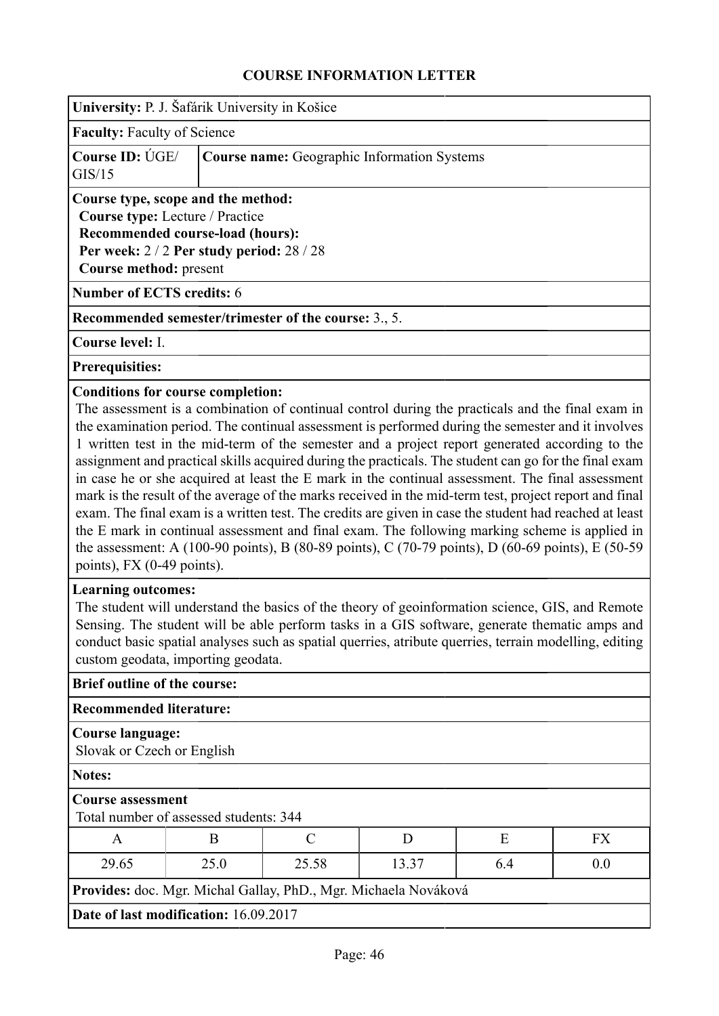| University: P. J. Šafárik University in Košice                                                                                                                                                                                                                                                                                                                                                                                                                                                                                                                                                                                                                                                                                                                                                                                                                                                                                                                                                                             |                                                                                                                                                                                                                                                                                                                                                                               |               |       |     |           |  |
|----------------------------------------------------------------------------------------------------------------------------------------------------------------------------------------------------------------------------------------------------------------------------------------------------------------------------------------------------------------------------------------------------------------------------------------------------------------------------------------------------------------------------------------------------------------------------------------------------------------------------------------------------------------------------------------------------------------------------------------------------------------------------------------------------------------------------------------------------------------------------------------------------------------------------------------------------------------------------------------------------------------------------|-------------------------------------------------------------------------------------------------------------------------------------------------------------------------------------------------------------------------------------------------------------------------------------------------------------------------------------------------------------------------------|---------------|-------|-----|-----------|--|
| <b>Faculty: Faculty of Science</b>                                                                                                                                                                                                                                                                                                                                                                                                                                                                                                                                                                                                                                                                                                                                                                                                                                                                                                                                                                                         |                                                                                                                                                                                                                                                                                                                                                                               |               |       |     |           |  |
| <b>Course ID: ÚGE/</b><br>GIS/15                                                                                                                                                                                                                                                                                                                                                                                                                                                                                                                                                                                                                                                                                                                                                                                                                                                                                                                                                                                           | <b>Course name:</b> Geographic Information Systems                                                                                                                                                                                                                                                                                                                            |               |       |     |           |  |
| Course type, scope and the method:<br>Course type: Lecture / Practice<br>Recommended course-load (hours):<br>Per week: 2/2 Per study period: 28/28<br>Course method: present                                                                                                                                                                                                                                                                                                                                                                                                                                                                                                                                                                                                                                                                                                                                                                                                                                               |                                                                                                                                                                                                                                                                                                                                                                               |               |       |     |           |  |
| <b>Number of ECTS credits: 6</b>                                                                                                                                                                                                                                                                                                                                                                                                                                                                                                                                                                                                                                                                                                                                                                                                                                                                                                                                                                                           |                                                                                                                                                                                                                                                                                                                                                                               |               |       |     |           |  |
| <b>Recommended semester/trimester of the course:</b> 3., 5.                                                                                                                                                                                                                                                                                                                                                                                                                                                                                                                                                                                                                                                                                                                                                                                                                                                                                                                                                                |                                                                                                                                                                                                                                                                                                                                                                               |               |       |     |           |  |
| Course level: I.                                                                                                                                                                                                                                                                                                                                                                                                                                                                                                                                                                                                                                                                                                                                                                                                                                                                                                                                                                                                           |                                                                                                                                                                                                                                                                                                                                                                               |               |       |     |           |  |
| <b>Prerequisities:</b>                                                                                                                                                                                                                                                                                                                                                                                                                                                                                                                                                                                                                                                                                                                                                                                                                                                                                                                                                                                                     |                                                                                                                                                                                                                                                                                                                                                                               |               |       |     |           |  |
| <b>Conditions for course completion:</b><br>The assessment is a combination of continual control during the practicals and the final exam in<br>the examination period. The continual assessment is performed during the semester and it involves<br>1 written test in the mid-term of the semester and a project report generated according to the<br>assignment and practical skills acquired during the practicals. The student can go for the final exam<br>in case he or she acquired at least the E mark in the continual assessment. The final assessment<br>mark is the result of the average of the marks received in the mid-term test, project report and final<br>exam. The final exam is a written test. The credits are given in case the student had reached at least<br>the E mark in continual assessment and final exam. The following marking scheme is applied in<br>the assessment: A (100-90 points), B (80-89 points), C (70-79 points), D (60-69 points), E (50-59<br>points), FX $(0-49$ points). |                                                                                                                                                                                                                                                                                                                                                                               |               |       |     |           |  |
|                                                                                                                                                                                                                                                                                                                                                                                                                                                                                                                                                                                                                                                                                                                                                                                                                                                                                                                                                                                                                            | <b>Learning outcomes:</b><br>The student will understand the basics of the theory of geoinformation science, GIS, and Remote<br>Sensing. The student will be able perform tasks in a GIS software, generate thematic amps and<br>conduct basic spatial analyses such as spatial querries, atribute querries, terrain modelling, editing<br>custom geodata, importing geodata. |               |       |     |           |  |
| <b>Brief outline of the course:</b>                                                                                                                                                                                                                                                                                                                                                                                                                                                                                                                                                                                                                                                                                                                                                                                                                                                                                                                                                                                        |                                                                                                                                                                                                                                                                                                                                                                               |               |       |     |           |  |
| <b>Recommended literature:</b>                                                                                                                                                                                                                                                                                                                                                                                                                                                                                                                                                                                                                                                                                                                                                                                                                                                                                                                                                                                             |                                                                                                                                                                                                                                                                                                                                                                               |               |       |     |           |  |
| <b>Course language:</b><br>Slovak or Czech or English                                                                                                                                                                                                                                                                                                                                                                                                                                                                                                                                                                                                                                                                                                                                                                                                                                                                                                                                                                      |                                                                                                                                                                                                                                                                                                                                                                               |               |       |     |           |  |
| <b>Notes:</b>                                                                                                                                                                                                                                                                                                                                                                                                                                                                                                                                                                                                                                                                                                                                                                                                                                                                                                                                                                                                              |                                                                                                                                                                                                                                                                                                                                                                               |               |       |     |           |  |
| <b>Course assessment</b><br>Total number of assessed students: 344                                                                                                                                                                                                                                                                                                                                                                                                                                                                                                                                                                                                                                                                                                                                                                                                                                                                                                                                                         |                                                                                                                                                                                                                                                                                                                                                                               |               |       |     |           |  |
| A                                                                                                                                                                                                                                                                                                                                                                                                                                                                                                                                                                                                                                                                                                                                                                                                                                                                                                                                                                                                                          | B                                                                                                                                                                                                                                                                                                                                                                             | $\mathcal{C}$ | D     | E   | <b>FX</b> |  |
| 29.65                                                                                                                                                                                                                                                                                                                                                                                                                                                                                                                                                                                                                                                                                                                                                                                                                                                                                                                                                                                                                      | 25.0                                                                                                                                                                                                                                                                                                                                                                          | 25.58         | 13.37 | 6.4 | 0.0       |  |
| Provides: doc. Mgr. Michal Gallay, PhD., Mgr. Michaela Nováková                                                                                                                                                                                                                                                                                                                                                                                                                                                                                                                                                                                                                                                                                                                                                                                                                                                                                                                                                            |                                                                                                                                                                                                                                                                                                                                                                               |               |       |     |           |  |
| Date of last modification: 16.09.2017                                                                                                                                                                                                                                                                                                                                                                                                                                                                                                                                                                                                                                                                                                                                                                                                                                                                                                                                                                                      |                                                                                                                                                                                                                                                                                                                                                                               |               |       |     |           |  |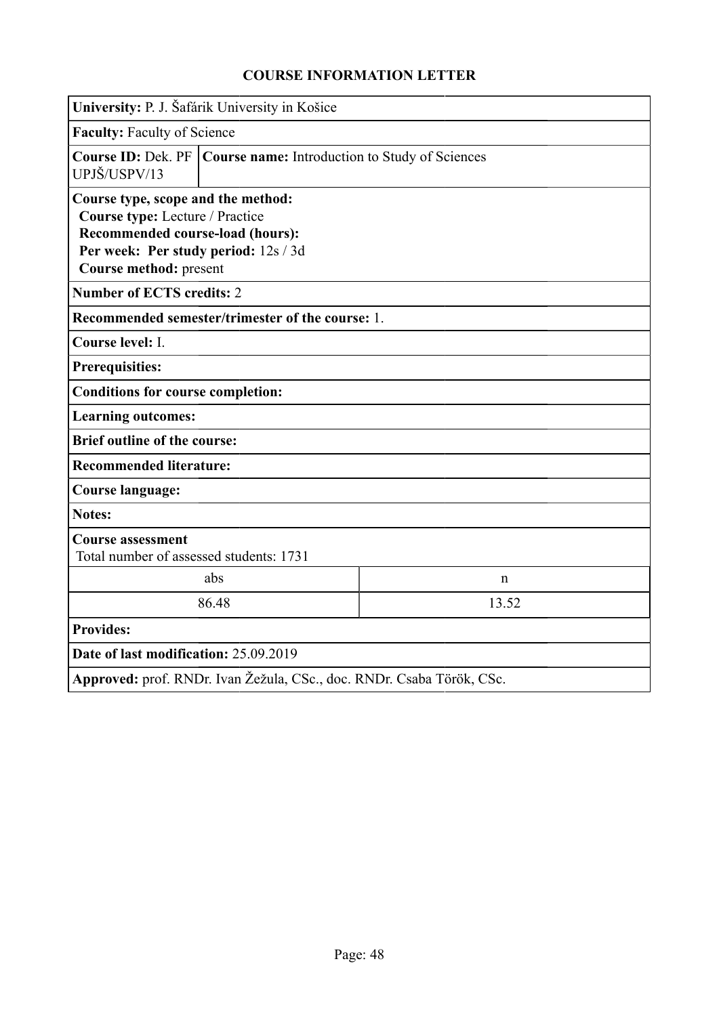|                                                                                                                                                                             | University: P. J. Šafárik University in Košice                        |  |  |  |  |  |
|-----------------------------------------------------------------------------------------------------------------------------------------------------------------------------|-----------------------------------------------------------------------|--|--|--|--|--|
|                                                                                                                                                                             | <b>Faculty: Faculty of Science</b>                                    |  |  |  |  |  |
| UPJŠ/USPV/13                                                                                                                                                                | Course ID: Dek. PF   Course name: Introduction to Study of Sciences   |  |  |  |  |  |
| Course type, scope and the method:<br>Course type: Lecture / Practice<br>Recommended course-load (hours):<br>Per week: Per study period: 12s / 3d<br>Course method: present |                                                                       |  |  |  |  |  |
| <b>Number of ECTS credits: 2</b>                                                                                                                                            |                                                                       |  |  |  |  |  |
| Recommended semester/trimester of the course: 1.                                                                                                                            |                                                                       |  |  |  |  |  |
| Course level: I.                                                                                                                                                            |                                                                       |  |  |  |  |  |
| <b>Prerequisities:</b>                                                                                                                                                      |                                                                       |  |  |  |  |  |
| <b>Conditions for course completion:</b>                                                                                                                                    |                                                                       |  |  |  |  |  |
| <b>Learning outcomes:</b>                                                                                                                                                   |                                                                       |  |  |  |  |  |
| <b>Brief outline of the course:</b>                                                                                                                                         |                                                                       |  |  |  |  |  |
| <b>Recommended literature:</b>                                                                                                                                              |                                                                       |  |  |  |  |  |
| <b>Course language:</b>                                                                                                                                                     |                                                                       |  |  |  |  |  |
| <b>Notes:</b>                                                                                                                                                               |                                                                       |  |  |  |  |  |
| <b>Course assessment</b><br>Total number of assessed students: 1731                                                                                                         |                                                                       |  |  |  |  |  |
|                                                                                                                                                                             | abs<br>$\mathbf n$                                                    |  |  |  |  |  |
| 86.48<br>13.52                                                                                                                                                              |                                                                       |  |  |  |  |  |
| <b>Provides:</b>                                                                                                                                                            |                                                                       |  |  |  |  |  |
| Date of last modification: 25.09.2019                                                                                                                                       |                                                                       |  |  |  |  |  |
|                                                                                                                                                                             | Approved: prof. RNDr. Ivan Žežula, CSc., doc. RNDr. Csaba Török, CSc. |  |  |  |  |  |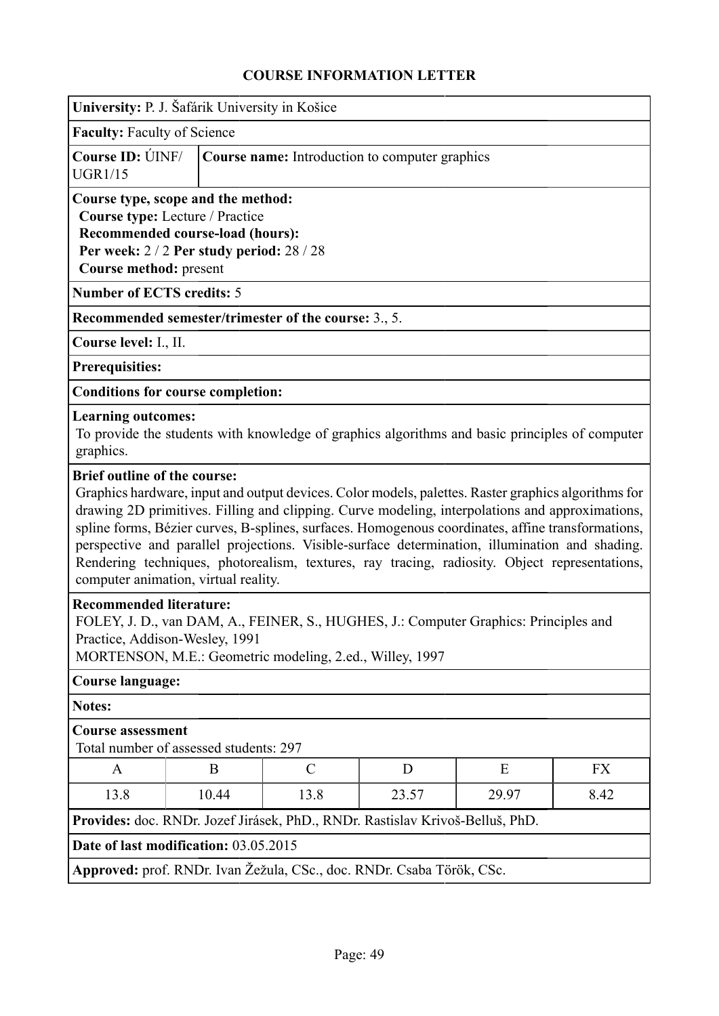|                                                                    | University: P. J. Šafárik University in Košice                                                                                                                                                                       |                                                                                                                                                                                                                                                                                                                                                                                                                                                                                                                |   |   |    |  |  |  |
|--------------------------------------------------------------------|----------------------------------------------------------------------------------------------------------------------------------------------------------------------------------------------------------------------|----------------------------------------------------------------------------------------------------------------------------------------------------------------------------------------------------------------------------------------------------------------------------------------------------------------------------------------------------------------------------------------------------------------------------------------------------------------------------------------------------------------|---|---|----|--|--|--|
| <b>Faculty: Faculty of Science</b>                                 |                                                                                                                                                                                                                      |                                                                                                                                                                                                                                                                                                                                                                                                                                                                                                                |   |   |    |  |  |  |
| <b>Course ID: ÚINF/</b><br><b>UGR1/15</b>                          |                                                                                                                                                                                                                      | Course name: Introduction to computer graphics                                                                                                                                                                                                                                                                                                                                                                                                                                                                 |   |   |    |  |  |  |
|                                                                    | Course type, scope and the method:<br>Course type: Lecture / Practice<br>Recommended course-load (hours):<br>Per week: 2/2 Per study period: 28/28<br>Course method: present                                         |                                                                                                                                                                                                                                                                                                                                                                                                                                                                                                                |   |   |    |  |  |  |
| <b>Number of ECTS credits: 5</b>                                   |                                                                                                                                                                                                                      |                                                                                                                                                                                                                                                                                                                                                                                                                                                                                                                |   |   |    |  |  |  |
|                                                                    |                                                                                                                                                                                                                      | Recommended semester/trimester of the course: 3., 5.                                                                                                                                                                                                                                                                                                                                                                                                                                                           |   |   |    |  |  |  |
| Course level: I., II.                                              |                                                                                                                                                                                                                      |                                                                                                                                                                                                                                                                                                                                                                                                                                                                                                                |   |   |    |  |  |  |
| <b>Prerequisities:</b>                                             |                                                                                                                                                                                                                      |                                                                                                                                                                                                                                                                                                                                                                                                                                                                                                                |   |   |    |  |  |  |
|                                                                    | <b>Conditions for course completion:</b>                                                                                                                                                                             |                                                                                                                                                                                                                                                                                                                                                                                                                                                                                                                |   |   |    |  |  |  |
| <b>Learning outcomes:</b><br>graphics.                             |                                                                                                                                                                                                                      | To provide the students with knowledge of graphics algorithms and basic principles of computer                                                                                                                                                                                                                                                                                                                                                                                                                 |   |   |    |  |  |  |
|                                                                    | computer animation, virtual reality.                                                                                                                                                                                 | Graphics hardware, input and output devices. Color models, palettes. Raster graphics algorithms for<br>drawing 2D primitives. Filling and clipping. Curve modeling, interpolations and approximations,<br>spline forms, Bézier curves, B-splines, surfaces. Homogenous coordinates, affine transformations,<br>perspective and parallel projections. Visible-surface determination, illumination and shading.<br>Rendering techniques, photorealism, textures, ray tracing, radiosity. Object representations, |   |   |    |  |  |  |
|                                                                    | <b>Recommended literature:</b><br>FOLEY, J. D., van DAM, A., FEINER, S., HUGHES, J.: Computer Graphics: Principles and<br>Practice, Addison-Wesley, 1991<br>MORTENSON, M.E.: Geometric modeling, 2.ed., Willey, 1997 |                                                                                                                                                                                                                                                                                                                                                                                                                                                                                                                |   |   |    |  |  |  |
| <b>Course language:</b>                                            |                                                                                                                                                                                                                      |                                                                                                                                                                                                                                                                                                                                                                                                                                                                                                                |   |   |    |  |  |  |
| <b>Notes:</b>                                                      |                                                                                                                                                                                                                      |                                                                                                                                                                                                                                                                                                                                                                                                                                                                                                                |   |   |    |  |  |  |
| <b>Course assessment</b><br>Total number of assessed students: 297 |                                                                                                                                                                                                                      |                                                                                                                                                                                                                                                                                                                                                                                                                                                                                                                |   |   |    |  |  |  |
| A                                                                  | B                                                                                                                                                                                                                    | $\mathcal{C}$                                                                                                                                                                                                                                                                                                                                                                                                                                                                                                  | D | E | FX |  |  |  |
| 13.8                                                               | 10.44<br>13.8<br>23.57<br>29.97<br>8.42                                                                                                                                                                              |                                                                                                                                                                                                                                                                                                                                                                                                                                                                                                                |   |   |    |  |  |  |
|                                                                    |                                                                                                                                                                                                                      | Provides: doc. RNDr. Jozef Jirásek, PhD., RNDr. Rastislav Krivoš-Belluš, PhD.                                                                                                                                                                                                                                                                                                                                                                                                                                  |   |   |    |  |  |  |
|                                                                    | Date of last modification: 03.05.2015                                                                                                                                                                                |                                                                                                                                                                                                                                                                                                                                                                                                                                                                                                                |   |   |    |  |  |  |
|                                                                    |                                                                                                                                                                                                                      | Approved: prof. RNDr. Ivan Žežula, CSc., doc. RNDr. Csaba Török, CSc.                                                                                                                                                                                                                                                                                                                                                                                                                                          |   |   |    |  |  |  |
|                                                                    |                                                                                                                                                                                                                      |                                                                                                                                                                                                                                                                                                                                                                                                                                                                                                                |   |   |    |  |  |  |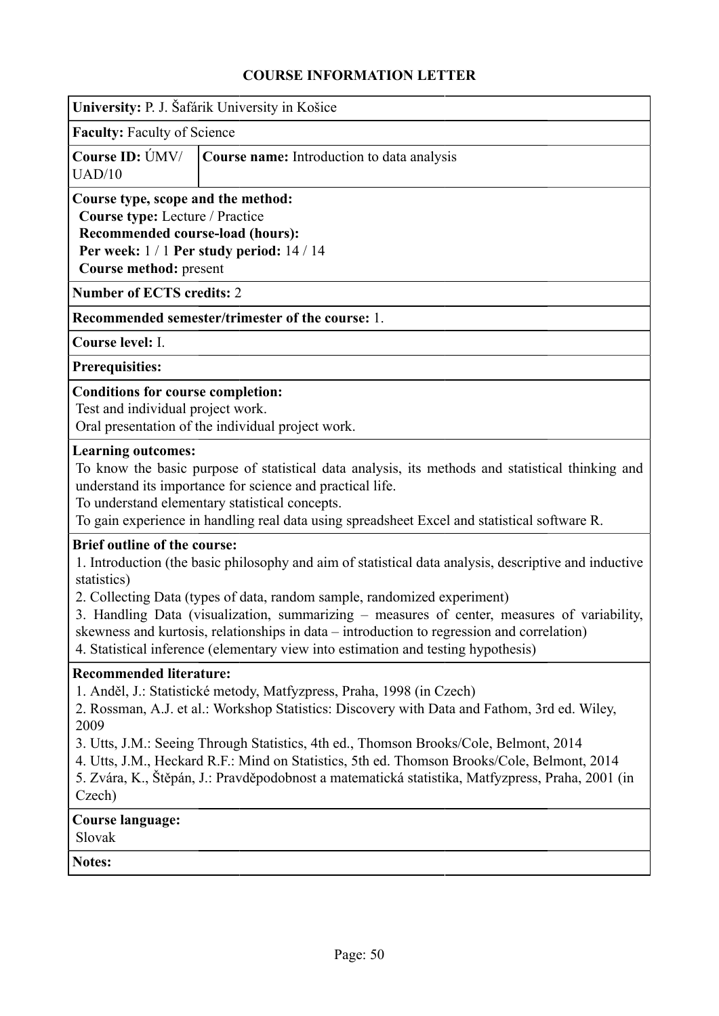| University: P. J. Šafárik University in Košice                                                                                                                                   |                                                                                                                                                                                                                                                                                                                                                                                                                                                                     |
|----------------------------------------------------------------------------------------------------------------------------------------------------------------------------------|---------------------------------------------------------------------------------------------------------------------------------------------------------------------------------------------------------------------------------------------------------------------------------------------------------------------------------------------------------------------------------------------------------------------------------------------------------------------|
| <b>Faculty: Faculty of Science</b>                                                                                                                                               |                                                                                                                                                                                                                                                                                                                                                                                                                                                                     |
| Course ID: UMV/<br>UAD/10                                                                                                                                                        | Course name: Introduction to data analysis                                                                                                                                                                                                                                                                                                                                                                                                                          |
| Course type, scope and the method:<br>Course type: Lecture / Practice<br>Recommended course-load (hours):<br>Per week: $1/1$ Per study period: $14/14$<br>Course method: present |                                                                                                                                                                                                                                                                                                                                                                                                                                                                     |
| <b>Number of ECTS credits: 2</b>                                                                                                                                                 |                                                                                                                                                                                                                                                                                                                                                                                                                                                                     |
|                                                                                                                                                                                  | Recommended semester/trimester of the course: 1.                                                                                                                                                                                                                                                                                                                                                                                                                    |
| Course level: I.                                                                                                                                                                 |                                                                                                                                                                                                                                                                                                                                                                                                                                                                     |
| <b>Prerequisities:</b>                                                                                                                                                           |                                                                                                                                                                                                                                                                                                                                                                                                                                                                     |
| <b>Conditions for course completion:</b><br>Test and individual project work.                                                                                                    | Oral presentation of the individual project work.                                                                                                                                                                                                                                                                                                                                                                                                                   |
| <b>Learning outcomes:</b>                                                                                                                                                        | To know the basic purpose of statistical data analysis, its methods and statistical thinking and<br>understand its importance for science and practical life.<br>To understand elementary statistical concepts.<br>To gain experience in handling real data using spreadsheet Excel and statistical software R.                                                                                                                                                     |
| <b>Brief outline of the course:</b><br>statistics)                                                                                                                               | 1. Introduction (the basic philosophy and aim of statistical data analysis, descriptive and inductive<br>2. Collecting Data (types of data, random sample, randomized experiment)<br>3. Handling Data (visualization, summarizing - measures of center, measures of variability,<br>skewness and kurtosis, relationships in data – introduction to regression and correlation)<br>4. Statistical inference (elementary view into estimation and testing hypothesis) |
| <b>Recommended literature:</b><br>2009<br>Czech)                                                                                                                                 | 1. Anděl, J.: Statistické metody, Matfyzpress, Praha, 1998 (in Czech)<br>2. Rossman, A.J. et al.: Workshop Statistics: Discovery with Data and Fathom, 3rd ed. Wiley,<br>3. Utts, J.M.: Seeing Through Statistics, 4th ed., Thomson Brooks/Cole, Belmont, 2014<br>4. Utts, J.M., Heckard R.F.: Mind on Statistics, 5th ed. Thomson Brooks/Cole, Belmont, 2014<br>5. Zvára, K., Štěpán, J.: Pravděpodobnost a matematická statistika, Matfyzpress, Praha, 2001 (in   |
| <b>Course language:</b><br>Slovak                                                                                                                                                |                                                                                                                                                                                                                                                                                                                                                                                                                                                                     |
| <b>Notes:</b>                                                                                                                                                                    |                                                                                                                                                                                                                                                                                                                                                                                                                                                                     |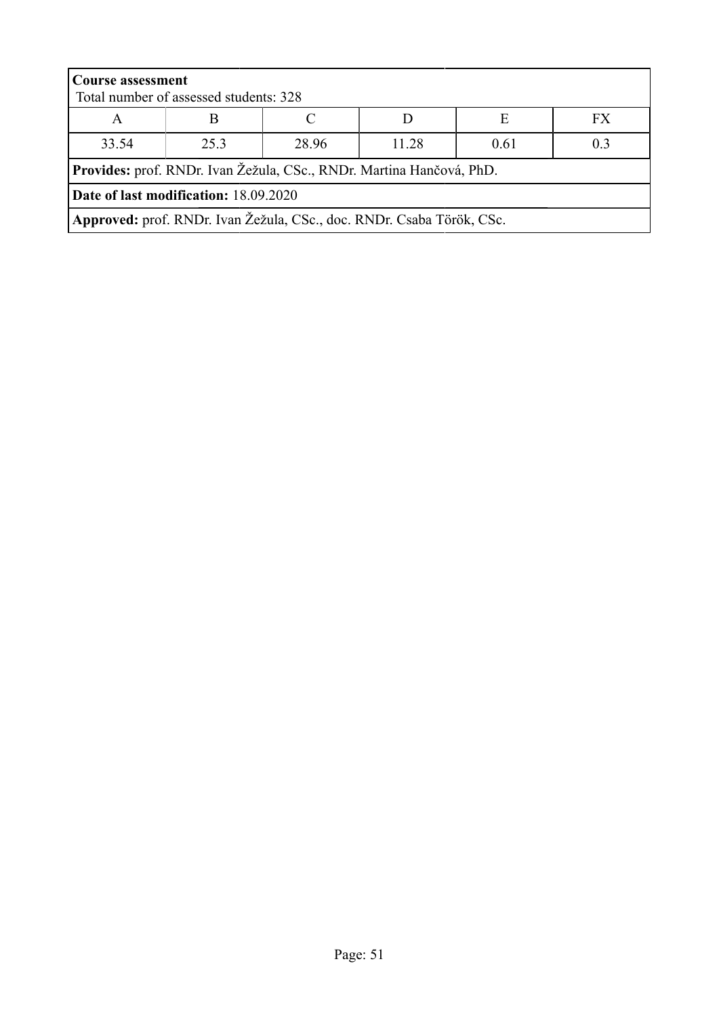| <b>Course assessment</b>                                             | Total number of assessed students: 328                                |       |       |      |                |
|----------------------------------------------------------------------|-----------------------------------------------------------------------|-------|-------|------|----------------|
| A                                                                    |                                                                       |       |       | E    | FX             |
| 33.54                                                                | 253                                                                   | 28.96 | 11.28 | 0.61 | 0 <sup>3</sup> |
| Provides: prof. RNDr. Ivan Žežula, CSc., RNDr. Martina Hančová, PhD. |                                                                       |       |       |      |                |
| Date of last modification: 18.09.2020                                |                                                                       |       |       |      |                |
|                                                                      | Approved: prof. RNDr. Ivan Žežula, CSc., doc. RNDr. Csaba Török, CSc. |       |       |      |                |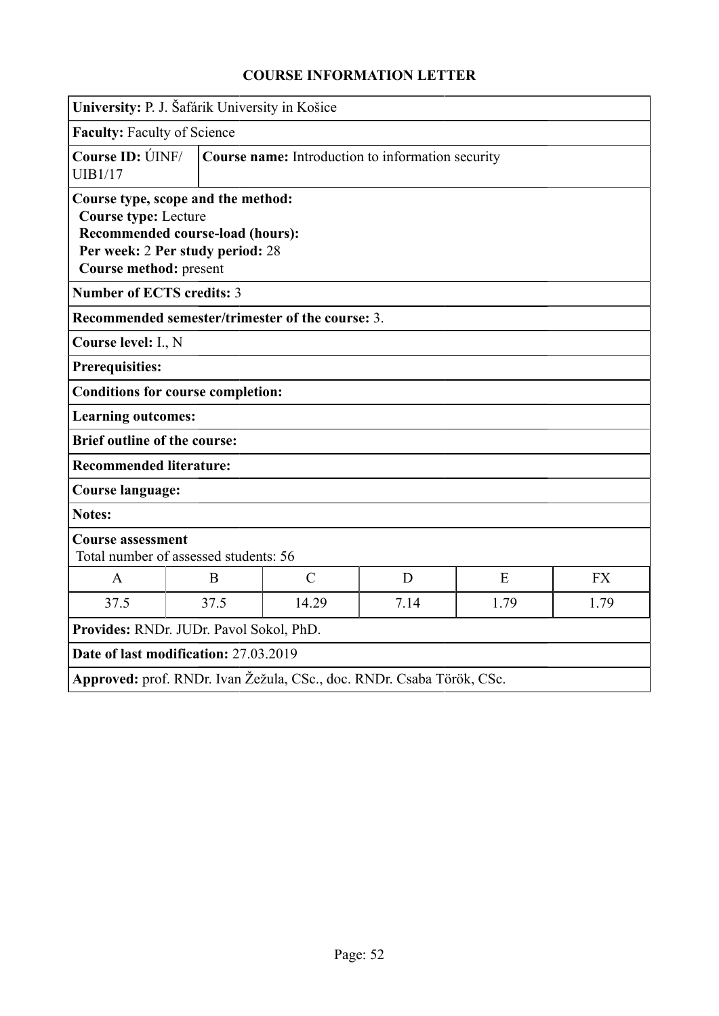|                                                       | University: P. J. Šafárik University in Košice                                                             |                                                  |                                                                       |      |           |
|-------------------------------------------------------|------------------------------------------------------------------------------------------------------------|--------------------------------------------------|-----------------------------------------------------------------------|------|-----------|
| <b>Faculty: Faculty of Science</b>                    |                                                                                                            |                                                  |                                                                       |      |           |
| Course ID: UNF/<br><b>UIB1/17</b>                     | Course name: Introduction to information security                                                          |                                                  |                                                                       |      |           |
| <b>Course type: Lecture</b><br>Course method: present | Course type, scope and the method:<br>Recommended course-load (hours):<br>Per week: 2 Per study period: 28 |                                                  |                                                                       |      |           |
| <b>Number of ECTS credits: 3</b>                      |                                                                                                            |                                                  |                                                                       |      |           |
|                                                       |                                                                                                            | Recommended semester/trimester of the course: 3. |                                                                       |      |           |
| Course level: I., N                                   |                                                                                                            |                                                  |                                                                       |      |           |
| <b>Prerequisities:</b>                                |                                                                                                            |                                                  |                                                                       |      |           |
|                                                       | <b>Conditions for course completion:</b>                                                                   |                                                  |                                                                       |      |           |
| <b>Learning outcomes:</b>                             |                                                                                                            |                                                  |                                                                       |      |           |
| <b>Brief outline of the course:</b>                   |                                                                                                            |                                                  |                                                                       |      |           |
| <b>Recommended literature:</b>                        |                                                                                                            |                                                  |                                                                       |      |           |
| <b>Course language:</b>                               |                                                                                                            |                                                  |                                                                       |      |           |
| <b>Notes:</b>                                         |                                                                                                            |                                                  |                                                                       |      |           |
| <b>Course assessment</b>                              | Total number of assessed students: 56                                                                      |                                                  |                                                                       |      |           |
| $\mathbf{A}$                                          | B                                                                                                          | $\mathcal{C}$                                    | D                                                                     | E    | <b>FX</b> |
| 37.5                                                  | 37.5                                                                                                       | 14.29                                            | 7.14                                                                  | 1.79 | 1.79      |
|                                                       | Provides: RNDr. JUDr. Pavol Sokol, PhD.                                                                    |                                                  |                                                                       |      |           |
|                                                       | Date of last modification: 27.03.2019                                                                      |                                                  |                                                                       |      |           |
|                                                       |                                                                                                            |                                                  | Approved: prof. RNDr. Ivan Žežula, CSc., doc. RNDr. Csaba Török, CSc. |      |           |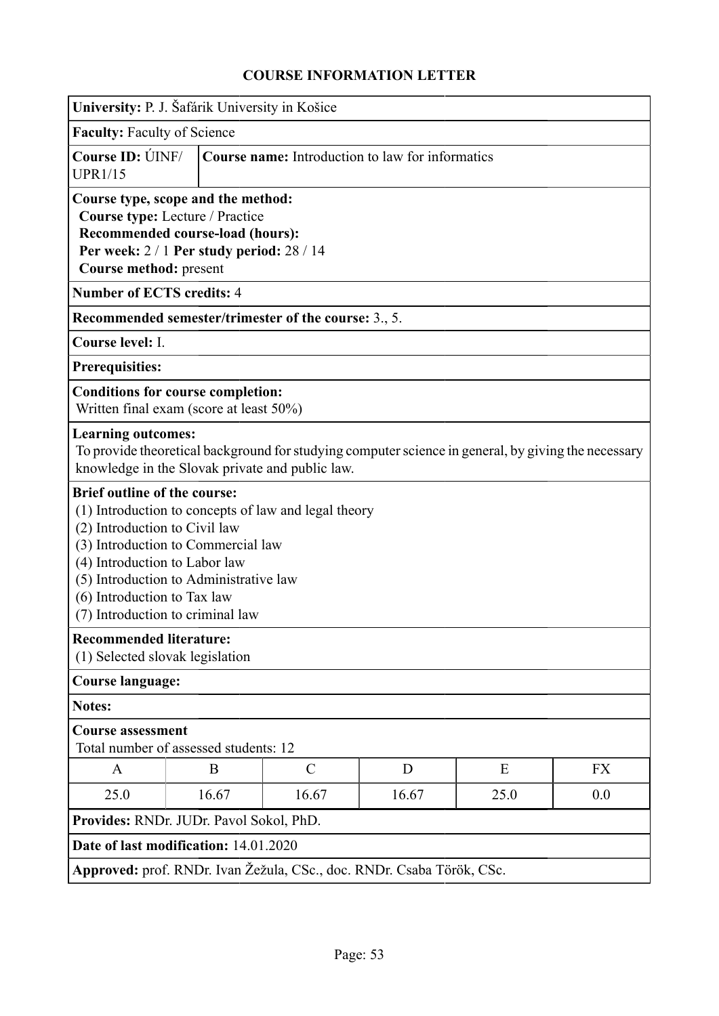| University: P. J. Šafárik University in Košice                                                                                                                                                                       |                                                                                                                  |                                                                       |       |                                                                                                     |           |  |
|----------------------------------------------------------------------------------------------------------------------------------------------------------------------------------------------------------------------|------------------------------------------------------------------------------------------------------------------|-----------------------------------------------------------------------|-------|-----------------------------------------------------------------------------------------------------|-----------|--|
| <b>Faculty: Faculty of Science</b>                                                                                                                                                                                   |                                                                                                                  |                                                                       |       |                                                                                                     |           |  |
| Course ID: ÚINF/<br><b>UPR1/15</b>                                                                                                                                                                                   |                                                                                                                  | <b>Course name:</b> Introduction to law for informatics               |       |                                                                                                     |           |  |
| Course type, scope and the method:<br>Course method: present                                                                                                                                                         | Course type: Lecture / Practice<br>Recommended course-load (hours):<br>Per week: 2 / 1 Per study period: 28 / 14 |                                                                       |       |                                                                                                     |           |  |
| <b>Number of ECTS credits: 4</b>                                                                                                                                                                                     |                                                                                                                  |                                                                       |       |                                                                                                     |           |  |
|                                                                                                                                                                                                                      |                                                                                                                  | Recommended semester/trimester of the course: 3., 5.                  |       |                                                                                                     |           |  |
| Course level: I.                                                                                                                                                                                                     |                                                                                                                  |                                                                       |       |                                                                                                     |           |  |
| Prerequisities:                                                                                                                                                                                                      |                                                                                                                  |                                                                       |       |                                                                                                     |           |  |
| <b>Conditions for course completion:</b><br>Written final exam (score at least 50%)                                                                                                                                  |                                                                                                                  |                                                                       |       |                                                                                                     |           |  |
| <b>Learning outcomes:</b>                                                                                                                                                                                            |                                                                                                                  | knowledge in the Slovak private and public law.                       |       | To provide theoretical background for studying computer science in general, by giving the necessary |           |  |
| <b>Brief outline of the course:</b><br>(2) Introduction to Civil law<br>(3) Introduction to Commercial law<br>(4) Introduction to Labor law<br>(5) Introduction to Administrative law<br>(6) Introduction to Tax law | (7) Introduction to criminal law                                                                                 | (1) Introduction to concepts of law and legal theory                  |       |                                                                                                     |           |  |
| <b>Recommended literature:</b><br>(1) Selected slovak legislation                                                                                                                                                    |                                                                                                                  |                                                                       |       |                                                                                                     |           |  |
| <b>Course language:</b>                                                                                                                                                                                              |                                                                                                                  |                                                                       |       |                                                                                                     |           |  |
| Notes:                                                                                                                                                                                                               |                                                                                                                  |                                                                       |       |                                                                                                     |           |  |
| <b>Course assessment</b>                                                                                                                                                                                             | Total number of assessed students: 12                                                                            |                                                                       |       |                                                                                                     |           |  |
| A                                                                                                                                                                                                                    | B                                                                                                                | $\mathcal{C}$                                                         | D     | E                                                                                                   | <b>FX</b> |  |
| 25.0                                                                                                                                                                                                                 | 16.67                                                                                                            | 16.67                                                                 | 16.67 | 25.0                                                                                                | 0.0       |  |
| Provides: RNDr. JUDr. Pavol Sokol, PhD.                                                                                                                                                                              |                                                                                                                  |                                                                       |       |                                                                                                     |           |  |
| Date of last modification: 14.01.2020                                                                                                                                                                                |                                                                                                                  |                                                                       |       |                                                                                                     |           |  |
|                                                                                                                                                                                                                      |                                                                                                                  | Approved: prof. RNDr. Ivan Žežula, CSc., doc. RNDr. Csaba Török, CSc. |       |                                                                                                     |           |  |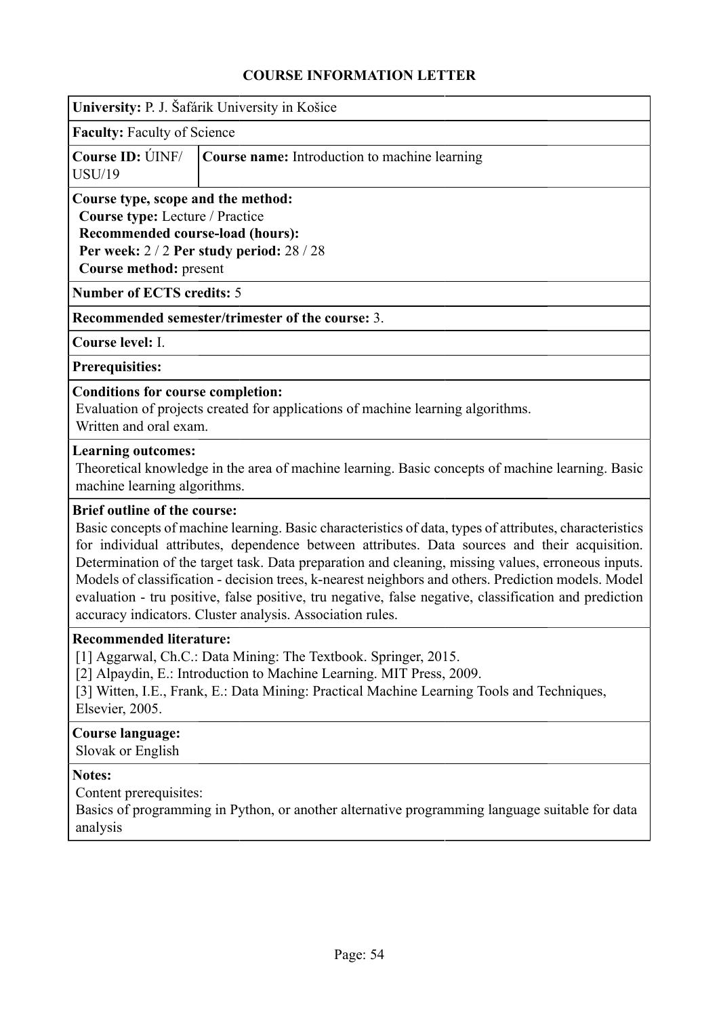|                                                                                                                                                                                  | University: P. J. Šafárik University in Košice                                                                                                                                                                                                                                                                                                                                                                                                                                                                                                                                               |
|----------------------------------------------------------------------------------------------------------------------------------------------------------------------------------|----------------------------------------------------------------------------------------------------------------------------------------------------------------------------------------------------------------------------------------------------------------------------------------------------------------------------------------------------------------------------------------------------------------------------------------------------------------------------------------------------------------------------------------------------------------------------------------------|
| <b>Faculty: Faculty of Science</b>                                                                                                                                               |                                                                                                                                                                                                                                                                                                                                                                                                                                                                                                                                                                                              |
| Course ID: <b>ÚINF</b> /<br><b>USU/19</b>                                                                                                                                        | Course name: Introduction to machine learning                                                                                                                                                                                                                                                                                                                                                                                                                                                                                                                                                |
| Course type, scope and the method:<br>Course type: Lecture / Practice<br>Recommended course-load (hours):<br>Per week: 2 / 2 Per study period: 28 / 28<br>Course method: present |                                                                                                                                                                                                                                                                                                                                                                                                                                                                                                                                                                                              |
| <b>Number of ECTS credits: 5</b>                                                                                                                                                 |                                                                                                                                                                                                                                                                                                                                                                                                                                                                                                                                                                                              |
|                                                                                                                                                                                  | Recommended semester/trimester of the course: 3.                                                                                                                                                                                                                                                                                                                                                                                                                                                                                                                                             |
| Course level: I.                                                                                                                                                                 |                                                                                                                                                                                                                                                                                                                                                                                                                                                                                                                                                                                              |
| <b>Prerequisities:</b>                                                                                                                                                           |                                                                                                                                                                                                                                                                                                                                                                                                                                                                                                                                                                                              |
| <b>Conditions for course completion:</b><br>Written and oral exam.                                                                                                               | Evaluation of projects created for applications of machine learning algorithms.                                                                                                                                                                                                                                                                                                                                                                                                                                                                                                              |
| <b>Learning outcomes:</b><br>machine learning algorithms.                                                                                                                        | Theoretical knowledge in the area of machine learning. Basic concepts of machine learning. Basic                                                                                                                                                                                                                                                                                                                                                                                                                                                                                             |
| <b>Brief outline of the course:</b>                                                                                                                                              | Basic concepts of machine learning. Basic characteristics of data, types of attributes, characteristics<br>for individual attributes, dependence between attributes. Data sources and their acquisition.<br>Determination of the target task. Data preparation and cleaning, missing values, erroneous inputs.<br>Models of classification - decision trees, k-nearest neighbors and others. Prediction models. Model<br>evaluation - tru positive, false positive, tru negative, false negative, classification and prediction<br>accuracy indicators. Cluster analysis. Association rules. |
| <b>Recommended literature:</b><br>Elsevier, 2005.                                                                                                                                | [1] Aggarwal, Ch.C.: Data Mining: The Textbook. Springer, 2015.<br>[2] Alpaydin, E.: Introduction to Machine Learning. MIT Press, 2009.<br>[3] Witten, I.E., Frank, E.: Data Mining: Practical Machine Learning Tools and Techniques,                                                                                                                                                                                                                                                                                                                                                        |
| <b>Course language:</b><br>Slovak or English                                                                                                                                     |                                                                                                                                                                                                                                                                                                                                                                                                                                                                                                                                                                                              |
| <b>Notes:</b>                                                                                                                                                                    | Content prerequisites:                                                                                                                                                                                                                                                                                                                                                                                                                                                                                                                                                                       |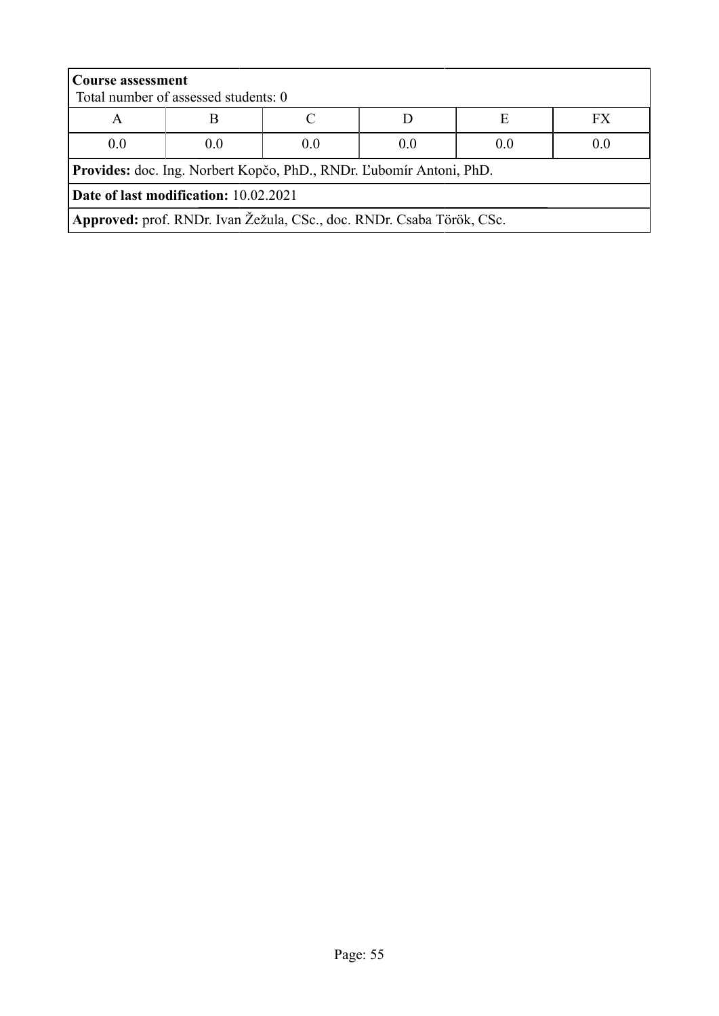| <b>Course assessment</b>                                            |                                                                       |     |     |     |     |
|---------------------------------------------------------------------|-----------------------------------------------------------------------|-----|-----|-----|-----|
|                                                                     | Total number of assessed students: 0                                  |     |     |     |     |
| А                                                                   |                                                                       |     |     | Е   | FX  |
| 0.0                                                                 | 0.0                                                                   | (0) | 0.0 | 0.0 | 0.0 |
| Provides: doc. Ing. Norbert Kopčo, PhD., RNDr. Ľubomír Antoni, PhD. |                                                                       |     |     |     |     |
| Date of last modification: 10.02.2021                               |                                                                       |     |     |     |     |
|                                                                     | Approved: prof. RNDr. Ivan Žežula, CSc., doc. RNDr. Csaba Török, CSc. |     |     |     |     |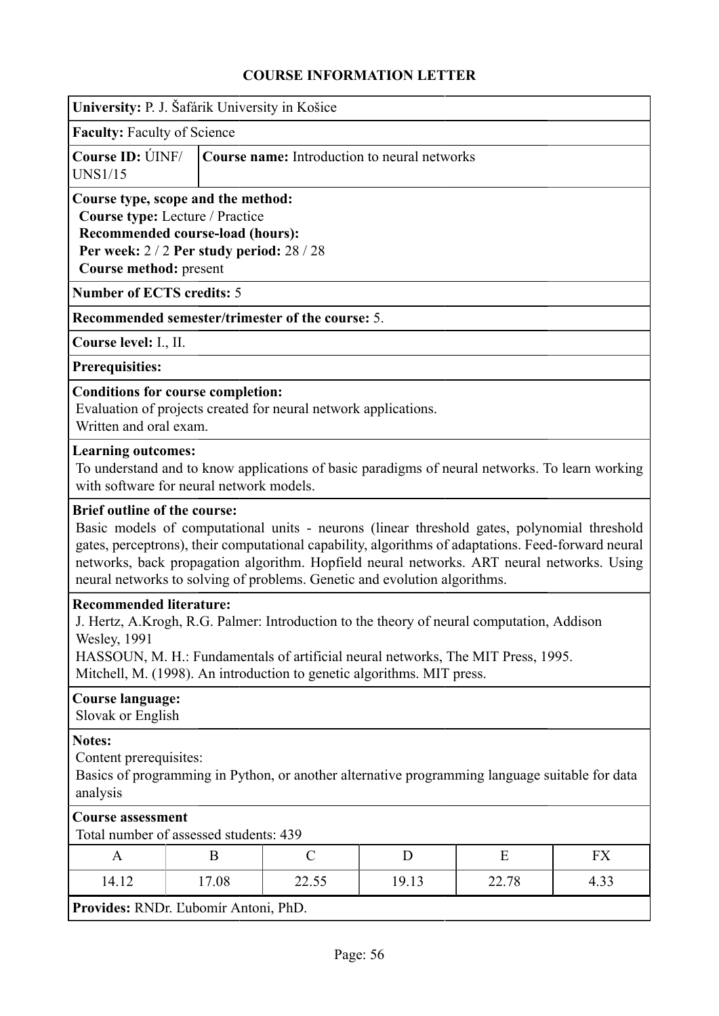| University: P. J. Šafárik University in Košice                                                                                                                                                                                                                                                                                                                                                                       |       |               |                                              |       |      |
|----------------------------------------------------------------------------------------------------------------------------------------------------------------------------------------------------------------------------------------------------------------------------------------------------------------------------------------------------------------------------------------------------------------------|-------|---------------|----------------------------------------------|-------|------|
| <b>Faculty: Faculty of Science</b>                                                                                                                                                                                                                                                                                                                                                                                   |       |               |                                              |       |      |
| Course ID: UNF/<br><b>UNS1/15</b>                                                                                                                                                                                                                                                                                                                                                                                    |       |               | Course name: Introduction to neural networks |       |      |
| Course type, scope and the method:<br>Course type: Lecture / Practice<br>Recommended course-load (hours):<br>Per week: 2/2 Per study period: 28/28<br>Course method: present                                                                                                                                                                                                                                         |       |               |                                              |       |      |
| <b>Number of ECTS credits: 5</b>                                                                                                                                                                                                                                                                                                                                                                                     |       |               |                                              |       |      |
| Recommended semester/trimester of the course: 5.                                                                                                                                                                                                                                                                                                                                                                     |       |               |                                              |       |      |
| Course level: I., II.                                                                                                                                                                                                                                                                                                                                                                                                |       |               |                                              |       |      |
| <b>Prerequisities:</b>                                                                                                                                                                                                                                                                                                                                                                                               |       |               |                                              |       |      |
| <b>Conditions for course completion:</b><br>Evaluation of projects created for neural network applications.<br>Written and oral exam.                                                                                                                                                                                                                                                                                |       |               |                                              |       |      |
| <b>Learning outcomes:</b><br>To understand and to know applications of basic paradigms of neural networks. To learn working<br>with software for neural network models.                                                                                                                                                                                                                                              |       |               |                                              |       |      |
| <b>Brief outline of the course:</b><br>Basic models of computational units - neurons (linear threshold gates, polynomial threshold<br>gates, perceptrons), their computational capability, algorithms of adaptations. Feed-forward neural<br>networks, back propagation algorithm. Hopfield neural networks. ART neural networks. Using<br>neural networks to solving of problems. Genetic and evolution algorithms. |       |               |                                              |       |      |
| <b>Recommended literature:</b><br>J. Hertz, A.Krogh, R.G. Palmer: Introduction to the theory of neural computation, Addison<br>Wesley, 1991<br>HASSOUN, M. H.: Fundamentals of artificial neural networks, The MIT Press, 1995.<br>Mitchell, M. (1998). An introduction to genetic algorithms. MIT press.                                                                                                            |       |               |                                              |       |      |
| <b>Course language:</b><br>Slovak or English                                                                                                                                                                                                                                                                                                                                                                         |       |               |                                              |       |      |
| <b>Notes:</b><br>Content prerequisites:<br>Basics of programming in Python, or another alternative programming language suitable for data<br>analysis                                                                                                                                                                                                                                                                |       |               |                                              |       |      |
| <b>Course assessment</b><br>Total number of assessed students: 439                                                                                                                                                                                                                                                                                                                                                   |       |               |                                              |       |      |
| A                                                                                                                                                                                                                                                                                                                                                                                                                    | B     | $\mathcal{C}$ | D                                            | E     | FX   |
| 14.12                                                                                                                                                                                                                                                                                                                                                                                                                | 17.08 | 22.55         | 19.13                                        | 22.78 | 4.33 |
| Provides: RNDr. Ľubomír Antoni, PhD.                                                                                                                                                                                                                                                                                                                                                                                 |       |               |                                              |       |      |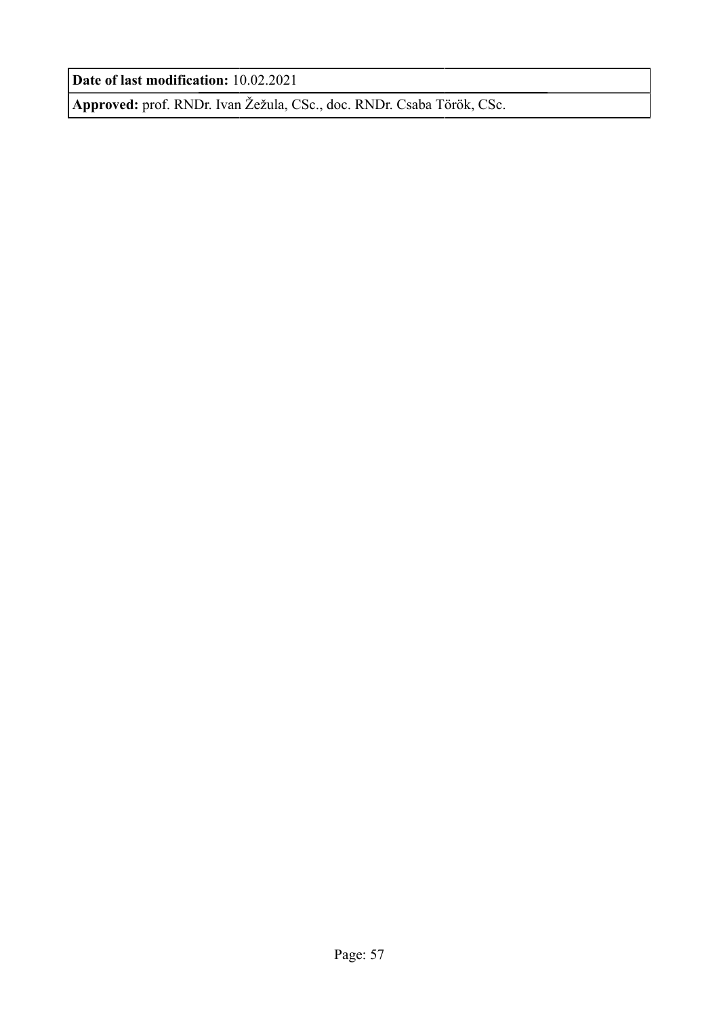**Date of last modification:** 10.02.2021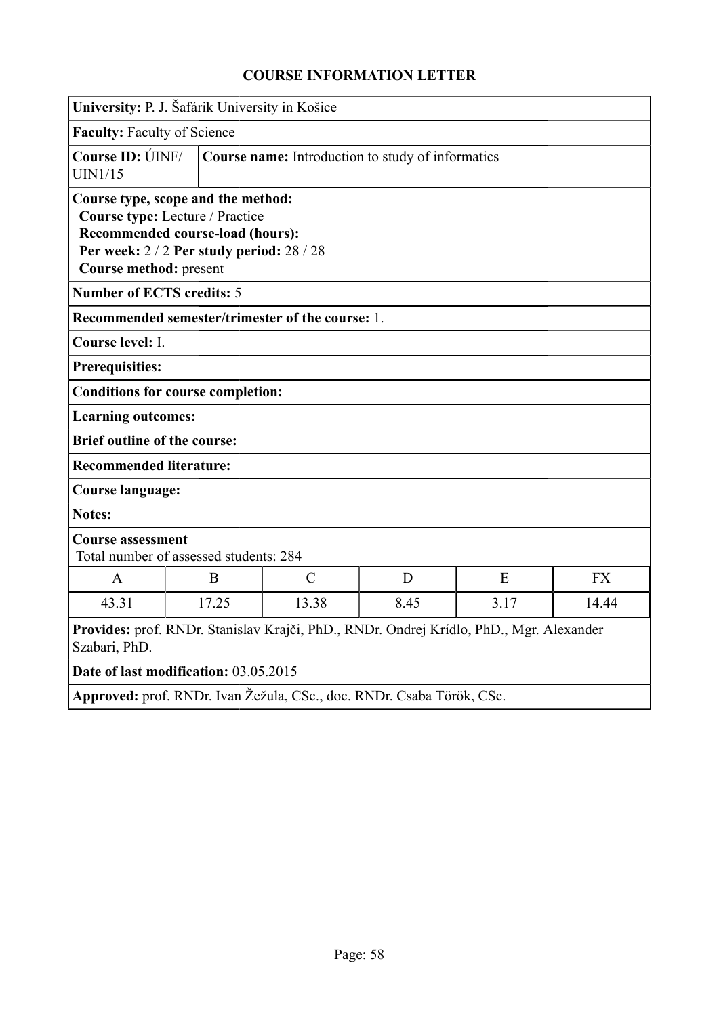| University: P. J. Šafárik University in Košice                        |                                                                                                              |                                                  |      |                                                                                         |           |
|-----------------------------------------------------------------------|--------------------------------------------------------------------------------------------------------------|--------------------------------------------------|------|-----------------------------------------------------------------------------------------|-----------|
| <b>Faculty: Faculty of Science</b>                                    |                                                                                                              |                                                  |      |                                                                                         |           |
| Course ID: UNF/<br><b>UIN1/15</b>                                     | Course name: Introduction to study of informatics                                                            |                                                  |      |                                                                                         |           |
| Course type, scope and the method:<br>Course method: present          | Course type: Lecture / Practice<br>Recommended course-load (hours):<br>Per week: 2/2 Per study period: 28/28 |                                                  |      |                                                                                         |           |
| <b>Number of ECTS credits: 5</b>                                      |                                                                                                              |                                                  |      |                                                                                         |           |
|                                                                       |                                                                                                              | Recommended semester/trimester of the course: 1. |      |                                                                                         |           |
| Course level: I.                                                      |                                                                                                              |                                                  |      |                                                                                         |           |
| <b>Prerequisities:</b>                                                |                                                                                                              |                                                  |      |                                                                                         |           |
| <b>Conditions for course completion:</b>                              |                                                                                                              |                                                  |      |                                                                                         |           |
| <b>Learning outcomes:</b>                                             |                                                                                                              |                                                  |      |                                                                                         |           |
| <b>Brief outline of the course:</b>                                   |                                                                                                              |                                                  |      |                                                                                         |           |
| <b>Recommended literature:</b>                                        |                                                                                                              |                                                  |      |                                                                                         |           |
|                                                                       | Course language:                                                                                             |                                                  |      |                                                                                         |           |
| <b>Notes:</b>                                                         |                                                                                                              |                                                  |      |                                                                                         |           |
| <b>Course assessment</b>                                              | Total number of assessed students: 284                                                                       |                                                  |      |                                                                                         |           |
| $\mathbf{A}$                                                          | B                                                                                                            | $\mathcal{C}$                                    | D    | E                                                                                       | <b>FX</b> |
| 43.31                                                                 | 17.25                                                                                                        | 13.38                                            | 8.45 | 3.17                                                                                    | 14.44     |
| Szabari, PhD.                                                         |                                                                                                              |                                                  |      | Provides: prof. RNDr. Stanislav Krajči, PhD., RNDr. Ondrej Krídlo, PhD., Mgr. Alexander |           |
| Date of last modification: 03.05.2015                                 |                                                                                                              |                                                  |      |                                                                                         |           |
| Approved: prof. RNDr. Ivan Žežula, CSc., doc. RNDr. Csaba Török, CSc. |                                                                                                              |                                                  |      |                                                                                         |           |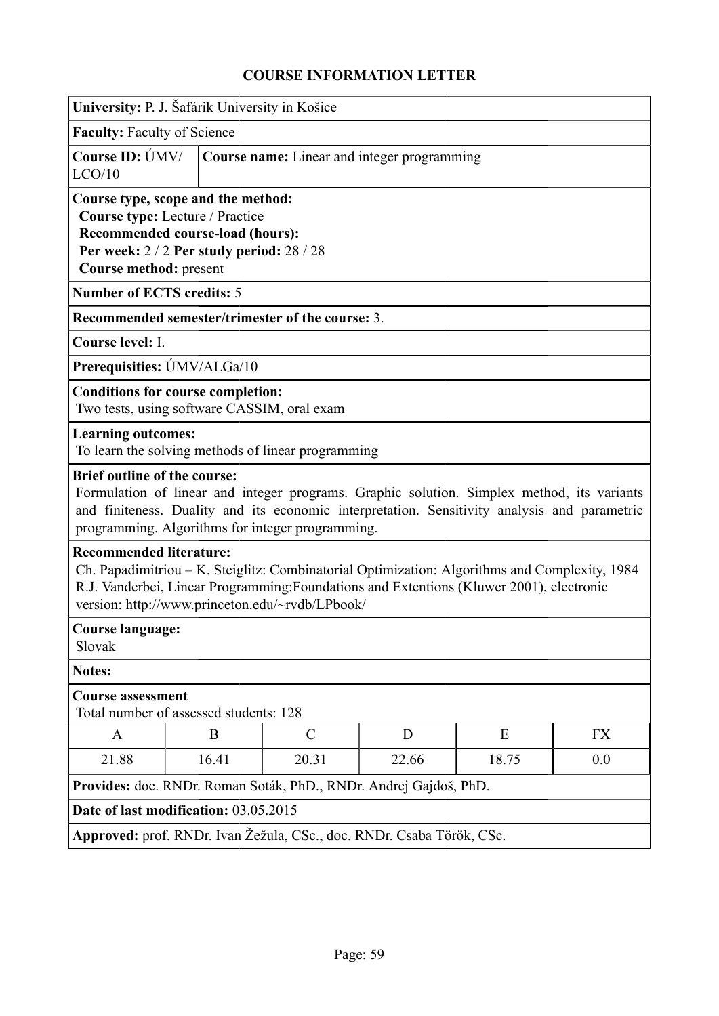| University: P. J. Šafárik University in Košice                                                                                                                                                                                                                                 |       |                                                                       |       |                                                                                                                                                                                            |           |  |
|--------------------------------------------------------------------------------------------------------------------------------------------------------------------------------------------------------------------------------------------------------------------------------|-------|-----------------------------------------------------------------------|-------|--------------------------------------------------------------------------------------------------------------------------------------------------------------------------------------------|-----------|--|
| <b>Faculty: Faculty of Science</b>                                                                                                                                                                                                                                             |       |                                                                       |       |                                                                                                                                                                                            |           |  |
| Course ID: UMV/<br>LCO/10                                                                                                                                                                                                                                                      |       | <b>Course name:</b> Linear and integer programming                    |       |                                                                                                                                                                                            |           |  |
| Course type, scope and the method:<br>Course type: Lecture / Practice<br>Recommended course-load (hours):<br>Per week: 2/2 Per study period: 28/28<br>Course method: present                                                                                                   |       |                                                                       |       |                                                                                                                                                                                            |           |  |
| <b>Number of ECTS credits: 5</b>                                                                                                                                                                                                                                               |       |                                                                       |       |                                                                                                                                                                                            |           |  |
|                                                                                                                                                                                                                                                                                |       | Recommended semester/trimester of the course: 3.                      |       |                                                                                                                                                                                            |           |  |
| Course level: I.                                                                                                                                                                                                                                                               |       |                                                                       |       |                                                                                                                                                                                            |           |  |
| Prerequisities: ÚMV/ALGa/10                                                                                                                                                                                                                                                    |       |                                                                       |       |                                                                                                                                                                                            |           |  |
| <b>Conditions for course completion:</b><br>Two tests, using software CASSIM, oral exam                                                                                                                                                                                        |       |                                                                       |       |                                                                                                                                                                                            |           |  |
| <b>Learning outcomes:</b>                                                                                                                                                                                                                                                      |       | To learn the solving methods of linear programming                    |       |                                                                                                                                                                                            |           |  |
| <b>Brief outline of the course:</b>                                                                                                                                                                                                                                            |       | programming. Algorithms for integer programming.                      |       | Formulation of linear and integer programs. Graphic solution. Simplex method, its variants<br>and finiteness. Duality and its economic interpretation. Sensitivity analysis and parametric |           |  |
| <b>Recommended literature:</b><br>Ch. Papadimitriou – K. Steiglitz: Combinatorial Optimization: Algorithms and Complexity, 1984<br>R.J. Vanderbei, Linear Programming: Foundations and Extentions (Kluwer 2001), electronic<br>version: http://www.princeton.edu/~rvdb/LPbook/ |       |                                                                       |       |                                                                                                                                                                                            |           |  |
| <b>Course language:</b><br>Slovak                                                                                                                                                                                                                                              |       |                                                                       |       |                                                                                                                                                                                            |           |  |
| Notes:                                                                                                                                                                                                                                                                         |       |                                                                       |       |                                                                                                                                                                                            |           |  |
| <b>Course assessment</b><br>Total number of assessed students: 128                                                                                                                                                                                                             |       |                                                                       |       |                                                                                                                                                                                            |           |  |
| A                                                                                                                                                                                                                                                                              | B     | $\mathcal{C}$                                                         | D     | E                                                                                                                                                                                          | <b>FX</b> |  |
| 21.88                                                                                                                                                                                                                                                                          | 16.41 | 20.31                                                                 | 22.66 | 18.75                                                                                                                                                                                      | 0.0       |  |
|                                                                                                                                                                                                                                                                                |       | Provides: doc. RNDr. Roman Soták, PhD., RNDr. Andrej Gajdoš, PhD.     |       |                                                                                                                                                                                            |           |  |
| Date of last modification: 03.05.2015                                                                                                                                                                                                                                          |       |                                                                       |       |                                                                                                                                                                                            |           |  |
|                                                                                                                                                                                                                                                                                |       | Approved: prof. RNDr. Ivan Žežula, CSc., doc. RNDr. Csaba Török, CSc. |       |                                                                                                                                                                                            |           |  |
|                                                                                                                                                                                                                                                                                |       |                                                                       |       |                                                                                                                                                                                            |           |  |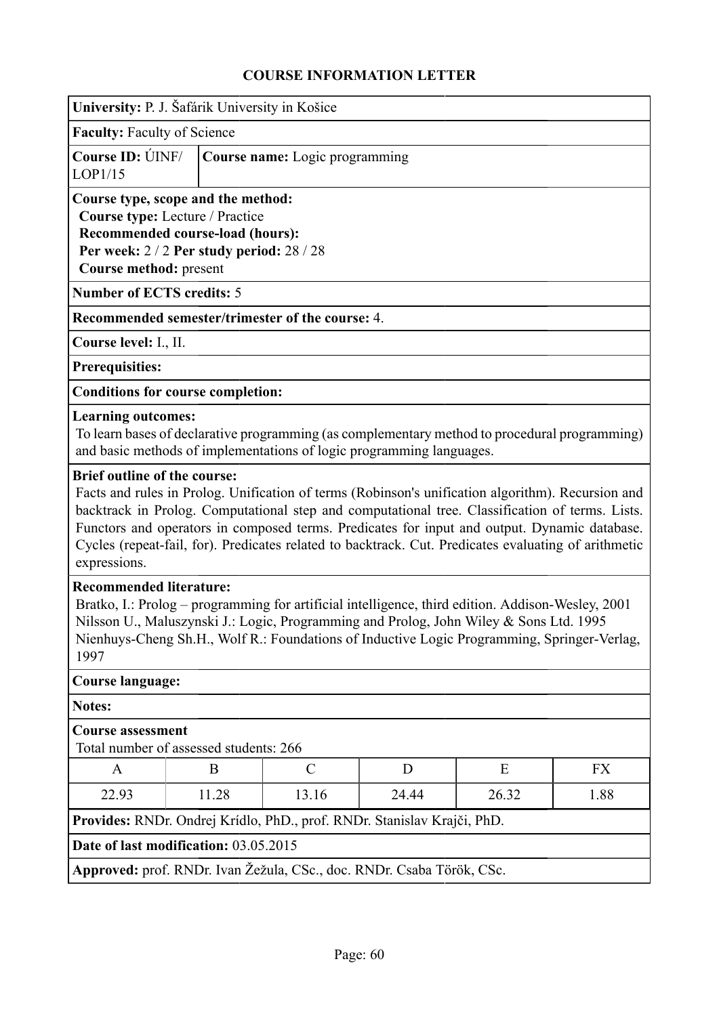| University: P. J. Šafárik University in Košice                                                                                                                                                                                                                                                                                       |                                                                                                                                                                                                                                                                                                                                                                                                              |               |       |       |           |  |
|--------------------------------------------------------------------------------------------------------------------------------------------------------------------------------------------------------------------------------------------------------------------------------------------------------------------------------------|--------------------------------------------------------------------------------------------------------------------------------------------------------------------------------------------------------------------------------------------------------------------------------------------------------------------------------------------------------------------------------------------------------------|---------------|-------|-------|-----------|--|
| <b>Faculty: Faculty of Science</b>                                                                                                                                                                                                                                                                                                   |                                                                                                                                                                                                                                                                                                                                                                                                              |               |       |       |           |  |
| Course ID: UNF/<br>LOP1/15                                                                                                                                                                                                                                                                                                           | Course name: Logic programming                                                                                                                                                                                                                                                                                                                                                                               |               |       |       |           |  |
| Course type, scope and the method:<br>Course type: Lecture / Practice<br>Recommended course-load (hours):<br>Per week: 2/2 Per study period: 28/28<br>Course method: present                                                                                                                                                         |                                                                                                                                                                                                                                                                                                                                                                                                              |               |       |       |           |  |
| <b>Number of ECTS credits: 5</b>                                                                                                                                                                                                                                                                                                     |                                                                                                                                                                                                                                                                                                                                                                                                              |               |       |       |           |  |
| Recommended semester/trimester of the course: 4.                                                                                                                                                                                                                                                                                     |                                                                                                                                                                                                                                                                                                                                                                                                              |               |       |       |           |  |
| Course level: I., II.                                                                                                                                                                                                                                                                                                                |                                                                                                                                                                                                                                                                                                                                                                                                              |               |       |       |           |  |
| <b>Prerequisities:</b>                                                                                                                                                                                                                                                                                                               |                                                                                                                                                                                                                                                                                                                                                                                                              |               |       |       |           |  |
| <b>Conditions for course completion:</b>                                                                                                                                                                                                                                                                                             |                                                                                                                                                                                                                                                                                                                                                                                                              |               |       |       |           |  |
| <b>Learning outcomes:</b><br>To learn bases of declarative programming (as complementary method to procedural programming)<br>and basic methods of implementations of logic programming languages.                                                                                                                                   |                                                                                                                                                                                                                                                                                                                                                                                                              |               |       |       |           |  |
| expressions.                                                                                                                                                                                                                                                                                                                         | Facts and rules in Prolog. Unification of terms (Robinson's unification algorithm). Recursion and<br>backtrack in Prolog. Computational step and computational tree. Classification of terms. Lists.<br>Functors and operators in composed terms. Predicates for input and output. Dynamic database.<br>Cycles (repeat-fail, for). Predicates related to backtrack. Cut. Predicates evaluating of arithmetic |               |       |       |           |  |
| <b>Recommended literature:</b><br>Bratko, I.: Prolog – programming for artificial intelligence, third edition. Addison-Wesley, 2001<br>Nilsson U., Maluszynski J.: Logic, Programming and Prolog, John Wiley & Sons Ltd. 1995<br>Nienhuys-Cheng Sh.H., Wolf R.: Foundations of Inductive Logic Programming, Springer-Verlag,<br>1997 |                                                                                                                                                                                                                                                                                                                                                                                                              |               |       |       |           |  |
| <b>Course language:</b>                                                                                                                                                                                                                                                                                                              |                                                                                                                                                                                                                                                                                                                                                                                                              |               |       |       |           |  |
| <b>Notes:</b>                                                                                                                                                                                                                                                                                                                        |                                                                                                                                                                                                                                                                                                                                                                                                              |               |       |       |           |  |
| <b>Course assessment</b><br>Total number of assessed students: 266                                                                                                                                                                                                                                                                   |                                                                                                                                                                                                                                                                                                                                                                                                              |               |       |       |           |  |
| A                                                                                                                                                                                                                                                                                                                                    | B                                                                                                                                                                                                                                                                                                                                                                                                            | $\mathcal{C}$ | D     | E     | <b>FX</b> |  |
| 22.93                                                                                                                                                                                                                                                                                                                                | 11.28                                                                                                                                                                                                                                                                                                                                                                                                        | 13.16         | 24.44 | 26.32 | 1.88      |  |
| Provides: RNDr. Ondrej Krídlo, PhD., prof. RNDr. Stanislav Krajči, PhD.                                                                                                                                                                                                                                                              |                                                                                                                                                                                                                                                                                                                                                                                                              |               |       |       |           |  |
| Date of last modification: 03.05.2015                                                                                                                                                                                                                                                                                                |                                                                                                                                                                                                                                                                                                                                                                                                              |               |       |       |           |  |
| Approved: prof. RNDr. Ivan Žežula, CSc., doc. RNDr. Csaba Török, CSc.                                                                                                                                                                                                                                                                |                                                                                                                                                                                                                                                                                                                                                                                                              |               |       |       |           |  |
|                                                                                                                                                                                                                                                                                                                                      |                                                                                                                                                                                                                                                                                                                                                                                                              |               |       |       |           |  |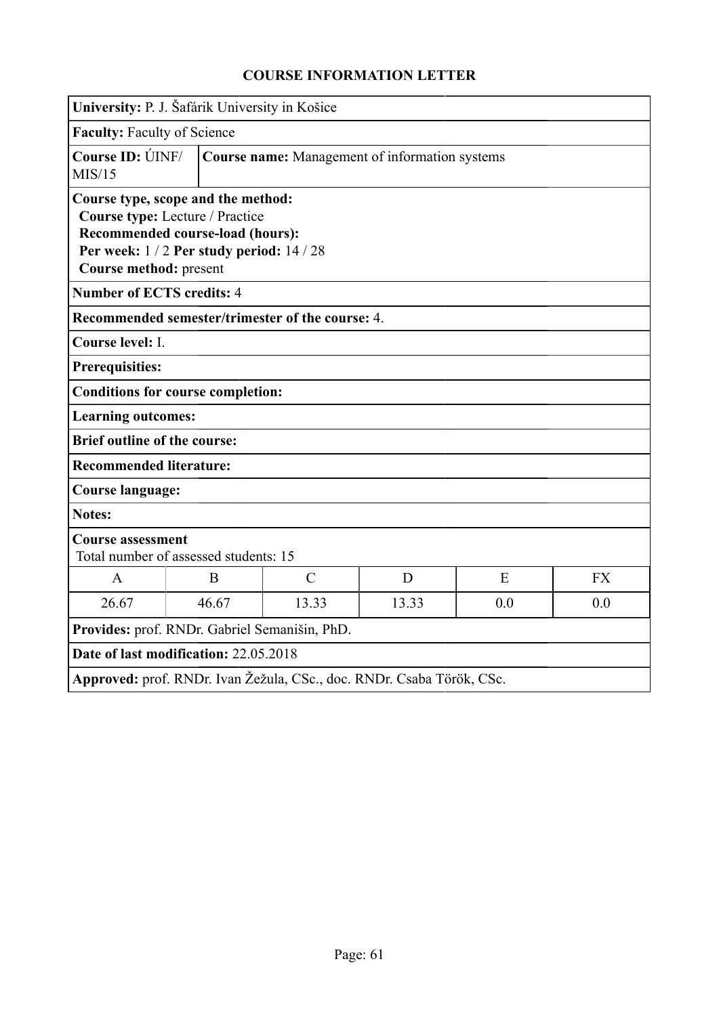|                                     | University: P. J. Šafárik University in Košice                                                                                                     |                                                                       |       |     |           |  |
|-------------------------------------|----------------------------------------------------------------------------------------------------------------------------------------------------|-----------------------------------------------------------------------|-------|-----|-----------|--|
| Faculty: Faculty of Science         |                                                                                                                                                    |                                                                       |       |     |           |  |
| Course ID: UNF/<br>MIS/15           |                                                                                                                                                    | <b>Course name:</b> Management of information systems                 |       |     |           |  |
| Course method: present              | Course type, scope and the method:<br>Course type: Lecture / Practice<br>Recommended course-load (hours):<br>Per week: 1/2 Per study period: 14/28 |                                                                       |       |     |           |  |
| <b>Number of ECTS credits: 4</b>    |                                                                                                                                                    |                                                                       |       |     |           |  |
|                                     |                                                                                                                                                    | Recommended semester/trimester of the course: 4.                      |       |     |           |  |
| Course level: I.                    |                                                                                                                                                    |                                                                       |       |     |           |  |
| <b>Prerequisities:</b>              |                                                                                                                                                    |                                                                       |       |     |           |  |
|                                     | <b>Conditions for course completion:</b>                                                                                                           |                                                                       |       |     |           |  |
| <b>Learning outcomes:</b>           |                                                                                                                                                    |                                                                       |       |     |           |  |
| <b>Brief outline of the course:</b> |                                                                                                                                                    |                                                                       |       |     |           |  |
| <b>Recommended literature:</b>      |                                                                                                                                                    |                                                                       |       |     |           |  |
| <b>Course language:</b>             |                                                                                                                                                    |                                                                       |       |     |           |  |
| <b>Notes:</b>                       |                                                                                                                                                    |                                                                       |       |     |           |  |
| <b>Course assessment</b>            | Total number of assessed students: 15                                                                                                              |                                                                       |       |     |           |  |
| $\mathbf{A}$                        | B                                                                                                                                                  | $\mathcal{C}$                                                         | D     | E   | <b>FX</b> |  |
| 26.67                               | 46.67                                                                                                                                              | 13.33                                                                 | 13.33 | 0.0 | 0.0       |  |
|                                     | Provides: prof. RNDr. Gabriel Semanišin, PhD.                                                                                                      |                                                                       |       |     |           |  |
|                                     | Date of last modification: 22.05.2018                                                                                                              |                                                                       |       |     |           |  |
|                                     |                                                                                                                                                    | Approved: prof. RNDr. Ivan Žežula, CSc., doc. RNDr. Csaba Török, CSc. |       |     |           |  |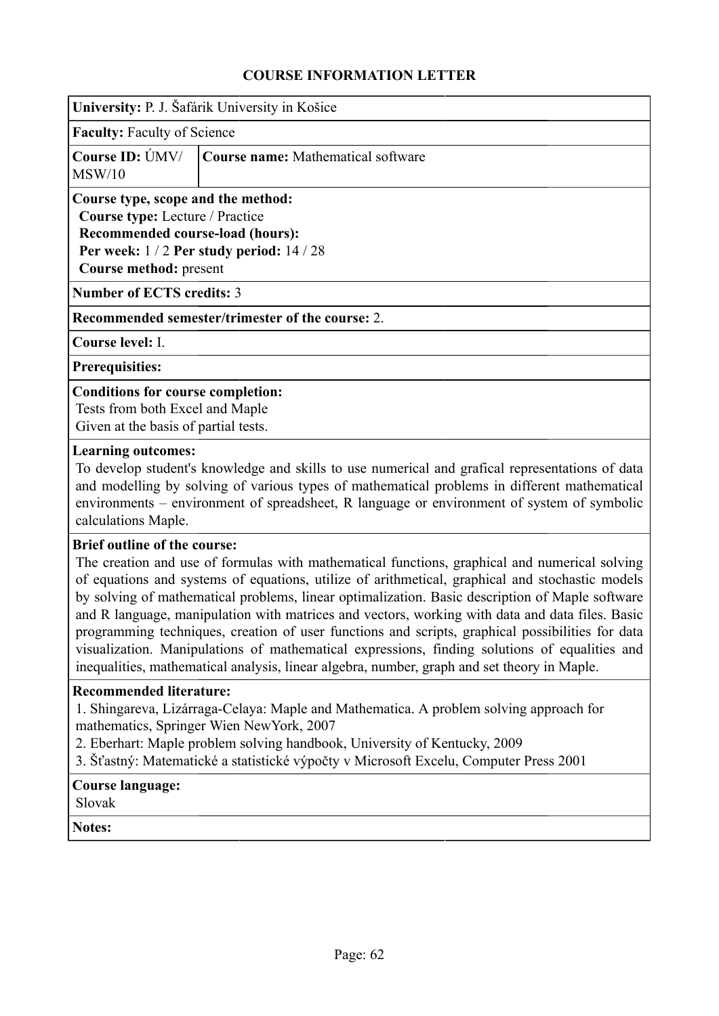| University: P. J. Šafárik University in Košice |  |
|------------------------------------------------|--|
|------------------------------------------------|--|

**Faculty:** Faculty of Science

|        | Course ID: ÚMV/ Course name: Mathematical software |
|--------|----------------------------------------------------|
| MSW/10 |                                                    |

## **Course type, scope and the method:**

**Course type:** Lecture / Practice

**Recommended course-load (hours): Per week:** 1 / 2 **Per study period:** 14 / 28 **Course method:** present

**Number of ECTS credits:** 3

**Recommended semester/trimester of the course:** 2.

**Course level:** I.

**Prerequisities:**

### **Conditions for course completion:**

Tests from both Excel and Maple Given at the basis of partial tests.

### **Learning outcomes:**

To develop student's knowledge and skills to use numerical and grafical representations of data and modelling by solving of various types of mathematical problems in different mathematical environments – environment of spreadsheet, R language or environment of system of symbolic calculations Maple.

### **Brief outline of the course:**

The creation and use of formulas with mathematical functions, graphical and numerical solving of equations and systems of equations, utilize of arithmetical, graphical and stochastic models by solving of mathematical problems, linear optimalization. Basic description of Maple software and R language, manipulation with matrices and vectors, working with data and data files. Basic programming techniques, creation of user functions and scripts, graphical possibilities for data visualization. Manipulations of mathematical expressions, finding solutions of equalities and inequalities, mathematical analysis, linear algebra, number, graph and set theory in Maple.

### **Recommended literature:**

1. Shingareva, Lizárraga-Celaya: Maple and Mathematica. A problem solving approach for mathematics, Springer Wien NewYork, 2007

2. Eberhart: Maple problem solving handbook, University of Kentucky, 2009

3. Šťastný: Matematické a statistické výpočty v Microsoft Excelu, Computer Press 2001

## **Course language:**

Slovak

**Notes:**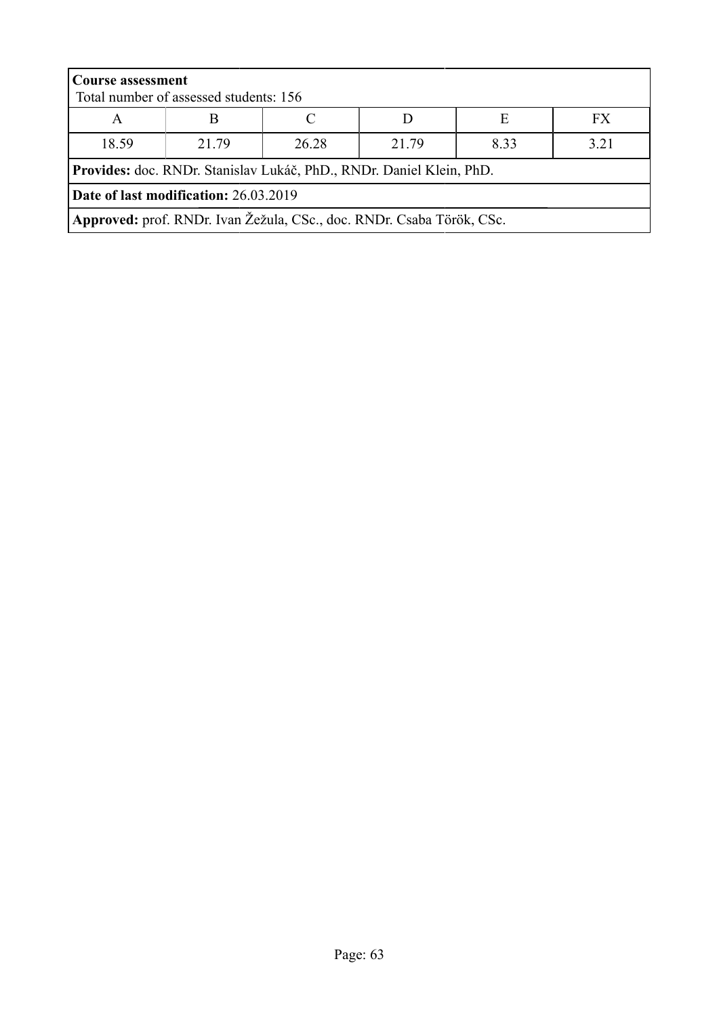|                                                                       | <b>Course assessment</b><br>Total number of assessed students: 156   |  |  |  |  |  |
|-----------------------------------------------------------------------|----------------------------------------------------------------------|--|--|--|--|--|
| E<br>FX.<br>A                                                         |                                                                      |  |  |  |  |  |
| 18.59<br>3.21<br>21.79<br>21 79<br>8.33<br>26.28                      |                                                                      |  |  |  |  |  |
|                                                                       | Provides: doc. RNDr. Stanislav Lukáč, PhD., RNDr. Daniel Klein, PhD. |  |  |  |  |  |
| Date of last modification: 26.03.2019                                 |                                                                      |  |  |  |  |  |
| Approved: prof. RNDr. Ivan Žežula, CSc., doc. RNDr. Csaba Török, CSc. |                                                                      |  |  |  |  |  |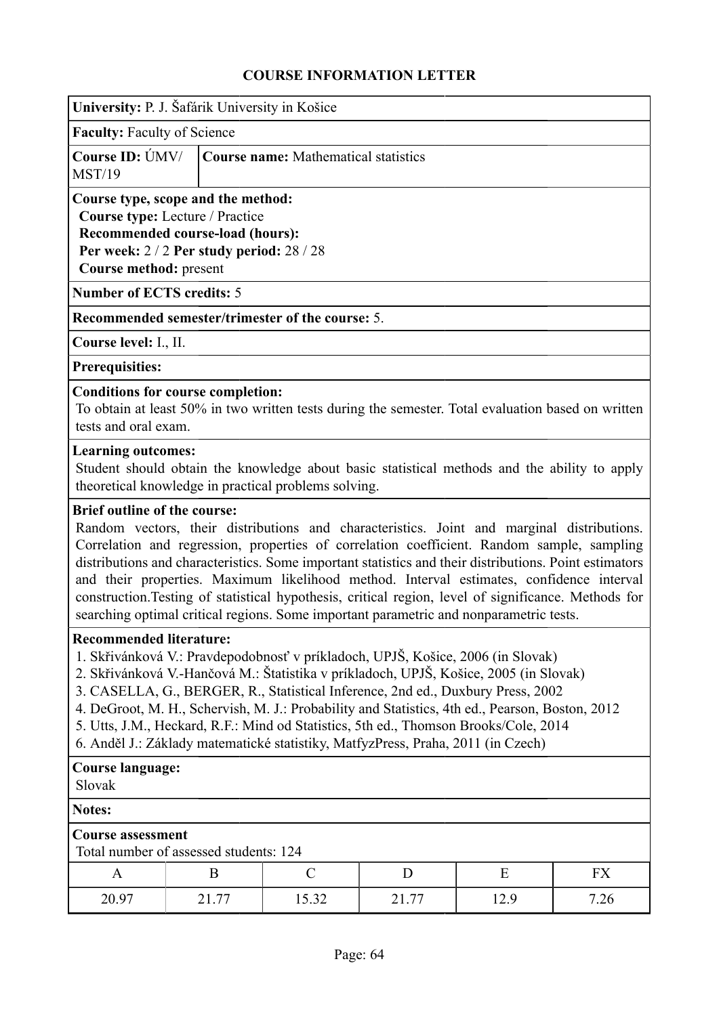|                                                                                                                                                                                                                                                                                                                                                                                                                                                                                                                                                                                                                                         | University: P. J. Šafárik University in Košice                                                                                                                                   |                                                                                                                                                      |       |      |      |
|-----------------------------------------------------------------------------------------------------------------------------------------------------------------------------------------------------------------------------------------------------------------------------------------------------------------------------------------------------------------------------------------------------------------------------------------------------------------------------------------------------------------------------------------------------------------------------------------------------------------------------------------|----------------------------------------------------------------------------------------------------------------------------------------------------------------------------------|------------------------------------------------------------------------------------------------------------------------------------------------------|-------|------|------|
| <b>Faculty: Faculty of Science</b>                                                                                                                                                                                                                                                                                                                                                                                                                                                                                                                                                                                                      |                                                                                                                                                                                  |                                                                                                                                                      |       |      |      |
| Course ID: ÚMV/<br><b>MST/19</b>                                                                                                                                                                                                                                                                                                                                                                                                                                                                                                                                                                                                        |                                                                                                                                                                                  | <b>Course name:</b> Mathematical statistics                                                                                                          |       |      |      |
|                                                                                                                                                                                                                                                                                                                                                                                                                                                                                                                                                                                                                                         | Course type, scope and the method:<br>Course type: Lecture / Practice<br>Recommended course-load (hours):<br>Per week: 2 / 2 Per study period: 28 / 28<br>Course method: present |                                                                                                                                                      |       |      |      |
| <b>Number of ECTS credits: 5</b>                                                                                                                                                                                                                                                                                                                                                                                                                                                                                                                                                                                                        |                                                                                                                                                                                  |                                                                                                                                                      |       |      |      |
|                                                                                                                                                                                                                                                                                                                                                                                                                                                                                                                                                                                                                                         |                                                                                                                                                                                  | Recommended semester/trimester of the course: 5.                                                                                                     |       |      |      |
| Course level: I., II.                                                                                                                                                                                                                                                                                                                                                                                                                                                                                                                                                                                                                   |                                                                                                                                                                                  |                                                                                                                                                      |       |      |      |
| <b>Prerequisities:</b>                                                                                                                                                                                                                                                                                                                                                                                                                                                                                                                                                                                                                  |                                                                                                                                                                                  |                                                                                                                                                      |       |      |      |
| tests and oral exam.                                                                                                                                                                                                                                                                                                                                                                                                                                                                                                                                                                                                                    | <b>Conditions for course completion:</b>                                                                                                                                         | To obtain at least 50% in two written tests during the semester. Total evaluation based on written                                                   |       |      |      |
| <b>Learning outcomes:</b>                                                                                                                                                                                                                                                                                                                                                                                                                                                                                                                                                                                                               |                                                                                                                                                                                  | Student should obtain the knowledge about basic statistical methods and the ability to apply<br>theoretical knowledge in practical problems solving. |       |      |      |
| <b>Brief outline of the course:</b><br>Random vectors, their distributions and characteristics. Joint and marginal distributions.<br>Correlation and regression, properties of correlation coefficient. Random sample, sampling<br>distributions and characteristics. Some important statistics and their distributions. Point estimators<br>and their properties. Maximum likelihood method. Interval estimates, confidence interval<br>construction. Testing of statistical hypothesis, critical region, level of significance. Methods for<br>searching optimal critical regions. Some important parametric and nonparametric tests. |                                                                                                                                                                                  |                                                                                                                                                      |       |      |      |
| <b>Recommended literature:</b><br>1. Skřivánková V.: Pravdepodobnosť v príkladoch, UPJŠ, Košice, 2006 (in Slovak)<br>2. Skřivánková V.-Hančová M.: Štatistika v príkladoch, UPJŠ, Košice, 2005 (in Slovak)<br>3. CASELLA, G., BERGER, R., Statistical Inference, 2nd ed., Duxbury Press, 2002<br>4. DeGroot, M. H., Schervish, M. J.: Probability and Statistics, 4th ed., Pearson, Boston, 2012<br>5. Utts, J.M., Heckard, R.F.: Mind od Statistics, 5th ed., Thomson Brooks/Cole, 2014<br>6. Anděl J.: Základy matematické statistiky, MatfyzPress, Praha, 2011 (in Czech)                                                            |                                                                                                                                                                                  |                                                                                                                                                      |       |      |      |
| <b>Course language:</b><br>Slovak                                                                                                                                                                                                                                                                                                                                                                                                                                                                                                                                                                                                       |                                                                                                                                                                                  |                                                                                                                                                      |       |      |      |
| <b>Notes:</b>                                                                                                                                                                                                                                                                                                                                                                                                                                                                                                                                                                                                                           |                                                                                                                                                                                  |                                                                                                                                                      |       |      |      |
| <b>Course assessment</b><br>Total number of assessed students: 124                                                                                                                                                                                                                                                                                                                                                                                                                                                                                                                                                                      |                                                                                                                                                                                  |                                                                                                                                                      |       |      |      |
| A                                                                                                                                                                                                                                                                                                                                                                                                                                                                                                                                                                                                                                       | B                                                                                                                                                                                | $\mathcal{C}$                                                                                                                                        | D     | E    | FX   |
| 20.97                                                                                                                                                                                                                                                                                                                                                                                                                                                                                                                                                                                                                                   | 21.77                                                                                                                                                                            | 15.32                                                                                                                                                | 21.77 | 12.9 | 7.26 |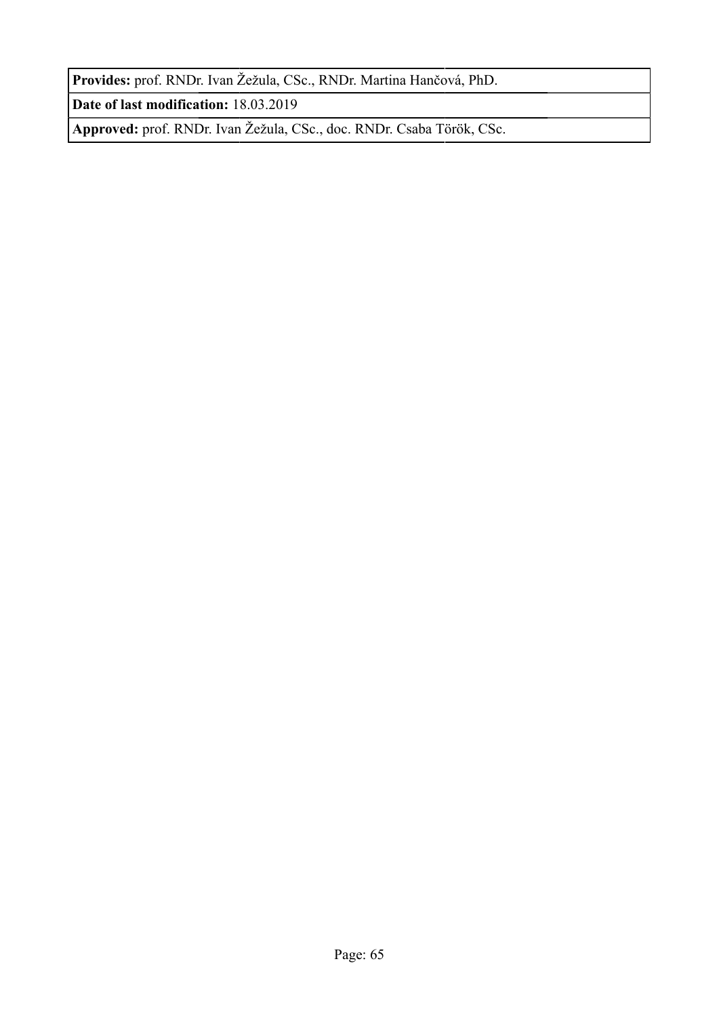**Provides:** prof. RNDr. Ivan Žežula, CSc., RNDr. Martina Hančová, PhD.

**Date of last modification:** 18.03.2019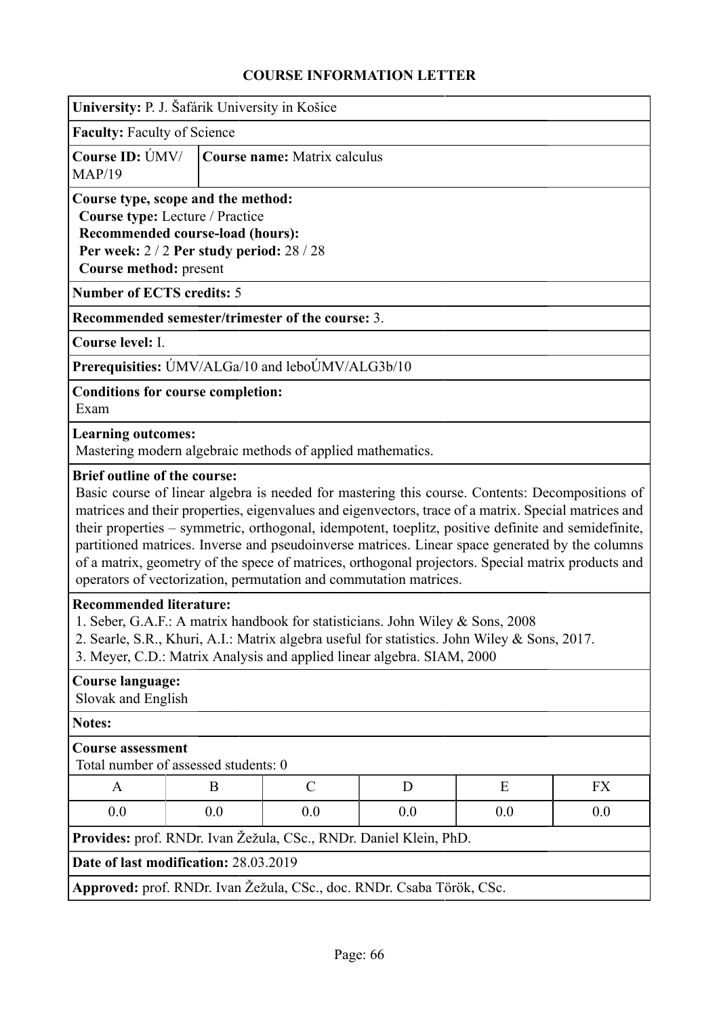| University: P. J. Šafárik University in Košice                                                                                                                                                                                                                                             |                                                                                                                                                                                                                                                                                                                                                                                                                                                                                                                                                                                                                                     |               |   |   |    |
|--------------------------------------------------------------------------------------------------------------------------------------------------------------------------------------------------------------------------------------------------------------------------------------------|-------------------------------------------------------------------------------------------------------------------------------------------------------------------------------------------------------------------------------------------------------------------------------------------------------------------------------------------------------------------------------------------------------------------------------------------------------------------------------------------------------------------------------------------------------------------------------------------------------------------------------------|---------------|---|---|----|
| <b>Faculty: Faculty of Science</b>                                                                                                                                                                                                                                                         |                                                                                                                                                                                                                                                                                                                                                                                                                                                                                                                                                                                                                                     |               |   |   |    |
| <b>Course ID: ÚMV/</b><br>MAP/19                                                                                                                                                                                                                                                           | Course name: Matrix calculus                                                                                                                                                                                                                                                                                                                                                                                                                                                                                                                                                                                                        |               |   |   |    |
|                                                                                                                                                                                                                                                                                            | Course type, scope and the method:<br>Course type: Lecture / Practice<br>Recommended course-load (hours):<br>Per week: 2/2 Per study period: 28/28<br>Course method: present                                                                                                                                                                                                                                                                                                                                                                                                                                                        |               |   |   |    |
| <b>Number of ECTS credits: 5</b>                                                                                                                                                                                                                                                           |                                                                                                                                                                                                                                                                                                                                                                                                                                                                                                                                                                                                                                     |               |   |   |    |
| Recommended semester/trimester of the course: 3.                                                                                                                                                                                                                                           |                                                                                                                                                                                                                                                                                                                                                                                                                                                                                                                                                                                                                                     |               |   |   |    |
| Course level: I.                                                                                                                                                                                                                                                                           |                                                                                                                                                                                                                                                                                                                                                                                                                                                                                                                                                                                                                                     |               |   |   |    |
| Prerequisities: ÚMV/ALGa/10 and leboÚMV/ALG3b/10                                                                                                                                                                                                                                           |                                                                                                                                                                                                                                                                                                                                                                                                                                                                                                                                                                                                                                     |               |   |   |    |
| <b>Conditions for course completion:</b><br>Exam                                                                                                                                                                                                                                           |                                                                                                                                                                                                                                                                                                                                                                                                                                                                                                                                                                                                                                     |               |   |   |    |
| <b>Learning outcomes:</b><br>Mastering modern algebraic methods of applied mathematics.                                                                                                                                                                                                    |                                                                                                                                                                                                                                                                                                                                                                                                                                                                                                                                                                                                                                     |               |   |   |    |
|                                                                                                                                                                                                                                                                                            | <b>Brief outline of the course:</b><br>Basic course of linear algebra is needed for mastering this course. Contents: Decompositions of<br>matrices and their properties, eigenvalues and eigenvectors, trace of a matrix. Special matrices and<br>their properties - symmetric, orthogonal, idempotent, toeplitz, positive definite and semidefinite,<br>partitioned matrices. Inverse and pseudoinverse matrices. Linear space generated by the columns<br>of a matrix, geometry of the spece of matrices, orthogonal projectors. Special matrix products and<br>operators of vectorization, permutation and commutation matrices. |               |   |   |    |
| <b>Recommended literature:</b><br>1. Seber, G.A.F.: A matrix handbook for statisticians. John Wiley & Sons, 2008<br>2. Searle, S.R., Khuri, A.I.: Matrix algebra useful for statistics. John Wiley & Sons, 2017.<br>3. Meyer, C.D.: Matrix Analysis and applied linear algebra. SIAM, 2000 |                                                                                                                                                                                                                                                                                                                                                                                                                                                                                                                                                                                                                                     |               |   |   |    |
|                                                                                                                                                                                                                                                                                            | Course language:<br>Slovak and English                                                                                                                                                                                                                                                                                                                                                                                                                                                                                                                                                                                              |               |   |   |    |
| <b>Notes:</b>                                                                                                                                                                                                                                                                              |                                                                                                                                                                                                                                                                                                                                                                                                                                                                                                                                                                                                                                     |               |   |   |    |
| <b>Course assessment</b><br>Total number of assessed students: 0                                                                                                                                                                                                                           |                                                                                                                                                                                                                                                                                                                                                                                                                                                                                                                                                                                                                                     |               |   |   |    |
| A                                                                                                                                                                                                                                                                                          | B                                                                                                                                                                                                                                                                                                                                                                                                                                                                                                                                                                                                                                   | $\mathcal{C}$ | D | E | FX |
| 0.0<br>0.0<br>0.0<br>0.0<br>0.0<br>0.0                                                                                                                                                                                                                                                     |                                                                                                                                                                                                                                                                                                                                                                                                                                                                                                                                                                                                                                     |               |   |   |    |
| Provides: prof. RNDr. Ivan Žežula, CSc., RNDr. Daniel Klein, PhD.                                                                                                                                                                                                                          |                                                                                                                                                                                                                                                                                                                                                                                                                                                                                                                                                                                                                                     |               |   |   |    |
|                                                                                                                                                                                                                                                                                            | Date of last modification: 28.03.2019                                                                                                                                                                                                                                                                                                                                                                                                                                                                                                                                                                                               |               |   |   |    |
| Approved: prof. RNDr. Ivan Žežula, CSc., doc. RNDr. Csaba Török, CSc.                                                                                                                                                                                                                      |                                                                                                                                                                                                                                                                                                                                                                                                                                                                                                                                                                                                                                     |               |   |   |    |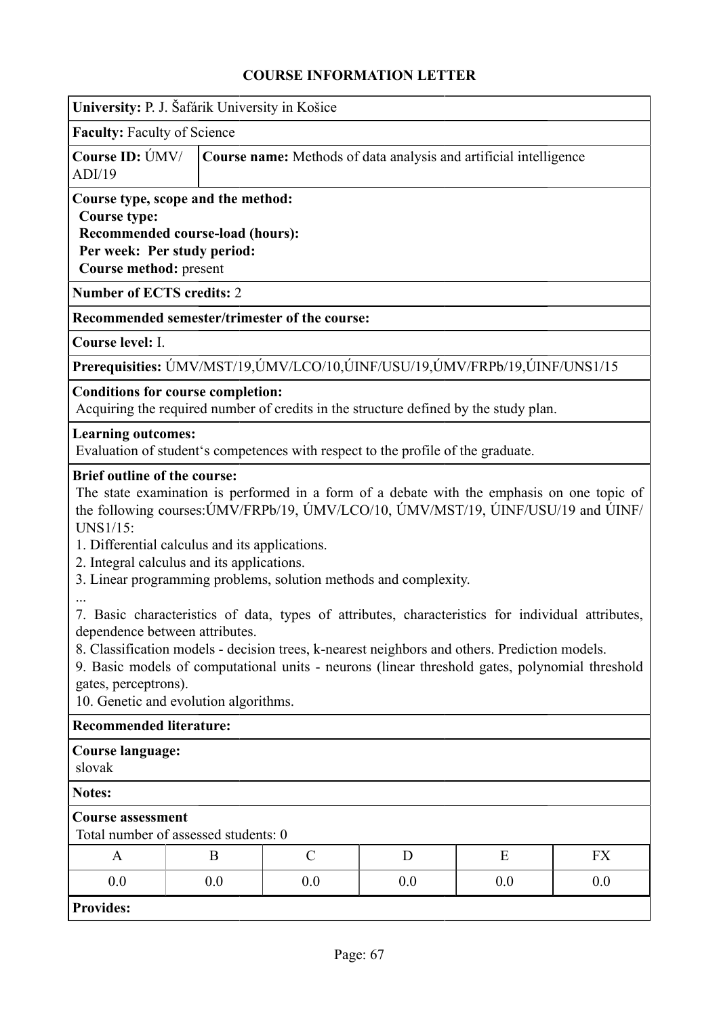|                                                                                                                                                                                                                                                                                                                                                                                                                                                                                                                                                                                                                                                                                                                                                                                                                   | University: P. J. Šafárik University in Košice                                                                                  |                                                                   |               |                                                                                  |                                                                                      |           |
|-------------------------------------------------------------------------------------------------------------------------------------------------------------------------------------------------------------------------------------------------------------------------------------------------------------------------------------------------------------------------------------------------------------------------------------------------------------------------------------------------------------------------------------------------------------------------------------------------------------------------------------------------------------------------------------------------------------------------------------------------------------------------------------------------------------------|---------------------------------------------------------------------------------------------------------------------------------|-------------------------------------------------------------------|---------------|----------------------------------------------------------------------------------|--------------------------------------------------------------------------------------|-----------|
| <b>Faculty: Faculty of Science</b>                                                                                                                                                                                                                                                                                                                                                                                                                                                                                                                                                                                                                                                                                                                                                                                |                                                                                                                                 |                                                                   |               |                                                                                  |                                                                                      |           |
| Course ID: ÚMV/<br>ADI/19                                                                                                                                                                                                                                                                                                                                                                                                                                                                                                                                                                                                                                                                                                                                                                                         |                                                                                                                                 | Course name: Methods of data analysis and artificial intelligence |               |                                                                                  |                                                                                      |           |
| <b>Course type:</b>                                                                                                                                                                                                                                                                                                                                                                                                                                                                                                                                                                                                                                                                                                                                                                                               | Course type, scope and the method:<br>Recommended course-load (hours):<br>Per week: Per study period:<br>Course method: present |                                                                   |               |                                                                                  |                                                                                      |           |
| <b>Number of ECTS credits: 2</b>                                                                                                                                                                                                                                                                                                                                                                                                                                                                                                                                                                                                                                                                                                                                                                                  |                                                                                                                                 |                                                                   |               |                                                                                  |                                                                                      |           |
| Recommended semester/trimester of the course:                                                                                                                                                                                                                                                                                                                                                                                                                                                                                                                                                                                                                                                                                                                                                                     |                                                                                                                                 |                                                                   |               |                                                                                  |                                                                                      |           |
| Course level: I.                                                                                                                                                                                                                                                                                                                                                                                                                                                                                                                                                                                                                                                                                                                                                                                                  |                                                                                                                                 |                                                                   |               |                                                                                  |                                                                                      |           |
|                                                                                                                                                                                                                                                                                                                                                                                                                                                                                                                                                                                                                                                                                                                                                                                                                   |                                                                                                                                 |                                                                   |               |                                                                                  | Prerequisities: UMV/MST/19, UMV/LCO/10, UINF/USU/19, UMV/FRPb/19, UINF/UNS1/15       |           |
| <b>Conditions for course completion:</b>                                                                                                                                                                                                                                                                                                                                                                                                                                                                                                                                                                                                                                                                                                                                                                          |                                                                                                                                 |                                                                   |               |                                                                                  | Acquiring the required number of credits in the structure defined by the study plan. |           |
| <b>Learning outcomes:</b>                                                                                                                                                                                                                                                                                                                                                                                                                                                                                                                                                                                                                                                                                                                                                                                         |                                                                                                                                 |                                                                   |               | Evaluation of student's competences with respect to the profile of the graduate. |                                                                                      |           |
| <b>Brief outline of the course:</b><br>The state examination is performed in a form of a debate with the emphasis on one topic of<br>the following courses: UMV/FRPb/19, UMV/LCO/10, UMV/MST/19, UINF/USU/19 and UINF/<br>UNS1/15:<br>1. Differential calculus and its applications.<br>2. Integral calculus and its applications.<br>3. Linear programming problems, solution methods and complexity.<br>7. Basic characteristics of data, types of attributes, characteristics for individual attributes,<br>dependence between attributes.<br>8. Classification models - decision trees, k-nearest neighbors and others. Prediction models.<br>9. Basic models of computational units - neurons (linear threshold gates, polynomial threshold<br>gates, perceptrons).<br>10. Genetic and evolution algorithms. |                                                                                                                                 |                                                                   |               |                                                                                  |                                                                                      |           |
| <b>Recommended literature:</b>                                                                                                                                                                                                                                                                                                                                                                                                                                                                                                                                                                                                                                                                                                                                                                                    |                                                                                                                                 |                                                                   |               |                                                                                  |                                                                                      |           |
| <b>Course language:</b><br>slovak                                                                                                                                                                                                                                                                                                                                                                                                                                                                                                                                                                                                                                                                                                                                                                                 |                                                                                                                                 |                                                                   |               |                                                                                  |                                                                                      |           |
| <b>Notes:</b>                                                                                                                                                                                                                                                                                                                                                                                                                                                                                                                                                                                                                                                                                                                                                                                                     |                                                                                                                                 |                                                                   |               |                                                                                  |                                                                                      |           |
| <b>Course assessment</b><br>Total number of assessed students: 0                                                                                                                                                                                                                                                                                                                                                                                                                                                                                                                                                                                                                                                                                                                                                  |                                                                                                                                 |                                                                   |               |                                                                                  |                                                                                      |           |
| A                                                                                                                                                                                                                                                                                                                                                                                                                                                                                                                                                                                                                                                                                                                                                                                                                 |                                                                                                                                 | B                                                                 | $\mathcal{C}$ | D                                                                                | E                                                                                    | <b>FX</b> |
| 0.0                                                                                                                                                                                                                                                                                                                                                                                                                                                                                                                                                                                                                                                                                                                                                                                                               |                                                                                                                                 | 0.0                                                               | 0.0           | 0.0                                                                              | 0.0                                                                                  | 0.0       |
| <b>Provides:</b>                                                                                                                                                                                                                                                                                                                                                                                                                                                                                                                                                                                                                                                                                                                                                                                                  |                                                                                                                                 |                                                                   |               |                                                                                  |                                                                                      |           |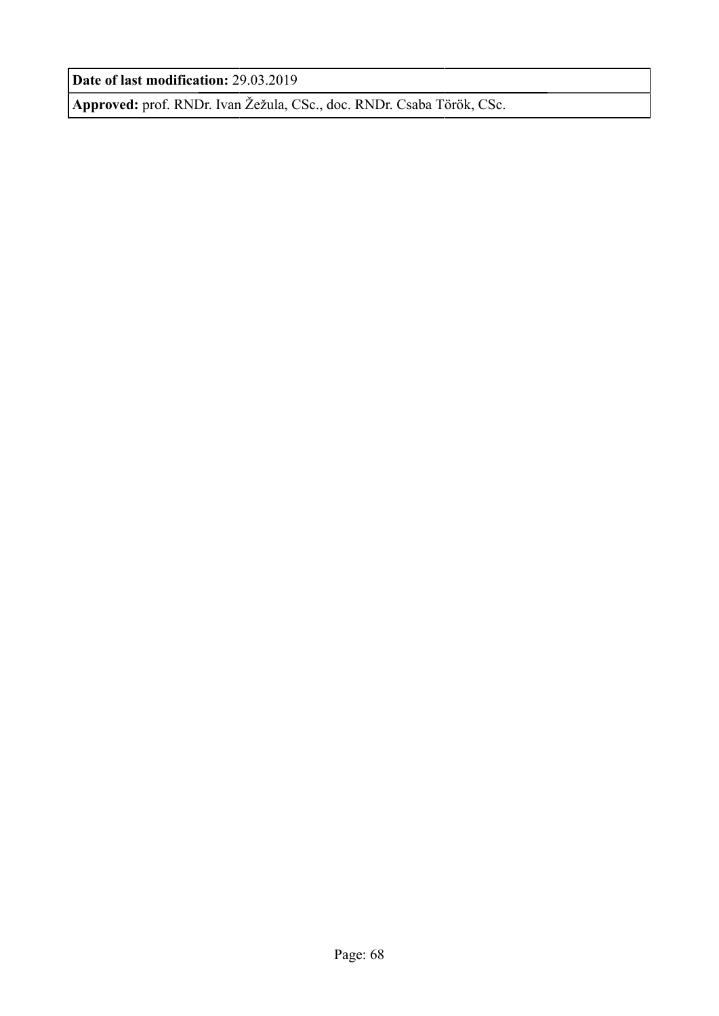**Date of last modification:** 29.03.2019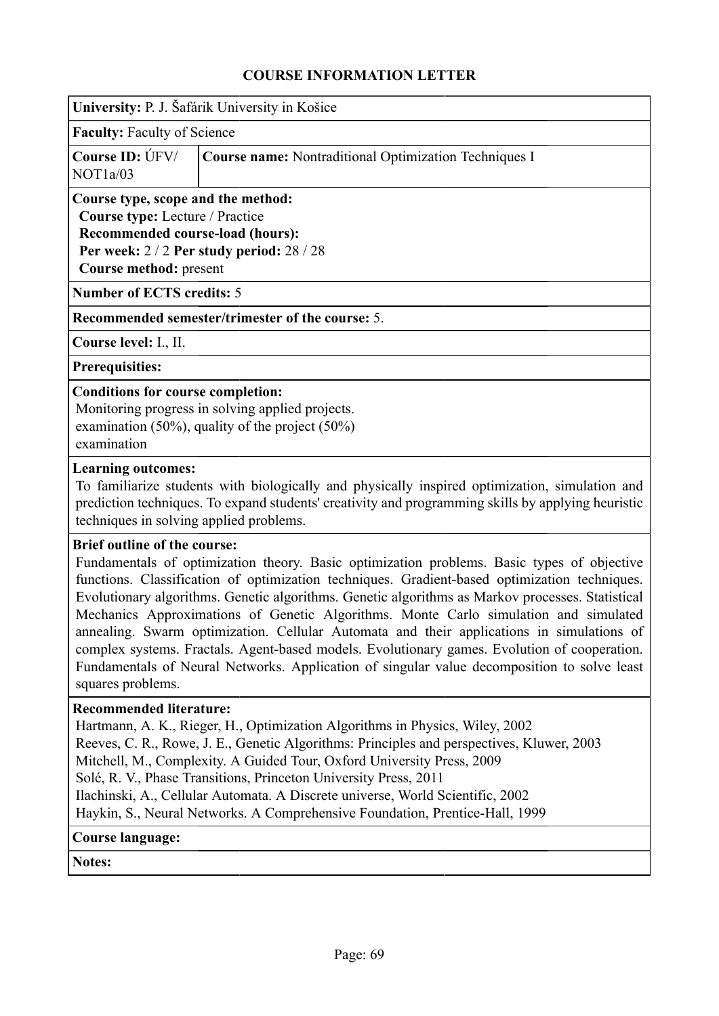| University: P. J. Šafárik University in Košice |  |  |  |  |
|------------------------------------------------|--|--|--|--|
|                                                |  |  |  |  |

**Faculty:** Faculty of Science

|          | <b>Course ID:</b> ÚFV/ <b>Course name:</b> Nontraditional Optimization Techniques I |
|----------|-------------------------------------------------------------------------------------|
| NOT1a/03 |                                                                                     |

# **Course type, scope and the method:**

**Course type:** Lecture / Practice

**Recommended course-load (hours): Per week:** 2 / 2 **Per study period:** 28 / 28 **Course method:** present

**Number of ECTS credits:** 5

### **Recommended semester/trimester of the course:** 5.

**Course level:** I., II.

**Prerequisities:**

### **Conditions for course completion:**

Monitoring progress in solving applied projects. examination (50%), quality of the project (50%) examination

### **Learning outcomes:**

To familiarize students with biologically and physically inspired optimization, simulation and prediction techniques. To expand students' creativity and programming skills by applying heuristic techniques in solving applied problems.

### **Brief outline of the course:**

Fundamentals of optimization theory. Basic optimization problems. Basic types of objective functions. Classification of optimization techniques. Gradient-based optimization techniques. Evolutionary algorithms. Genetic algorithms. Genetic algorithms as Markov processes. Statistical Mechanics Approximations of Genetic Algorithms. Monte Carlo simulation and simulated annealing. Swarm optimization. Cellular Automata and their applications in simulations of complex systems. Fractals. Agent-based models. Evolutionary games. Evolution of cooperation. Fundamentals of Neural Networks. Application of singular value decomposition to solve least squares problems.

## **Recommended literature:**

Hartmann, A. K., Rieger, H., Optimization Algorithms in Physics, Wiley, 2002 Reeves, C. R., Rowe, J. E., Genetic Algorithms: Principles and perspectives, Kluwer, 2003 Mitchell, M., Complexity. A Guided Tour, Oxford University Press, 2009 Solé, R. V., Phase Transitions, Princeton University Press, 2011 Ilachinski, A., Cellular Automata. A Discrete universe, World Scientific, 2002 Haykin, S., Neural Networks. A Comprehensive Foundation, Prentice-Hall, 1999

### **Course language:**

**Notes:**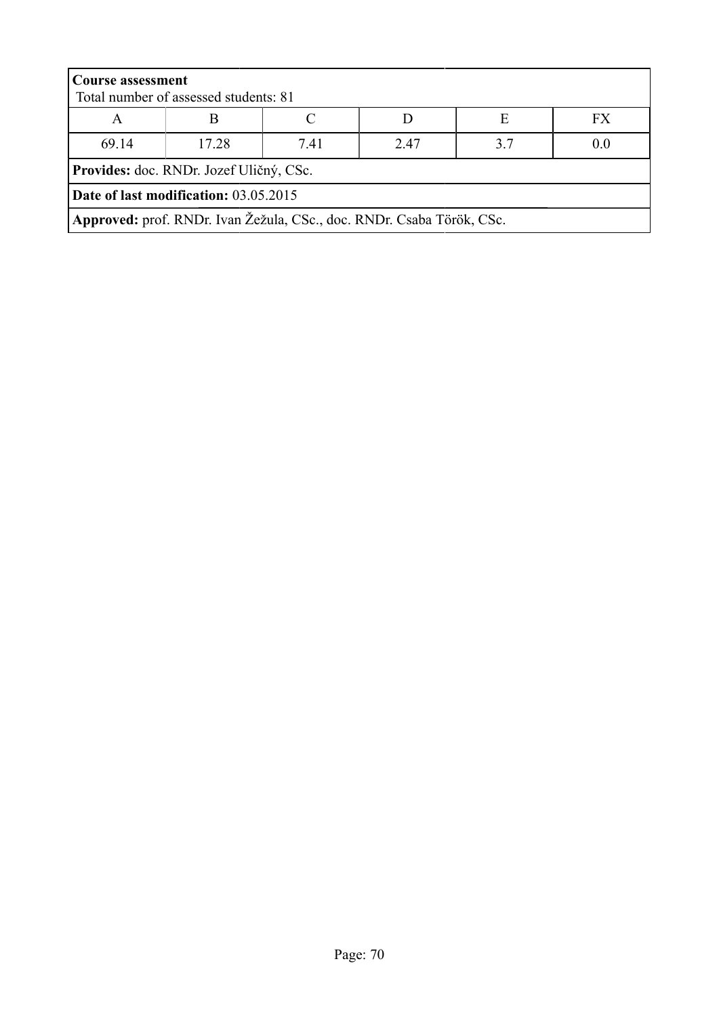|                                                                       | <b>Course assessment</b>                |  |  |  |    |  |  |
|-----------------------------------------------------------------------|-----------------------------------------|--|--|--|----|--|--|
|                                                                       | Total number of assessed students: 81   |  |  |  |    |  |  |
| A                                                                     | E                                       |  |  |  | FX |  |  |
| 69.14<br>17 28<br>247<br>37<br>741<br>0.0                             |                                         |  |  |  |    |  |  |
|                                                                       | Provides: doc. RNDr. Jozef Uličný, CSc. |  |  |  |    |  |  |
| Date of last modification: 03.05.2015                                 |                                         |  |  |  |    |  |  |
| Approved: prof. RNDr. Ivan Žežula, CSc., doc. RNDr. Csaba Török, CSc. |                                         |  |  |  |    |  |  |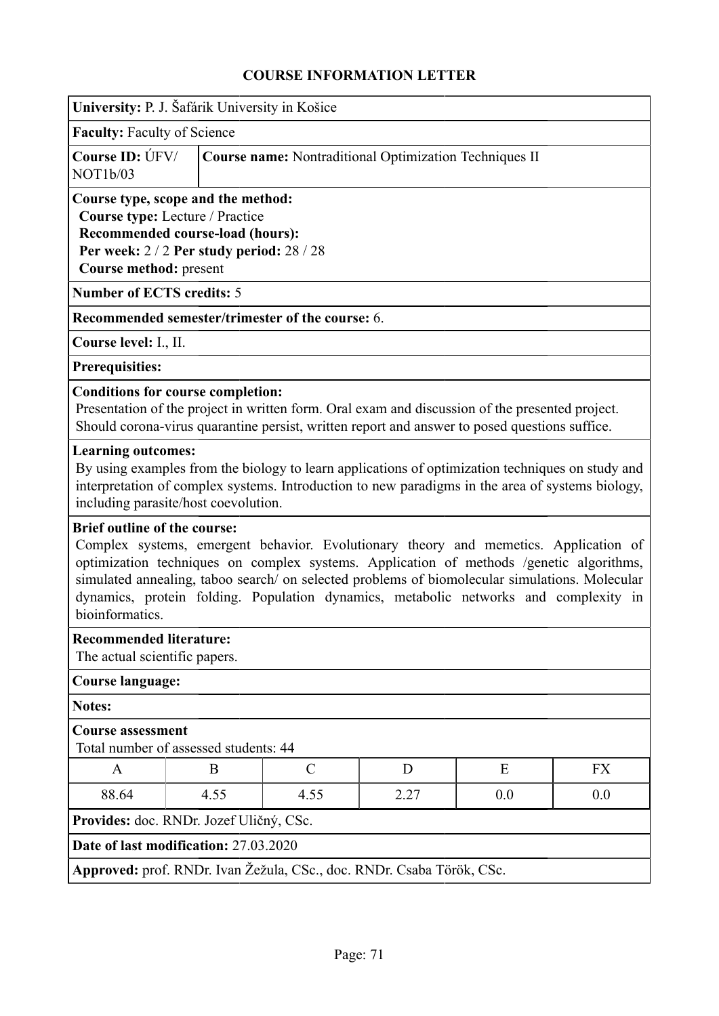|                                                                       | University: P. J. Šafárik University in Košice                                                                                                                                                                                                                                                                                                                                                                   |                                                                                                                                                                                                      |   |   |           |  |
|-----------------------------------------------------------------------|------------------------------------------------------------------------------------------------------------------------------------------------------------------------------------------------------------------------------------------------------------------------------------------------------------------------------------------------------------------------------------------------------------------|------------------------------------------------------------------------------------------------------------------------------------------------------------------------------------------------------|---|---|-----------|--|
| <b>Faculty: Faculty of Science</b>                                    |                                                                                                                                                                                                                                                                                                                                                                                                                  |                                                                                                                                                                                                      |   |   |           |  |
| Course ID: ÚFV/<br>NOT <sub>1</sub> b/03                              |                                                                                                                                                                                                                                                                                                                                                                                                                  | <b>Course name:</b> Nontraditional Optimization Techniques II                                                                                                                                        |   |   |           |  |
|                                                                       | Course type, scope and the method:<br>Course type: Lecture / Practice<br>Recommended course-load (hours):<br>Per week: $2/2$ Per study period: $28/28$<br>Course method: present                                                                                                                                                                                                                                 |                                                                                                                                                                                                      |   |   |           |  |
| <b>Number of ECTS credits: 5</b>                                      |                                                                                                                                                                                                                                                                                                                                                                                                                  |                                                                                                                                                                                                      |   |   |           |  |
|                                                                       |                                                                                                                                                                                                                                                                                                                                                                                                                  | Recommended semester/trimester of the course: 6.                                                                                                                                                     |   |   |           |  |
| Course level: I., II.                                                 |                                                                                                                                                                                                                                                                                                                                                                                                                  |                                                                                                                                                                                                      |   |   |           |  |
| Prerequisities:                                                       |                                                                                                                                                                                                                                                                                                                                                                                                                  |                                                                                                                                                                                                      |   |   |           |  |
| <b>Conditions for course completion:</b>                              |                                                                                                                                                                                                                                                                                                                                                                                                                  | Presentation of the project in written form. Oral exam and discussion of the presented project.<br>Should corona-virus quarantine persist, written report and answer to posed questions suffice.     |   |   |           |  |
| <b>Learning outcomes:</b><br>including parasite/host coevolution.     |                                                                                                                                                                                                                                                                                                                                                                                                                  | By using examples from the biology to learn applications of optimization techniques on study and<br>interpretation of complex systems. Introduction to new paradigms in the area of systems biology, |   |   |           |  |
| bioinformatics.                                                       | <b>Brief outline of the course:</b><br>Complex systems, emergent behavior. Evolutionary theory and memetics. Application of<br>optimization techniques on complex systems. Application of methods /genetic algorithms,<br>simulated annealing, taboo search/ on selected problems of biomolecular simulations. Molecular<br>dynamics, protein folding. Population dynamics, metabolic networks and complexity in |                                                                                                                                                                                                      |   |   |           |  |
| <b>Recommended literature:</b><br>The actual scientific papers.       |                                                                                                                                                                                                                                                                                                                                                                                                                  |                                                                                                                                                                                                      |   |   |           |  |
| <b>Course language:</b>                                               |                                                                                                                                                                                                                                                                                                                                                                                                                  |                                                                                                                                                                                                      |   |   |           |  |
| <b>Notes:</b>                                                         |                                                                                                                                                                                                                                                                                                                                                                                                                  |                                                                                                                                                                                                      |   |   |           |  |
| <b>Course assessment</b><br>Total number of assessed students: 44     |                                                                                                                                                                                                                                                                                                                                                                                                                  |                                                                                                                                                                                                      |   |   |           |  |
| A                                                                     | B                                                                                                                                                                                                                                                                                                                                                                                                                | $\mathcal{C}$                                                                                                                                                                                        | D | E | <b>FX</b> |  |
| 4.55<br>4.55<br>0.0<br>0.0<br>88.64<br>2.27                           |                                                                                                                                                                                                                                                                                                                                                                                                                  |                                                                                                                                                                                                      |   |   |           |  |
| Provides: doc. RNDr. Jozef Uličný, CSc.                               |                                                                                                                                                                                                                                                                                                                                                                                                                  |                                                                                                                                                                                                      |   |   |           |  |
| Date of last modification: 27.03.2020                                 |                                                                                                                                                                                                                                                                                                                                                                                                                  |                                                                                                                                                                                                      |   |   |           |  |
| Approved: prof. RNDr. Ivan Žežula, CSc., doc. RNDr. Csaba Török, CSc. |                                                                                                                                                                                                                                                                                                                                                                                                                  |                                                                                                                                                                                                      |   |   |           |  |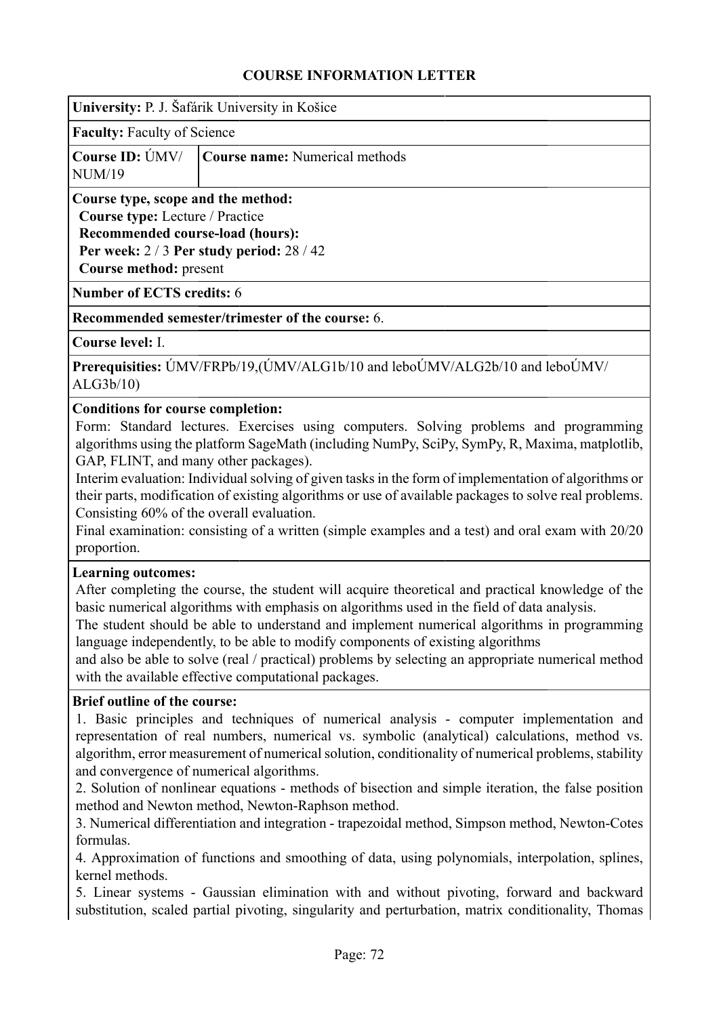| University: P. J. Šafárik University in Košice |  |  |  |
|------------------------------------------------|--|--|--|
|                                                |  |  |  |

**Faculty:** Faculty of Science

|        | Course ID: ÚMV/ Course name: Numerical methods |
|--------|------------------------------------------------|
| NUM/19 |                                                |

# **Course type, scope and the method:**

**Course type:** Lecture / Practice

**Recommended course-load (hours): Per week:** 2 / 3 **Per study period:** 28 / 42 **Course method:** present

**Number of ECTS credits:** 6

## **Recommended semester/trimester of the course:** 6.

**Course level:** I.

**Prerequisities:** ÚMV/FRPb/19,(ÚMV/ALG1b/10 and leboÚMV/ALG2b/10 and leboÚMV/ ALG3b/10)

## **Conditions for course completion:**

Form: Standard lectures. Exercises using computers. Solving problems and programming algorithms using the platform SageMath (including NumPy, SciPy, SymPy, R, Maxima, matplotlib, GAP, FLINT, and many other packages).

Interim evaluation: Individual solving of given tasks in the form of implementation of algorithms or their parts, modification of existing algorithms or use of available packages to solve real problems. Consisting 60% of the overall evaluation.

Final examination: consisting of a written (simple examples and a test) and oral exam with 20/20 proportion.

## **Learning outcomes:**

After completing the course, the student will acquire theoretical and practical knowledge of the basic numerical algorithms with emphasis on algorithms used in the field of data analysis.

The student should be able to understand and implement numerical algorithms in programming language independently, to be able to modify components of existing algorithms

and also be able to solve (real / practical) problems by selecting an appropriate numerical method with the available effective computational packages.

## **Brief outline of the course:**

1. Basic principles and techniques of numerical analysis - computer implementation and representation of real numbers, numerical vs. symbolic (analytical) calculations, method vs. algorithm, error measurement of numerical solution, conditionality of numerical problems, stability and convergence of numerical algorithms.

2. Solution of nonlinear equations - methods of bisection and simple iteration, the false position method and Newton method, Newton-Raphson method.

3. Numerical differentiation and integration - trapezoidal method, Simpson method, Newton-Cotes formulas.

4. Approximation of functions and smoothing of data, using polynomials, interpolation, splines, kernel methods.

5. Linear systems - Gaussian elimination with and without pivoting, forward and backward substitution, scaled partial pivoting, singularity and perturbation, matrix conditionality, Thomas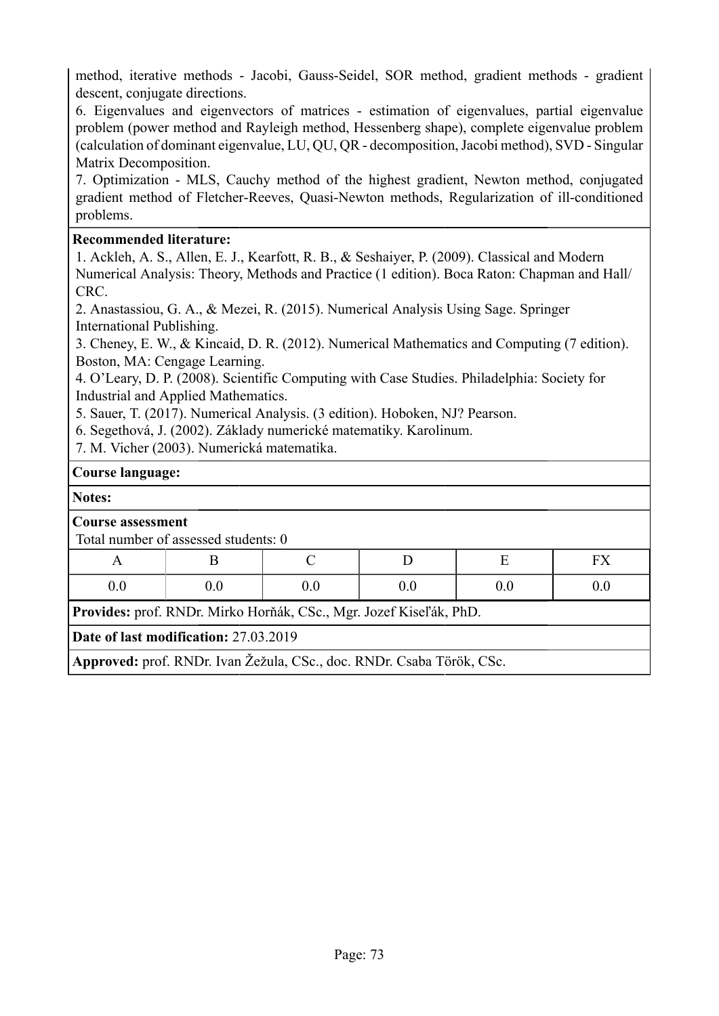method, iterative methods - Jacobi, Gauss-Seidel, SOR method, gradient methods - gradient descent, conjugate directions.

6. Eigenvalues and eigenvectors of matrices - estimation of eigenvalues, partial eigenvalue problem (power method and Rayleigh method, Hessenberg shape), complete eigenvalue problem (calculation of dominant eigenvalue, LU, QU, QR - decomposition, Jacobi method), SVD - Singular Matrix Decomposition.

7. Optimization - MLS, Cauchy method of the highest gradient, Newton method, conjugated gradient method of Fletcher-Reeves, Quasi-Newton methods, Regularization of ill-conditioned problems.

### **Recommended literature:**

1. Ackleh, A. S., Allen, E. J., Kearfott, R. B., & Seshaiyer, P. (2009). Classical and Modern Numerical Analysis: Theory, Methods and Practice (1 edition). Boca Raton: Chapman and Hall/ CRC.

2. Anastassiou, G. A., & Mezei, R. (2015). Numerical Analysis Using Sage. Springer International Publishing.

3. Cheney, E. W., & Kincaid, D. R. (2012). Numerical Mathematics and Computing (7 edition). Boston, MA: Cengage Learning.

4. O'Leary, D. P. (2008). Scientific Computing with Case Studies. Philadelphia: Society for Industrial and Applied Mathematics.

5. Sauer, T. (2017). Numerical Analysis. (3 edition). Hoboken, NJ? Pearson.

6. Segethová, J. (2002). Základy numerické matematiky. Karolinum.

7. M. Vicher (2003). Numerická matematika.

### **Course language:**

### **Notes:**

|                                                                    | <b>Course assessment</b>             |  |     |     |     |  |
|--------------------------------------------------------------------|--------------------------------------|--|-----|-----|-----|--|
|                                                                    | Total number of assessed students: 0 |  |     |     |     |  |
| A                                                                  |                                      |  |     |     | FX  |  |
| 0.0                                                                | 0.0                                  |  | 0.0 | 0.0 | 0.0 |  |
| Provides: prof. RNDr. Mirko Horňák, CSc., Mgr. Jozef Kiseľák, PhD. |                                      |  |     |     |     |  |
| Date of last modification: 27.03.2019                              |                                      |  |     |     |     |  |
|                                                                    |                                      |  |     |     |     |  |

**Approved:** prof. RNDr. Ivan Žežula, CSc., doc. RNDr. Csaba Török, CSc.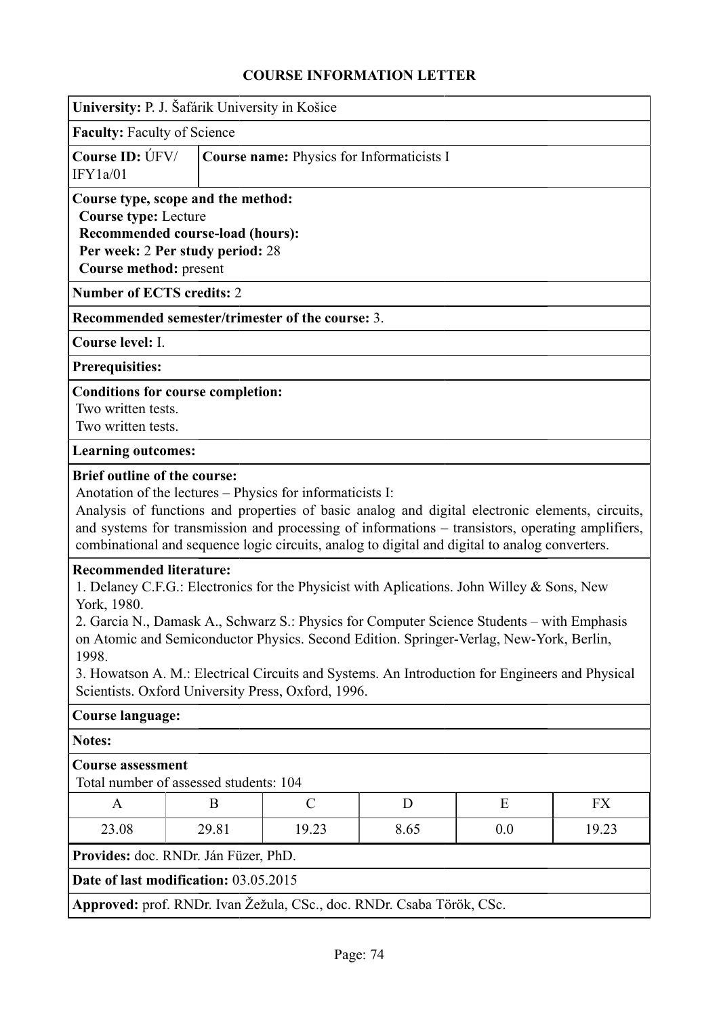| University: P. J. Šafárik University in Košice                                                                                                                                                                                                                                                                                                                                                                                                                                                                                                                                                                                                                                                                                                                                                                                                               |  |  |  |  |
|--------------------------------------------------------------------------------------------------------------------------------------------------------------------------------------------------------------------------------------------------------------------------------------------------------------------------------------------------------------------------------------------------------------------------------------------------------------------------------------------------------------------------------------------------------------------------------------------------------------------------------------------------------------------------------------------------------------------------------------------------------------------------------------------------------------------------------------------------------------|--|--|--|--|
| <b>Faculty: Faculty of Science</b>                                                                                                                                                                                                                                                                                                                                                                                                                                                                                                                                                                                                                                                                                                                                                                                                                           |  |  |  |  |
| Course ID: UFV/<br><b>Course name: Physics for Informaticists I</b><br>IFY1a/01                                                                                                                                                                                                                                                                                                                                                                                                                                                                                                                                                                                                                                                                                                                                                                              |  |  |  |  |
| Course type, scope and the method:<br><b>Course type: Lecture</b><br><b>Recommended course-load (hours):</b><br>Per week: 2 Per study period: 28<br>Course method: present                                                                                                                                                                                                                                                                                                                                                                                                                                                                                                                                                                                                                                                                                   |  |  |  |  |
| <b>Number of ECTS credits: 2</b>                                                                                                                                                                                                                                                                                                                                                                                                                                                                                                                                                                                                                                                                                                                                                                                                                             |  |  |  |  |
| Recommended semester/trimester of the course: 3.                                                                                                                                                                                                                                                                                                                                                                                                                                                                                                                                                                                                                                                                                                                                                                                                             |  |  |  |  |
| Course level: I.                                                                                                                                                                                                                                                                                                                                                                                                                                                                                                                                                                                                                                                                                                                                                                                                                                             |  |  |  |  |
| <b>Prerequisities:</b>                                                                                                                                                                                                                                                                                                                                                                                                                                                                                                                                                                                                                                                                                                                                                                                                                                       |  |  |  |  |
| <b>Conditions for course completion:</b><br>Two written tests.<br>Two written tests.                                                                                                                                                                                                                                                                                                                                                                                                                                                                                                                                                                                                                                                                                                                                                                         |  |  |  |  |
| <b>Learning outcomes:</b>                                                                                                                                                                                                                                                                                                                                                                                                                                                                                                                                                                                                                                                                                                                                                                                                                                    |  |  |  |  |
| <b>Brief outline of the course:</b><br>Anotation of the lectures – Physics for informaticists I:<br>Analysis of functions and properties of basic analog and digital electronic elements, circuits,<br>and systems for transmission and processing of informations - transistors, operating amplifiers,<br>combinational and sequence logic circuits, analog to digital and digital to analog converters.<br><b>Recommended literature:</b><br>1. Delaney C.F.G.: Electronics for the Physicist with Aplications. John Willey & Sons, New<br>York, 1980.<br>2. Garcia N., Damask A., Schwarz S.: Physics for Computer Science Students – with Emphasis<br>on Atomic and Semiconductor Physics. Second Edition. Springer-Verlag, New-York, Berlin,<br>1998.<br>3. Howatson A. M.: Electrical Circuits and Systems. An Introduction for Engineers and Physical |  |  |  |  |
| Scientists. Oxford University Press, Oxford, 1996.                                                                                                                                                                                                                                                                                                                                                                                                                                                                                                                                                                                                                                                                                                                                                                                                           |  |  |  |  |
| <b>Course language:</b>                                                                                                                                                                                                                                                                                                                                                                                                                                                                                                                                                                                                                                                                                                                                                                                                                                      |  |  |  |  |
| <b>Notes:</b><br><b>Course assessment</b><br>Total number of assessed students: 104                                                                                                                                                                                                                                                                                                                                                                                                                                                                                                                                                                                                                                                                                                                                                                          |  |  |  |  |
| $\mathcal{C}$<br>B<br>D<br>E<br>FX<br>A                                                                                                                                                                                                                                                                                                                                                                                                                                                                                                                                                                                                                                                                                                                                                                                                                      |  |  |  |  |
| 23.08<br>29.81<br>19.23<br>8.65<br>0.0<br>19.23                                                                                                                                                                                                                                                                                                                                                                                                                                                                                                                                                                                                                                                                                                                                                                                                              |  |  |  |  |
| Provides: doc. RNDr. Ján Füzer, PhD.                                                                                                                                                                                                                                                                                                                                                                                                                                                                                                                                                                                                                                                                                                                                                                                                                         |  |  |  |  |
| Date of last modification: 03.05.2015                                                                                                                                                                                                                                                                                                                                                                                                                                                                                                                                                                                                                                                                                                                                                                                                                        |  |  |  |  |
| Approved: prof. RNDr. Ivan Žežula, CSc., doc. RNDr. Csaba Török, CSc.                                                                                                                                                                                                                                                                                                                                                                                                                                                                                                                                                                                                                                                                                                                                                                                        |  |  |  |  |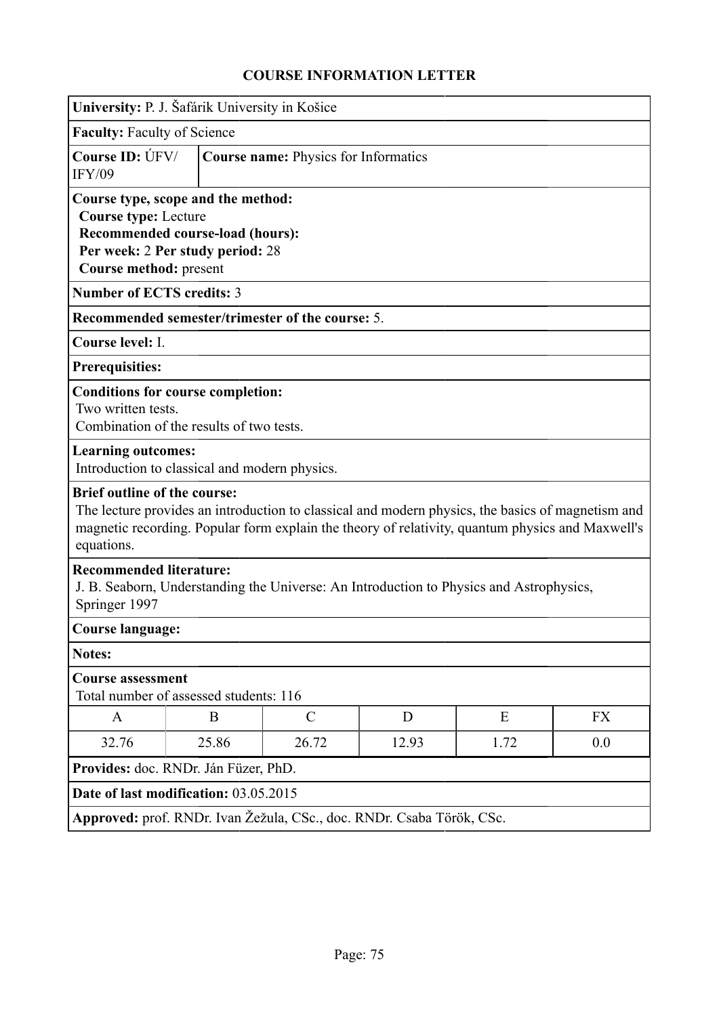| University: P. J. Šafárik University in Košice                                                                                                                                                                                                             |       |                                             |       |                                                                                         |           |
|------------------------------------------------------------------------------------------------------------------------------------------------------------------------------------------------------------------------------------------------------------|-------|---------------------------------------------|-------|-----------------------------------------------------------------------------------------|-----------|
| <b>Faculty: Faculty of Science</b>                                                                                                                                                                                                                         |       |                                             |       |                                                                                         |           |
| Course ID: ÚFV/<br><b>IFY/09</b>                                                                                                                                                                                                                           |       | <b>Course name: Physics for Informatics</b> |       |                                                                                         |           |
| Course type, scope and the method:<br><b>Course type: Lecture</b><br><b>Recommended course-load (hours):</b><br>Per week: 2 Per study period: 28<br>Course method: present                                                                                 |       |                                             |       |                                                                                         |           |
| <b>Number of ECTS credits: 3</b>                                                                                                                                                                                                                           |       |                                             |       |                                                                                         |           |
| Recommended semester/trimester of the course: 5.                                                                                                                                                                                                           |       |                                             |       |                                                                                         |           |
| Course level: I.                                                                                                                                                                                                                                           |       |                                             |       |                                                                                         |           |
| Prerequisities:                                                                                                                                                                                                                                            |       |                                             |       |                                                                                         |           |
| <b>Conditions for course completion:</b><br>Two written tests.<br>Combination of the results of two tests.                                                                                                                                                 |       |                                             |       |                                                                                         |           |
| <b>Learning outcomes:</b><br>Introduction to classical and modern physics.                                                                                                                                                                                 |       |                                             |       |                                                                                         |           |
| <b>Brief outline of the course:</b><br>The lecture provides an introduction to classical and modern physics, the basics of magnetism and<br>magnetic recording. Popular form explain the theory of relativity, quantum physics and Maxwell's<br>equations. |       |                                             |       |                                                                                         |           |
| <b>Recommended literature:</b><br>Springer 1997                                                                                                                                                                                                            |       |                                             |       | J. B. Seaborn, Understanding the Universe: An Introduction to Physics and Astrophysics, |           |
| <b>Course language:</b>                                                                                                                                                                                                                                    |       |                                             |       |                                                                                         |           |
| <b>Notes:</b>                                                                                                                                                                                                                                              |       |                                             |       |                                                                                         |           |
| <b>Course assessment</b><br>Total number of assessed students: 116                                                                                                                                                                                         |       |                                             |       |                                                                                         |           |
| A                                                                                                                                                                                                                                                          | B     | $\mathcal{C}$                               | D     | E                                                                                       | <b>FX</b> |
| 32.76                                                                                                                                                                                                                                                      | 25.86 | 26.72                                       | 12.93 | 1.72                                                                                    | 0.0       |
| Provides: doc. RNDr. Ján Füzer, PhD.                                                                                                                                                                                                                       |       |                                             |       |                                                                                         |           |
| Date of last modification: 03.05.2015                                                                                                                                                                                                                      |       |                                             |       |                                                                                         |           |
| Approved: prof. RNDr. Ivan Žežula, CSc., doc. RNDr. Csaba Török, CSc.                                                                                                                                                                                      |       |                                             |       |                                                                                         |           |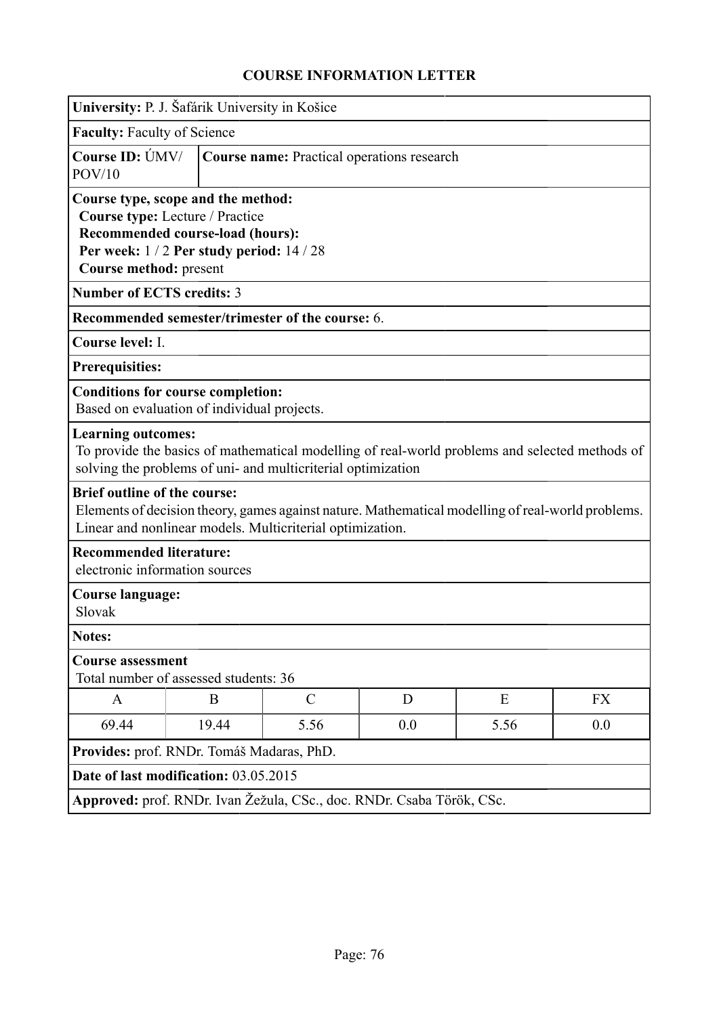| University: P. J. Šafárik University in Košice                   |                                                                                                              |                                                                                                                                                                |     |      |           |  |
|------------------------------------------------------------------|--------------------------------------------------------------------------------------------------------------|----------------------------------------------------------------------------------------------------------------------------------------------------------------|-----|------|-----------|--|
| <b>Faculty: Faculty of Science</b>                               |                                                                                                              |                                                                                                                                                                |     |      |           |  |
| Course ID: ÚMV/<br>POV/10                                        |                                                                                                              | Course name: Practical operations research                                                                                                                     |     |      |           |  |
| Course type, scope and the method:<br>Course method: present     | Course type: Lecture / Practice<br>Recommended course-load (hours):<br>Per week: 1/2 Per study period: 14/28 |                                                                                                                                                                |     |      |           |  |
| <b>Number of ECTS credits: 3</b>                                 |                                                                                                              |                                                                                                                                                                |     |      |           |  |
|                                                                  |                                                                                                              | Recommended semester/trimester of the course: 6.                                                                                                               |     |      |           |  |
| Course level: I.                                                 |                                                                                                              |                                                                                                                                                                |     |      |           |  |
| <b>Prerequisities:</b>                                           |                                                                                                              |                                                                                                                                                                |     |      |           |  |
| <b>Conditions for course completion:</b>                         | Based on evaluation of individual projects.                                                                  |                                                                                                                                                                |     |      |           |  |
| <b>Learning outcomes:</b>                                        |                                                                                                              | To provide the basics of mathematical modelling of real-world problems and selected methods of<br>solving the problems of uni- and multicriterial optimization |     |      |           |  |
| <b>Brief outline of the course:</b>                              |                                                                                                              | Elements of decision theory, games against nature. Mathematical modelling of real-world problems.<br>Linear and nonlinear models. Multicriterial optimization. |     |      |           |  |
| <b>Recommended literature:</b><br>electronic information sources |                                                                                                              |                                                                                                                                                                |     |      |           |  |
| <b>Course language:</b><br>Slovak                                |                                                                                                              |                                                                                                                                                                |     |      |           |  |
| Notes:                                                           |                                                                                                              |                                                                                                                                                                |     |      |           |  |
| <b>Course assessment</b>                                         | Total number of assessed students: 36                                                                        |                                                                                                                                                                |     |      |           |  |
| A                                                                | B                                                                                                            | $\mathcal{C}$                                                                                                                                                  | D   | E    | <b>FX</b> |  |
| 69.44                                                            | 19.44                                                                                                        | 5.56                                                                                                                                                           | 0.0 | 5.56 | 0.0       |  |
| Provides: prof. RNDr. Tomáš Madaras, PhD.                        |                                                                                                              |                                                                                                                                                                |     |      |           |  |
| Date of last modification: 03.05.2015                            |                                                                                                              |                                                                                                                                                                |     |      |           |  |
|                                                                  |                                                                                                              | Approved: prof. RNDr. Ivan Žežula, CSc., doc. RNDr. Csaba Török, CSc.                                                                                          |     |      |           |  |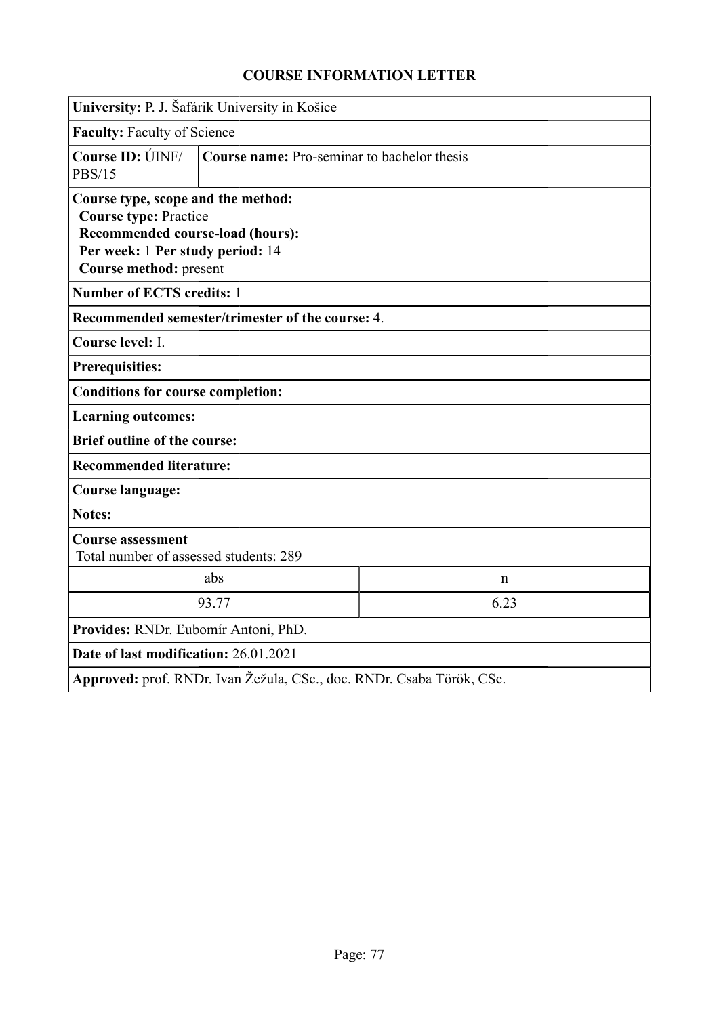| University: P. J. Šafárik University in Košice                                                                                                                       |                                             |                                                                       |  |  |
|----------------------------------------------------------------------------------------------------------------------------------------------------------------------|---------------------------------------------|-----------------------------------------------------------------------|--|--|
| <b>Faculty: Faculty of Science</b>                                                                                                                                   |                                             |                                                                       |  |  |
| Course ID: ÚINF/<br><b>PBS/15</b>                                                                                                                                    | Course name: Pro-seminar to bachelor thesis |                                                                       |  |  |
| Course type, scope and the method:<br><b>Course type: Practice</b><br>Recommended course-load (hours):<br>Per week: 1 Per study period: 14<br>Course method: present |                                             |                                                                       |  |  |
| <b>Number of ECTS credits: 1</b>                                                                                                                                     |                                             |                                                                       |  |  |
| Recommended semester/trimester of the course: 4.                                                                                                                     |                                             |                                                                       |  |  |
| Course level: I.                                                                                                                                                     |                                             |                                                                       |  |  |
| <b>Prerequisities:</b>                                                                                                                                               |                                             |                                                                       |  |  |
| <b>Conditions for course completion:</b>                                                                                                                             |                                             |                                                                       |  |  |
| <b>Learning outcomes:</b>                                                                                                                                            |                                             |                                                                       |  |  |
| <b>Brief outline of the course:</b>                                                                                                                                  |                                             |                                                                       |  |  |
| <b>Recommended literature:</b>                                                                                                                                       |                                             |                                                                       |  |  |
| <b>Course language:</b>                                                                                                                                              |                                             |                                                                       |  |  |
| <b>Notes:</b>                                                                                                                                                        |                                             |                                                                       |  |  |
| <b>Course assessment</b><br>Total number of assessed students: 289                                                                                                   |                                             |                                                                       |  |  |
|                                                                                                                                                                      | abs                                         | $\mathbf n$                                                           |  |  |
|                                                                                                                                                                      | 93.77                                       | 6.23                                                                  |  |  |
| Provides: RNDr. Ľubomír Antoni, PhD.                                                                                                                                 |                                             |                                                                       |  |  |
| Date of last modification: 26.01.2021                                                                                                                                |                                             |                                                                       |  |  |
|                                                                                                                                                                      |                                             | Approved: prof. RNDr. Ivan Žežula, CSc., doc. RNDr. Csaba Török, CSc. |  |  |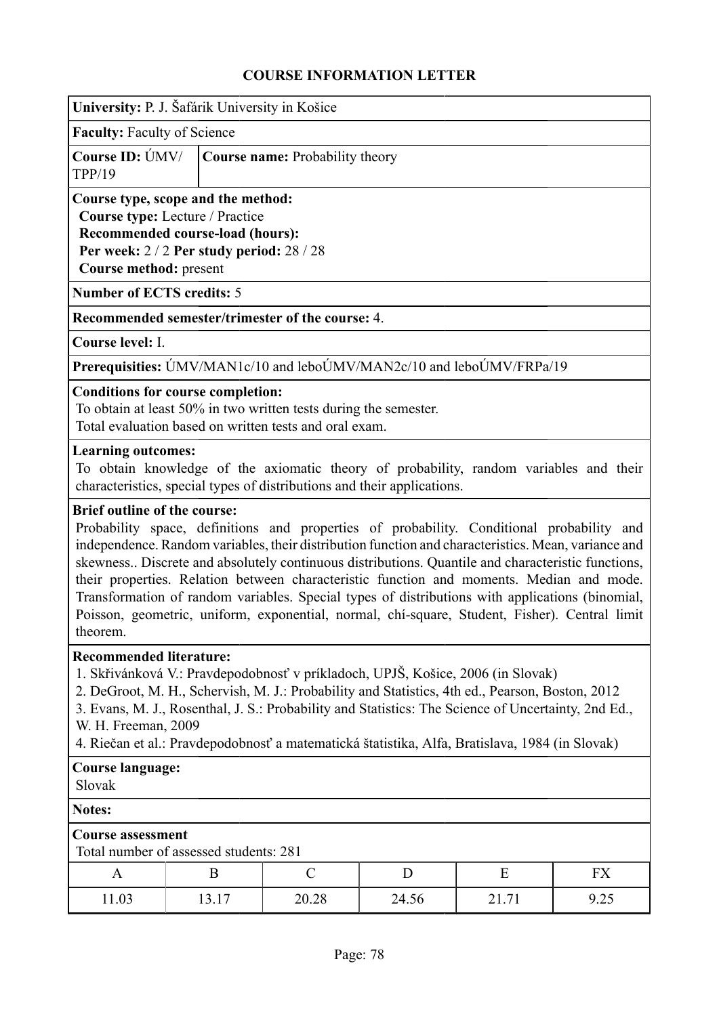| University: P. J. Šafárik University in Košice                                                                                                                                                                                                                                                                                                                                                                                                                                                                                                                                                                                                           |                                        |                                                                                                                            |       |       |      |
|----------------------------------------------------------------------------------------------------------------------------------------------------------------------------------------------------------------------------------------------------------------------------------------------------------------------------------------------------------------------------------------------------------------------------------------------------------------------------------------------------------------------------------------------------------------------------------------------------------------------------------------------------------|----------------------------------------|----------------------------------------------------------------------------------------------------------------------------|-------|-------|------|
| <b>Faculty: Faculty of Science</b>                                                                                                                                                                                                                                                                                                                                                                                                                                                                                                                                                                                                                       |                                        |                                                                                                                            |       |       |      |
| Course ID: ÚMV/<br><b>TPP/19</b>                                                                                                                                                                                                                                                                                                                                                                                                                                                                                                                                                                                                                         |                                        | Course name: Probability theory                                                                                            |       |       |      |
| Course type, scope and the method:<br>Course type: Lecture / Practice<br>Recommended course-load (hours):<br>Per week: 2/2 Per study period: 28/28<br>Course method: present                                                                                                                                                                                                                                                                                                                                                                                                                                                                             |                                        |                                                                                                                            |       |       |      |
| <b>Number of ECTS credits: 5</b>                                                                                                                                                                                                                                                                                                                                                                                                                                                                                                                                                                                                                         |                                        |                                                                                                                            |       |       |      |
|                                                                                                                                                                                                                                                                                                                                                                                                                                                                                                                                                                                                                                                          |                                        | Recommended semester/trimester of the course: 4.                                                                           |       |       |      |
| Course level: I.                                                                                                                                                                                                                                                                                                                                                                                                                                                                                                                                                                                                                                         |                                        |                                                                                                                            |       |       |      |
|                                                                                                                                                                                                                                                                                                                                                                                                                                                                                                                                                                                                                                                          |                                        | Prerequisities: ÚMV/MAN1c/10 and leboÚMV/MAN2c/10 and leboÚMV/FRPa/19                                                      |       |       |      |
| <b>Conditions for course completion:</b>                                                                                                                                                                                                                                                                                                                                                                                                                                                                                                                                                                                                                 |                                        | To obtain at least 50% in two written tests during the semester.<br>Total evaluation based on written tests and oral exam. |       |       |      |
| <b>Learning outcomes:</b><br>To obtain knowledge of the axiomatic theory of probability, random variables and their<br>characteristics, special types of distributions and their applications.                                                                                                                                                                                                                                                                                                                                                                                                                                                           |                                        |                                                                                                                            |       |       |      |
| <b>Brief outline of the course:</b><br>Probability space, definitions and properties of probability. Conditional probability and<br>independence. Random variables, their distribution function and characteristics. Mean, variance and<br>skewness Discrete and absolutely continuous distributions. Quantile and characteristic functions,<br>their properties. Relation between characteristic function and moments. Median and mode.<br>Transformation of random variables. Special types of distributions with applications (binomial,<br>Poisson, geometric, uniform, exponential, normal, chi-square, Student, Fisher). Central limit<br>theorem. |                                        |                                                                                                                            |       |       |      |
| <b>Recommended literature:</b><br>1. Skřivánková V.: Pravdepodobnosť v príkladoch, UPJŠ, Košice, 2006 (in Slovak)<br>2. DeGroot, M. H., Schervish, M. J.: Probability and Statistics, 4th ed., Pearson, Boston, 2012<br>3. Evans, M. J., Rosenthal, J. S.: Probability and Statistics: The Science of Uncertainty, 2nd Ed.,<br>W. H. Freeman, 2009<br>4. Riečan et al.: Pravdepodobnosť a matematická štatistika, Alfa, Bratislava, 1984 (in Slovak)                                                                                                                                                                                                     |                                        |                                                                                                                            |       |       |      |
| <b>Course language:</b><br>Slovak                                                                                                                                                                                                                                                                                                                                                                                                                                                                                                                                                                                                                        |                                        |                                                                                                                            |       |       |      |
| <b>Notes:</b>                                                                                                                                                                                                                                                                                                                                                                                                                                                                                                                                                                                                                                            |                                        |                                                                                                                            |       |       |      |
| <b>Course assessment</b>                                                                                                                                                                                                                                                                                                                                                                                                                                                                                                                                                                                                                                 | Total number of assessed students: 281 |                                                                                                                            |       |       |      |
| A                                                                                                                                                                                                                                                                                                                                                                                                                                                                                                                                                                                                                                                        | B                                      | $\mathcal{C}$                                                                                                              | D     | E     | FX   |
| 11.03                                                                                                                                                                                                                                                                                                                                                                                                                                                                                                                                                                                                                                                    | 13.17                                  | 20.28                                                                                                                      | 24.56 | 21.71 | 9.25 |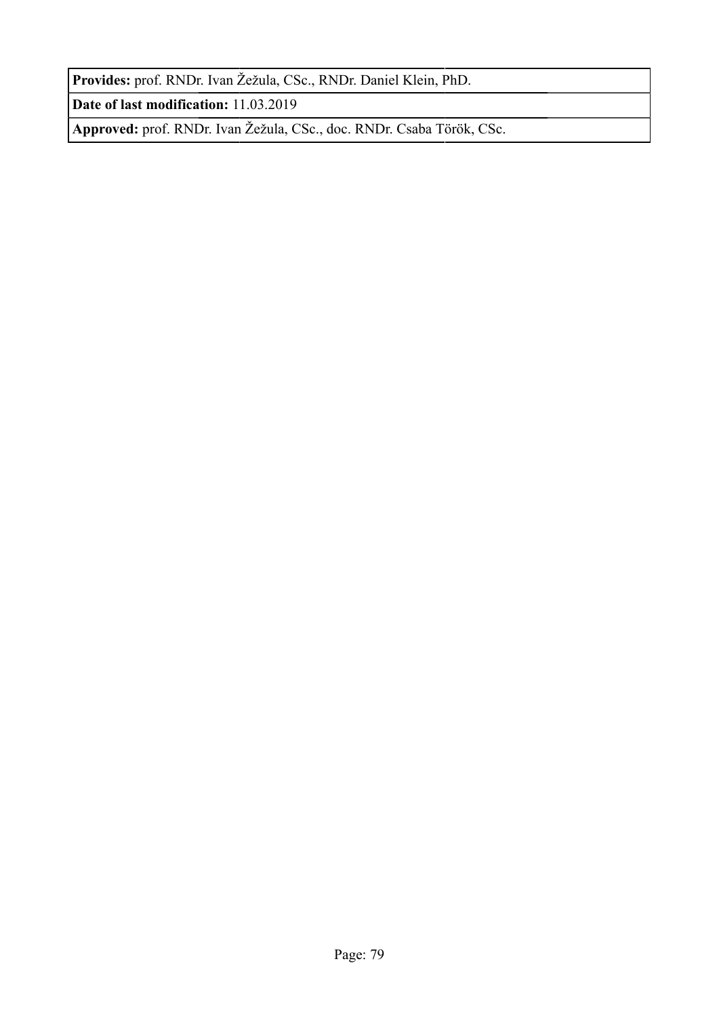**Provides:** prof. RNDr. Ivan Žežula, CSc., RNDr. Daniel Klein, PhD.

**Date of last modification:** 11.03.2019

**Approved:** prof. RNDr. Ivan Žežula, CSc., doc. RNDr. Csaba Török, CSc.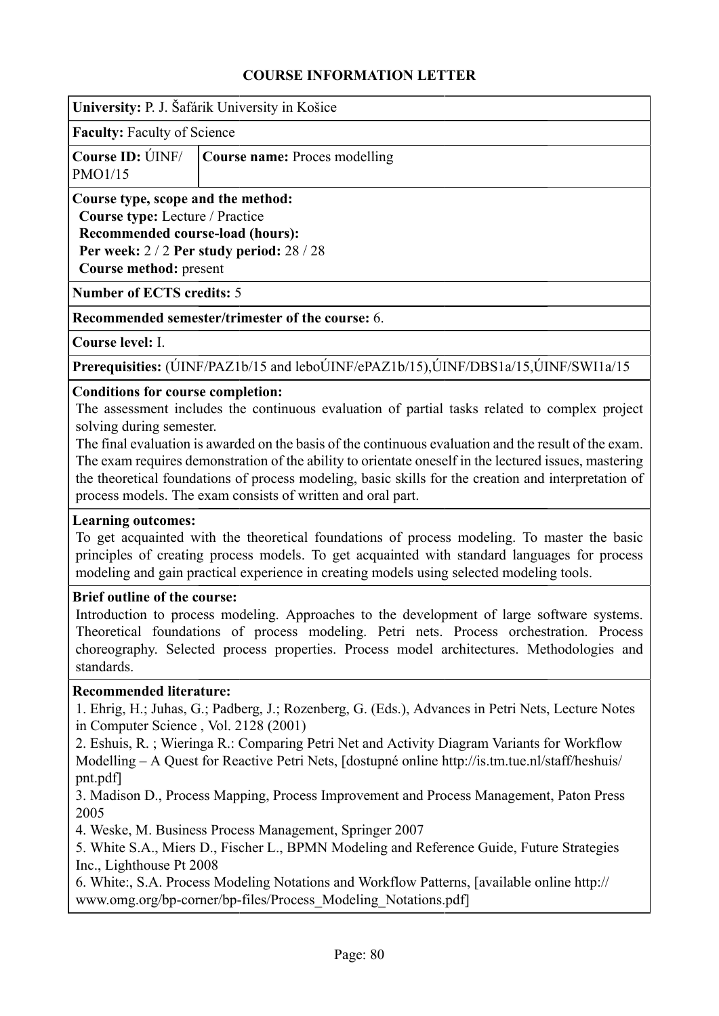| University: P. J. Šafárik University in Košice |  |  |  |  |  |  |
|------------------------------------------------|--|--|--|--|--|--|
|------------------------------------------------|--|--|--|--|--|--|

**Faculty:** Faculty of Science

|         | <b>Course ID:</b> UNF/ <b>Course name:</b> Proces modelling |
|---------|-------------------------------------------------------------|
| PMO1/15 |                                                             |

**Course type, scope and the method: Course type:** Lecture / Practice

**Recommended course-load (hours): Per week:** 2 / 2 **Per study period:** 28 / 28 **Course method:** present

**Number of ECTS credits:** 5

#### **Recommended semester/trimester of the course:** 6.

**Course level:** I.

**Prerequisities:** (ÚINF/PAZ1b/15 and leboÚINF/ePAZ1b/15),ÚINF/DBS1a/15,ÚINF/SWI1a/15

#### **Conditions for course completion:**

The assessment includes the continuous evaluation of partial tasks related to complex project solving during semester.

The final evaluation is awarded on the basis of the continuous evaluation and the result of the exam. The exam requires demonstration of the ability to orientate oneself in the lectured issues, mastering the theoretical foundations of process modeling, basic skills for the creation and interpretation of process models. The exam consists of written and oral part.

#### **Learning outcomes:**

To get acquainted with the theoretical foundations of process modeling. To master the basic principles of creating process models. To get acquainted with standard languages for process modeling and gain practical experience in creating models using selected modeling tools.

#### **Brief outline of the course:**

Introduction to process modeling. Approaches to the development of large software systems. Theoretical foundations of process modeling. Petri nets. Process orchestration. Process choreography. Selected process properties. Process model architectures. Methodologies and standards.

#### **Recommended literature:**

1. Ehrig, H.; Juhas, G.; Padberg, J.; Rozenberg, G. (Eds.), Advances in Petri Nets, Lecture Notes in Computer Science , Vol. 2128 (2001)

2. Eshuis, R. ; Wieringa R.: Comparing Petri Net and Activity Diagram Variants for Workflow Modelling – A Quest for Reactive Petri Nets, [dostupné online http://is.tm.tue.nl/staff/heshuis/ pnt.pdf]

3. Madison D., Process Mapping, Process Improvement and Process Management, Paton Press 2005

4. Weske, M. Business Process Management, Springer 2007

5. White S.A., Miers D., Fischer L., BPMN Modeling and Reference Guide, Future Strategies Inc., Lighthouse Pt 2008

6. White:, S.A. Process Modeling Notations and Workflow Patterns, [available online http:// www.omg.org/bp-corner/bp-files/Process\_Modeling\_Notations.pdf]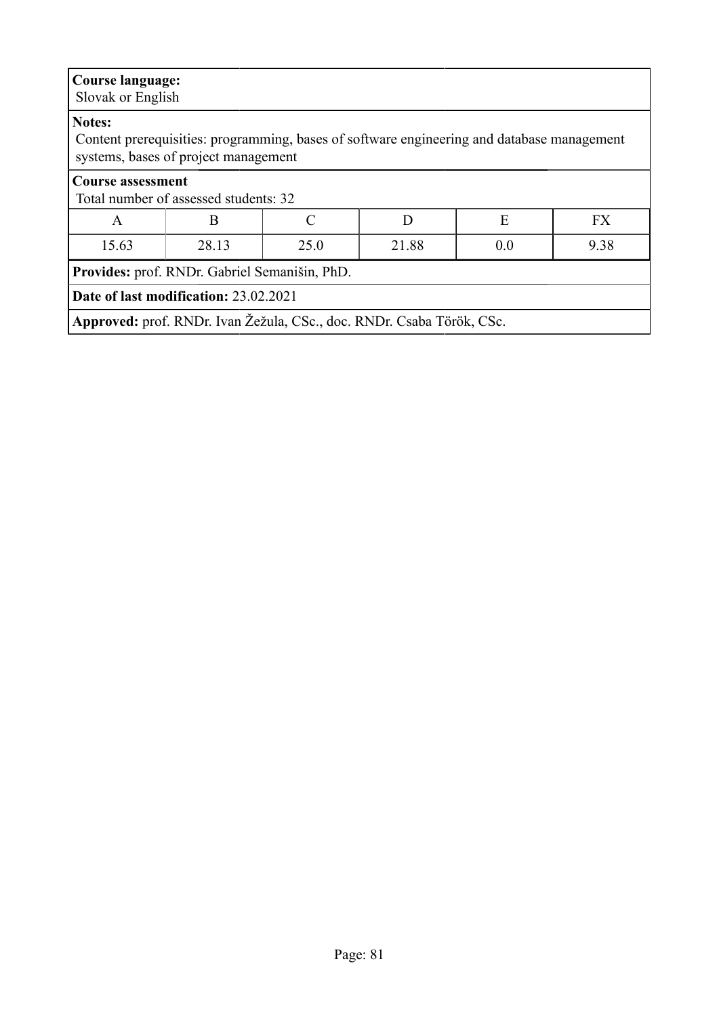| <b>Course language:</b><br>Slovak or English                      |                                                                                                                                    |                                                    |  |  |  |  |  |
|-------------------------------------------------------------------|------------------------------------------------------------------------------------------------------------------------------------|----------------------------------------------------|--|--|--|--|--|
| Notes:                                                            | Content prerequisities: programming, bases of software engineering and database management<br>systems, bases of project management |                                                    |  |  |  |  |  |
| <b>Course assessment</b><br>Total number of assessed students: 32 |                                                                                                                                    |                                                    |  |  |  |  |  |
| $\mathsf{A}$                                                      | B                                                                                                                                  | E<br><b>FX</b><br>$\mathcal{C}_{\mathcal{C}}$<br>D |  |  |  |  |  |
| 15.63                                                             | 9.38<br>28.13<br>25.0<br>21.88<br>0.0                                                                                              |                                                    |  |  |  |  |  |
| Provides: prof. RNDr. Gabriel Semanišin, PhD.                     |                                                                                                                                    |                                                    |  |  |  |  |  |
|                                                                   | Date of last modification: 23.02.2021                                                                                              |                                                    |  |  |  |  |  |
|                                                                   | Approved: prof. RNDr. Ivan Žežula, CSc., doc. RNDr. Csaba Török, CSc.                                                              |                                                    |  |  |  |  |  |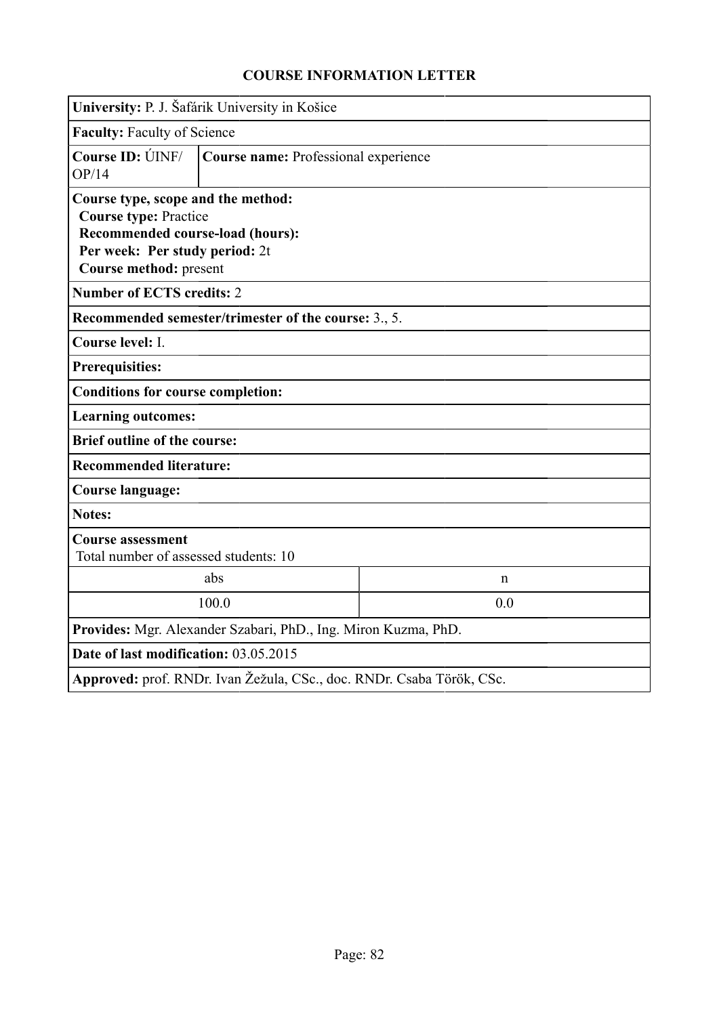|                                                                                                                                                                    | University: P. J. Šafárik University in Košice                        |              |  |  |
|--------------------------------------------------------------------------------------------------------------------------------------------------------------------|-----------------------------------------------------------------------|--------------|--|--|
| <b>Faculty: Faculty of Science</b>                                                                                                                                 |                                                                       |              |  |  |
| <b>Course ID: ÚINF/</b><br>OP/14                                                                                                                                   | Course name: Professional experience                                  |              |  |  |
| Course type, scope and the method:<br><b>Course type: Practice</b><br>Recommended course-load (hours):<br>Per week: Per study period: 2t<br>Course method: present |                                                                       |              |  |  |
| <b>Number of ECTS credits: 2</b>                                                                                                                                   |                                                                       |              |  |  |
|                                                                                                                                                                    | Recommended semester/trimester of the course: 3., 5.                  |              |  |  |
| Course level: I.                                                                                                                                                   |                                                                       |              |  |  |
| <b>Prerequisities:</b>                                                                                                                                             |                                                                       |              |  |  |
| <b>Conditions for course completion:</b>                                                                                                                           |                                                                       |              |  |  |
| <b>Learning outcomes:</b>                                                                                                                                          |                                                                       |              |  |  |
| <b>Brief outline of the course:</b>                                                                                                                                |                                                                       |              |  |  |
| <b>Recommended literature:</b>                                                                                                                                     |                                                                       |              |  |  |
| <b>Course language:</b>                                                                                                                                            |                                                                       |              |  |  |
| <b>Notes:</b>                                                                                                                                                      |                                                                       |              |  |  |
| <b>Course assessment</b><br>Total number of assessed students: 10                                                                                                  |                                                                       |              |  |  |
|                                                                                                                                                                    | abs                                                                   | $\mathsf{n}$ |  |  |
|                                                                                                                                                                    | 100.0                                                                 | 0.0          |  |  |
|                                                                                                                                                                    | Provides: Mgr. Alexander Szabari, PhD., Ing. Miron Kuzma, PhD.        |              |  |  |
| Date of last modification: 03.05.2015                                                                                                                              |                                                                       |              |  |  |
|                                                                                                                                                                    | Approved: prof. RNDr. Ivan Žežula, CSc., doc. RNDr. Csaba Török, CSc. |              |  |  |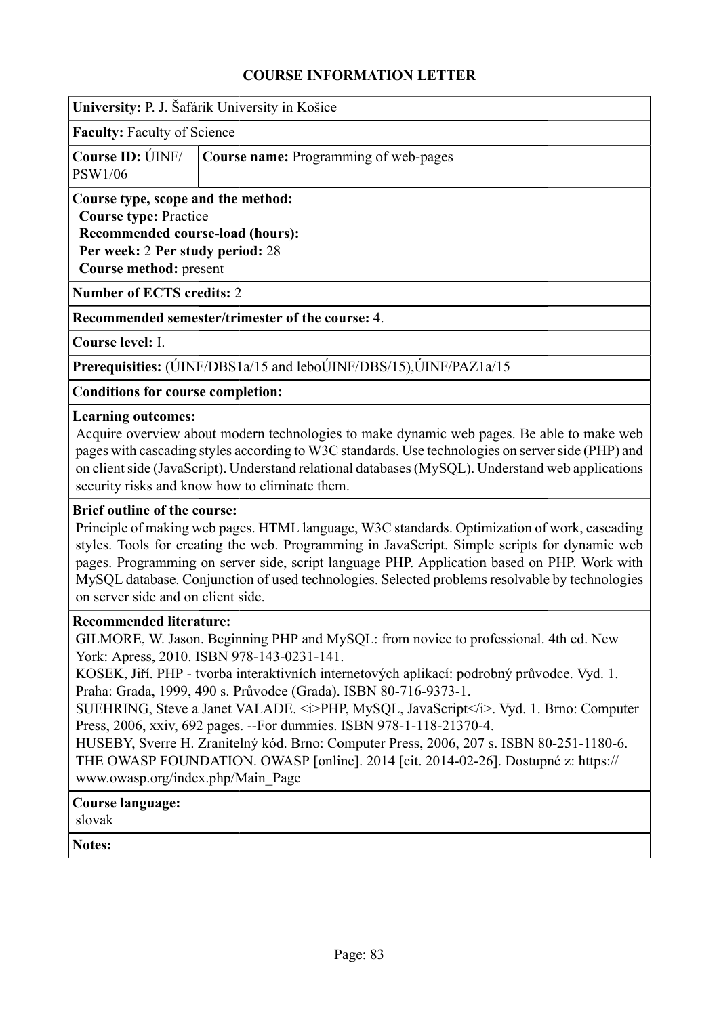| University: P. J. Šafárik University in Košice |  |  |  |
|------------------------------------------------|--|--|--|
|                                                |  |  |  |

**Faculty:** Faculty of Science

|                | <b>Course ID:</b> UNF/ <b>Course name:</b> Programming of web-pages |
|----------------|---------------------------------------------------------------------|
| <b>PSW1/06</b> |                                                                     |

**Course type, scope and the method: Course type:** Practice **Recommended course-load (hours): Per week:** 2 **Per study period:** 28 **Course method:** present

**Number of ECTS credits:** 2

**Recommended semester/trimester of the course:** 4.

**Course level:** I.

**Prerequisities:** (ÚINF/DBS1a/15 and leboÚINF/DBS/15),ÚINF/PAZ1a/15

**Conditions for course completion:**

#### **Learning outcomes:**

Acquire overview about modern technologies to make dynamic web pages. Be able to make web pages with cascading styles according to W3C standards. Use technologies on server side (PHP) and on client side (JavaScript). Understand relational databases (MySQL). Understand web applications security risks and know how to eliminate them.

#### **Brief outline of the course:**

Principle of making web pages. HTML language, W3C standards. Optimization of work, cascading styles. Tools for creating the web. Programming in JavaScript. Simple scripts for dynamic web pages. Programming on server side, script language PHP. Application based on PHP. Work with MySQL database. Conjunction of used technologies. Selected problems resolvable by technologies on server side and on client side.

#### **Recommended literature:**

GILMORE, W. Jason. Beginning PHP and MySQL: from novice to professional. 4th ed. New York: Apress, 2010. ISBN 978-143-0231-141.

KOSEK, Jiří. PHP - tvorba interaktivních internetových aplikací: podrobný průvodce. Vyd. 1. Praha: Grada, 1999, 490 s. Průvodce (Grada). ISBN 80-716-9373-1.

SUEHRING, Steve a Janet VALADE. <i>PHP, MySQL, JavaScript</i></i>>. Vyd. 1. Brno: Computer Press, 2006, xxiv, 692 pages. --For dummies. ISBN 978-1-118-21370-4.

HUSEBY, Sverre H. Zranitelný kód. Brno: Computer Press, 2006, 207 s. ISBN 80-251-1180-6. THE OWASP FOUNDATION. OWASP [online]. 2014 [cit. 2014-02-26]. Dostupné z: https:// www.owasp.org/index.php/Main\_Page

### **Course language:**

slovak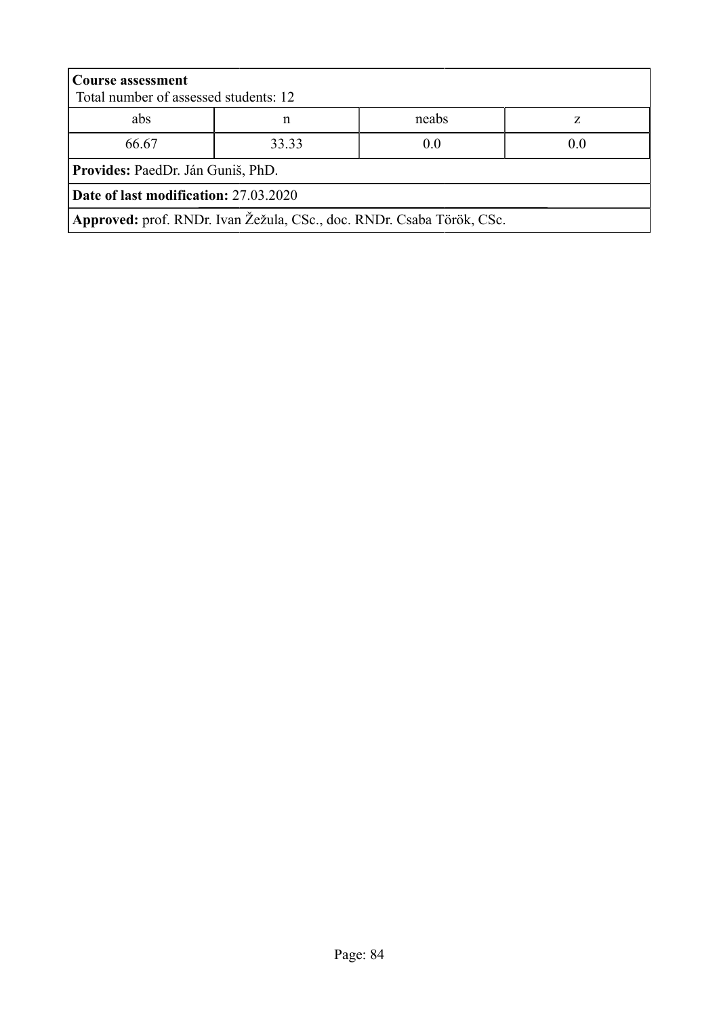| <b>Course assessment</b><br>Total number of assessed students: 12     |                     |       |   |  |  |
|-----------------------------------------------------------------------|---------------------|-------|---|--|--|
| abs                                                                   | n                   | neabs | Z |  |  |
| 66.67                                                                 | 33.33<br>0.0<br>0.0 |       |   |  |  |
| Provides: PaedDr. Ján Guniš, PhD.                                     |                     |       |   |  |  |
| Date of last modification: 27.03.2020                                 |                     |       |   |  |  |
| Approved: prof. RNDr. Ivan Žežula, CSc., doc. RNDr. Csaba Török, CSc. |                     |       |   |  |  |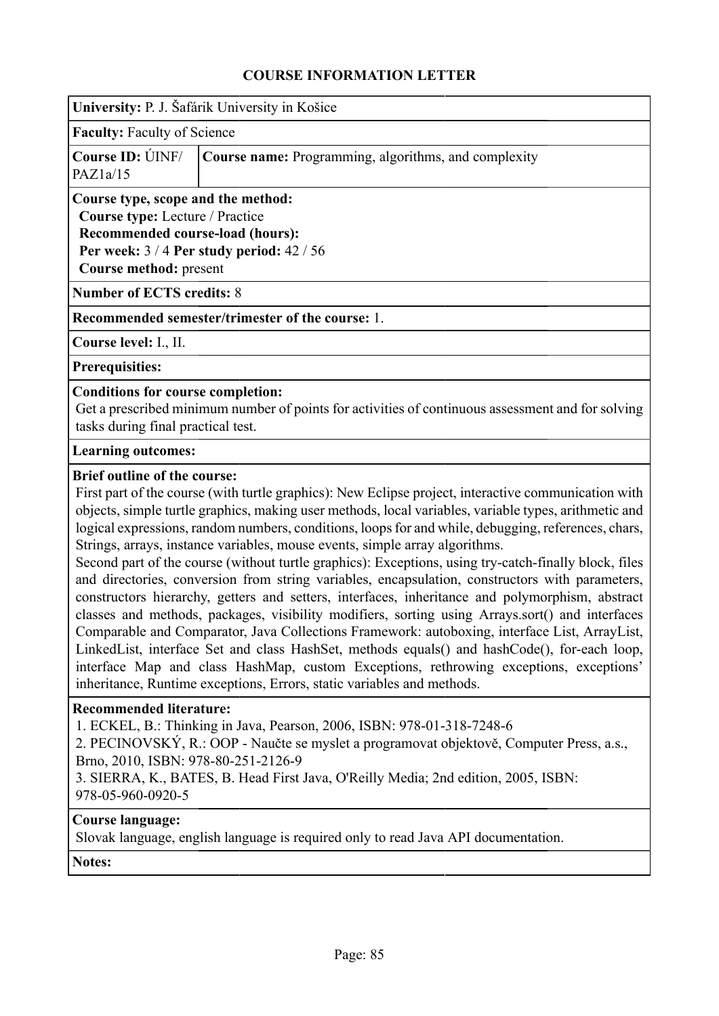|                                                                                                                                                          | University: P. J. Šafárik University in Košice |  |  |  |  |  |
|----------------------------------------------------------------------------------------------------------------------------------------------------------|------------------------------------------------|--|--|--|--|--|
|                                                                                                                                                          | <b>Faculty:</b> Faculty of Science             |  |  |  |  |  |
| Course ID: UNF/<br><b>Course name:</b> Programming, algorithms, and complexity<br>PAZ1a/15                                                               |                                                |  |  |  |  |  |
| Course type, scope and the method:<br><b>Course type:</b> Lecture / Practice<br><b>Recommended course-load (hours):</b><br><b>Course method:</b> present | Per week: $3/4$ Per study period: $42/56$      |  |  |  |  |  |
| <b>Number of ECTS credits: 8</b>                                                                                                                         |                                                |  |  |  |  |  |

**Recommended semester/trimester of the course:** 1.

**Course level:** I., II.

**Prerequisities:**

#### **Conditions for course completion:**

Get a prescribed minimum number of points for activities of continuous assessment and for solving tasks during final practical test.

#### **Learning outcomes:**

#### **Brief outline of the course:**

First part of the course (with turtle graphics): New Eclipse project, interactive communication with objects, simple turtle graphics, making user methods, local variables, variable types, arithmetic and logical expressions, random numbers, conditions, loops for and while, debugging, references, chars, Strings, arrays, instance variables, mouse events, simple array algorithms.

Second part of the course (without turtle graphics): Exceptions, using try-catch-finally block, files and directories, conversion from string variables, encapsulation, constructors with parameters, constructors hierarchy, getters and setters, interfaces, inheritance and polymorphism, abstract classes and methods, packages, visibility modifiers, sorting using Arrays.sort() and interfaces Comparable and Comparator, Java Collections Framework: autoboxing, interface List, ArrayList, LinkedList, interface Set and class HashSet, methods equals() and hashCode(), for-each loop, interface Map and class HashMap, custom Exceptions, rethrowing exceptions, exceptions' inheritance, Runtime exceptions, Errors, static variables and methods.

#### **Recommended literature:**

1. ECKEL, B.: Thinking in Java, Pearson, 2006, ISBN: 978-01-318-7248-6

2. PECINOVSKÝ, R.: OOP - Naučte se myslet a programovat objektově, Computer Press, a.s., Brno, 2010, ISBN: 978-80-251-2126-9

3. SIERRA, K., BATES, B. Head First Java, O'Reilly Media; 2nd edition, 2005, ISBN: 978-05-960-0920-5

#### **Course language:**

Slovak language, english language is required only to read Java API documentation.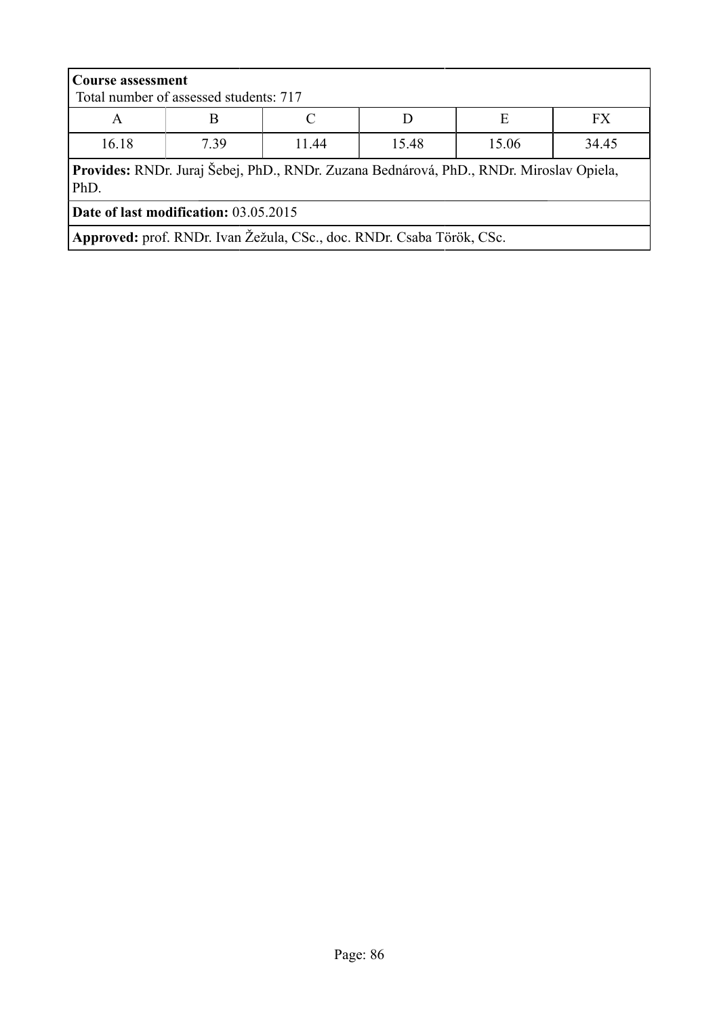| <b>Course assessment</b>                                                                        | Total number of assessed students: 717 |                                 |  |  |  |  |  |
|-------------------------------------------------------------------------------------------------|----------------------------------------|---------------------------------|--|--|--|--|--|
| A                                                                                               | FX.<br>Е<br>B                          |                                 |  |  |  |  |  |
| 16.18                                                                                           | 7.39                                   | 34.45<br>15.06<br>15.48<br>1144 |  |  |  |  |  |
| Provides: RNDr. Juraj Šebej, PhD., RNDr. Zuzana Bednárová, PhD., RNDr. Miroslav Opiela,<br>PhD. |                                        |                                 |  |  |  |  |  |
| Date of last modification: 03.05.2015                                                           |                                        |                                 |  |  |  |  |  |
| Approved: prof. RNDr. Ivan Žežula, CSc., doc. RNDr. Csaba Török, CSc.                           |                                        |                                 |  |  |  |  |  |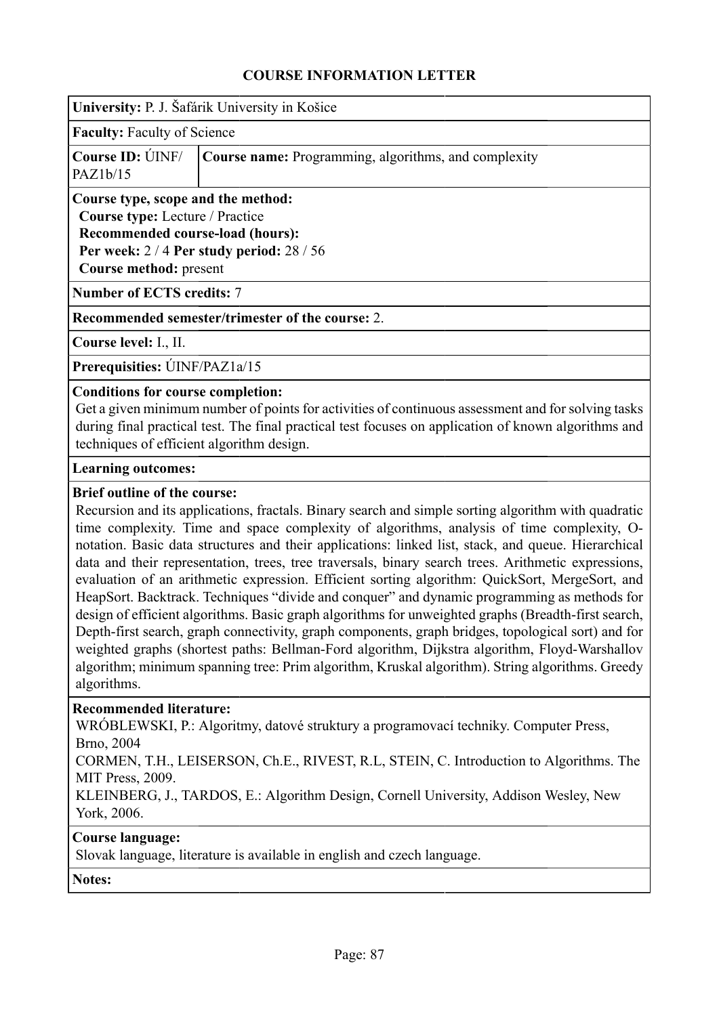|                                                                                            | University: P. J. Šafárik University in Košice                                                                                                                                                        |  |  |  |  |  |
|--------------------------------------------------------------------------------------------|-------------------------------------------------------------------------------------------------------------------------------------------------------------------------------------------------------|--|--|--|--|--|
|                                                                                            | <b>Faculty:</b> Faculty of Science                                                                                                                                                                    |  |  |  |  |  |
| Course ID: UNF/<br><b>Course name:</b> Programming, algorithms, and complexity<br>PAZ1b/15 |                                                                                                                                                                                                       |  |  |  |  |  |
|                                                                                            | Course type, scope and the method:<br><b>Course type:</b> Lecture / Practice<br><b>Recommended course-load (hours):</b><br>Per week: $2/4$ Per study period: $28/56$<br><b>Course method: present</b> |  |  |  |  |  |
| <b>Number of ECTS credits: 7</b>                                                           |                                                                                                                                                                                                       |  |  |  |  |  |
| Recommended semester/trimester of the course: 2.                                           |                                                                                                                                                                                                       |  |  |  |  |  |

**Course level:** I., II.

**Prerequisities:** ÚINF/PAZ1a/15

#### **Conditions for course completion:**

Get a given minimum number of points for activities of continuous assessment and for solving tasks during final practical test. The final practical test focuses on application of known algorithms and techniques of efficient algorithm design.

#### **Learning outcomes:**

#### **Brief outline of the course:**

Recursion and its applications, fractals. Binary search and simple sorting algorithm with quadratic time complexity. Time and space complexity of algorithms, analysis of time complexity, Onotation. Basic data structures and their applications: linked list, stack, and queue. Hierarchical data and their representation, trees, tree traversals, binary search trees. Arithmetic expressions, evaluation of an arithmetic expression. Efficient sorting algorithm: QuickSort, MergeSort, and HeapSort. Backtrack. Techniques "divide and conquer" and dynamic programming as methods for design of efficient algorithms. Basic graph algorithms for unweighted graphs (Breadth-first search, Depth-first search, graph connectivity, graph components, graph bridges, topological sort) and for weighted graphs (shortest paths: Bellman-Ford algorithm, Dijkstra algorithm, Floyd-Warshallov algorithm; minimum spanning tree: Prim algorithm, Kruskal algorithm). String algorithms. Greedy algorithms.

#### **Recommended literature:**

WRÓBLEWSKI, P.: Algoritmy, datové struktury a programovací techniky. Computer Press, Brno, 2004

CORMEN, T.H., LEISERSON, Ch.E., RIVEST, R.L, STEIN, C. Introduction to Algorithms. The MIT Press, 2009.

KLEINBERG, J., TARDOS, E.: Algorithm Design, Cornell University, Addison Wesley, New York, 2006.

## **Course language:**

Slovak language, literature is available in english and czech language.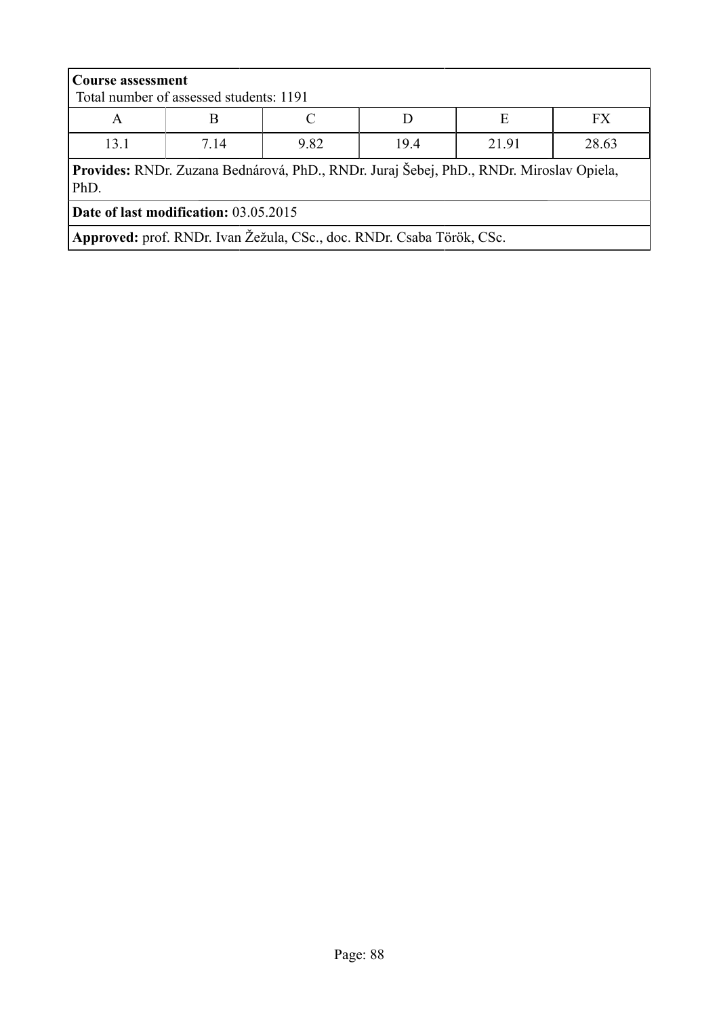| <b>Course assessment</b>                                                                        | Total number of assessed students: 1191 |  |  |  |  |  |
|-------------------------------------------------------------------------------------------------|-----------------------------------------|--|--|--|--|--|
| A                                                                                               | E<br><b>FX</b>                          |  |  |  |  |  |
| 13.1                                                                                            | 21.91<br>28.63<br>19.4<br>7 14<br>9.82  |  |  |  |  |  |
| Provides: RNDr. Zuzana Bednárová, PhD., RNDr. Juraj Šebej, PhD., RNDr. Miroslav Opiela,<br>PhD. |                                         |  |  |  |  |  |
| <b>Date of last modification: 03.05.2015</b>                                                    |                                         |  |  |  |  |  |
| Approved: prof. RNDr. Ivan Žežula, CSc., doc. RNDr. Csaba Török, CSc.                           |                                         |  |  |  |  |  |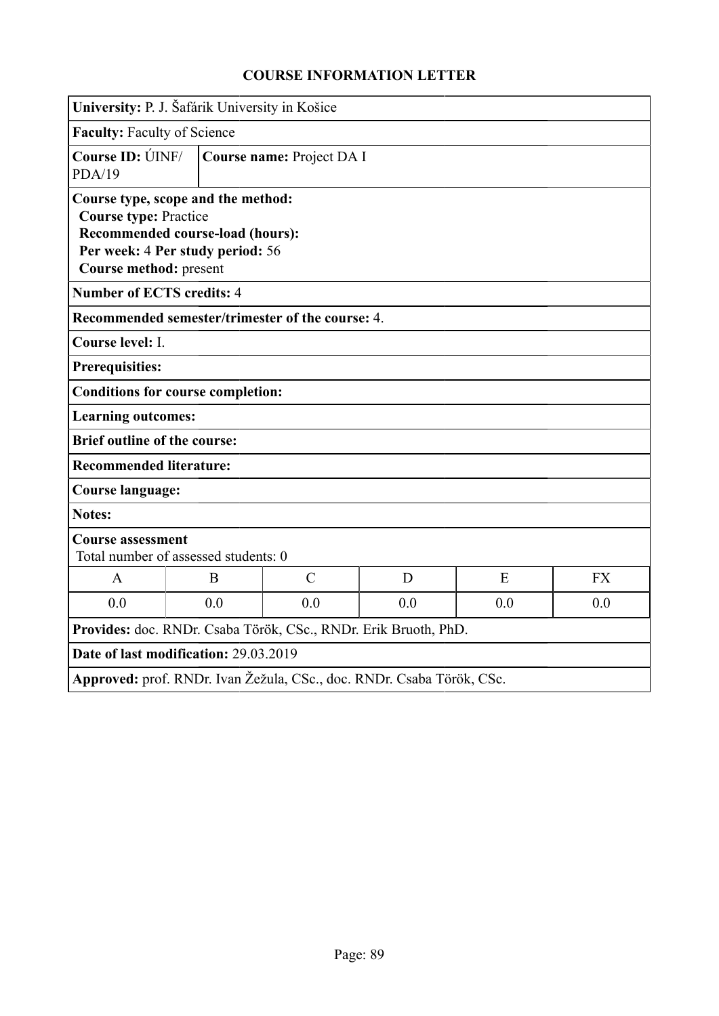| University: P. J. Šafárik University in Košice                  |                                                                                                                                                                      |                                                                       |     |     |           |  |
|-----------------------------------------------------------------|----------------------------------------------------------------------------------------------------------------------------------------------------------------------|-----------------------------------------------------------------------|-----|-----|-----------|--|
|                                                                 | <b>Faculty: Faculty of Science</b>                                                                                                                                   |                                                                       |     |     |           |  |
| <b>Course ID: ÚINF/</b><br>PDA/19                               |                                                                                                                                                                      | Course name: Project DA I                                             |     |     |           |  |
|                                                                 | Course type, scope and the method:<br><b>Course type: Practice</b><br>Recommended course-load (hours):<br>Per week: 4 Per study period: 56<br>Course method: present |                                                                       |     |     |           |  |
| <b>Number of ECTS credits: 4</b>                                |                                                                                                                                                                      |                                                                       |     |     |           |  |
|                                                                 |                                                                                                                                                                      | Recommended semester/trimester of the course: 4.                      |     |     |           |  |
| Course level: I.                                                |                                                                                                                                                                      |                                                                       |     |     |           |  |
| <b>Prerequisities:</b>                                          |                                                                                                                                                                      |                                                                       |     |     |           |  |
| <b>Conditions for course completion:</b>                        |                                                                                                                                                                      |                                                                       |     |     |           |  |
| <b>Learning outcomes:</b>                                       |                                                                                                                                                                      |                                                                       |     |     |           |  |
| <b>Brief outline of the course:</b>                             |                                                                                                                                                                      |                                                                       |     |     |           |  |
| <b>Recommended literature:</b>                                  |                                                                                                                                                                      |                                                                       |     |     |           |  |
| <b>Course language:</b>                                         |                                                                                                                                                                      |                                                                       |     |     |           |  |
| <b>Notes:</b>                                                   |                                                                                                                                                                      |                                                                       |     |     |           |  |
| <b>Course assessment</b>                                        | Total number of assessed students: 0                                                                                                                                 |                                                                       |     |     |           |  |
| $\mathbf{A}$                                                    | B                                                                                                                                                                    | $\mathcal{C}$                                                         | D   | E   | <b>FX</b> |  |
| 0.0                                                             | 0.0                                                                                                                                                                  | 0.0                                                                   | 0.0 | 0.0 | 0.0       |  |
| Provides: doc. RNDr. Csaba Török, CSc., RNDr. Erik Bruoth, PhD. |                                                                                                                                                                      |                                                                       |     |     |           |  |
| Date of last modification: 29.03.2019                           |                                                                                                                                                                      |                                                                       |     |     |           |  |
|                                                                 |                                                                                                                                                                      | Approved: prof. RNDr. Ivan Žežula, CSc., doc. RNDr. Csaba Török, CSc. |     |     |           |  |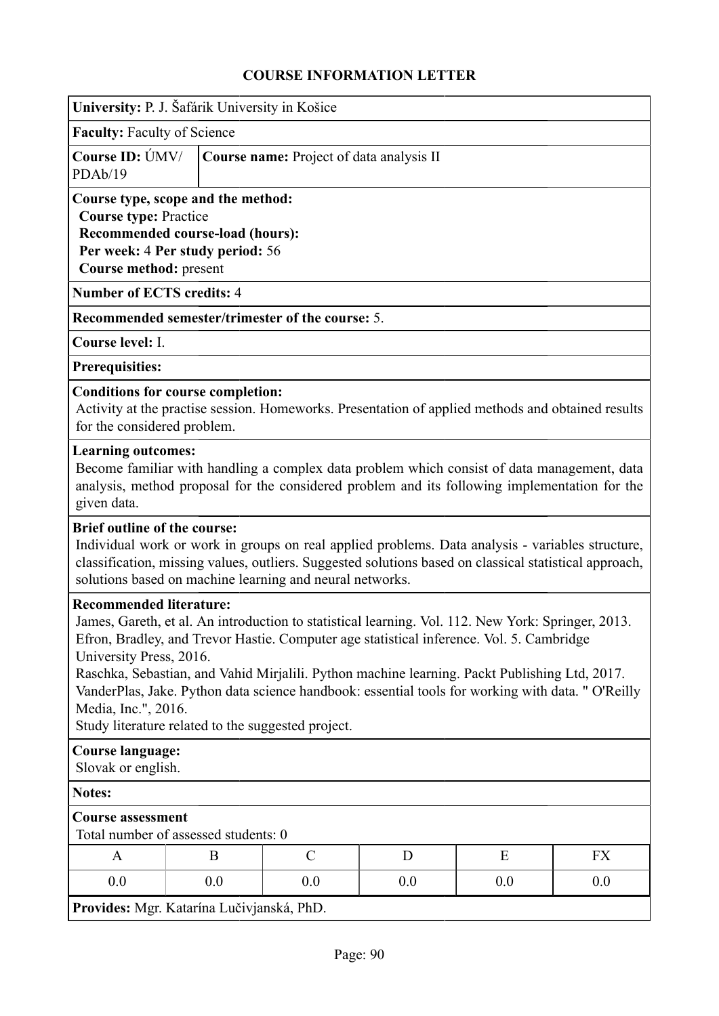| University: P. J. Šafárik University in Košice                                                                                                                                                                                                                                                                                                                                                                                                                                                                                                 |                                                                                                                                                                      |               |     |     |           |  |
|------------------------------------------------------------------------------------------------------------------------------------------------------------------------------------------------------------------------------------------------------------------------------------------------------------------------------------------------------------------------------------------------------------------------------------------------------------------------------------------------------------------------------------------------|----------------------------------------------------------------------------------------------------------------------------------------------------------------------|---------------|-----|-----|-----------|--|
| <b>Faculty: Faculty of Science</b>                                                                                                                                                                                                                                                                                                                                                                                                                                                                                                             |                                                                                                                                                                      |               |     |     |           |  |
| Course ID: UMV/<br>PDAb/19                                                                                                                                                                                                                                                                                                                                                                                                                                                                                                                     | Course name: Project of data analysis II                                                                                                                             |               |     |     |           |  |
|                                                                                                                                                                                                                                                                                                                                                                                                                                                                                                                                                | Course type, scope and the method:<br><b>Course type: Practice</b><br>Recommended course-load (hours):<br>Per week: 4 Per study period: 56<br>Course method: present |               |     |     |           |  |
| <b>Number of ECTS credits: 4</b>                                                                                                                                                                                                                                                                                                                                                                                                                                                                                                               |                                                                                                                                                                      |               |     |     |           |  |
| <b>Recommended semester/trimester of the course: 5.</b>                                                                                                                                                                                                                                                                                                                                                                                                                                                                                        |                                                                                                                                                                      |               |     |     |           |  |
| Course level: I.                                                                                                                                                                                                                                                                                                                                                                                                                                                                                                                               |                                                                                                                                                                      |               |     |     |           |  |
| <b>Prerequisities:</b>                                                                                                                                                                                                                                                                                                                                                                                                                                                                                                                         |                                                                                                                                                                      |               |     |     |           |  |
| <b>Conditions for course completion:</b><br>Activity at the practise session. Homeworks. Presentation of applied methods and obtained results<br>for the considered problem.                                                                                                                                                                                                                                                                                                                                                                   |                                                                                                                                                                      |               |     |     |           |  |
| <b>Learning outcomes:</b><br>Become familiar with handling a complex data problem which consist of data management, data<br>analysis, method proposal for the considered problem and its following implementation for the<br>given data.                                                                                                                                                                                                                                                                                                       |                                                                                                                                                                      |               |     |     |           |  |
| <b>Brief outline of the course:</b><br>Individual work or work in groups on real applied problems. Data analysis - variables structure,<br>classification, missing values, outliers. Suggested solutions based on classical statistical approach,<br>solutions based on machine learning and neural networks.                                                                                                                                                                                                                                  |                                                                                                                                                                      |               |     |     |           |  |
| <b>Recommended literature:</b><br>James, Gareth, et al. An introduction to statistical learning. Vol. 112. New York: Springer, 2013.<br>Efron, Bradley, and Trevor Hastie. Computer age statistical inference. Vol. 5. Cambridge<br>University Press, 2016.<br>Raschka, Sebastian, and Vahid Mirjalili. Python machine learning. Packt Publishing Ltd, 2017.<br>VanderPlas, Jake. Python data science handbook: essential tools for working with data. " O'Reilly<br>Media, Inc.", 2016.<br>Study literature related to the suggested project. |                                                                                                                                                                      |               |     |     |           |  |
| <b>Course language:</b><br>Slovak or english.                                                                                                                                                                                                                                                                                                                                                                                                                                                                                                  |                                                                                                                                                                      |               |     |     |           |  |
| <b>Notes:</b>                                                                                                                                                                                                                                                                                                                                                                                                                                                                                                                                  |                                                                                                                                                                      |               |     |     |           |  |
| <b>Course assessment</b><br>Total number of assessed students: 0                                                                                                                                                                                                                                                                                                                                                                                                                                                                               |                                                                                                                                                                      |               |     |     |           |  |
| A                                                                                                                                                                                                                                                                                                                                                                                                                                                                                                                                              | B                                                                                                                                                                    | $\mathcal{C}$ | D   | E   | <b>FX</b> |  |
| 0.0                                                                                                                                                                                                                                                                                                                                                                                                                                                                                                                                            | 0.0                                                                                                                                                                  | 0.0           | 0.0 | 0.0 | 0.0       |  |
| Provides: Mgr. Katarína Lučivjanská, PhD.                                                                                                                                                                                                                                                                                                                                                                                                                                                                                                      |                                                                                                                                                                      |               |     |     |           |  |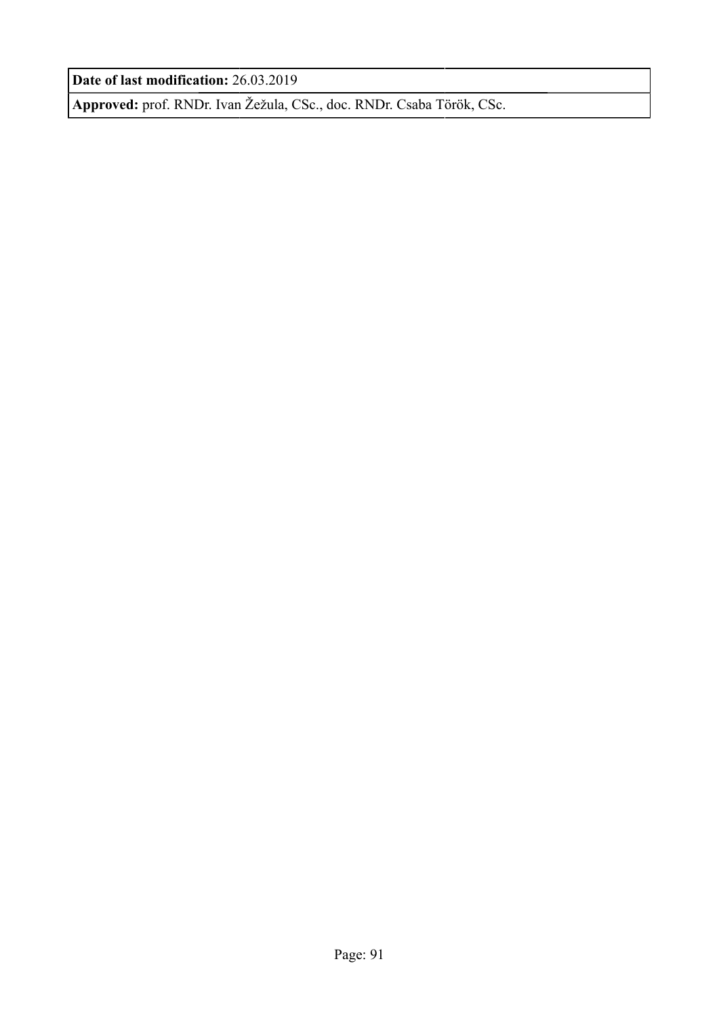**Date of last modification:** 26.03.2019

**Approved:** prof. RNDr. Ivan Žežula, CSc., doc. RNDr. Csaba Török, CSc.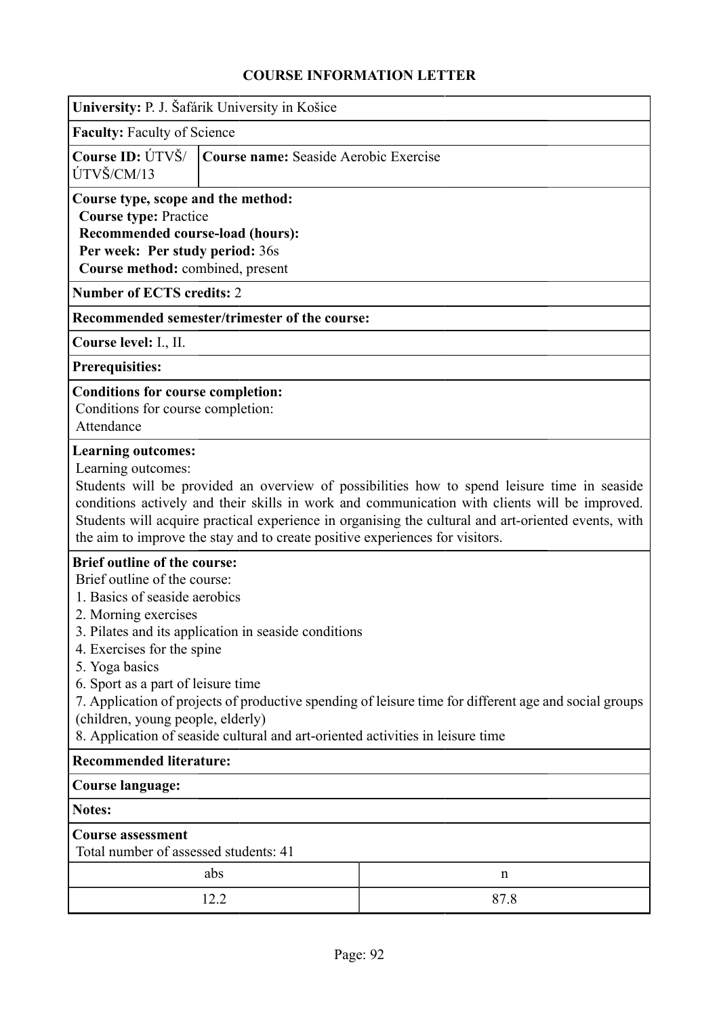|                                                                                                                                                                                                                                                                                                                                                                                                           | University: P. J. Šafárik University in Košice                                                                                                                                |                                                                                                       |  |  |  |  |  |
|-----------------------------------------------------------------------------------------------------------------------------------------------------------------------------------------------------------------------------------------------------------------------------------------------------------------------------------------------------------------------------------------------------------|-------------------------------------------------------------------------------------------------------------------------------------------------------------------------------|-------------------------------------------------------------------------------------------------------|--|--|--|--|--|
| <b>Faculty: Faculty of Science</b>                                                                                                                                                                                                                                                                                                                                                                        |                                                                                                                                                                               |                                                                                                       |  |  |  |  |  |
| Course ID: ÚTVŠ/<br>ÚTVŠ/CM/13                                                                                                                                                                                                                                                                                                                                                                            | Course name: Seaside Aerobic Exercise                                                                                                                                         |                                                                                                       |  |  |  |  |  |
|                                                                                                                                                                                                                                                                                                                                                                                                           | Course type, scope and the method:<br><b>Course type: Practice</b><br>Recommended course-load (hours):<br>Per week: Per study period: 36s<br>Course method: combined, present |                                                                                                       |  |  |  |  |  |
| <b>Number of ECTS credits: 2</b>                                                                                                                                                                                                                                                                                                                                                                          |                                                                                                                                                                               |                                                                                                       |  |  |  |  |  |
|                                                                                                                                                                                                                                                                                                                                                                                                           | Recommended semester/trimester of the course:                                                                                                                                 |                                                                                                       |  |  |  |  |  |
| Course level: I., II.                                                                                                                                                                                                                                                                                                                                                                                     |                                                                                                                                                                               |                                                                                                       |  |  |  |  |  |
| <b>Prerequisities:</b>                                                                                                                                                                                                                                                                                                                                                                                    |                                                                                                                                                                               |                                                                                                       |  |  |  |  |  |
| <b>Conditions for course completion:</b><br>Conditions for course completion:<br>Attendance                                                                                                                                                                                                                                                                                                               |                                                                                                                                                                               |                                                                                                       |  |  |  |  |  |
| Learning outcomes:<br>Students will be provided an overview of possibilities how to spend leisure time in seaside<br>conditions actively and their skills in work and communication with clients will be improved.<br>Students will acquire practical experience in organising the cultural and art-oriented events, with<br>the aim to improve the stay and to create positive experiences for visitors. |                                                                                                                                                                               |                                                                                                       |  |  |  |  |  |
| <b>Brief outline of the course:</b><br>Brief outline of the course:<br>1. Basics of seaside aerobics<br>2. Morning exercises<br>4. Exercises for the spine<br>5. Yoga basics<br>6. Sport as a part of leisure time<br>(children, young people, elderly)                                                                                                                                                   | 3. Pilates and its application in seaside conditions<br>8. Application of seaside cultural and art-oriented activities in leisure time                                        | 7. Application of projects of productive spending of leisure time for different age and social groups |  |  |  |  |  |
|                                                                                                                                                                                                                                                                                                                                                                                                           | <b>Recommended literature:</b>                                                                                                                                                |                                                                                                       |  |  |  |  |  |
| <b>Course language:</b>                                                                                                                                                                                                                                                                                                                                                                                   |                                                                                                                                                                               |                                                                                                       |  |  |  |  |  |
| Notes:                                                                                                                                                                                                                                                                                                                                                                                                    |                                                                                                                                                                               |                                                                                                       |  |  |  |  |  |
| <b>Course assessment</b><br>Total number of assessed students: 41                                                                                                                                                                                                                                                                                                                                         |                                                                                                                                                                               |                                                                                                       |  |  |  |  |  |
|                                                                                                                                                                                                                                                                                                                                                                                                           | abs                                                                                                                                                                           | n                                                                                                     |  |  |  |  |  |
|                                                                                                                                                                                                                                                                                                                                                                                                           | 12.2                                                                                                                                                                          | 87.8                                                                                                  |  |  |  |  |  |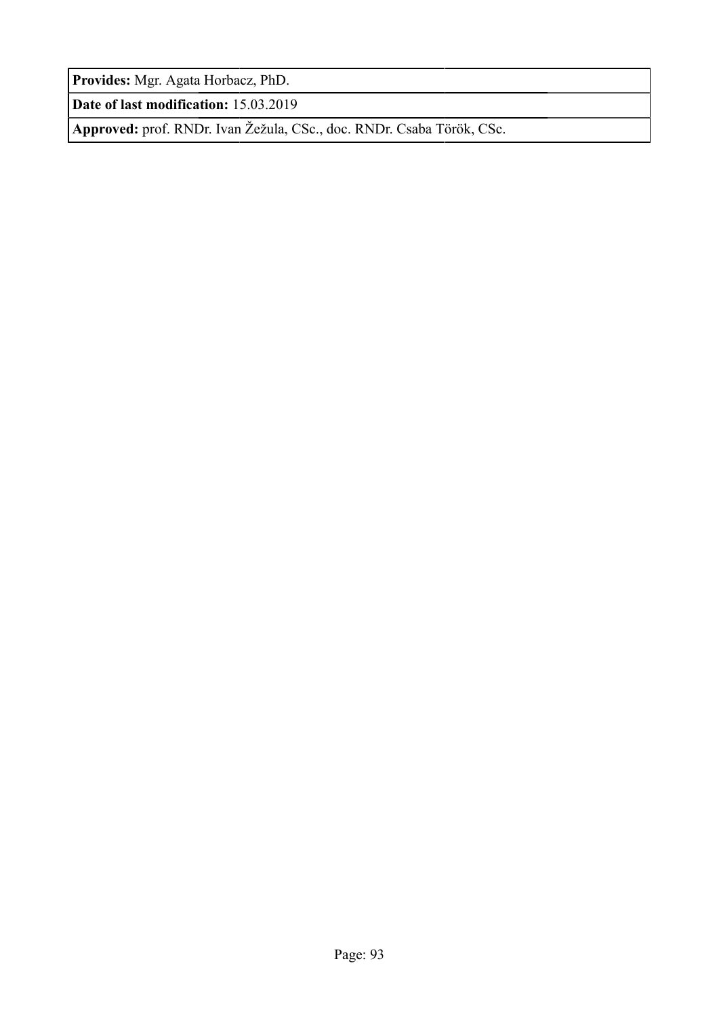**Provides:** Mgr. Agata Horbacz, PhD.

**Date of last modification:** 15.03.2019

**Approved:** prof. RNDr. Ivan Žežula, CSc., doc. RNDr. Csaba Török, CSc.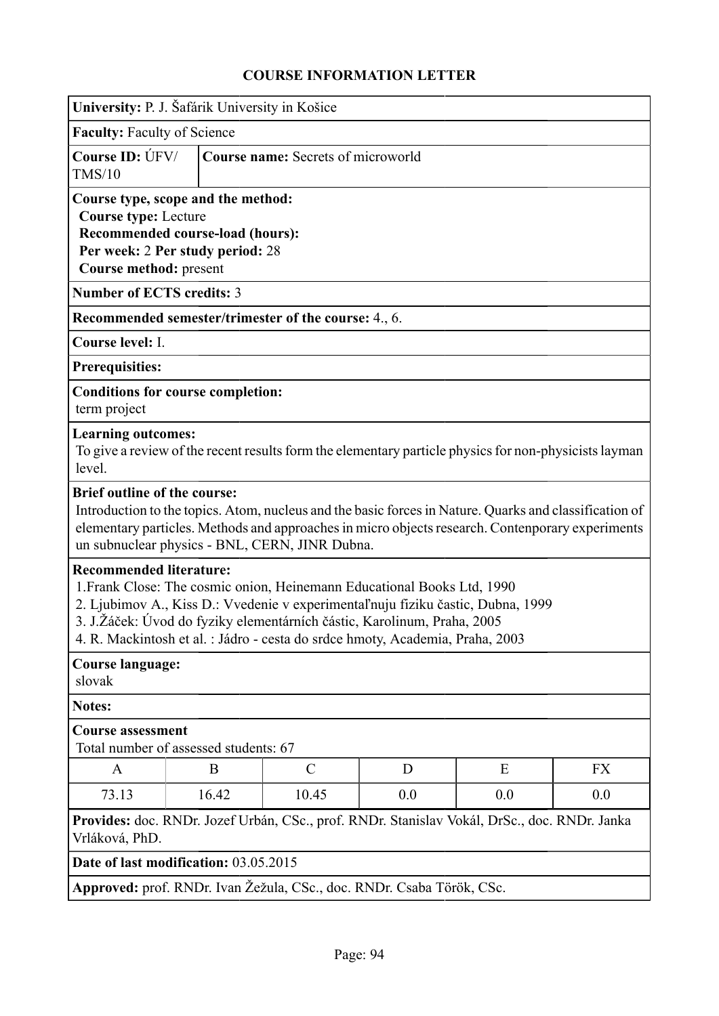| University: P. J. Šafárik University in Košice                                                                                                                                                                                                                                                                                                            |                                                                                                                                                                     |                                                                       |     |                                                                                                                                                                                                            |           |  |
|-----------------------------------------------------------------------------------------------------------------------------------------------------------------------------------------------------------------------------------------------------------------------------------------------------------------------------------------------------------|---------------------------------------------------------------------------------------------------------------------------------------------------------------------|-----------------------------------------------------------------------|-----|------------------------------------------------------------------------------------------------------------------------------------------------------------------------------------------------------------|-----------|--|
| <b>Faculty: Faculty of Science</b>                                                                                                                                                                                                                                                                                                                        |                                                                                                                                                                     |                                                                       |     |                                                                                                                                                                                                            |           |  |
| Course ID: ÚFV/<br>TMS/10                                                                                                                                                                                                                                                                                                                                 |                                                                                                                                                                     | <b>Course name:</b> Secrets of microworld                             |     |                                                                                                                                                                                                            |           |  |
|                                                                                                                                                                                                                                                                                                                                                           | Course type, scope and the method:<br><b>Course type: Lecture</b><br>Recommended course-load (hours):<br>Per week: 2 Per study period: 28<br>Course method: present |                                                                       |     |                                                                                                                                                                                                            |           |  |
| <b>Number of ECTS credits: 3</b>                                                                                                                                                                                                                                                                                                                          |                                                                                                                                                                     |                                                                       |     |                                                                                                                                                                                                            |           |  |
|                                                                                                                                                                                                                                                                                                                                                           |                                                                                                                                                                     | <b>Recommended semester/trimester of the course:</b> 4., 6.           |     |                                                                                                                                                                                                            |           |  |
| Course level: I.                                                                                                                                                                                                                                                                                                                                          |                                                                                                                                                                     |                                                                       |     |                                                                                                                                                                                                            |           |  |
| Prerequisities:                                                                                                                                                                                                                                                                                                                                           |                                                                                                                                                                     |                                                                       |     |                                                                                                                                                                                                            |           |  |
| <b>Conditions for course completion:</b><br>term project                                                                                                                                                                                                                                                                                                  |                                                                                                                                                                     |                                                                       |     |                                                                                                                                                                                                            |           |  |
| <b>Learning outcomes:</b><br>level.                                                                                                                                                                                                                                                                                                                       |                                                                                                                                                                     |                                                                       |     | To give a review of the recent results form the elementary particle physics for non-physicists layman                                                                                                      |           |  |
| <b>Brief outline of the course:</b>                                                                                                                                                                                                                                                                                                                       |                                                                                                                                                                     | un subnuclear physics - BNL, CERN, JINR Dubna.                        |     | Introduction to the topics. Atom, nucleus and the basic forces in Nature. Quarks and classification of<br>elementary particles. Methods and approaches in micro objects research. Contenporary experiments |           |  |
| <b>Recommended literature:</b><br>1. Frank Close: The cosmic onion, Heinemann Educational Books Ltd, 1990<br>2. Ljubimov A., Kiss D.: Vvedenie v experimental'nuju fiziku častic, Dubna, 1999<br>3. J.Žáček: Úvod do fyziky elementárních částic, Karolinum, Praha, 2005<br>4. R. Mackintosh et al. : Jádro - cesta do srdce hmoty, Academia, Praha, 2003 |                                                                                                                                                                     |                                                                       |     |                                                                                                                                                                                                            |           |  |
| <b>Course language:</b><br>slovak                                                                                                                                                                                                                                                                                                                         |                                                                                                                                                                     |                                                                       |     |                                                                                                                                                                                                            |           |  |
| <b>Notes:</b>                                                                                                                                                                                                                                                                                                                                             |                                                                                                                                                                     |                                                                       |     |                                                                                                                                                                                                            |           |  |
|                                                                                                                                                                                                                                                                                                                                                           | <b>Course assessment</b><br>Total number of assessed students: 67                                                                                                   |                                                                       |     |                                                                                                                                                                                                            |           |  |
| A                                                                                                                                                                                                                                                                                                                                                         | B                                                                                                                                                                   | $\mathcal{C}$                                                         | D   | E                                                                                                                                                                                                          | <b>FX</b> |  |
| 73.13                                                                                                                                                                                                                                                                                                                                                     | 16.42                                                                                                                                                               | 10.45                                                                 | 0.0 | 0.0                                                                                                                                                                                                        | 0.0       |  |
| Provides: doc. RNDr. Jozef Urbán, CSc., prof. RNDr. Stanislav Vokál, DrSc., doc. RNDr. Janka<br>Vrláková, PhD.                                                                                                                                                                                                                                            |                                                                                                                                                                     |                                                                       |     |                                                                                                                                                                                                            |           |  |
| Date of last modification: 03.05.2015                                                                                                                                                                                                                                                                                                                     |                                                                                                                                                                     |                                                                       |     |                                                                                                                                                                                                            |           |  |
|                                                                                                                                                                                                                                                                                                                                                           |                                                                                                                                                                     | Approved: prof. RNDr. Ivan Žežula, CSc., doc. RNDr. Csaba Török, CSc. |     |                                                                                                                                                                                                            |           |  |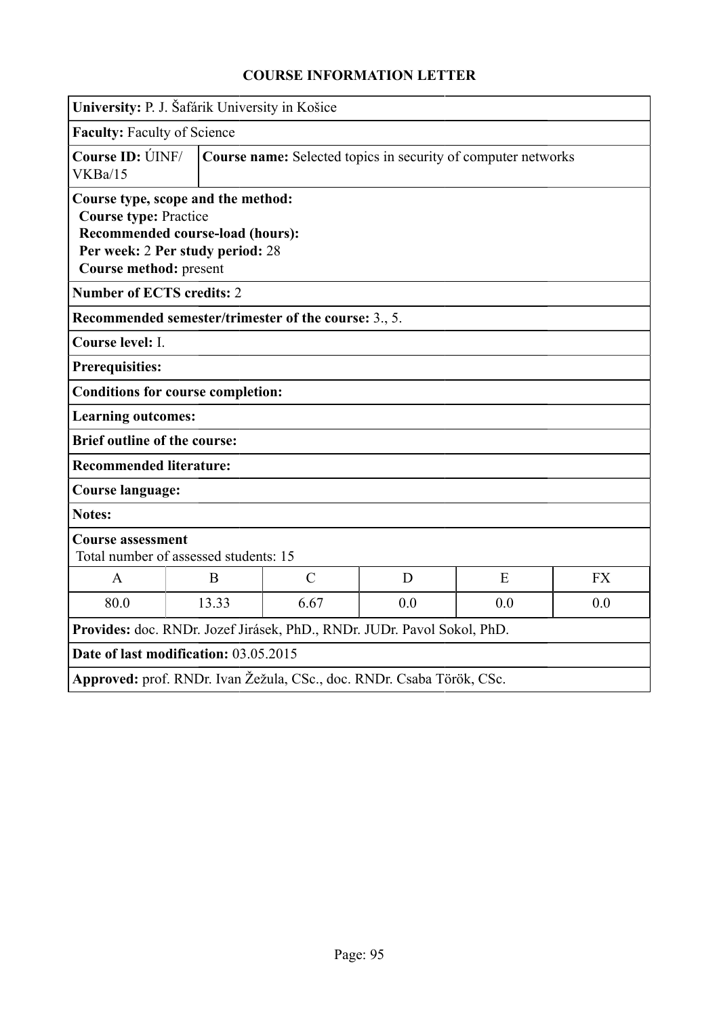| University: P. J. Šafárik University in Košice                                               |                                                                      |                                                                         |     |     |           |  |
|----------------------------------------------------------------------------------------------|----------------------------------------------------------------------|-------------------------------------------------------------------------|-----|-----|-----------|--|
|                                                                                              |                                                                      |                                                                         |     |     |           |  |
|                                                                                              | <b>Faculty: Faculty of Science</b>                                   |                                                                         |     |     |           |  |
| Course ID: ÚINF/<br>VKBa/15                                                                  |                                                                      | Course name: Selected topics in security of computer networks           |     |     |           |  |
| Course type, scope and the method:<br><b>Course type: Practice</b><br>Course method: present | Recommended course-load (hours):<br>Per week: 2 Per study period: 28 |                                                                         |     |     |           |  |
| <b>Number of ECTS credits: 2</b>                                                             |                                                                      |                                                                         |     |     |           |  |
|                                                                                              |                                                                      | Recommended semester/trimester of the course: 3., 5.                    |     |     |           |  |
| Course level: I.                                                                             |                                                                      |                                                                         |     |     |           |  |
| <b>Prerequisities:</b>                                                                       |                                                                      |                                                                         |     |     |           |  |
| <b>Conditions for course completion:</b>                                                     |                                                                      |                                                                         |     |     |           |  |
| <b>Learning outcomes:</b>                                                                    |                                                                      |                                                                         |     |     |           |  |
| <b>Brief outline of the course:</b>                                                          |                                                                      |                                                                         |     |     |           |  |
| <b>Recommended literature:</b>                                                               |                                                                      |                                                                         |     |     |           |  |
| <b>Course language:</b>                                                                      |                                                                      |                                                                         |     |     |           |  |
| <b>Notes:</b>                                                                                |                                                                      |                                                                         |     |     |           |  |
| <b>Course assessment</b>                                                                     | Total number of assessed students: 15                                |                                                                         |     |     |           |  |
| $\overline{A}$                                                                               | B                                                                    | $\mathcal{C}$                                                           | D   | E   | <b>FX</b> |  |
| 80.0                                                                                         | 13.33                                                                | 6.67                                                                    | 0.0 | 0.0 | 0.0       |  |
|                                                                                              |                                                                      | Provides: doc. RNDr. Jozef Jirásek, PhD., RNDr. JUDr. Pavol Sokol, PhD. |     |     |           |  |
| Date of last modification: 03.05.2015                                                        |                                                                      |                                                                         |     |     |           |  |
|                                                                                              |                                                                      | Approved: prof. RNDr. Ivan Žežula, CSc., doc. RNDr. Csaba Török, CSc.   |     |     |           |  |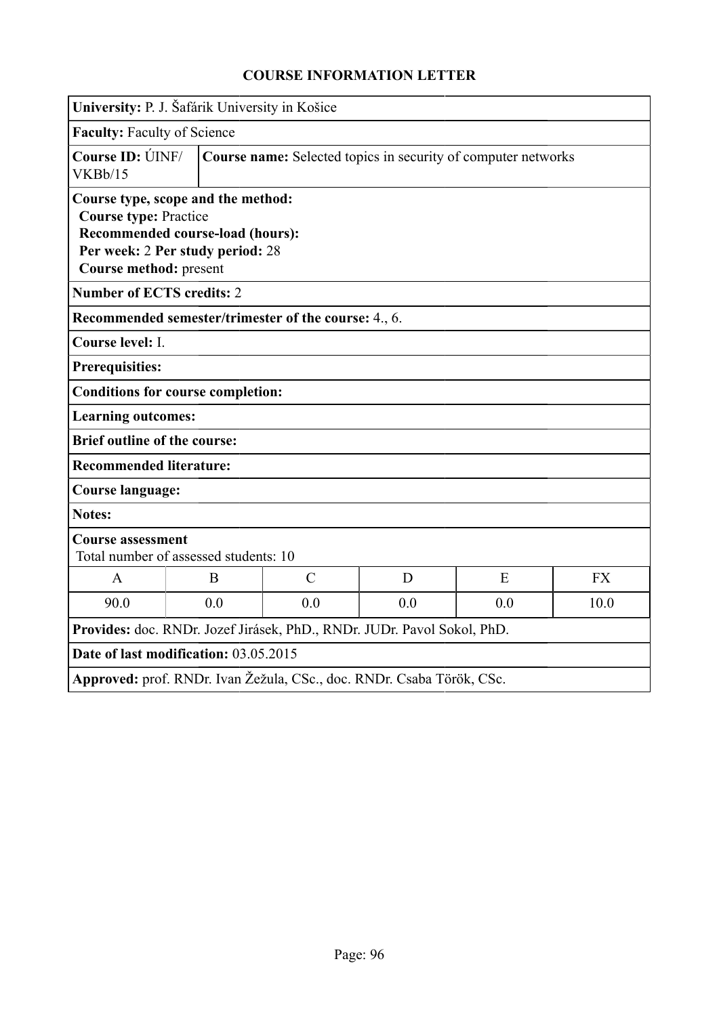|                                                        | University: P. J. Šafárik University in Košice                                                             |                                                                         |     |     |           |  |
|--------------------------------------------------------|------------------------------------------------------------------------------------------------------------|-------------------------------------------------------------------------|-----|-----|-----------|--|
| <b>Faculty: Faculty of Science</b>                     |                                                                                                            |                                                                         |     |     |           |  |
| Course ID: UNF/<br>VKBb/15                             |                                                                                                            | Course name: Selected topics in security of computer networks           |     |     |           |  |
| <b>Course type: Practice</b><br>Course method: present | Course type, scope and the method:<br>Recommended course-load (hours):<br>Per week: 2 Per study period: 28 |                                                                         |     |     |           |  |
| <b>Number of ECTS credits: 2</b>                       |                                                                                                            |                                                                         |     |     |           |  |
|                                                        |                                                                                                            | Recommended semester/trimester of the course: 4., 6.                    |     |     |           |  |
| Course level: I.                                       |                                                                                                            |                                                                         |     |     |           |  |
| <b>Prerequisities:</b>                                 |                                                                                                            |                                                                         |     |     |           |  |
|                                                        | <b>Conditions for course completion:</b>                                                                   |                                                                         |     |     |           |  |
| <b>Learning outcomes:</b>                              |                                                                                                            |                                                                         |     |     |           |  |
| <b>Brief outline of the course:</b>                    |                                                                                                            |                                                                         |     |     |           |  |
| <b>Recommended literature:</b>                         |                                                                                                            |                                                                         |     |     |           |  |
| <b>Course language:</b>                                |                                                                                                            |                                                                         |     |     |           |  |
| <b>Notes:</b>                                          |                                                                                                            |                                                                         |     |     |           |  |
| <b>Course assessment</b>                               | Total number of assessed students: 10                                                                      |                                                                         |     |     |           |  |
| $\mathbf{A}$                                           | B                                                                                                          | $\mathcal{C}$                                                           | D   | E   | <b>FX</b> |  |
| 90.0                                                   | 0.0                                                                                                        | 0.0                                                                     | 0.0 | 0.0 | 10.0      |  |
|                                                        |                                                                                                            | Provides: doc. RNDr. Jozef Jirásek, PhD., RNDr. JUDr. Pavol Sokol, PhD. |     |     |           |  |
|                                                        | Date of last modification: 03.05.2015                                                                      |                                                                         |     |     |           |  |
|                                                        |                                                                                                            | Approved: prof. RNDr. Ivan Žežula, CSc., doc. RNDr. Csaba Török, CSc.   |     |     |           |  |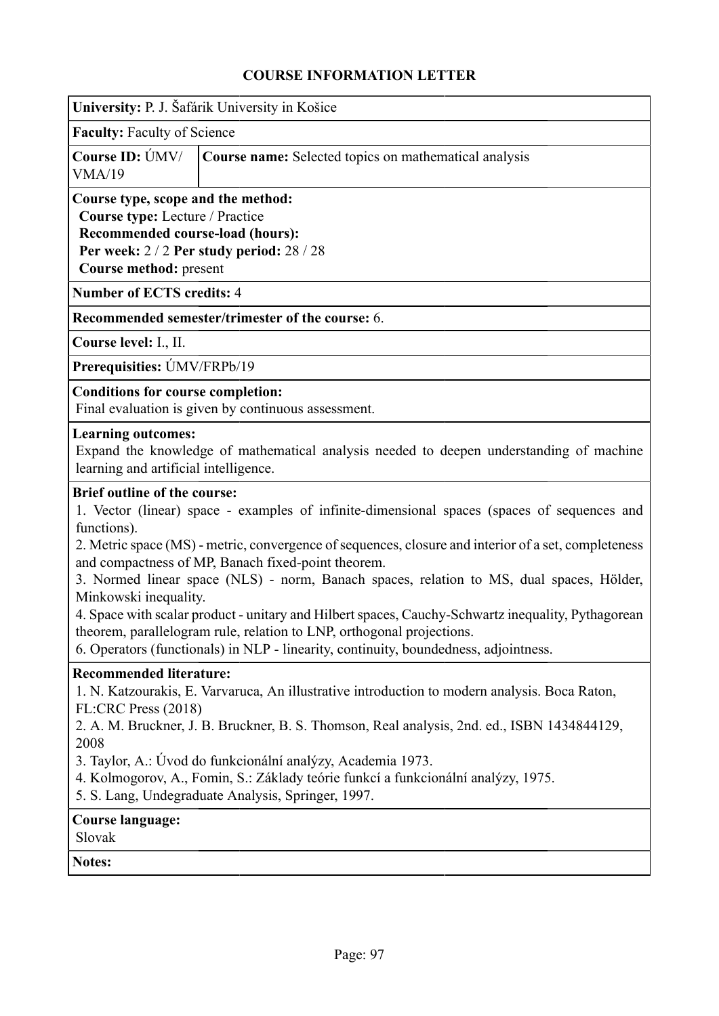|                                                                                                                                     | University: P. J. Šafárik University in Košice                                                                                                                                                                                                                                                                                                                                                                                                                                                                                                                                                                              |
|-------------------------------------------------------------------------------------------------------------------------------------|-----------------------------------------------------------------------------------------------------------------------------------------------------------------------------------------------------------------------------------------------------------------------------------------------------------------------------------------------------------------------------------------------------------------------------------------------------------------------------------------------------------------------------------------------------------------------------------------------------------------------------|
| <b>Faculty: Faculty of Science</b>                                                                                                  |                                                                                                                                                                                                                                                                                                                                                                                                                                                                                                                                                                                                                             |
| Course ID: ÚMV/<br>VMA/19                                                                                                           | Course name: Selected topics on mathematical analysis                                                                                                                                                                                                                                                                                                                                                                                                                                                                                                                                                                       |
| Course type, scope and the method:<br>Course type: Lecture / Practice<br>Recommended course-load (hours):<br>Course method: present | Per week: 2/2 Per study period: 28/28                                                                                                                                                                                                                                                                                                                                                                                                                                                                                                                                                                                       |
| <b>Number of ECTS credits: 4</b>                                                                                                    |                                                                                                                                                                                                                                                                                                                                                                                                                                                                                                                                                                                                                             |
|                                                                                                                                     | Recommended semester/trimester of the course: 6.                                                                                                                                                                                                                                                                                                                                                                                                                                                                                                                                                                            |
| Course level: I., II.                                                                                                               |                                                                                                                                                                                                                                                                                                                                                                                                                                                                                                                                                                                                                             |
| Prerequisities: ÚMV/FRPb/19                                                                                                         |                                                                                                                                                                                                                                                                                                                                                                                                                                                                                                                                                                                                                             |
| <b>Conditions for course completion:</b>                                                                                            | Final evaluation is given by continuous assessment.                                                                                                                                                                                                                                                                                                                                                                                                                                                                                                                                                                         |
| <b>Learning outcomes:</b><br>learning and artificial intelligence.                                                                  | Expand the knowledge of mathematical analysis needed to deepen understanding of machine                                                                                                                                                                                                                                                                                                                                                                                                                                                                                                                                     |
| <b>Brief outline of the course:</b><br>functions).<br>Minkowski inequality.                                                         | 1. Vector (linear) space - examples of infinite-dimensional spaces (spaces of sequences and<br>2. Metric space (MS) - metric, convergence of sequences, closure and interior of a set, completeness<br>and compactness of MP, Banach fixed-point theorem.<br>3. Normed linear space (NLS) - norm, Banach spaces, relation to MS, dual spaces, Hölder,<br>4. Space with scalar product - unitary and Hilbert spaces, Cauchy-Schwartz inequality, Pythagorean<br>theorem, parallelogram rule, relation to LNP, orthogonal projections<br>6. Operators (functionals) in NLP - linearity, continuity, boundedness, adjointness. |
| <b>Recommended literature:</b><br>FL:CRC Press (2018)<br>2008                                                                       | 1. N. Katzourakis, E. Varvaruca, An illustrative introduction to modern analysis. Boca Raton,<br>2. A. M. Bruckner, J. B. Bruckner, B. S. Thomson, Real analysis, 2nd. ed., ISBN 1434844129,<br>3. Taylor, A.: Úvod do funkcionální analýzy, Academia 1973.<br>4. Kolmogorov, A., Fomin, S.: Základy teórie funkcí a funkcionální analýzy, 1975.<br>5. S. Lang, Undegraduate Analysis, Springer, 1997.                                                                                                                                                                                                                      |
| <b>Course language:</b><br>Slovak                                                                                                   |                                                                                                                                                                                                                                                                                                                                                                                                                                                                                                                                                                                                                             |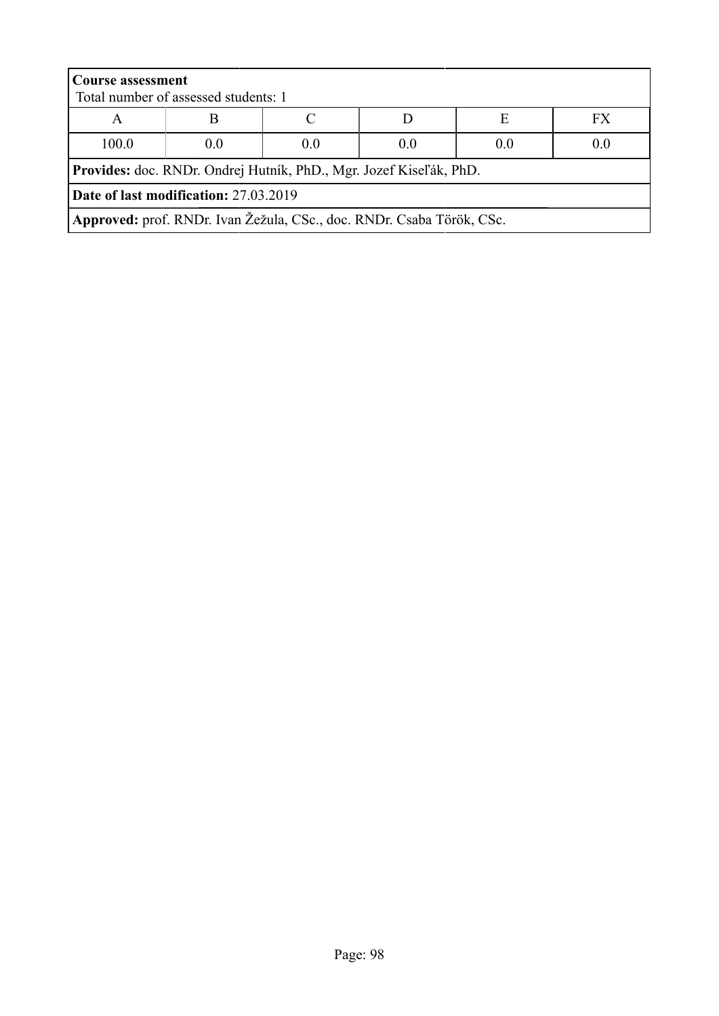| <b>Course assessment</b>              |                                                                       |  |  |  |  |  |  |
|---------------------------------------|-----------------------------------------------------------------------|--|--|--|--|--|--|
|                                       | Total number of assessed students: 1                                  |  |  |  |  |  |  |
| A                                     | FX<br>E                                                               |  |  |  |  |  |  |
| 100.0                                 | 0.0<br>0.0<br>0.0<br>0.0<br>0.0                                       |  |  |  |  |  |  |
|                                       | Provides: doc. RNDr. Ondrej Hutník, PhD., Mgr. Jozef Kiseľák, PhD.    |  |  |  |  |  |  |
| Date of last modification: 27.03.2019 |                                                                       |  |  |  |  |  |  |
|                                       | Approved: prof. RNDr. Ivan Žežula, CSc., doc. RNDr. Csaba Török, CSc. |  |  |  |  |  |  |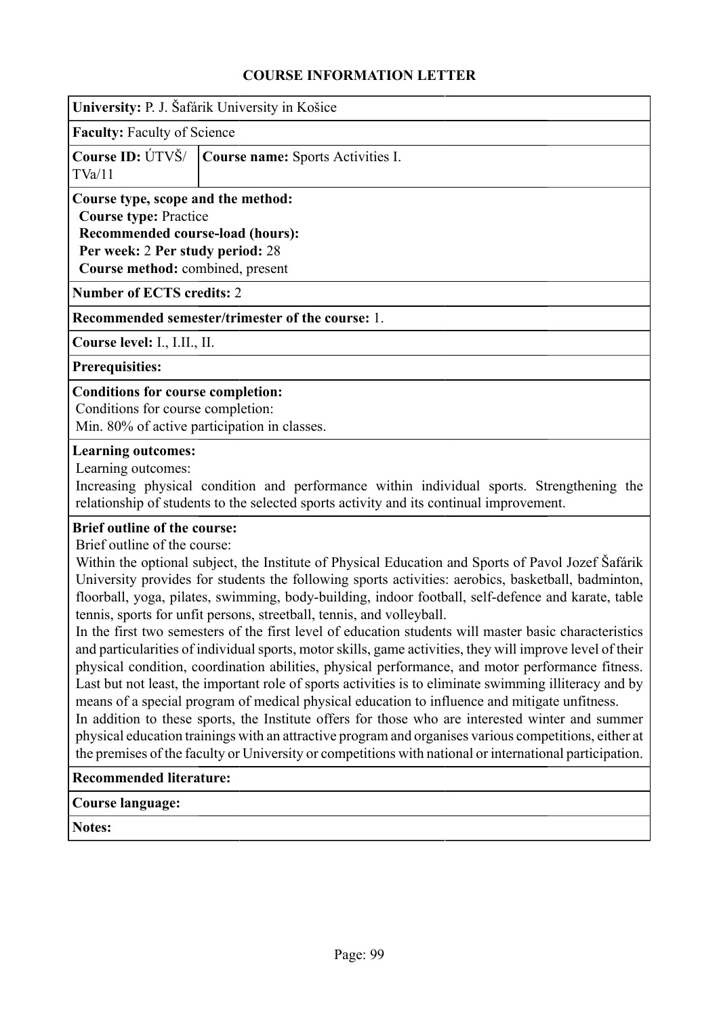|                                          | University: P. J. Šafárik University in Košice                                                                                                                                 |  |  |  |  |  |
|------------------------------------------|--------------------------------------------------------------------------------------------------------------------------------------------------------------------------------|--|--|--|--|--|
|                                          | <b>Faculty: Faculty of Science</b>                                                                                                                                             |  |  |  |  |  |
| Course ID: ÚTVŠ/<br>TVa/11               | <b>Course name:</b> Sports Activities I.                                                                                                                                       |  |  |  |  |  |
|                                          | Course type, scope and the method:<br><b>Course type: Practice</b><br>Recommended course-load (hours):<br>Per week: 2 Per study period: 28<br>Course method: combined, present |  |  |  |  |  |
|                                          | <b>Number of ECTS credits: 2</b>                                                                                                                                               |  |  |  |  |  |
|                                          | Recommended semester/trimester of the course: 1.                                                                                                                               |  |  |  |  |  |
| Course level: I., I.II., II.             |                                                                                                                                                                                |  |  |  |  |  |
| <b>Prerequisities:</b>                   |                                                                                                                                                                                |  |  |  |  |  |
| <b>Conditions for course completion:</b> |                                                                                                                                                                                |  |  |  |  |  |

Conditions for course completion: Min. 80% of active participation in classes.

### **Learning outcomes:**

Learning outcomes:

Increasing physical condition and performance within individual sports. Strengthening the relationship of students to the selected sports activity and its continual improvement.

## **Brief outline of the course:**

Brief outline of the course:

Within the optional subject, the Institute of Physical Education and Sports of Pavol Jozef Šafárik University provides for students the following sports activities: aerobics, basketball, badminton, floorball, yoga, pilates, swimming, body-building, indoor football, self-defence and karate, table tennis, sports for unfit persons, streetball, tennis, and volleyball.

In the first two semesters of the first level of education students will master basic characteristics and particularities of individual sports, motor skills, game activities, they will improve level of their physical condition, coordination abilities, physical performance, and motor performance fitness. Last but not least, the important role of sports activities is to eliminate swimming illiteracy and by means of a special program of medical physical education to influence and mitigate unfitness.

In addition to these sports, the Institute offers for those who are interested winter and summer physical education trainings with an attractive program and organises various competitions, either at the premises of the faculty or University or competitions with national or international participation.

### **Recommended literature:**

## **Course language:**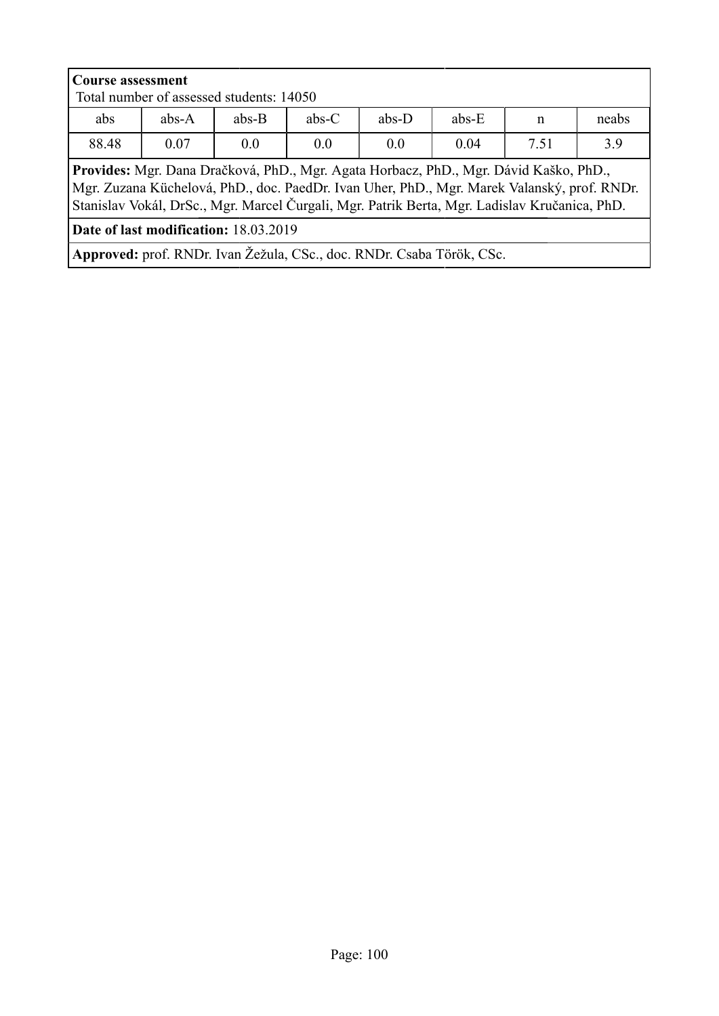| <b>Course assessment</b><br>Total number of assessed students: 14050                                                                                                                                                                                                                  |                                                                   |  |  |  |  |  |  |  |
|---------------------------------------------------------------------------------------------------------------------------------------------------------------------------------------------------------------------------------------------------------------------------------------|-------------------------------------------------------------------|--|--|--|--|--|--|--|
| abs                                                                                                                                                                                                                                                                                   | $abs-C$<br>$abs-D$<br>$abs-A$<br>$abs-B$<br>$abs-E$<br>neabs<br>n |  |  |  |  |  |  |  |
| 88.48                                                                                                                                                                                                                                                                                 | 3.9<br>7.51<br>0.07<br>0.0<br>0.0<br>0.04<br>0 <sub>0</sub>       |  |  |  |  |  |  |  |
| Provides: Mgr. Dana Dračková, PhD., Mgr. Agata Horbacz, PhD., Mgr. Dávid Kaško, PhD.,<br>Mgr. Zuzana Küchelová, PhD., doc. PaedDr. Ivan Uher, PhD., Mgr. Marek Valanský, prof. RNDr.<br>Stanislav Vokál, DrSc., Mgr. Marcel Čurgali, Mgr. Patrik Berta, Mgr. Ladislav Kručanica, PhD. |                                                                   |  |  |  |  |  |  |  |
| <b>Date of last modification: 18.03.2019</b>                                                                                                                                                                                                                                          |                                                                   |  |  |  |  |  |  |  |
| Approved: prof. RNDr. Ivan Žežula, CSc., doc. RNDr. Csaba Török, CSc.                                                                                                                                                                                                                 |                                                                   |  |  |  |  |  |  |  |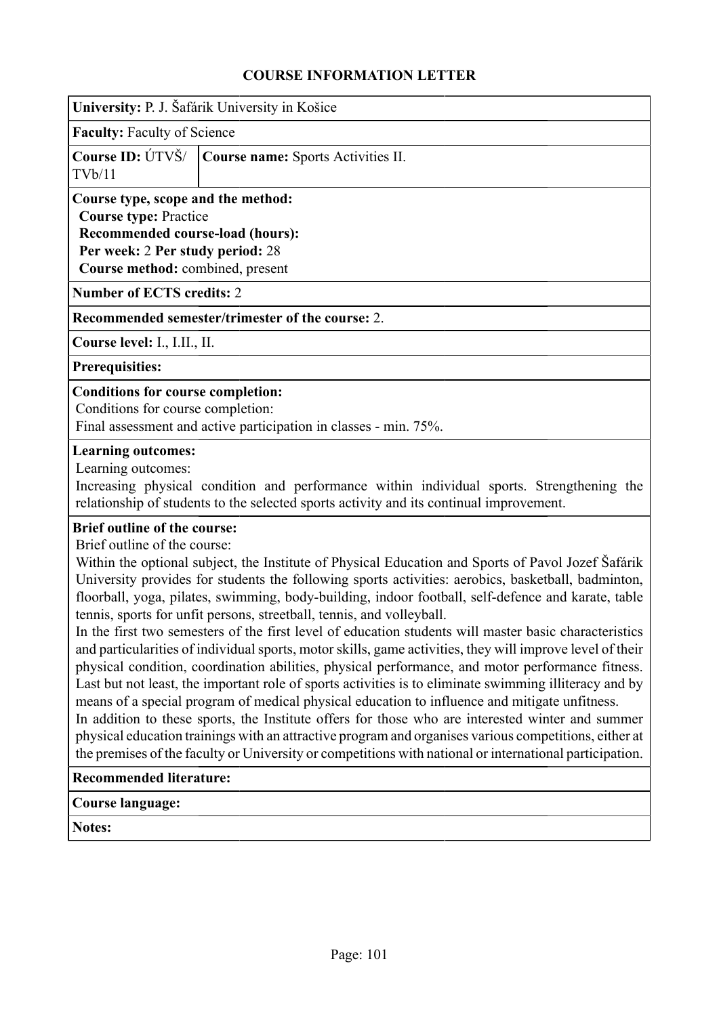| University: P. J. Šafárik University in Košice                                                                                                    |                                    |  |  |  |  |  |
|---------------------------------------------------------------------------------------------------------------------------------------------------|------------------------------------|--|--|--|--|--|
|                                                                                                                                                   | <b>Faculty:</b> Faculty of Science |  |  |  |  |  |
| Course ID: ÚTVŠ/<br><b>Course name:</b> Sports Activities II.<br>TVb/11                                                                           |                                    |  |  |  |  |  |
| Course type, scope and the method:<br><b>Course type: Practice</b><br><b>Recommended course-load (hours):</b><br>Per week: 2 Per study period: 28 |                                    |  |  |  |  |  |
|                                                                                                                                                   | Course method: combined, present   |  |  |  |  |  |

**Number of ECTS credits:** 2

**Recommended semester/trimester of the course:** 2.

**Course level:** I., I.II., II.

**Prerequisities:**

#### **Conditions for course completion:**

Conditions for course completion:

Final assessment and active participation in classes - min. 75%.

#### **Learning outcomes:**

Learning outcomes:

Increasing physical condition and performance within individual sports. Strengthening the relationship of students to the selected sports activity and its continual improvement.

#### **Brief outline of the course:**

Brief outline of the course:

Within the optional subject, the Institute of Physical Education and Sports of Pavol Jozef Šafárik University provides for students the following sports activities: aerobics, basketball, badminton, floorball, yoga, pilates, swimming, body-building, indoor football, self-defence and karate, table tennis, sports for unfit persons, streetball, tennis, and volleyball.

In the first two semesters of the first level of education students will master basic characteristics and particularities of individual sports, motor skills, game activities, they will improve level of their physical condition, coordination abilities, physical performance, and motor performance fitness. Last but not least, the important role of sports activities is to eliminate swimming illiteracy and by means of a special program of medical physical education to influence and mitigate unfitness.

In addition to these sports, the Institute offers for those who are interested winter and summer physical education trainings with an attractive program and organises various competitions, either at the premises of the faculty or University or competitions with national or international participation.

#### **Recommended literature:**

### **Course language:**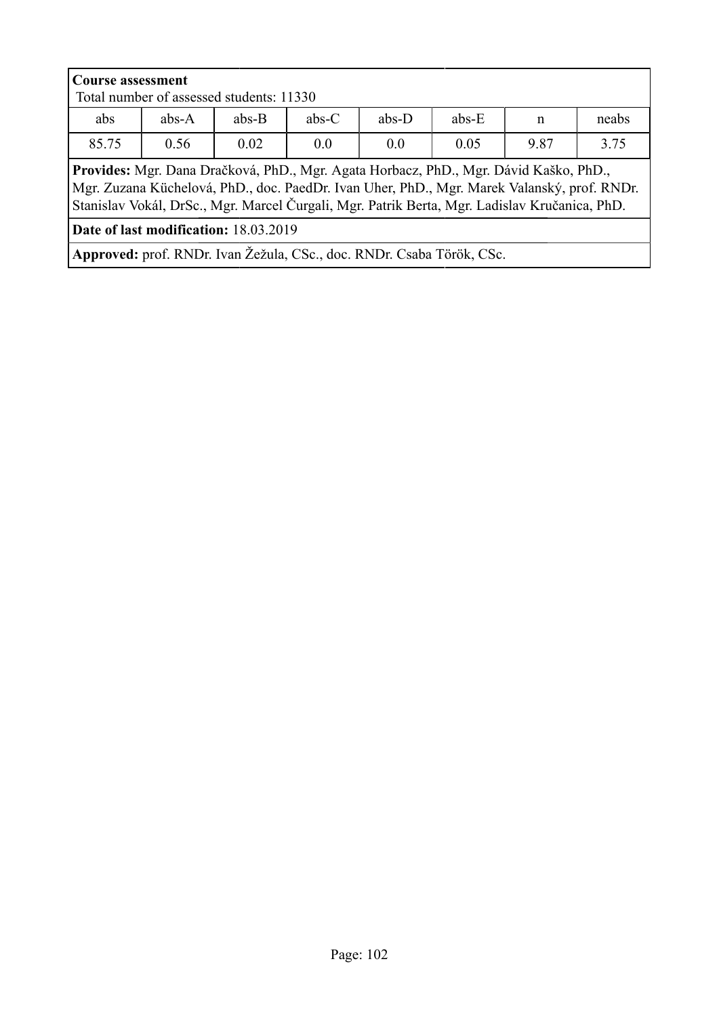| <b>Course assessment</b><br>Total number of assessed students: 11330                                                                                                                                                                                                                  |                                                    |                                                        |  |  |  |  |  |  |
|---------------------------------------------------------------------------------------------------------------------------------------------------------------------------------------------------------------------------------------------------------------------------------------|----------------------------------------------------|--------------------------------------------------------|--|--|--|--|--|--|
| abs                                                                                                                                                                                                                                                                                   | $abs-A$                                            | $abs-C$<br>$abs-D$<br>$abs-E$<br>$abs-B$<br>neabs<br>n |  |  |  |  |  |  |
| 85.75                                                                                                                                                                                                                                                                                 | 3.75<br>0.05<br>9.87<br>0.02<br>0.0<br>0.56<br>0.0 |                                                        |  |  |  |  |  |  |
| Provides: Mgr. Dana Dračková, PhD., Mgr. Agata Horbacz, PhD., Mgr. Dávid Kaško, PhD.,<br>Mgr. Zuzana Küchelová, PhD., doc. PaedDr. Ivan Uher, PhD., Mgr. Marek Valanský, prof. RNDr.<br>Stanislav Vokál, DrSc., Mgr. Marcel Čurgali, Mgr. Patrik Berta, Mgr. Ladislav Kručanica, PhD. |                                                    |                                                        |  |  |  |  |  |  |
| Date of last modification: 18.03.2019                                                                                                                                                                                                                                                 |                                                    |                                                        |  |  |  |  |  |  |
| Approved: prof. RNDr. Ivan Žežula, CSc., doc. RNDr. Csaba Török, CSc.                                                                                                                                                                                                                 |                                                    |                                                        |  |  |  |  |  |  |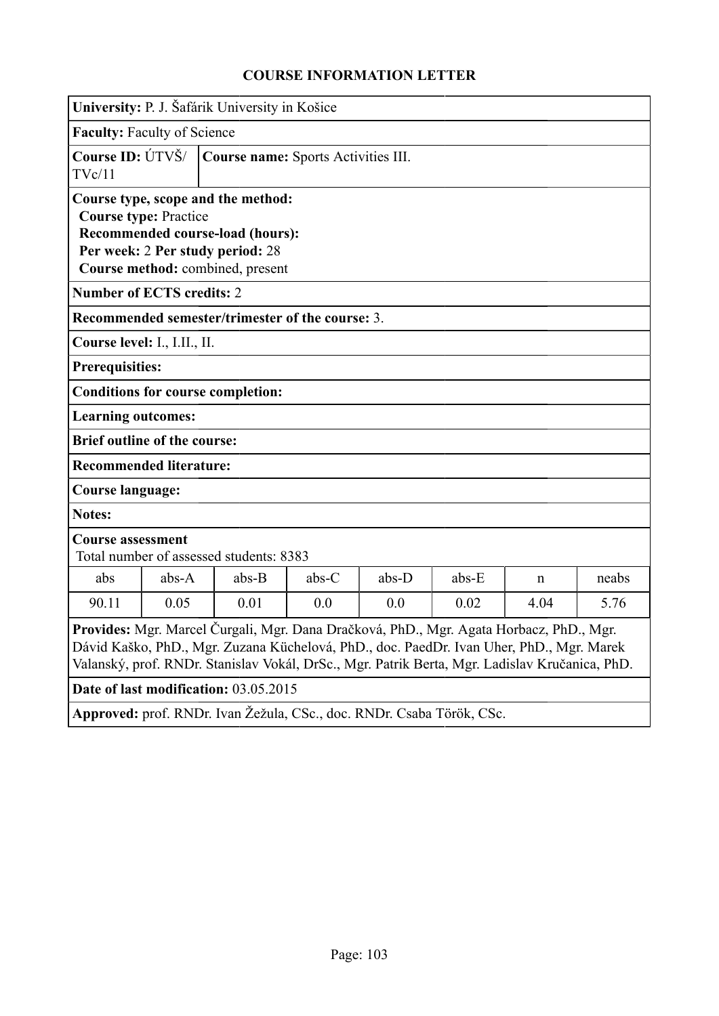|                                                                                                                                                                                                                                                                                       | University: P. J. Šafárik University in Košice                        |                                                                                                                                                |         |         |         |   |       |
|---------------------------------------------------------------------------------------------------------------------------------------------------------------------------------------------------------------------------------------------------------------------------------------|-----------------------------------------------------------------------|------------------------------------------------------------------------------------------------------------------------------------------------|---------|---------|---------|---|-------|
| <b>Faculty: Faculty of Science</b>                                                                                                                                                                                                                                                    |                                                                       |                                                                                                                                                |         |         |         |   |       |
| TVc/11                                                                                                                                                                                                                                                                                | Course ID: ÚTVŠ/<br>Course name: Sports Activities III.               |                                                                                                                                                |         |         |         |   |       |
| <b>Course type: Practice</b>                                                                                                                                                                                                                                                          |                                                                       | Course type, scope and the method:<br>Recommended course-load (hours):<br>Per week: 2 Per study period: 28<br>Course method: combined, present |         |         |         |   |       |
| <b>Number of ECTS credits: 2</b>                                                                                                                                                                                                                                                      |                                                                       |                                                                                                                                                |         |         |         |   |       |
|                                                                                                                                                                                                                                                                                       |                                                                       | Recommended semester/trimester of the course: 3.                                                                                               |         |         |         |   |       |
| Course level: I., I.II., II.                                                                                                                                                                                                                                                          |                                                                       |                                                                                                                                                |         |         |         |   |       |
| <b>Prerequisities:</b>                                                                                                                                                                                                                                                                |                                                                       |                                                                                                                                                |         |         |         |   |       |
|                                                                                                                                                                                                                                                                                       |                                                                       | <b>Conditions for course completion:</b>                                                                                                       |         |         |         |   |       |
| <b>Learning outcomes:</b>                                                                                                                                                                                                                                                             |                                                                       |                                                                                                                                                |         |         |         |   |       |
| <b>Brief outline of the course:</b>                                                                                                                                                                                                                                                   |                                                                       |                                                                                                                                                |         |         |         |   |       |
| <b>Recommended literature:</b>                                                                                                                                                                                                                                                        |                                                                       |                                                                                                                                                |         |         |         |   |       |
| <b>Course language:</b>                                                                                                                                                                                                                                                               |                                                                       |                                                                                                                                                |         |         |         |   |       |
| <b>Notes:</b>                                                                                                                                                                                                                                                                         |                                                                       |                                                                                                                                                |         |         |         |   |       |
|                                                                                                                                                                                                                                                                                       | <b>Course assessment</b><br>Total number of assessed students: 8383   |                                                                                                                                                |         |         |         |   |       |
| abs                                                                                                                                                                                                                                                                                   | $abs-A$                                                               | $abs-B$                                                                                                                                        | $abs-C$ | $abs-D$ | $abs-E$ | n | neabs |
| 90.11                                                                                                                                                                                                                                                                                 | 0.05<br>0.01<br>0.0<br>5.76<br>0.0<br>0.02<br>4.04                    |                                                                                                                                                |         |         |         |   |       |
| Provides: Mgr. Marcel Čurgali, Mgr. Dana Dračková, PhD., Mgr. Agata Horbacz, PhD., Mgr.<br>Dávid Kaško, PhD., Mgr. Zuzana Küchelová, PhD., doc. PaedDr. Ivan Uher, PhD., Mgr. Marek<br>Valanský, prof. RNDr. Stanislav Vokál, DrSc., Mgr. Patrik Berta, Mgr. Ladislav Kručanica, PhD. |                                                                       |                                                                                                                                                |         |         |         |   |       |
|                                                                                                                                                                                                                                                                                       | Date of last modification: 03.05.2015                                 |                                                                                                                                                |         |         |         |   |       |
|                                                                                                                                                                                                                                                                                       | Approved: prof. RNDr. Ivan Žežula, CSc., doc. RNDr. Csaba Török, CSc. |                                                                                                                                                |         |         |         |   |       |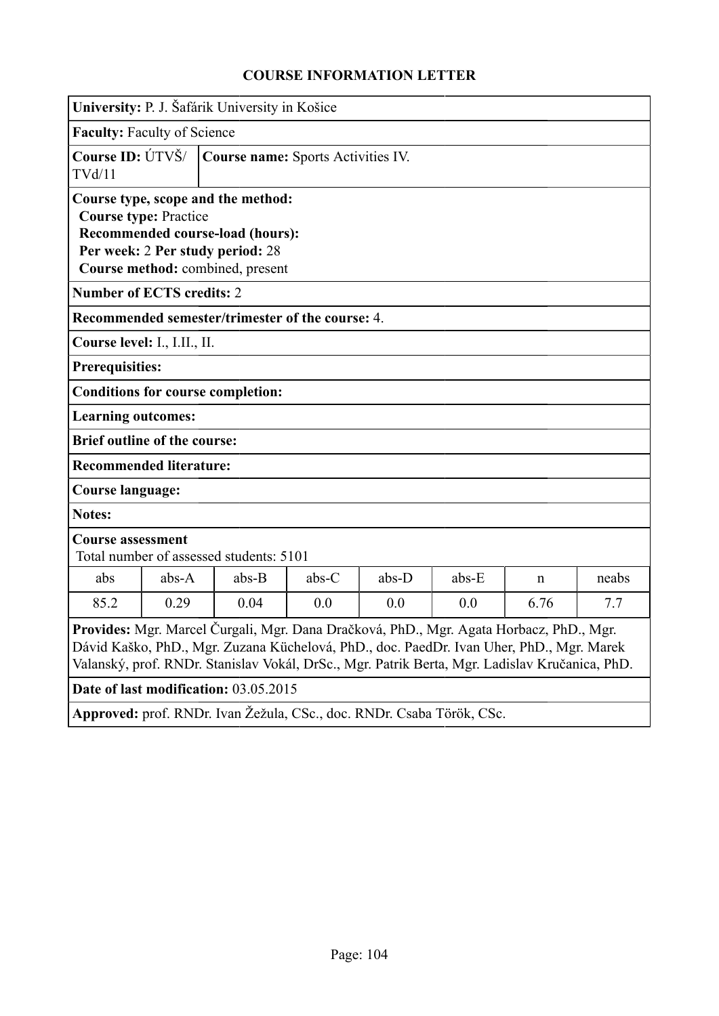|                                                                                                                                                                                                                                                                                       | University: P. J. Šafárik University in Košice                      |                                                                                                            |         |         |       |   |       |
|---------------------------------------------------------------------------------------------------------------------------------------------------------------------------------------------------------------------------------------------------------------------------------------|---------------------------------------------------------------------|------------------------------------------------------------------------------------------------------------|---------|---------|-------|---|-------|
| <b>Faculty: Faculty of Science</b>                                                                                                                                                                                                                                                    |                                                                     |                                                                                                            |         |         |       |   |       |
| TVd/11                                                                                                                                                                                                                                                                                | Course ID: ÚTVŠ/<br>Course name: Sports Activities IV.              |                                                                                                            |         |         |       |   |       |
| <b>Course type: Practice</b>                                                                                                                                                                                                                                                          |                                                                     | Course type, scope and the method:<br>Recommended course-load (hours):<br>Per week: 2 Per study period: 28 |         |         |       |   |       |
|                                                                                                                                                                                                                                                                                       |                                                                     | Course method: combined, present                                                                           |         |         |       |   |       |
| <b>Number of ECTS credits: 2</b>                                                                                                                                                                                                                                                      |                                                                     |                                                                                                            |         |         |       |   |       |
|                                                                                                                                                                                                                                                                                       |                                                                     | Recommended semester/trimester of the course: 4.                                                           |         |         |       |   |       |
| Course level: I., I.II., II.                                                                                                                                                                                                                                                          |                                                                     |                                                                                                            |         |         |       |   |       |
| <b>Prerequisities:</b>                                                                                                                                                                                                                                                                |                                                                     |                                                                                                            |         |         |       |   |       |
|                                                                                                                                                                                                                                                                                       |                                                                     | <b>Conditions for course completion:</b>                                                                   |         |         |       |   |       |
| <b>Learning outcomes:</b>                                                                                                                                                                                                                                                             |                                                                     |                                                                                                            |         |         |       |   |       |
| <b>Brief outline of the course:</b>                                                                                                                                                                                                                                                   |                                                                     |                                                                                                            |         |         |       |   |       |
| <b>Recommended literature:</b>                                                                                                                                                                                                                                                        |                                                                     |                                                                                                            |         |         |       |   |       |
| <b>Course language:</b>                                                                                                                                                                                                                                                               |                                                                     |                                                                                                            |         |         |       |   |       |
| <b>Notes:</b>                                                                                                                                                                                                                                                                         |                                                                     |                                                                                                            |         |         |       |   |       |
|                                                                                                                                                                                                                                                                                       | <b>Course assessment</b><br>Total number of assessed students: 5101 |                                                                                                            |         |         |       |   |       |
| abs                                                                                                                                                                                                                                                                                   | $abs-A$                                                             | $abs-B$                                                                                                    | $abs-C$ | $abs-D$ | abs-E | n | neabs |
| 85.2                                                                                                                                                                                                                                                                                  | 0.29<br>0.0<br>6.76<br>0.04<br>0.0<br>0.0<br>7.7                    |                                                                                                            |         |         |       |   |       |
| Provides: Mgr. Marcel Čurgali, Mgr. Dana Dračková, PhD., Mgr. Agata Horbacz, PhD., Mgr.<br>Dávid Kaško, PhD., Mgr. Zuzana Küchelová, PhD., doc. PaedDr. Ivan Uher, PhD., Mgr. Marek<br>Valanský, prof. RNDr. Stanislav Vokál, DrSc., Mgr. Patrik Berta, Mgr. Ladislav Kručanica, PhD. |                                                                     |                                                                                                            |         |         |       |   |       |
|                                                                                                                                                                                                                                                                                       |                                                                     | Date of last modification: 03.05.2015                                                                      |         |         |       |   |       |
|                                                                                                                                                                                                                                                                                       |                                                                     | Approved: prof. RNDr. Ivan Žežula, CSc., doc. RNDr. Csaba Török, CSc.                                      |         |         |       |   |       |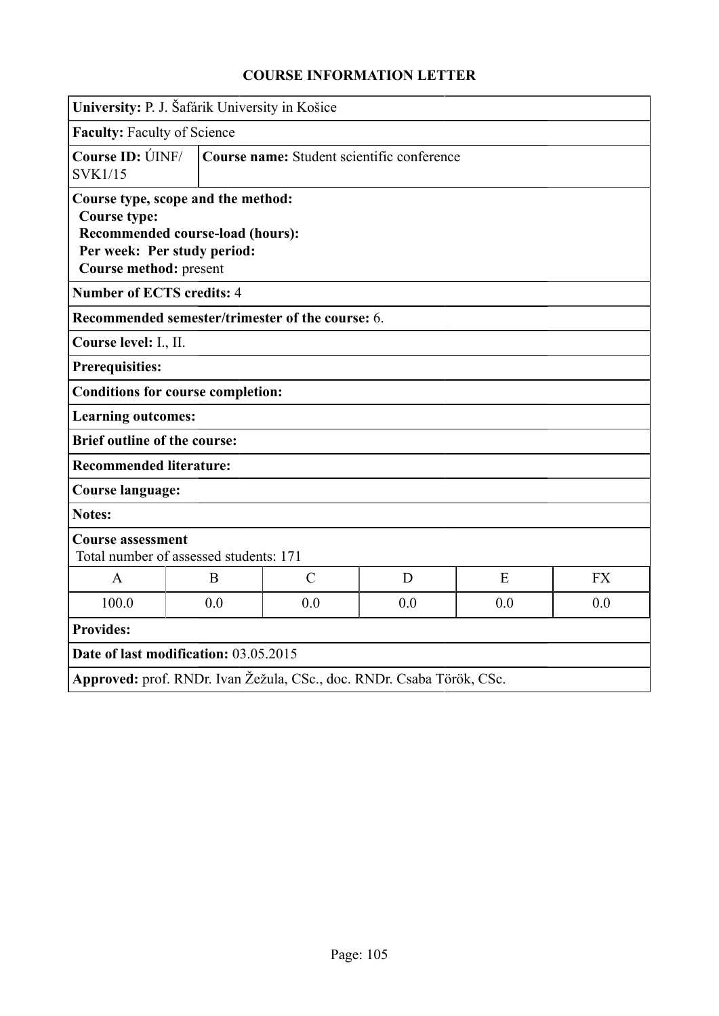| University: P. J. Šafárik University in Košice                                                                                                                |                                                                      |               |   |   |           |
|---------------------------------------------------------------------------------------------------------------------------------------------------------------|----------------------------------------------------------------------|---------------|---|---|-----------|
| <b>Faculty: Faculty of Science</b>                                                                                                                            |                                                                      |               |   |   |           |
| <b>SVK1/15</b>                                                                                                                                                | <b>Course ID: UNF/</b><br>Course name: Student scientific conference |               |   |   |           |
| Course type, scope and the method:<br><b>Course type:</b><br><b>Recommended course-load (hours):</b><br>Per week: Per study period:<br>Course method: present |                                                                      |               |   |   |           |
| <b>Number of ECTS credits: 4</b>                                                                                                                              |                                                                      |               |   |   |           |
| Recommended semester/trimester of the course: 6.                                                                                                              |                                                                      |               |   |   |           |
| Course level: I., II.                                                                                                                                         |                                                                      |               |   |   |           |
| <b>Prerequisities:</b>                                                                                                                                        |                                                                      |               |   |   |           |
| <b>Conditions for course completion:</b>                                                                                                                      |                                                                      |               |   |   |           |
| <b>Learning outcomes:</b>                                                                                                                                     |                                                                      |               |   |   |           |
| <b>Brief outline of the course:</b>                                                                                                                           |                                                                      |               |   |   |           |
| <b>Recommended literature:</b>                                                                                                                                |                                                                      |               |   |   |           |
| <b>Course language:</b>                                                                                                                                       |                                                                      |               |   |   |           |
| Notes:                                                                                                                                                        |                                                                      |               |   |   |           |
| <b>Course assessment</b><br>Total number of assessed students: 171                                                                                            |                                                                      |               |   |   |           |
| $\mathsf{A}$                                                                                                                                                  | B                                                                    | $\mathcal{C}$ | D | E | <b>FX</b> |
| 100.0                                                                                                                                                         | 0.0<br>0.0<br>0.0<br>0.0<br>0.0                                      |               |   |   |           |
| <b>Provides:</b>                                                                                                                                              |                                                                      |               |   |   |           |
| Date of last modification: 03.05.2015                                                                                                                         |                                                                      |               |   |   |           |
| Approved: prof. RNDr. Ivan Žežula, CSc., doc. RNDr. Csaba Török, CSc.                                                                                         |                                                                      |               |   |   |           |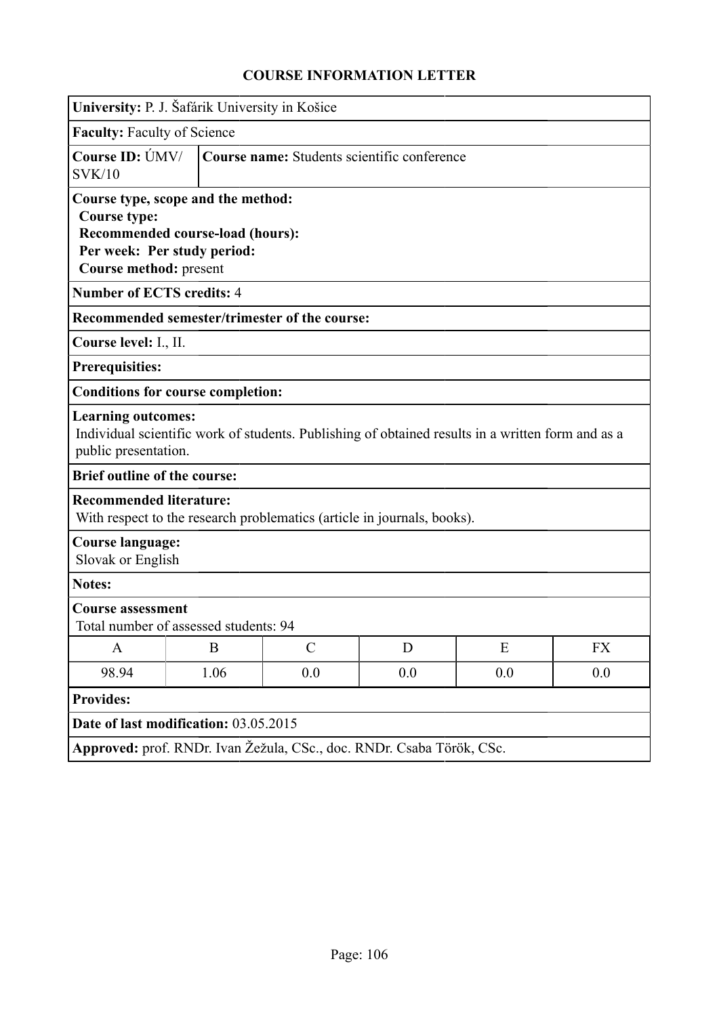| University: P. J. Šafárik University in Košice                                      |                                                                        |                                                                         |   |                                                                                                   |           |
|-------------------------------------------------------------------------------------|------------------------------------------------------------------------|-------------------------------------------------------------------------|---|---------------------------------------------------------------------------------------------------|-----------|
| <b>Faculty: Faculty of Science</b>                                                  |                                                                        |                                                                         |   |                                                                                                   |           |
| Course ID: ÚMV/<br>SVK/10                                                           | Course name: Students scientific conference                            |                                                                         |   |                                                                                                   |           |
| Course type, scope and the method:<br><b>Course type:</b><br>Course method: present | <b>Recommended course-load (hours):</b><br>Per week: Per study period: |                                                                         |   |                                                                                                   |           |
| <b>Number of ECTS credits: 4</b>                                                    |                                                                        |                                                                         |   |                                                                                                   |           |
|                                                                                     |                                                                        | Recommended semester/trimester of the course:                           |   |                                                                                                   |           |
| Course level: I., II.                                                               |                                                                        |                                                                         |   |                                                                                                   |           |
| <b>Prerequisities:</b>                                                              |                                                                        |                                                                         |   |                                                                                                   |           |
| <b>Conditions for course completion:</b>                                            |                                                                        |                                                                         |   |                                                                                                   |           |
| <b>Learning outcomes:</b><br>public presentation.                                   |                                                                        |                                                                         |   | Individual scientific work of students. Publishing of obtained results in a written form and as a |           |
| <b>Brief outline of the course:</b>                                                 |                                                                        |                                                                         |   |                                                                                                   |           |
| <b>Recommended literature:</b>                                                      |                                                                        | With respect to the research problematics (article in journals, books). |   |                                                                                                   |           |
| <b>Course language:</b><br>Slovak or English                                        |                                                                        |                                                                         |   |                                                                                                   |           |
| <b>Notes:</b>                                                                       |                                                                        |                                                                         |   |                                                                                                   |           |
| <b>Course assessment</b><br>Total number of assessed students: 94                   |                                                                        |                                                                         |   |                                                                                                   |           |
| $\mathbf{A}$                                                                        | $\mathbf{B}$                                                           | $\mathcal{C}$                                                           | D | E                                                                                                 | <b>FX</b> |
| 98.94                                                                               | 1.06<br>0.0<br>0.0<br>0.0<br>0.0                                       |                                                                         |   |                                                                                                   |           |
| <b>Provides:</b>                                                                    |                                                                        |                                                                         |   |                                                                                                   |           |
|                                                                                     | Date of last modification: 03.05.2015                                  |                                                                         |   |                                                                                                   |           |
|                                                                                     |                                                                        | Approved: prof. RNDr. Ivan Žežula, CSc., doc. RNDr. Csaba Török, CSc.   |   |                                                                                                   |           |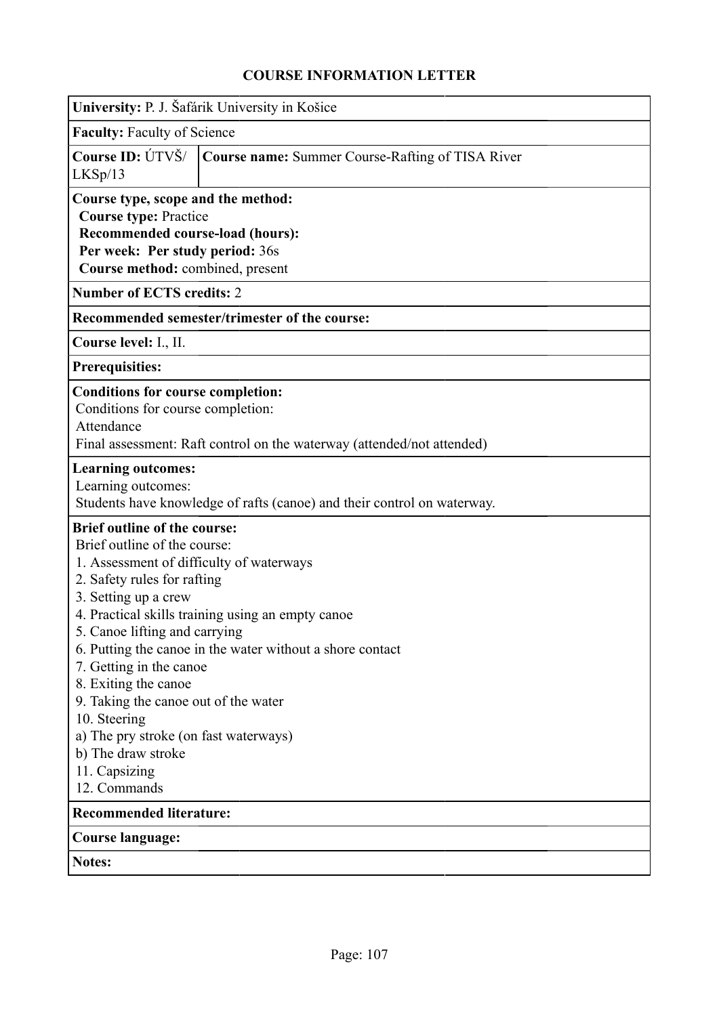|                                                                                                                                                                                                                                                                                                                                                                                                                    | University: P. J. Šafárik University in Košice                                                                 |  |  |  |  |  |
|--------------------------------------------------------------------------------------------------------------------------------------------------------------------------------------------------------------------------------------------------------------------------------------------------------------------------------------------------------------------------------------------------------------------|----------------------------------------------------------------------------------------------------------------|--|--|--|--|--|
| <b>Faculty: Faculty of Science</b>                                                                                                                                                                                                                                                                                                                                                                                 |                                                                                                                |  |  |  |  |  |
| Course ID: ÚTVŠ/<br>LKSp/13                                                                                                                                                                                                                                                                                                                                                                                        | Course name: Summer Course-Rafting of TISA River                                                               |  |  |  |  |  |
| Course type, scope and the method:<br><b>Course type: Practice</b><br>Recommended course-load (hours):<br>Per week: Per study period: 36s<br>Course method: combined, present                                                                                                                                                                                                                                      |                                                                                                                |  |  |  |  |  |
| <b>Number of ECTS credits: 2</b>                                                                                                                                                                                                                                                                                                                                                                                   |                                                                                                                |  |  |  |  |  |
|                                                                                                                                                                                                                                                                                                                                                                                                                    | Recommended semester/trimester of the course:                                                                  |  |  |  |  |  |
| Course level: I., II.                                                                                                                                                                                                                                                                                                                                                                                              |                                                                                                                |  |  |  |  |  |
| <b>Prerequisities:</b>                                                                                                                                                                                                                                                                                                                                                                                             |                                                                                                                |  |  |  |  |  |
| <b>Conditions for course completion:</b><br>Conditions for course completion:<br>Attendance                                                                                                                                                                                                                                                                                                                        | Final assessment: Raft control on the waterway (attended/not attended)                                         |  |  |  |  |  |
| <b>Learning outcomes:</b><br>Learning outcomes:                                                                                                                                                                                                                                                                                                                                                                    | Students have knowledge of rafts (canoe) and their control on waterway.                                        |  |  |  |  |  |
| <b>Brief outline of the course:</b><br>Brief outline of the course:<br>1. Assessment of difficulty of waterways<br>2. Safety rules for rafting<br>3. Setting up a crew<br>5. Canoe lifting and carrying<br>7. Getting in the canoe<br>8. Exiting the canoe<br>9. Taking the canoe out of the water<br>10. Steering<br>a) The pry stroke (on fast waterways)<br>b) The draw stroke<br>11. Capsizing<br>12. Commands | 4. Practical skills training using an empty canoe<br>6. Putting the canoe in the water without a shore contact |  |  |  |  |  |
| <b>Recommended literature:</b>                                                                                                                                                                                                                                                                                                                                                                                     |                                                                                                                |  |  |  |  |  |
| <b>Course language:</b>                                                                                                                                                                                                                                                                                                                                                                                            |                                                                                                                |  |  |  |  |  |
| <b>Notes:</b>                                                                                                                                                                                                                                                                                                                                                                                                      |                                                                                                                |  |  |  |  |  |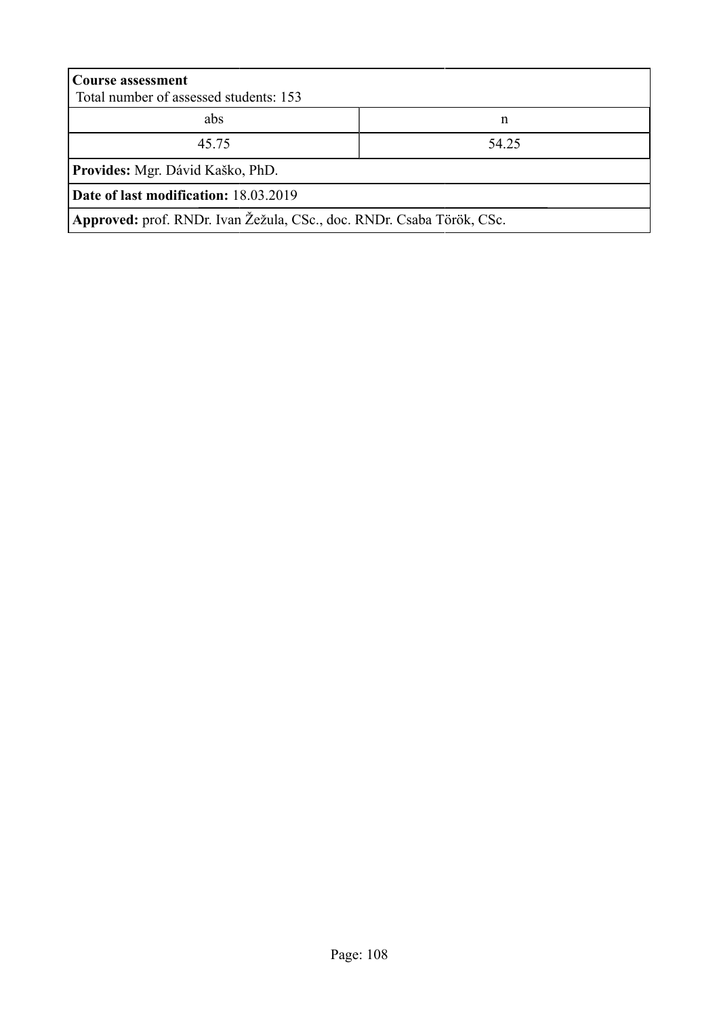| <b>Course assessment</b><br>Total number of assessed students: 153    |  |  |  |  |  |
|-----------------------------------------------------------------------|--|--|--|--|--|
| abs<br>n                                                              |  |  |  |  |  |
| 45.75<br>54.25                                                        |  |  |  |  |  |
| Provides: Mgr. Dávid Kaško, PhD.                                      |  |  |  |  |  |
| Date of last modification: 18.03.2019                                 |  |  |  |  |  |
| Approved: prof. RNDr. Ivan Žežula, CSc., doc. RNDr. Csaba Török, CSc. |  |  |  |  |  |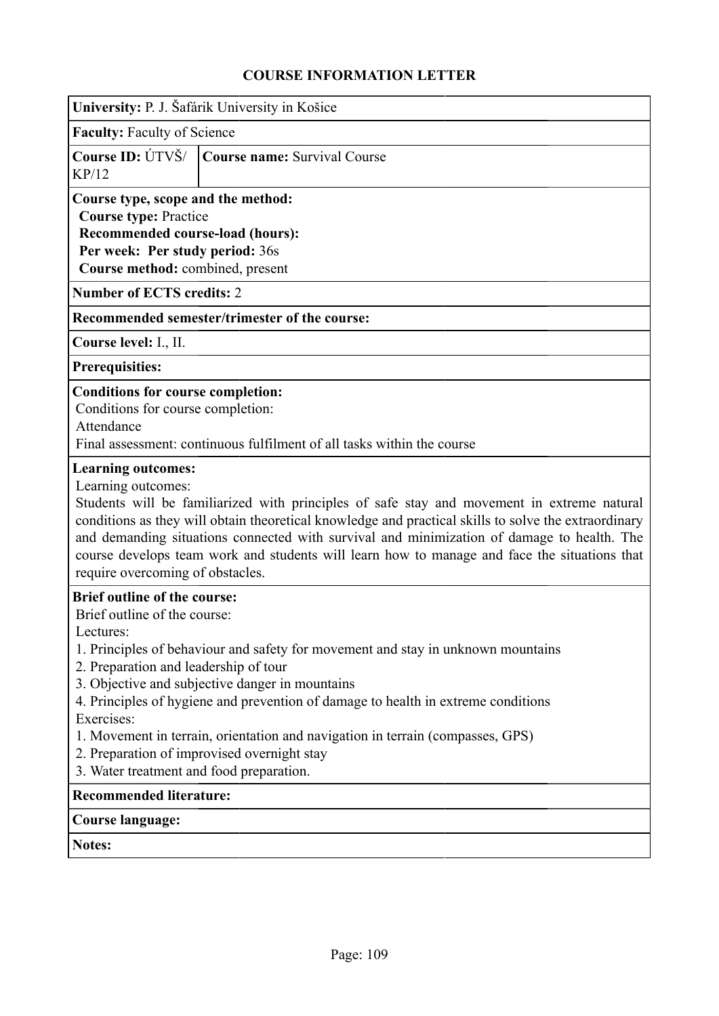| University: P. J. Šafárik University in Košice                                                                                                                                                                                                                                                                                                                                                                                                                                                                                                   |
|--------------------------------------------------------------------------------------------------------------------------------------------------------------------------------------------------------------------------------------------------------------------------------------------------------------------------------------------------------------------------------------------------------------------------------------------------------------------------------------------------------------------------------------------------|
| <b>Faculty: Faculty of Science</b>                                                                                                                                                                                                                                                                                                                                                                                                                                                                                                               |
| Course ID: ÚTVŠ/<br><b>Course name: Survival Course</b><br>KP/12                                                                                                                                                                                                                                                                                                                                                                                                                                                                                 |
| Course type, scope and the method:<br><b>Course type: Practice</b><br>Recommended course-load (hours):<br>Per week: Per study period: 36s<br>Course method: combined, present                                                                                                                                                                                                                                                                                                                                                                    |
| <b>Number of ECTS credits: 2</b>                                                                                                                                                                                                                                                                                                                                                                                                                                                                                                                 |
| Recommended semester/trimester of the course:                                                                                                                                                                                                                                                                                                                                                                                                                                                                                                    |
| Course level: I., II.                                                                                                                                                                                                                                                                                                                                                                                                                                                                                                                            |
| <b>Prerequisities:</b>                                                                                                                                                                                                                                                                                                                                                                                                                                                                                                                           |
| <b>Conditions for course completion:</b><br>Conditions for course completion:<br>Attendance<br>Final assessment: continuous fulfilment of all tasks within the course                                                                                                                                                                                                                                                                                                                                                                            |
| <b>Learning outcomes:</b><br>Learning outcomes:<br>Students will be familiarized with principles of safe stay and movement in extreme natural<br>conditions as they will obtain theoretical knowledge and practical skills to solve the extraordinary<br>and demanding situations connected with survival and minimization of damage to health. The<br>course develops team work and students will learn how to manage and face the situations that<br>require overcoming of obstacles.                                                          |
| <b>Brief outline of the course:</b><br>Brief outline of the course:<br>Lectures:<br>1. Principles of behaviour and safety for movement and stay in unknown mountains<br>2. Preparation and leadership of tour<br>3. Objective and subjective danger in mountains<br>4. Principles of hygiene and prevention of damage to health in extreme conditions<br>Exercises:<br>1. Movement in terrain, orientation and navigation in terrain (compasses, GPS)<br>2. Preparation of improvised overnight stay<br>3. Water treatment and food preparation. |
| <b>Recommended literature:</b>                                                                                                                                                                                                                                                                                                                                                                                                                                                                                                                   |
| <b>Course language:</b>                                                                                                                                                                                                                                                                                                                                                                                                                                                                                                                          |
| Notes:                                                                                                                                                                                                                                                                                                                                                                                                                                                                                                                                           |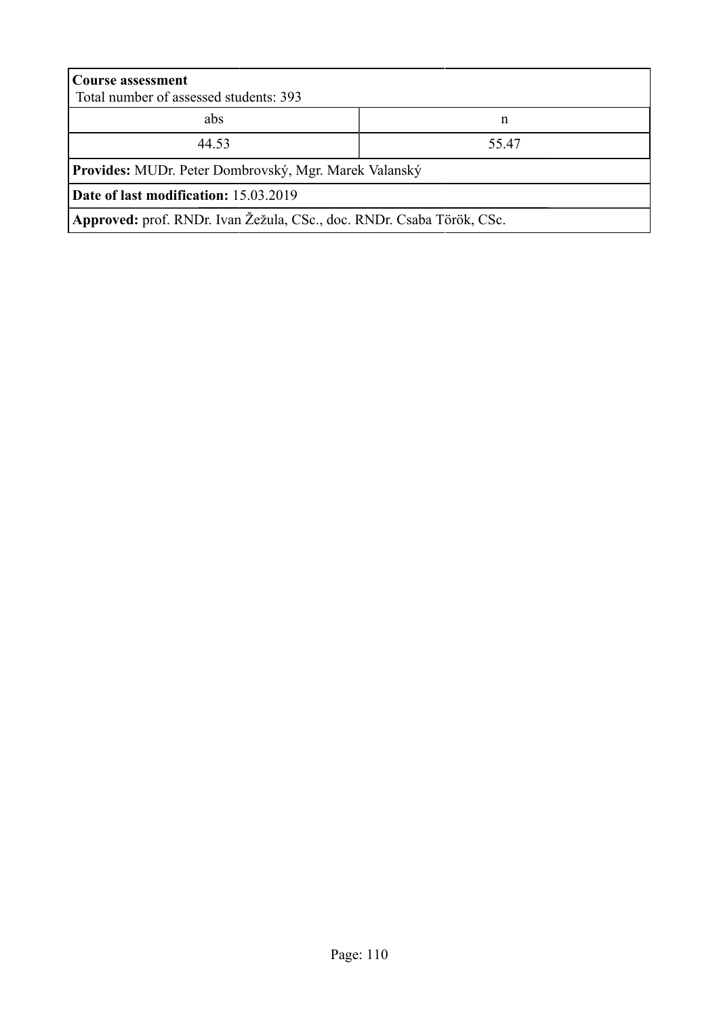| <b>Course assessment</b><br>Total number of assessed students: 393    |      |  |  |  |  |
|-----------------------------------------------------------------------|------|--|--|--|--|
| abs<br>n                                                              |      |  |  |  |  |
| 44.53                                                                 | 5547 |  |  |  |  |
| Provides: MUDr. Peter Dombrovský, Mgr. Marek Valanský                 |      |  |  |  |  |
| <b>Date of last modification:</b> 15.03.2019                          |      |  |  |  |  |
| Approved: prof. RNDr. Ivan Žežula, CSc., doc. RNDr. Csaba Török, CSc. |      |  |  |  |  |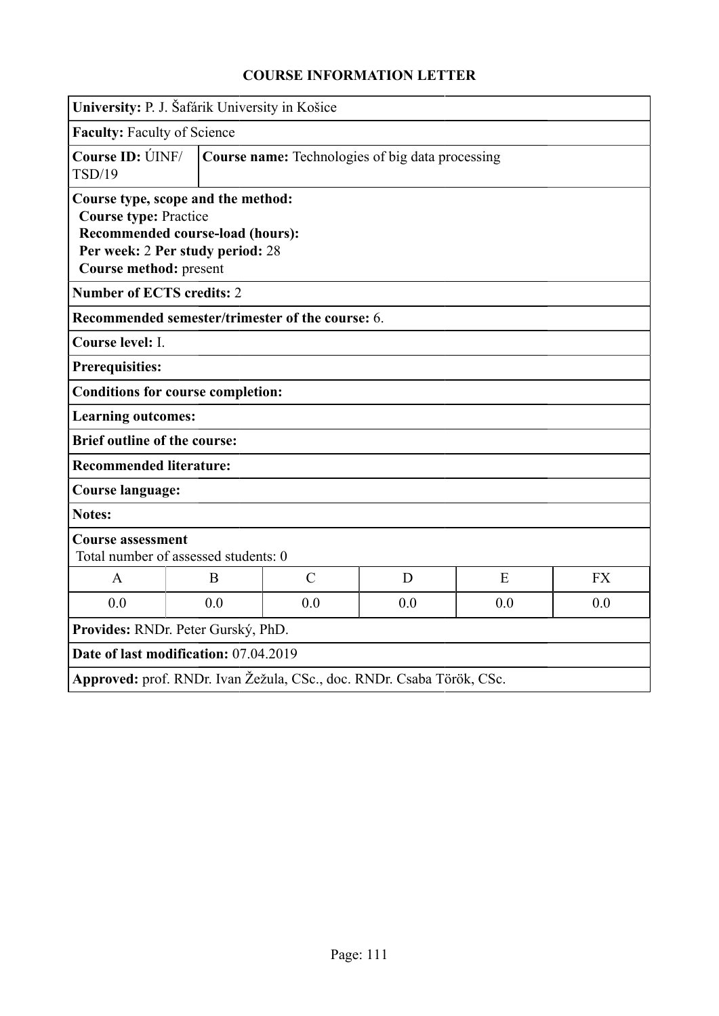| University: P. J. Šafárik University in Košice                                                                                                                       |                                                         |                                                  |     |     |           |  |
|----------------------------------------------------------------------------------------------------------------------------------------------------------------------|---------------------------------------------------------|--------------------------------------------------|-----|-----|-----------|--|
|                                                                                                                                                                      | Faculty: Faculty of Science                             |                                                  |     |     |           |  |
| Course ID: ÚINF/<br>TSD/19                                                                                                                                           | <b>Course name:</b> Technologies of big data processing |                                                  |     |     |           |  |
| Course type, scope and the method:<br><b>Course type: Practice</b><br>Recommended course-load (hours):<br>Per week: 2 Per study period: 28<br>Course method: present |                                                         |                                                  |     |     |           |  |
| <b>Number of ECTS credits: 2</b>                                                                                                                                     |                                                         |                                                  |     |     |           |  |
|                                                                                                                                                                      |                                                         | Recommended semester/trimester of the course: 6. |     |     |           |  |
| Course level: I.                                                                                                                                                     |                                                         |                                                  |     |     |           |  |
| Prerequisities:                                                                                                                                                      |                                                         |                                                  |     |     |           |  |
|                                                                                                                                                                      | <b>Conditions for course completion:</b>                |                                                  |     |     |           |  |
| <b>Learning outcomes:</b>                                                                                                                                            |                                                         |                                                  |     |     |           |  |
| <b>Brief outline of the course:</b>                                                                                                                                  |                                                         |                                                  |     |     |           |  |
| <b>Recommended literature:</b>                                                                                                                                       |                                                         |                                                  |     |     |           |  |
| <b>Course language:</b>                                                                                                                                              |                                                         |                                                  |     |     |           |  |
| <b>Notes:</b>                                                                                                                                                        |                                                         |                                                  |     |     |           |  |
| <b>Course assessment</b><br>Total number of assessed students: 0                                                                                                     |                                                         |                                                  |     |     |           |  |
| $\mathbf{A}$                                                                                                                                                         | B                                                       | $\mathcal{C}$                                    | D   | E   | <b>FX</b> |  |
| 0.0                                                                                                                                                                  | 0.0                                                     | 0.0                                              | 0.0 | 0.0 | 0.0       |  |
| Provides: RNDr. Peter Gurský, PhD.                                                                                                                                   |                                                         |                                                  |     |     |           |  |
| Date of last modification: 07.04.2019                                                                                                                                |                                                         |                                                  |     |     |           |  |
| Approved: prof. RNDr. Ivan Žežula, CSc., doc. RNDr. Csaba Török, CSc.                                                                                                |                                                         |                                                  |     |     |           |  |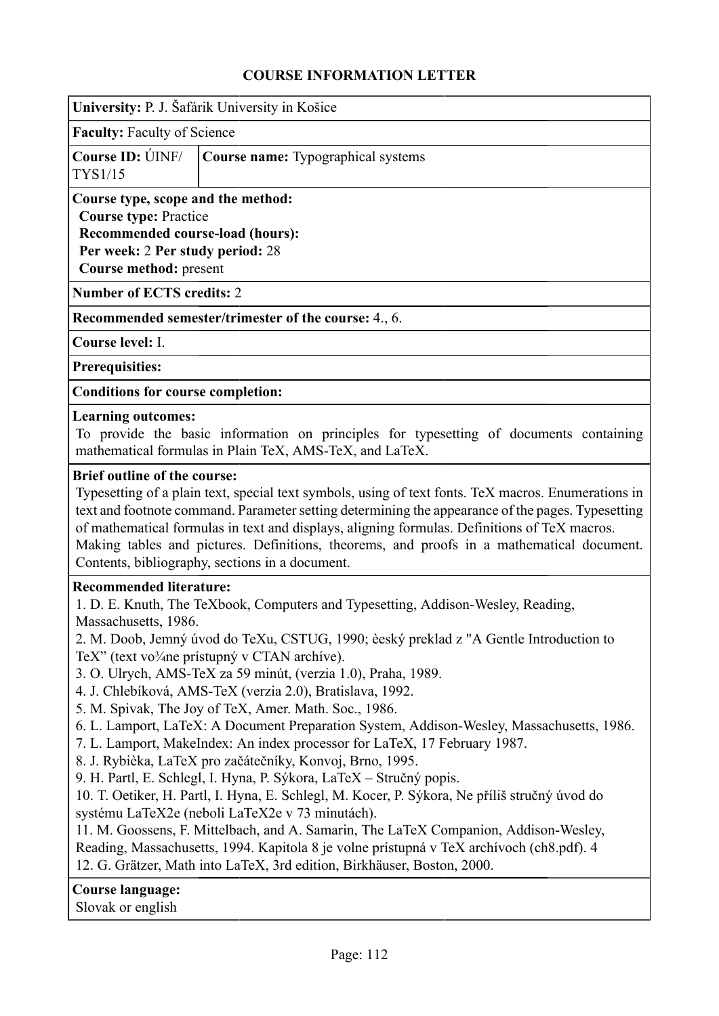| University: P. J. Šafárik University in Košice |  |
|------------------------------------------------|--|
| <b>Faculty: Faculty of Science</b>             |  |

|                | <b>Course ID:</b> UNF/ <b>Course name:</b> Typographical systems |
|----------------|------------------------------------------------------------------|
| <b>TYS1/15</b> |                                                                  |

**Course type, scope and the method: Course type:** Practice **Recommended course-load (hours): Per week:** 2 **Per study period:** 28 **Course method:** present

**Number of ECTS credits:** 2

**Recommended semester/trimester of the course:** 4., 6.

**Course level:** I.

**Prerequisities:**

**Conditions for course completion:**

#### **Learning outcomes:**

To provide the basic information on principles for typesetting of documents containing mathematical formulas in Plain TeX, AMS-TeX, and LaTeX.

#### **Brief outline of the course:**

Typesetting of a plain text, special text symbols, using of text fonts. TeX macros. Enumerations in text and footnote command. Parameter setting determining the appearance of the pages. Typesetting of mathematical formulas in text and displays, aligning formulas. Definitions of TeX macros. Making tables and pictures. Definitions, theorems, and proofs in a mathematical document. Contents, bibliography, sections in a document.

#### **Recommended literature:**

1. D. E. Knuth, The TeXbook, Computers and Typesetting, Addison-Wesley, Reading, Massachusetts, 1986.

2. M. Doob, Jemný úvod do TeXu, CSTUG, 1990; èeský preklad z "A Gentle Introduction to TeX" (text vo<sup>3</sup>/<sub>4</sub>ne prístupný v CTAN archíve).

3. O. Ulrych, AMS-TeX za 59 minút, (verzia 1.0), Praha, 1989.

4. J. Chlebíková, AMS-TeX (verzia 2.0), Bratislava, 1992.

- 5. M. Spivak, The Joy of TeX, Amer. Math. Soc., 1986.
- 6. L. Lamport, LaTeX: A Document Preparation System, Addison-Wesley, Massachusetts, 1986.
- 7. L. Lamport, MakeIndex: An index processor for LaTeX, 17 February 1987.
- 8. J. Rybièka, LaTeX pro začátečníky, Konvoj, Brno, 1995.

9. H. Partl, E. Schlegl, I. Hyna, P. Sýkora, LaTeX – Stručný popis.

10. T. Oetiker, H. Partl, I. Hyna, E. Schlegl, M. Kocer, P. Sýkora, Ne příliš stručný úvod do systému LaTeX2e (neboli LaTeX2e v 73 minutách).

11. M. Goossens, F. Mittelbach, and A. Samarin, The LaTeX Companion, Addison-Wesley,

Reading, Massachusetts, 1994. Kapitola 8 je volne prístupná v TeX archívoch (ch8.pdf). 4 12. G. Grätzer, Math into LaTeX, 3rd edition, Birkhäuser, Boston, 2000.

#### **Course language:**

Slovak or english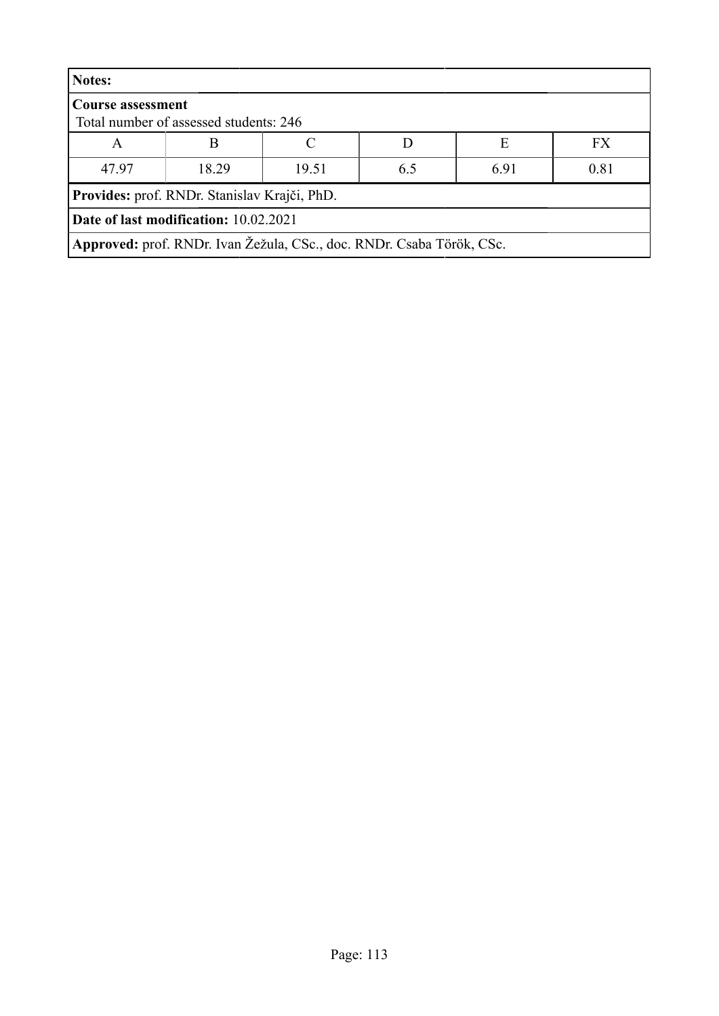| Notes:                                                                |       |       |     |      |           |  |
|-----------------------------------------------------------------------|-------|-------|-----|------|-----------|--|
| <b>Course assessment</b><br>Total number of assessed students: 246    |       |       |     |      |           |  |
| A                                                                     | B     |       |     | Е    | <b>FX</b> |  |
| 47.97                                                                 | 18.29 | 19.51 | 6.5 | 6.91 | 0.81      |  |
| Provides: prof. RNDr. Stanislav Krajči, PhD.                          |       |       |     |      |           |  |
| Date of last modification: 10.02.2021                                 |       |       |     |      |           |  |
| Approved: prof. RNDr. Ivan Žežula, CSc., doc. RNDr. Csaba Török, CSc. |       |       |     |      |           |  |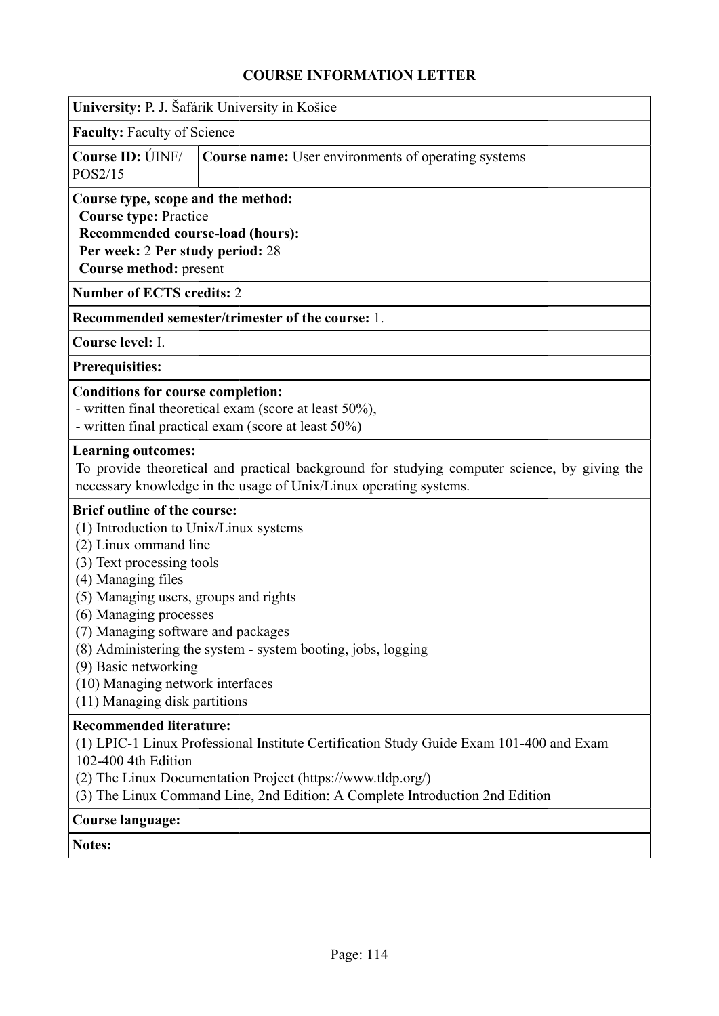|                                                                                                                                                                                                                                                                                                                                                                 | University: P. J. Šafárik University in Košice                                                                                                                                                                                         |
|-----------------------------------------------------------------------------------------------------------------------------------------------------------------------------------------------------------------------------------------------------------------------------------------------------------------------------------------------------------------|----------------------------------------------------------------------------------------------------------------------------------------------------------------------------------------------------------------------------------------|
| <b>Faculty: Faculty of Science</b>                                                                                                                                                                                                                                                                                                                              |                                                                                                                                                                                                                                        |
| Course ID: UNF/<br>POS2/15                                                                                                                                                                                                                                                                                                                                      | <b>Course name:</b> User environments of operating systems                                                                                                                                                                             |
| Course type, scope and the method:<br><b>Course type: Practice</b><br>Recommended course-load (hours):<br>Per week: 2 Per study period: 28<br>Course method: present                                                                                                                                                                                            |                                                                                                                                                                                                                                        |
| <b>Number of ECTS credits: 2</b>                                                                                                                                                                                                                                                                                                                                |                                                                                                                                                                                                                                        |
|                                                                                                                                                                                                                                                                                                                                                                 | Recommended semester/trimester of the course: 1.                                                                                                                                                                                       |
| Course level: I.                                                                                                                                                                                                                                                                                                                                                |                                                                                                                                                                                                                                        |
| <b>Prerequisities:</b>                                                                                                                                                                                                                                                                                                                                          |                                                                                                                                                                                                                                        |
| <b>Conditions for course completion:</b>                                                                                                                                                                                                                                                                                                                        | - written final theoretical exam (score at least 50%),<br>- written final practical exam (score at least 50%)                                                                                                                          |
| <b>Learning outcomes:</b>                                                                                                                                                                                                                                                                                                                                       | To provide theoretical and practical background for studying computer science, by giving the<br>necessary knowledge in the usage of Unix/Linux operating systems.                                                                      |
| <b>Brief outline of the course:</b><br>(1) Introduction to Unix/Linux systems<br>(2) Linux ommand line<br>(3) Text processing tools<br>(4) Managing files<br>(5) Managing users, groups and rights<br>(6) Managing processes<br>(7) Managing software and packages<br>(9) Basic networking<br>(10) Managing network interfaces<br>(11) Managing disk partitions | (8) Administering the system - system booting, jobs, logging                                                                                                                                                                           |
| <b>Recommended literature:</b><br>102-400 4th Edition                                                                                                                                                                                                                                                                                                           | (1) LPIC-1 Linux Professional Institute Certification Study Guide Exam 101-400 and Exam<br>(2) The Linux Documentation Project (https://www.tldp.org/)<br>(3) The Linux Command Line, 2nd Edition: A Complete Introduction 2nd Edition |
| Course language:                                                                                                                                                                                                                                                                                                                                                |                                                                                                                                                                                                                                        |

**Notes:**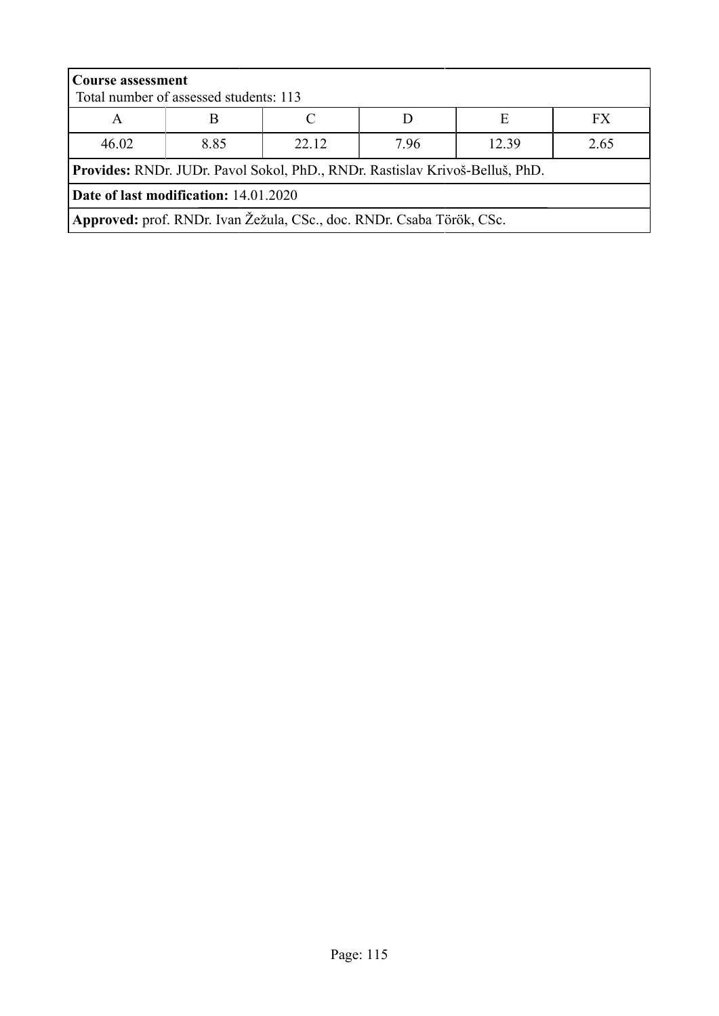| <b>Course assessment</b>                                                     |                                        |       |     |       |      |  |
|------------------------------------------------------------------------------|----------------------------------------|-------|-----|-------|------|--|
|                                                                              | Total number of assessed students: 113 |       |     |       |      |  |
| A                                                                            |                                        |       |     | E     | FX.  |  |
| 46.02                                                                        | 8.85                                   | 22 12 | 796 | 12.39 | 2.65 |  |
| Provides: RNDr. JUDr. Pavol Sokol, PhD., RNDr. Rastislav Krivoš-Belluš, PhD. |                                        |       |     |       |      |  |
| Date of last modification: 14.01.2020                                        |                                        |       |     |       |      |  |
| Approved: prof. RNDr. Ivan Žežula, CSc., doc. RNDr. Csaba Török, CSc.        |                                        |       |     |       |      |  |